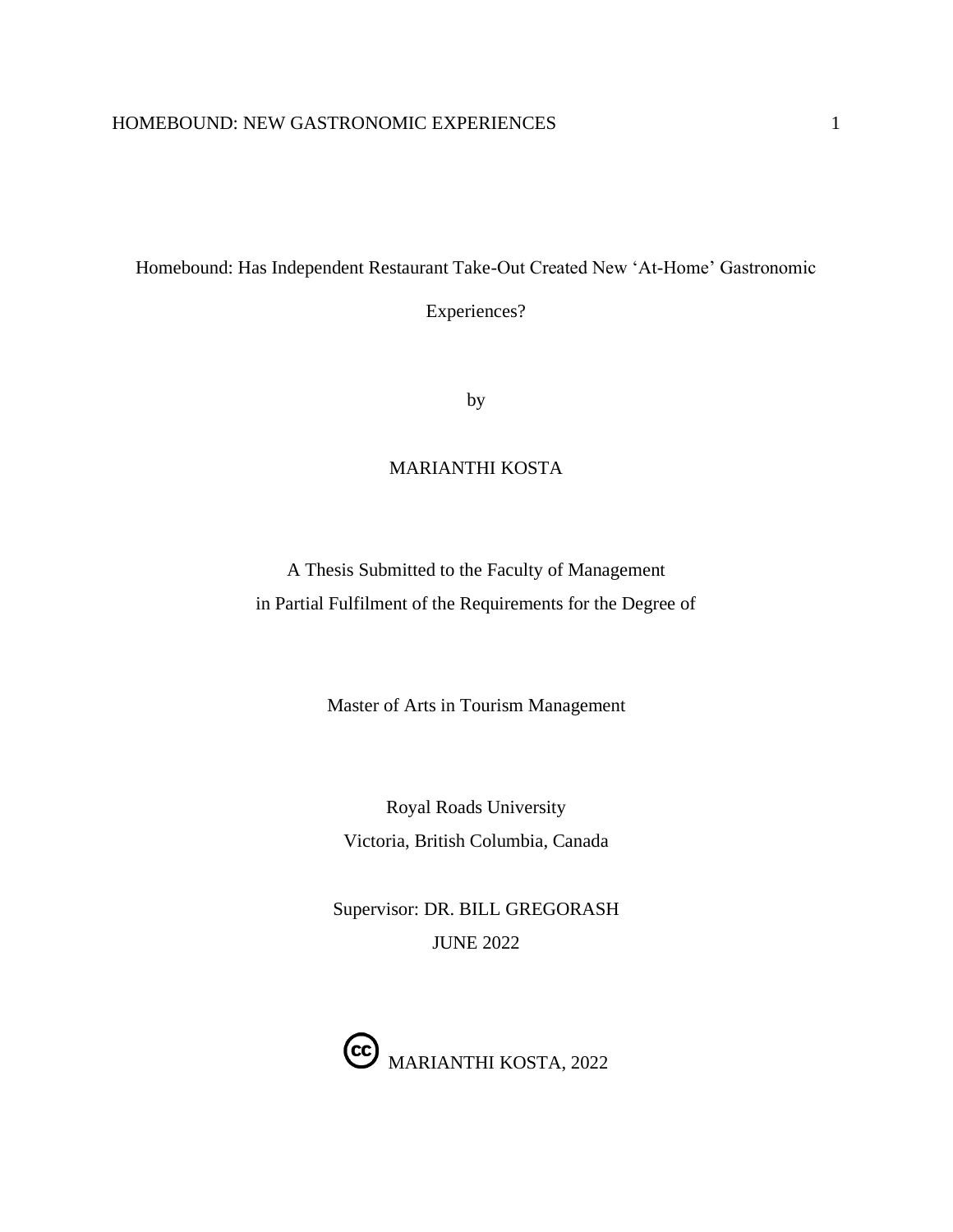Homebound: Has Independent Restaurant Take-Out Created New 'At-Home' Gastronomic

Experiences?

by

# MARIANTHI KOSTA

A Thesis Submitted to the Faculty of Management in Partial Fulfilment of the Requirements for the Degree of

Master of Arts in Tourism Management

Royal Roads University Victoria, British Columbia, Canada

Supervisor: DR. BILL GREGORASH JUNE 2022

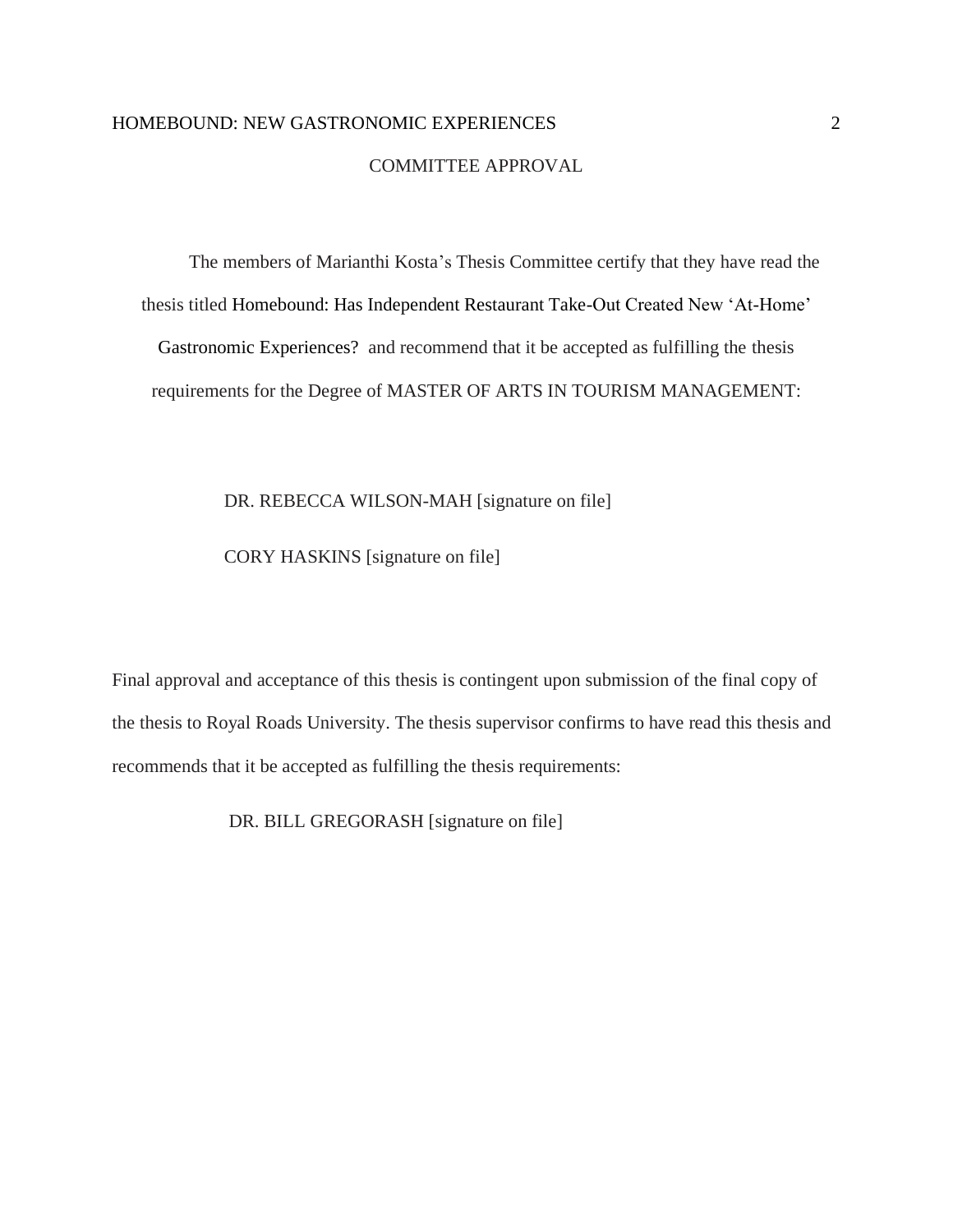# COMMITTEE APPROVAL

The members of Marianthi Kosta's Thesis Committee certify that they have read the thesis titled Homebound: Has Independent Restaurant Take-Out Created New 'At-Home' Gastronomic Experiences? and recommend that it be accepted as fulfilling the thesis requirements for the Degree of MASTER OF ARTS IN TOURISM MANAGEMENT:

#### DR. REBECCA WILSON-MAH [signature on file]

# CORY HASKINS [signature on file]

Final approval and acceptance of this thesis is contingent upon submission of the final copy of the thesis to Royal Roads University. The thesis supervisor confirms to have read this thesis and recommends that it be accepted as fulfilling the thesis requirements:

DR. BILL GREGORASH [signature on file]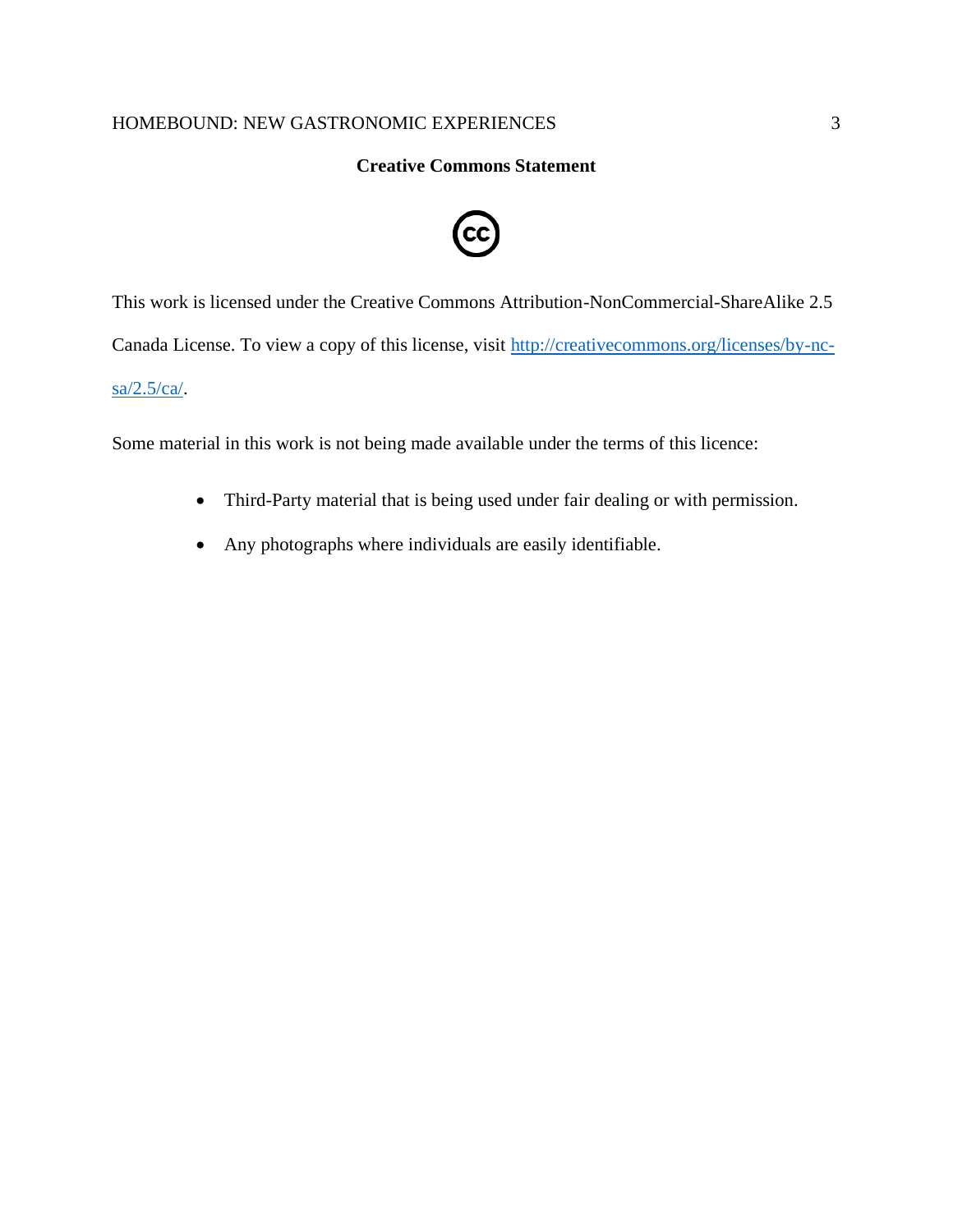# **Creative Commons Statement**



This work is licensed under the Creative Commons Attribution-NonCommercial-ShareAlike 2.5 Canada License. To view a copy of this license, visit [http://creativecommons.org/licenses/by-nc](http://creativecommons.org/licenses/by-nc-sa/2.5/ca/)[sa/2.5/ca/.](http://creativecommons.org/licenses/by-nc-sa/2.5/ca/)

Some material in this work is not being made available under the terms of this licence:

- Third-Party material that is being used under fair dealing or with permission.
- Any photographs where individuals are easily identifiable.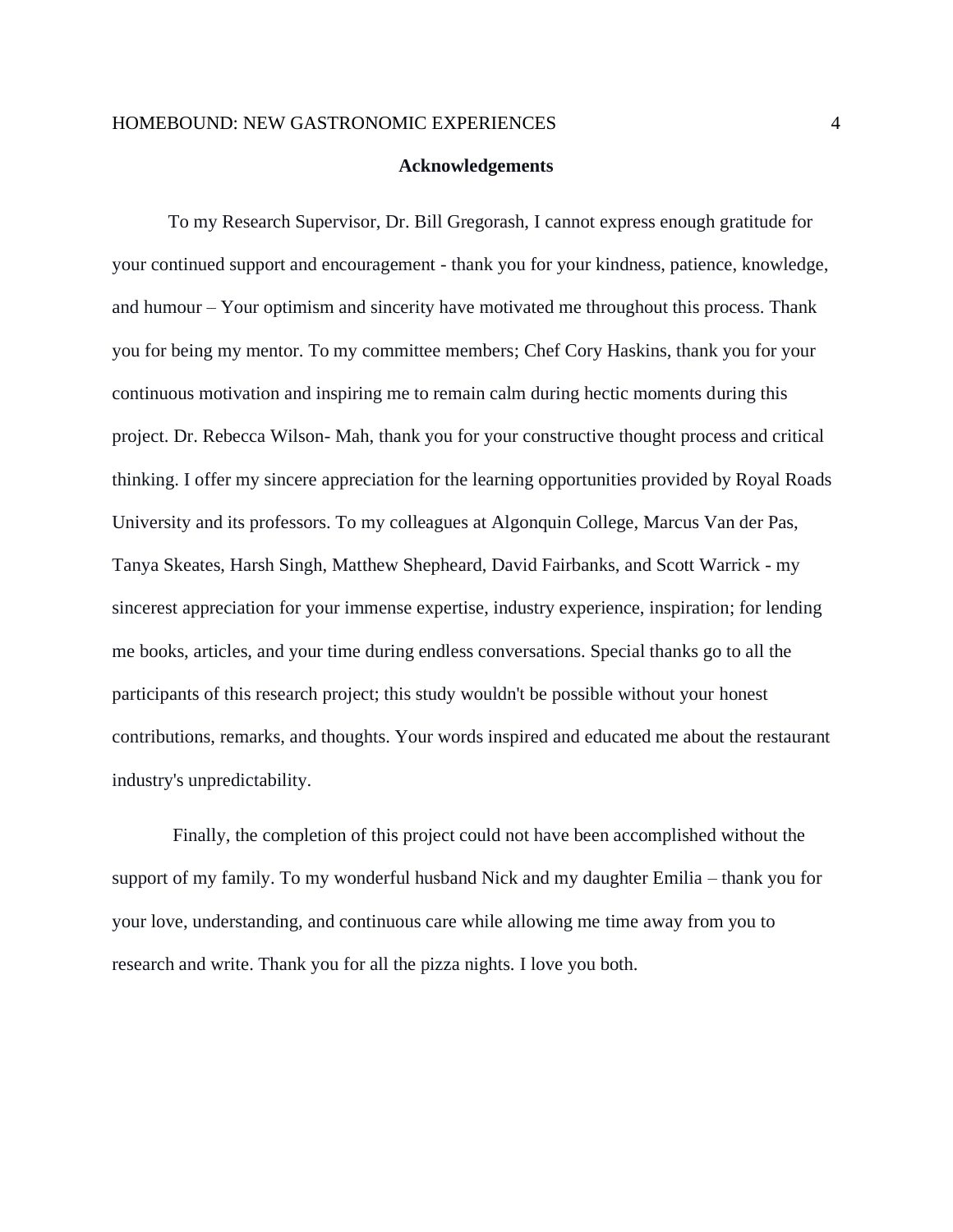#### **Acknowledgements**

To my Research Supervisor, Dr. Bill Gregorash, I cannot express enough gratitude for your continued support and encouragement - thank you for your kindness, patience, knowledge, and humour – Your optimism and sincerity have motivated me throughout this process. Thank you for being my mentor. To my committee members; Chef Cory Haskins, thank you for your continuous motivation and inspiring me to remain calm during hectic moments during this project. Dr. Rebecca Wilson- Mah, thank you for your constructive thought process and critical thinking. I offer my sincere appreciation for the learning opportunities provided by Royal Roads University and its professors. To my colleagues at Algonquin College, Marcus Van der Pas, Tanya Skeates, Harsh Singh, Matthew Shepheard, David Fairbanks, and Scott Warrick - my sincerest appreciation for your immense expertise, industry experience, inspiration; for lending me books, articles, and your time during endless conversations. Special thanks go to all the participants of this research project; this study wouldn't be possible without your honest contributions, remarks, and thoughts. Your words inspired and educated me about the restaurant industry's unpredictability.

Finally, the completion of this project could not have been accomplished without the support of my family. To my wonderful husband Nick and my daughter Emilia – thank you for your love, understanding, and continuous care while allowing me time away from you to research and write. Thank you for all the pizza nights. I love you both.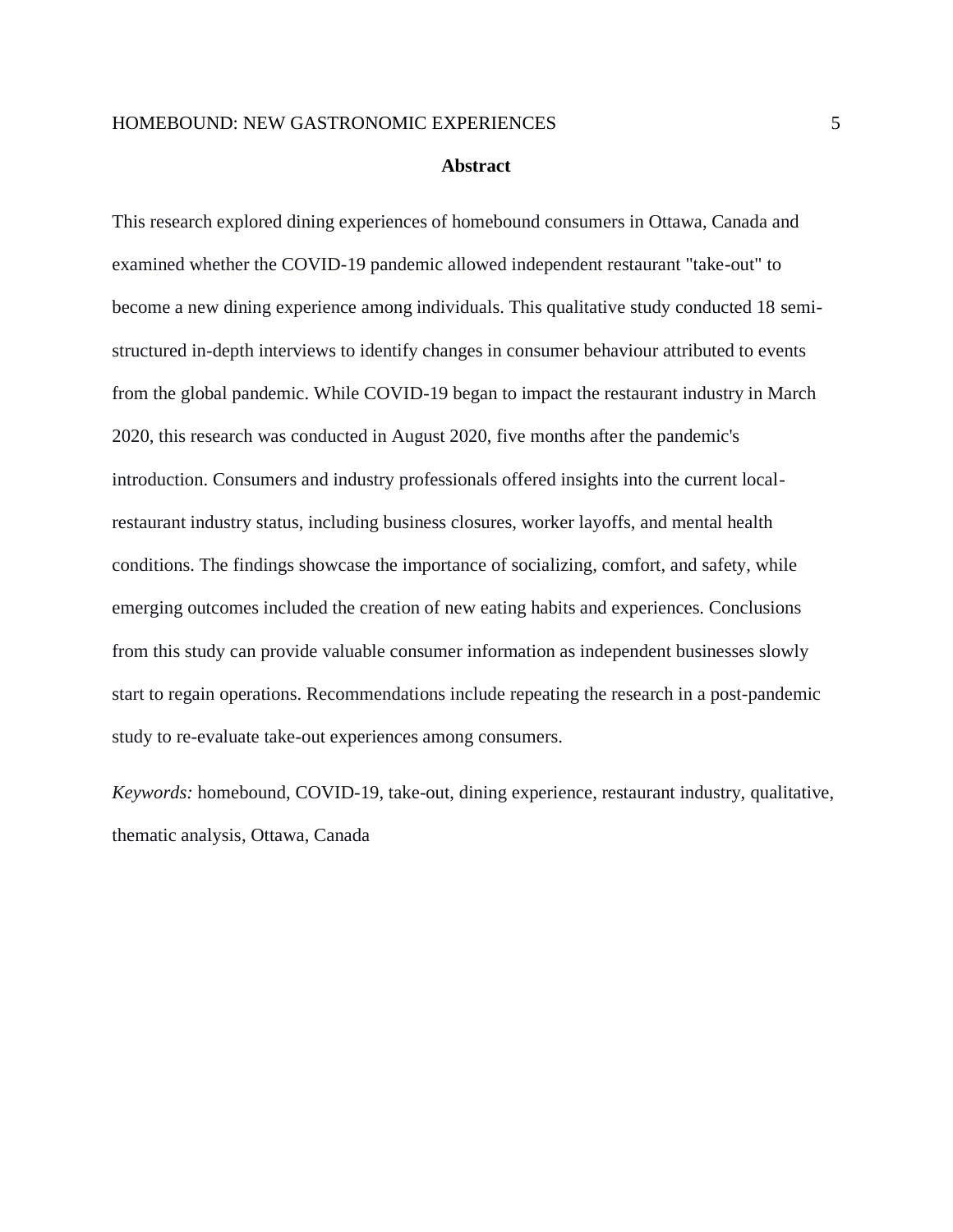#### **Abstract**

This research explored dining experiences of homebound consumers in Ottawa, Canada and examined whether the COVID-19 pandemic allowed independent restaurant "take-out" to become a new dining experience among individuals. This qualitative study conducted 18 semistructured in-depth interviews to identify changes in consumer behaviour attributed to events from the global pandemic. While COVID-19 began to impact the restaurant industry in March 2020, this research was conducted in August 2020, five months after the pandemic's introduction. Consumers and industry professionals offered insights into the current localrestaurant industry status, including business closures, worker layoffs, and mental health conditions. The findings showcase the importance of socializing, comfort, and safety, while emerging outcomes included the creation of new eating habits and experiences. Conclusions from this study can provide valuable consumer information as independent businesses slowly start to regain operations. Recommendations include repeating the research in a post-pandemic study to re-evaluate take-out experiences among consumers.

*Keywords:* homebound, COVID-19, take-out, dining experience, restaurant industry, qualitative, thematic analysis, Ottawa, Canada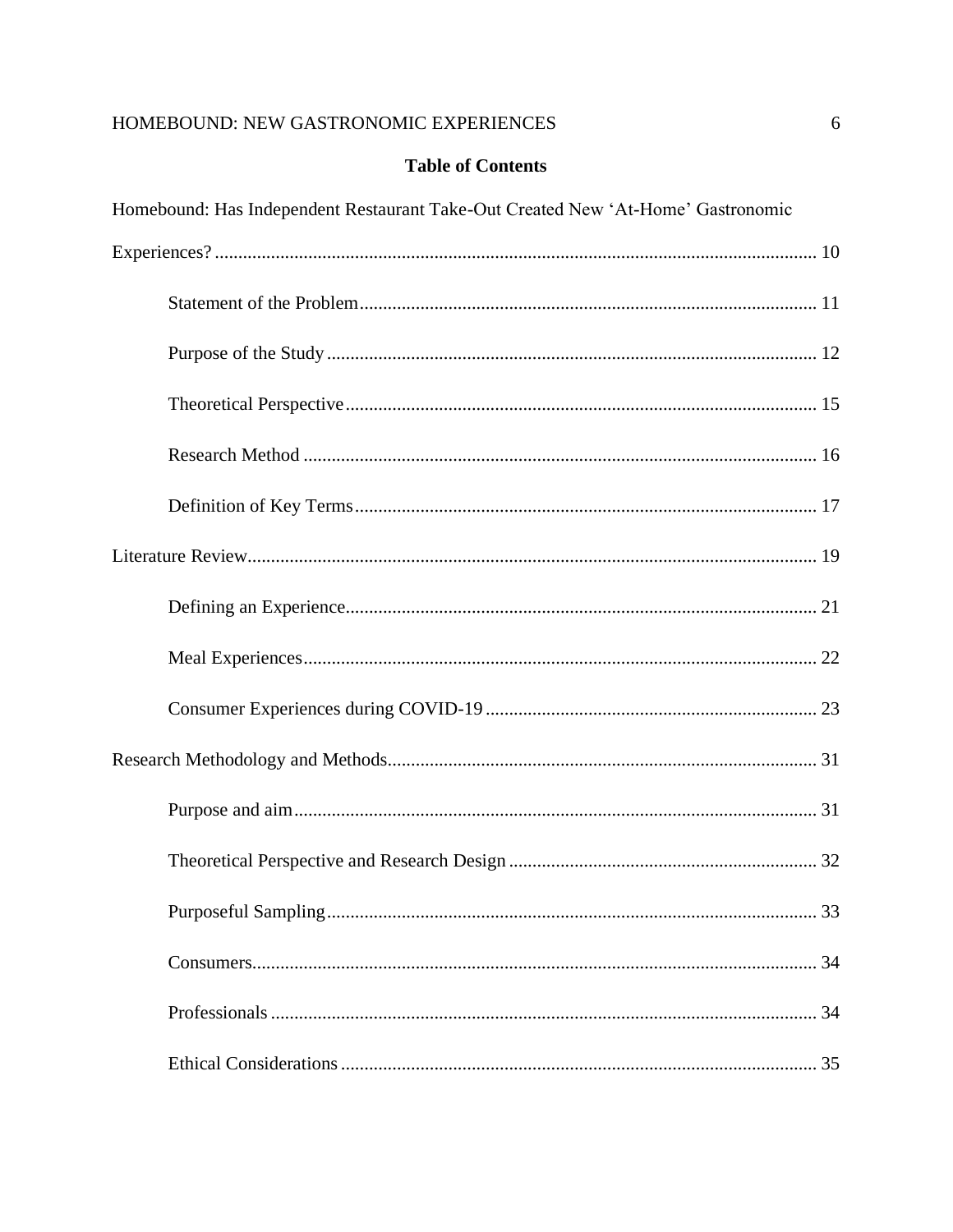# **Table of Contents**

| Homebound: Has Independent Restaurant Take-Out Created New 'At-Home' Gastronomic |  |  |
|----------------------------------------------------------------------------------|--|--|
|                                                                                  |  |  |
|                                                                                  |  |  |
|                                                                                  |  |  |
|                                                                                  |  |  |
|                                                                                  |  |  |
|                                                                                  |  |  |
|                                                                                  |  |  |
|                                                                                  |  |  |
|                                                                                  |  |  |
|                                                                                  |  |  |
|                                                                                  |  |  |
|                                                                                  |  |  |
|                                                                                  |  |  |
|                                                                                  |  |  |
|                                                                                  |  |  |
|                                                                                  |  |  |
|                                                                                  |  |  |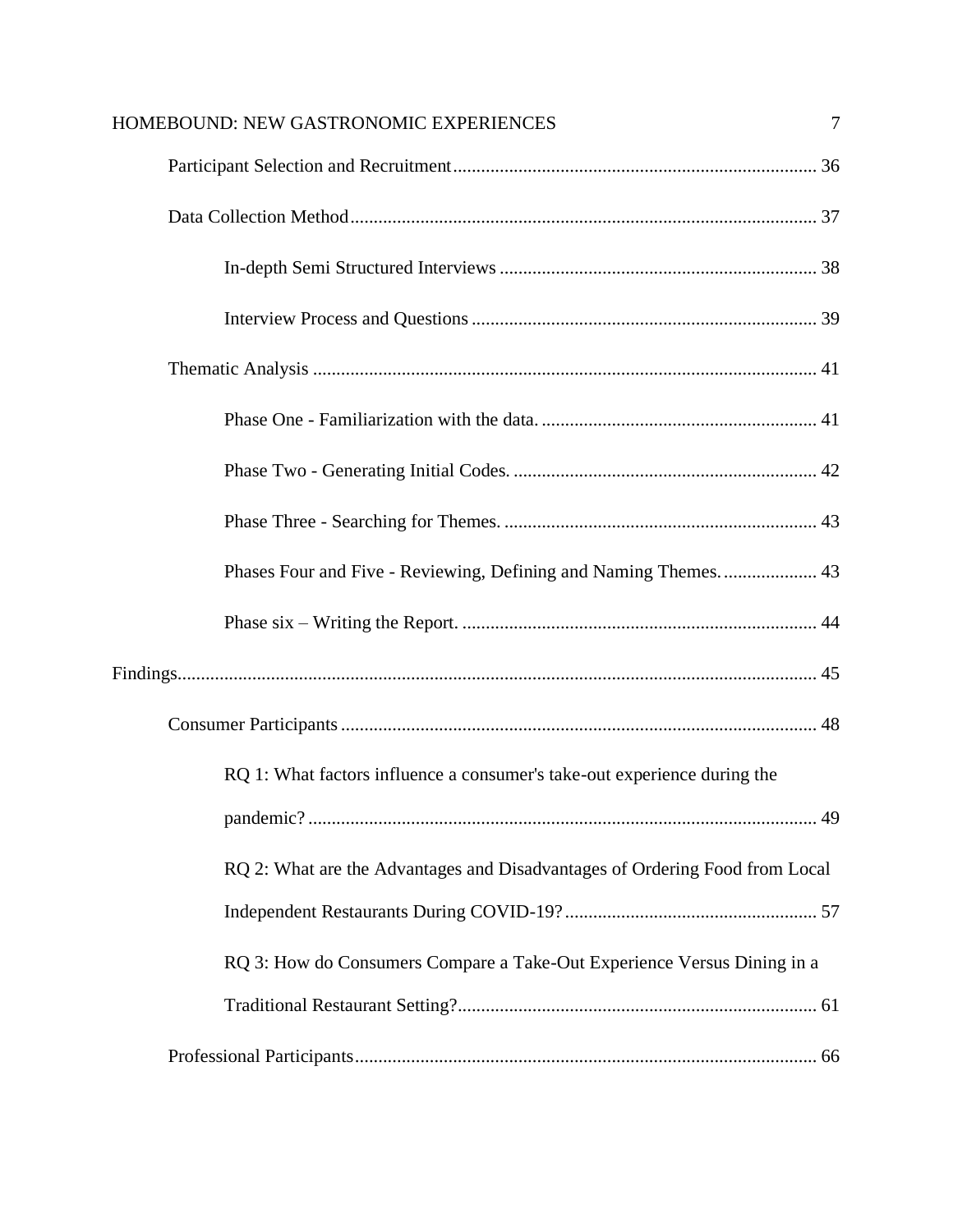| HOMEBOUND: NEW GASTRONOMIC EXPERIENCES                                      | 7 |
|-----------------------------------------------------------------------------|---|
|                                                                             |   |
|                                                                             |   |
|                                                                             |   |
|                                                                             |   |
|                                                                             |   |
|                                                                             |   |
|                                                                             |   |
|                                                                             |   |
|                                                                             |   |
|                                                                             |   |
|                                                                             |   |
|                                                                             |   |
| RQ 1: What factors influence a consumer's take-out experience during the    |   |
|                                                                             |   |
| RQ 2: What are the Advantages and Disadvantages of Ordering Food from Local |   |
|                                                                             |   |
| RQ 3: How do Consumers Compare a Take-Out Experience Versus Dining in a     |   |
|                                                                             |   |
|                                                                             |   |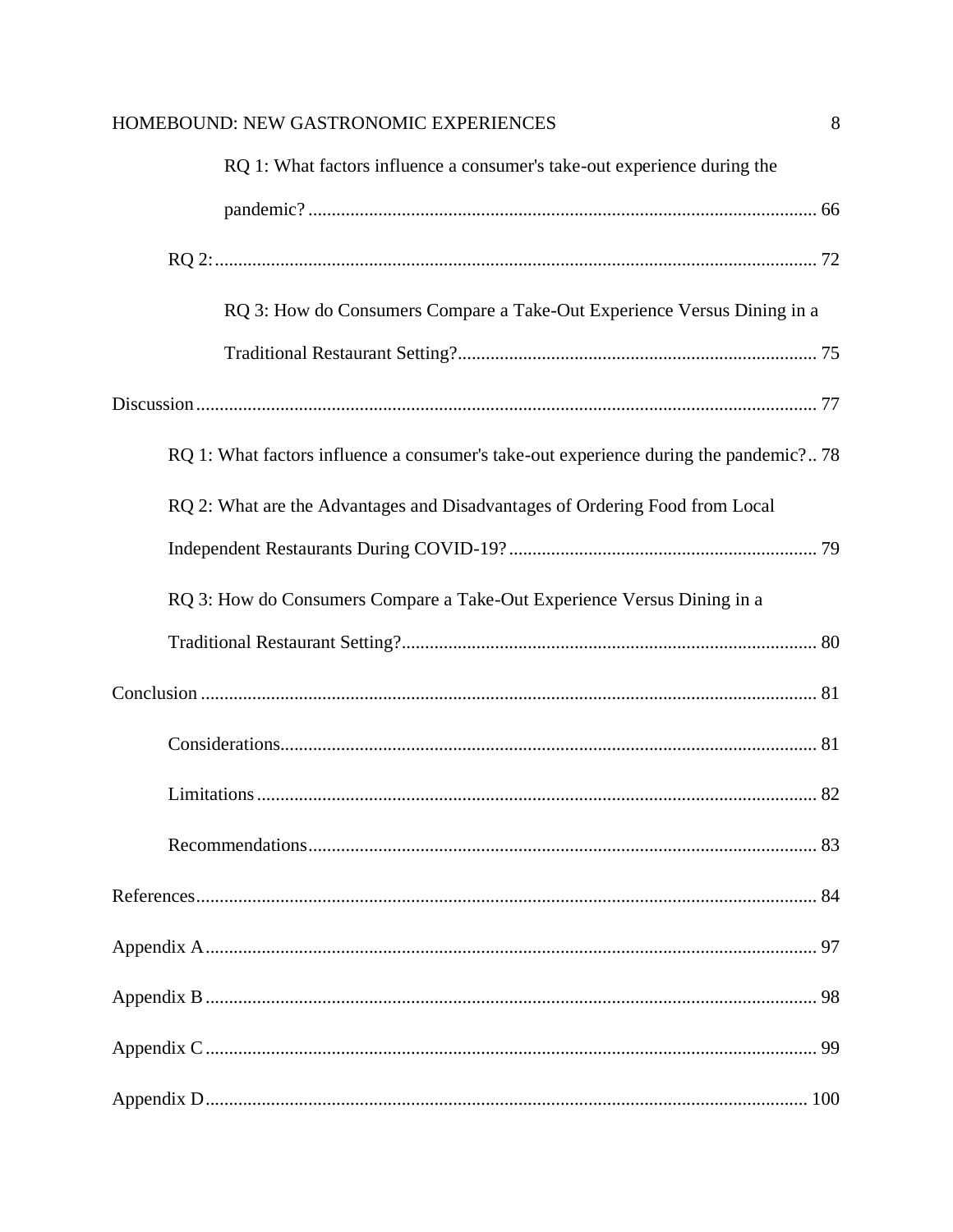| RQ 1: What factors influence a consumer's take-out experience during the              |  |
|---------------------------------------------------------------------------------------|--|
|                                                                                       |  |
|                                                                                       |  |
| RQ 3: How do Consumers Compare a Take-Out Experience Versus Dining in a               |  |
|                                                                                       |  |
|                                                                                       |  |
| RQ 1: What factors influence a consumer's take-out experience during the pandemic? 78 |  |
| RQ 2: What are the Advantages and Disadvantages of Ordering Food from Local           |  |
|                                                                                       |  |
| RQ 3: How do Consumers Compare a Take-Out Experience Versus Dining in a               |  |
|                                                                                       |  |
|                                                                                       |  |
|                                                                                       |  |
|                                                                                       |  |
|                                                                                       |  |
|                                                                                       |  |
|                                                                                       |  |
|                                                                                       |  |
|                                                                                       |  |
|                                                                                       |  |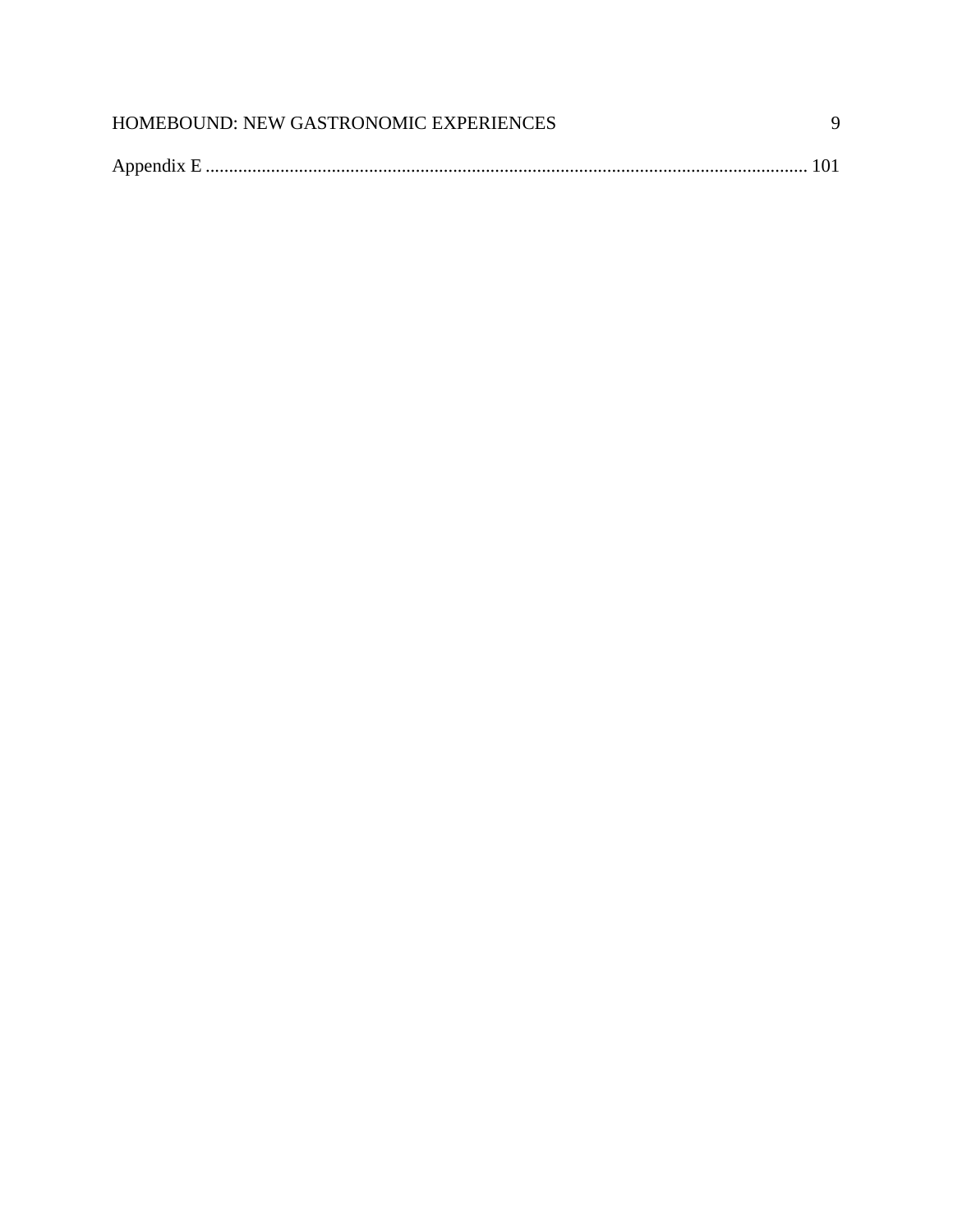| HOMEBOUND: NEW GASTRONOMIC EXPERIENCES |  |
|----------------------------------------|--|
|                                        |  |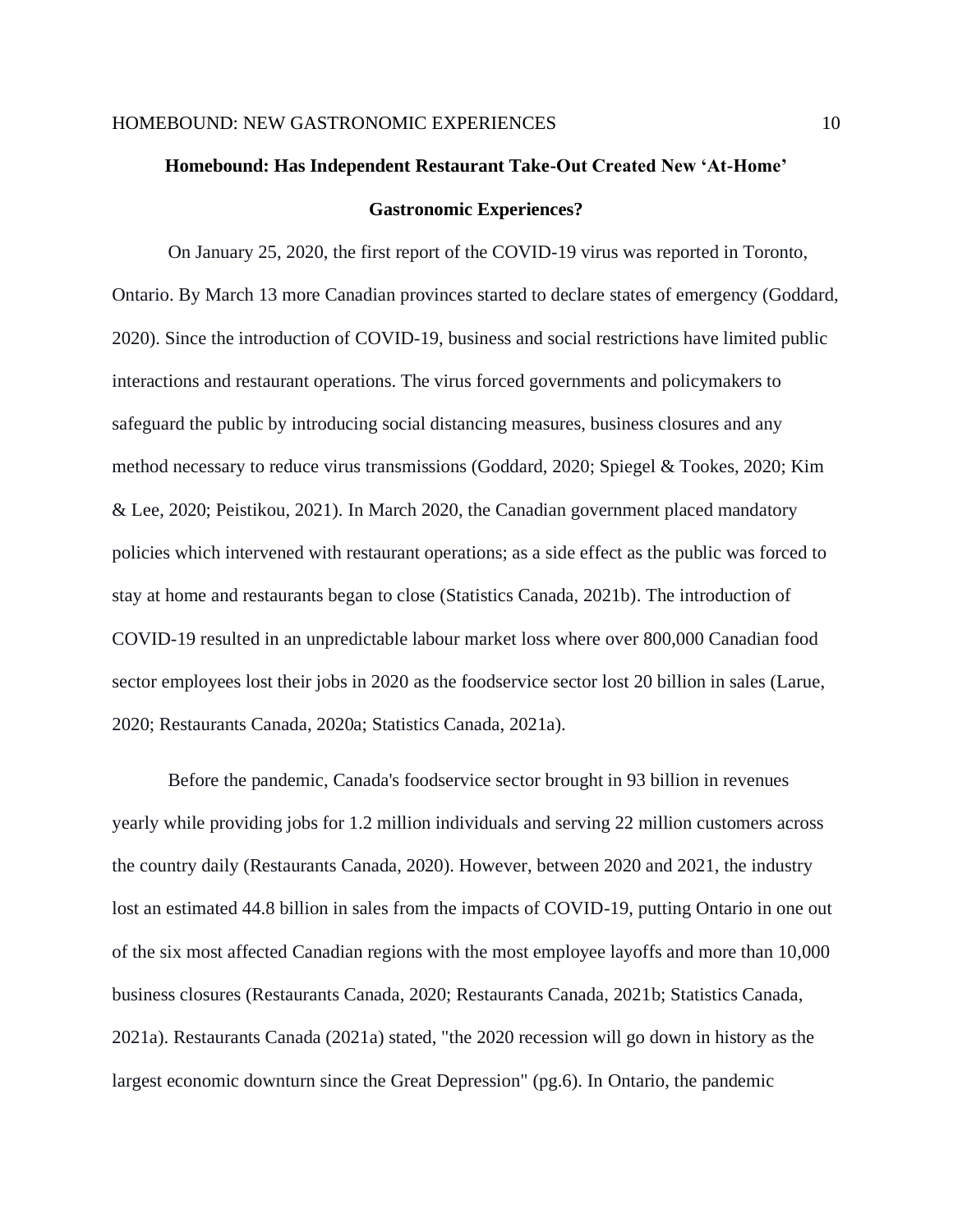# <span id="page-9-0"></span>**Homebound: Has Independent Restaurant Take-Out Created New 'At-Home' Gastronomic Experiences?**

On January 25, 2020, the first report of the COVID-19 virus was reported in Toronto, Ontario. By March 13 more Canadian provinces started to declare states of emergency (Goddard, 2020). Since the introduction of COVID-19, business and social restrictions have limited public interactions and restaurant operations. The virus forced governments and policymakers to safeguard the public by introducing social distancing measures, business closures and any method necessary to reduce virus transmissions (Goddard, 2020; Spiegel & Tookes, 2020; Kim & Lee, 2020; Peistikou, 2021). In March 2020, the Canadian government placed mandatory policies which intervened with restaurant operations; as a side effect as the public was forced to stay at home and restaurants began to close (Statistics Canada, 2021b). The introduction of COVID-19 resulted in an unpredictable labour market loss where over 800,000 Canadian food sector employees lost their jobs in 2020 as the foodservice sector lost 20 billion in sales (Larue, 2020; Restaurants Canada, 2020a; Statistics Canada, 2021a).

Before the pandemic, Canada's foodservice sector brought in 93 billion in revenues yearly while providing jobs for 1.2 million individuals and serving 22 million customers across the country daily (Restaurants Canada, 2020). However, between 2020 and 2021, the industry lost an estimated 44.8 billion in sales from the impacts of COVID-19, putting Ontario in one out of the six most affected Canadian regions with the most employee layoffs and more than 10,000 business closures (Restaurants Canada, 2020; Restaurants Canada, 2021b; Statistics Canada, 2021a). Restaurants Canada (2021a) stated, "the 2020 recession will go down in history as the largest economic downturn since the Great Depression" (pg.6). In Ontario, the pandemic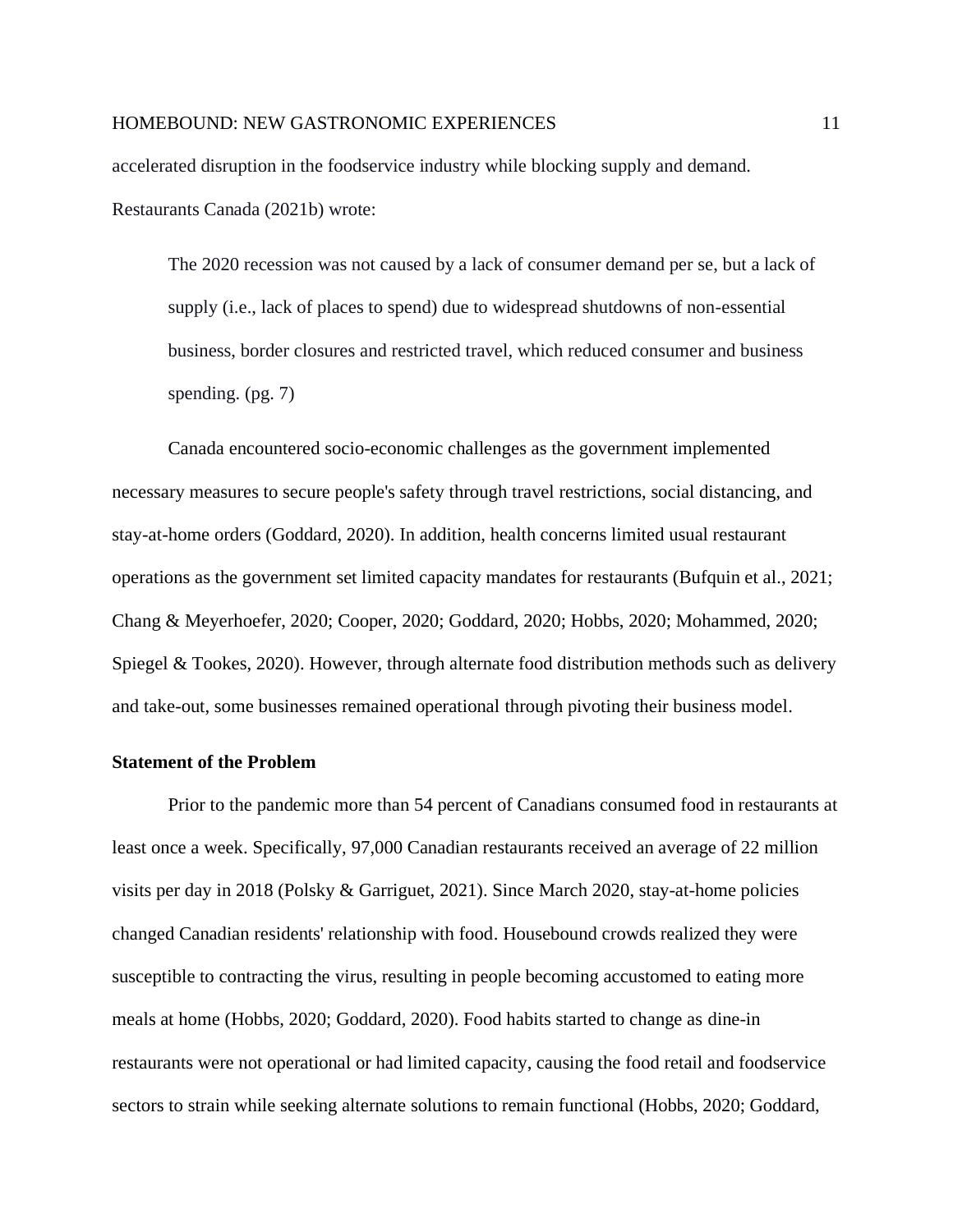accelerated disruption in the foodservice industry while blocking supply and demand. Restaurants Canada (2021b) wrote:

The 2020 recession was not caused by a lack of consumer demand per se, but a lack of supply (i.e., lack of places to spend) due to widespread shutdowns of non-essential business, border closures and restricted travel, which reduced consumer and business spending. (pg. 7)

Canada encountered socio-economic challenges as the government implemented necessary measures to secure people's safety through travel restrictions, social distancing, and stay-at-home orders (Goddard, 2020). In addition, health concerns limited usual restaurant operations as the government set limited capacity mandates for restaurants (Bufquin et al., 2021; Chang & Meyerhoefer, 2020; Cooper, 2020; Goddard, 2020; Hobbs, 2020; Mohammed, 2020; Spiegel & Tookes, 2020). However, through alternate food distribution methods such as delivery and take-out, some businesses remained operational through pivoting their business model.

# <span id="page-10-0"></span>**Statement of the Problem**

Prior to the pandemic more than 54 percent of Canadians consumed food in restaurants at least once a week. Specifically, 97,000 Canadian restaurants received an average of 22 million visits per day in 2018 (Polsky & Garriguet, 2021). Since March 2020, stay-at-home policies changed Canadian residents' relationship with food. Housebound crowds realized they were susceptible to contracting the virus, resulting in people becoming accustomed to eating more meals at home (Hobbs, 2020; Goddard, 2020). Food habits started to change as dine-in restaurants were not operational or had limited capacity, causing the food retail and foodservice sectors to strain while seeking alternate solutions to remain functional (Hobbs, 2020; Goddard,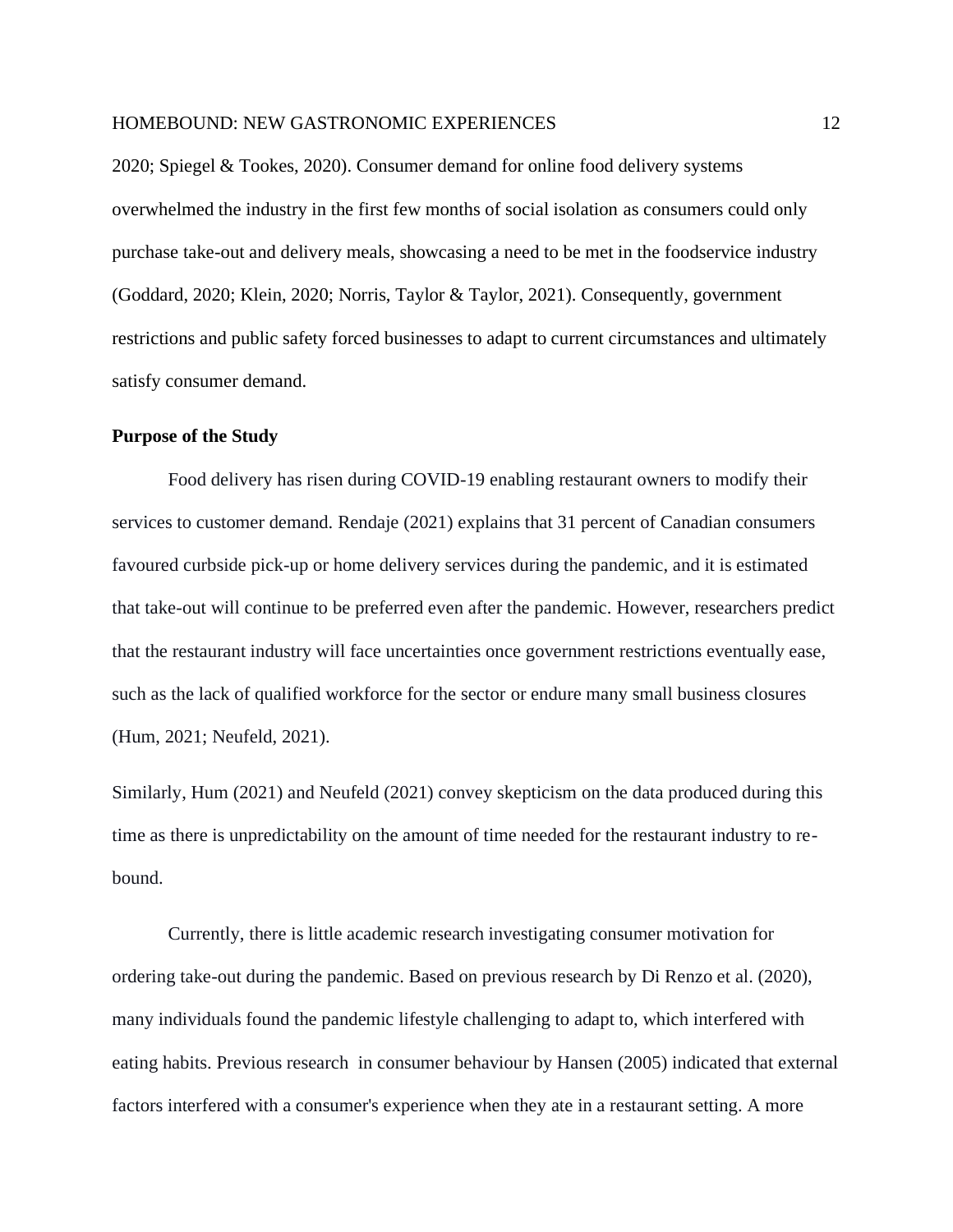2020; Spiegel & Tookes, 2020). Consumer demand for online food delivery systems overwhelmed the industry in the first few months of social isolation as consumers could only purchase take-out and delivery meals, showcasing a need to be met in the foodservice industry (Goddard, 2020; Klein, 2020; Norris, Taylor & Taylor, 2021). Consequently, government restrictions and public safety forced businesses to adapt to current circumstances and ultimately satisfy consumer demand.

#### <span id="page-11-0"></span>**Purpose of the Study**

Food delivery has risen during COVID-19 enabling restaurant owners to modify their services to customer demand. Rendaje (2021) explains that 31 percent of Canadian consumers favoured curbside pick-up or home delivery services during the pandemic, and it is estimated that take-out will continue to be preferred even after the pandemic. However, researchers predict that the restaurant industry will face uncertainties once government restrictions eventually ease, such as the lack of qualified workforce for the sector or endure many small business closures (Hum, 2021; Neufeld, 2021).

Similarly, Hum (2021) and Neufeld (2021) convey skepticism on the data produced during this time as there is unpredictability on the amount of time needed for the restaurant industry to rebound.

Currently, there is little academic research investigating consumer motivation for ordering take-out during the pandemic. Based on previous research by Di Renzo et al. (2020), many individuals found the pandemic lifestyle challenging to adapt to, which interfered with eating habits. Previous research in consumer behaviour by Hansen (2005) indicated that external factors interfered with a consumer's experience when they ate in a restaurant setting. A more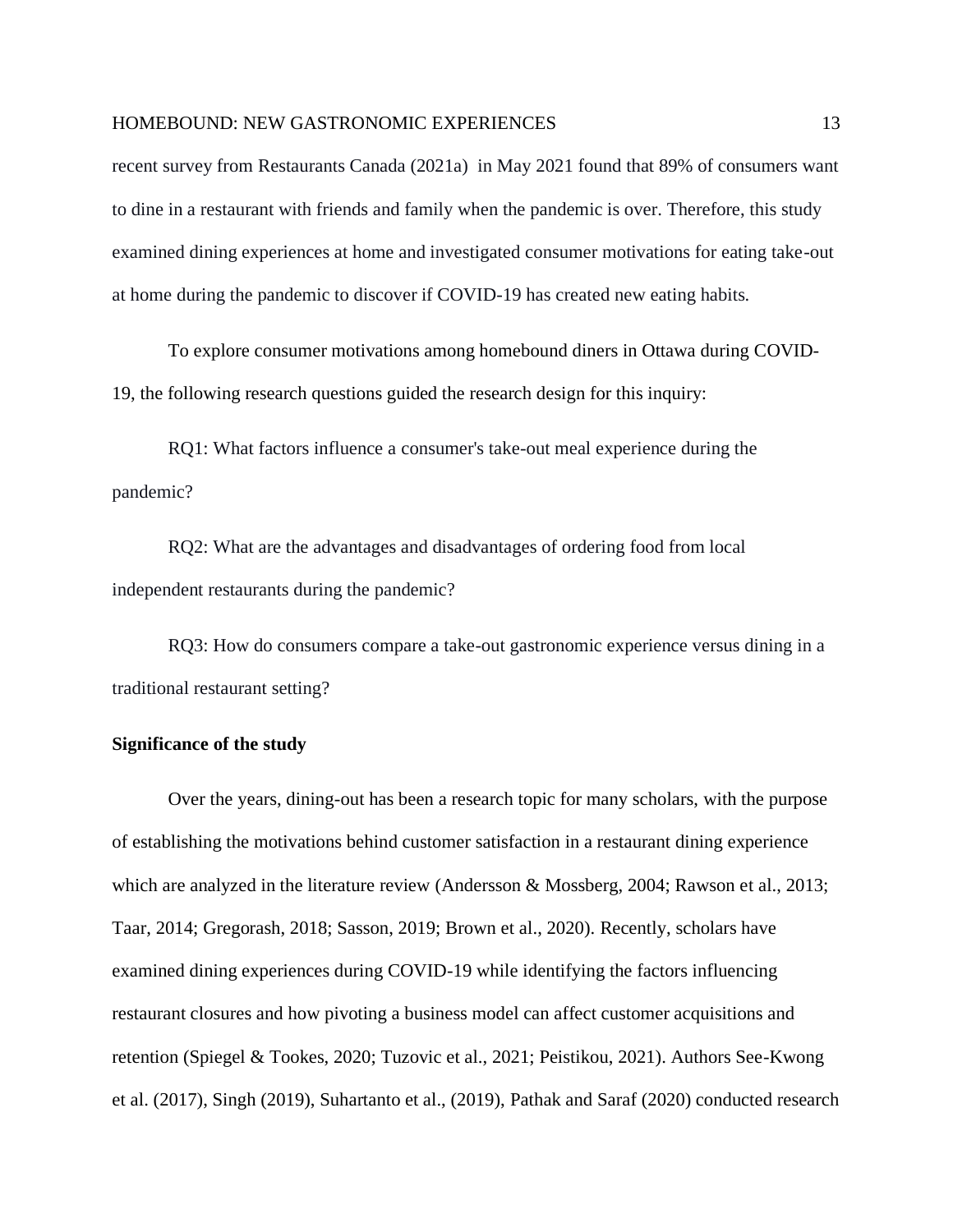recent survey from Restaurants Canada (2021a) in May 2021 found that 89% of consumers want to dine in a restaurant with friends and family when the pandemic is over. Therefore, this study examined dining experiences at home and investigated consumer motivations for eating take-out at home during the pandemic to discover if COVID-19 has created new eating habits.

To explore consumer motivations among homebound diners in Ottawa during COVID-19, the following research questions guided the research design for this inquiry:

RQ1: What factors influence a consumer's take-out meal experience during the pandemic?

RQ2: What are the advantages and disadvantages of ordering food from local independent restaurants during the pandemic?

RQ3: How do consumers compare a take-out gastronomic experience versus dining in a traditional restaurant setting?

#### **Significance of the study**

Over the years, dining-out has been a research topic for many scholars, with the purpose of establishing the motivations behind customer satisfaction in a restaurant dining experience which are analyzed in the literature review (Andersson & Mossberg, 2004; Rawson et al., 2013; Taar, 2014; Gregorash, 2018; Sasson, 2019; Brown et al., 2020). Recently, scholars have examined dining experiences during COVID-19 while identifying the factors influencing restaurant closures and how pivoting a business model can affect customer acquisitions and retention (Spiegel & Tookes, 2020; Tuzovic et al., 2021; Peistikou, 2021). Authors See-Kwong et al. (2017), Singh (2019), Suhartanto et al., (2019), Pathak and Saraf (2020) conducted research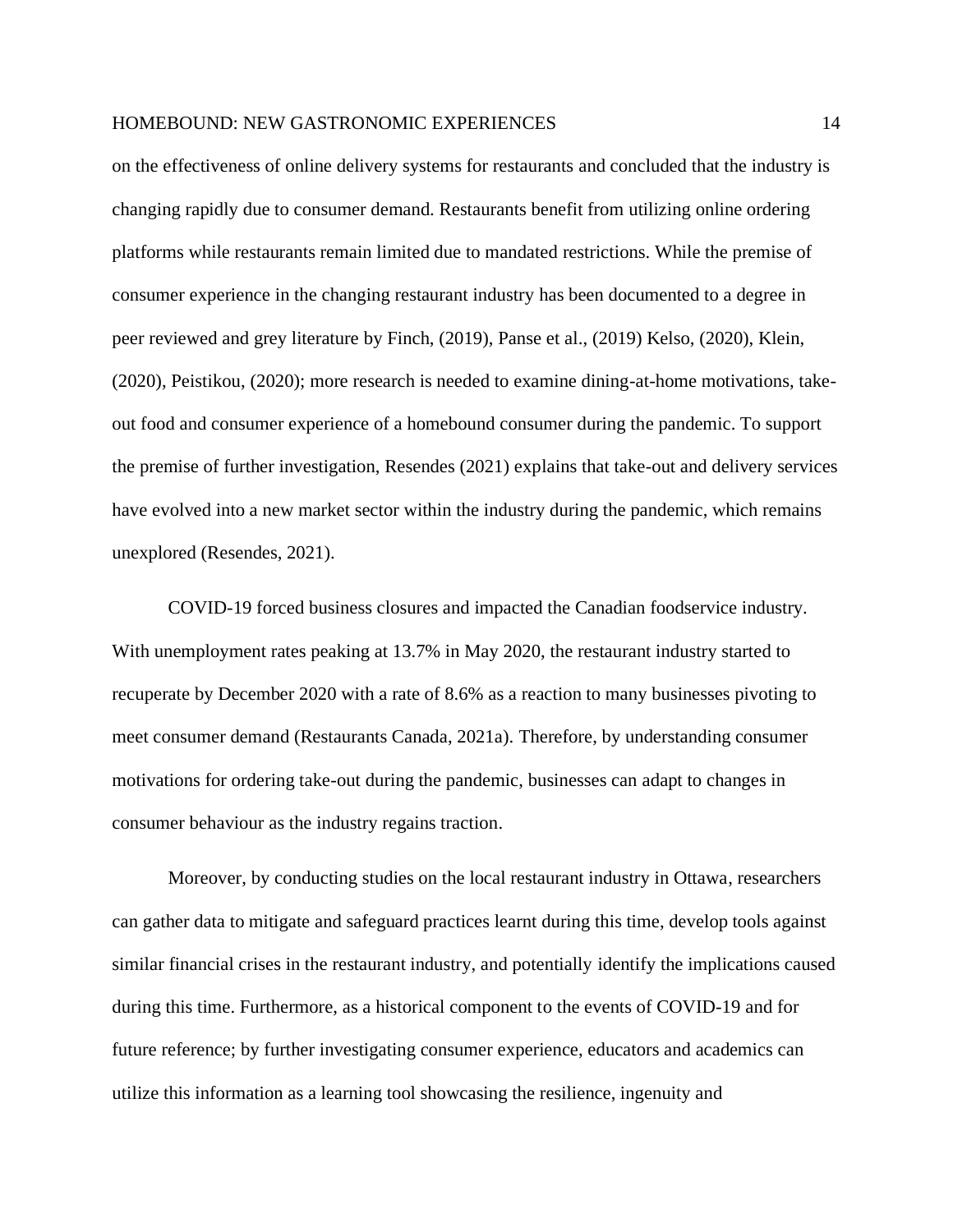on the effectiveness of online delivery systems for restaurants and concluded that the industry is changing rapidly due to consumer demand. Restaurants benefit from utilizing online ordering platforms while restaurants remain limited due to mandated restrictions. While the premise of consumer experience in the changing restaurant industry has been documented to a degree in peer reviewed and grey literature by Finch, (2019), Panse et al., (2019) Kelso, (2020), Klein, (2020), Peistikou, (2020); more research is needed to examine dining-at-home motivations, takeout food and consumer experience of a homebound consumer during the pandemic. To support the premise of further investigation, Resendes (2021) explains that take-out and delivery services have evolved into a new market sector within the industry during the pandemic, which remains unexplored (Resendes, 2021).

COVID-19 forced business closures and impacted the Canadian foodservice industry. With unemployment rates peaking at 13.7% in May 2020, the restaurant industry started to recuperate by December 2020 with a rate of 8.6% as a reaction to many businesses pivoting to meet consumer demand (Restaurants Canada, 2021a). Therefore, by understanding consumer motivations for ordering take-out during the pandemic, businesses can adapt to changes in consumer behaviour as the industry regains traction.

Moreover, by conducting studies on the local restaurant industry in Ottawa, researchers can gather data to mitigate and safeguard practices learnt during this time, develop tools against similar financial crises in the restaurant industry, and potentially identify the implications caused during this time. Furthermore, as a historical component to the events of COVID-19 and for future reference; by further investigating consumer experience, educators and academics can utilize this information as a learning tool showcasing the resilience, ingenuity and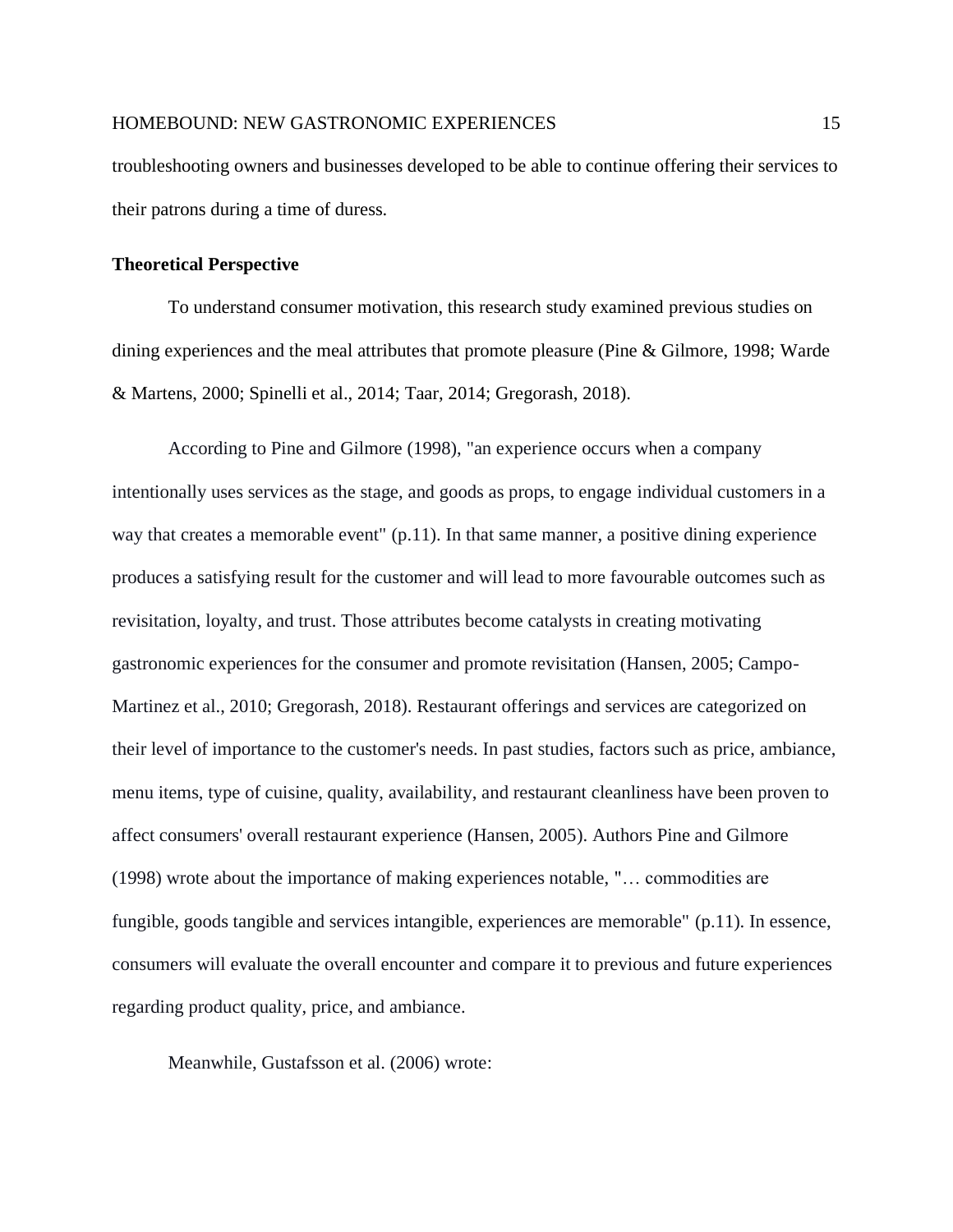troubleshooting owners and businesses developed to be able to continue offering their services to their patrons during a time of duress.

#### <span id="page-14-0"></span>**Theoretical Perspective**

To understand consumer motivation, this research study examined previous studies on dining experiences and the meal attributes that promote pleasure (Pine & Gilmore, 1998; Warde & Martens, 2000; Spinelli et al., 2014; Taar, 2014; Gregorash, 2018).

According to Pine and Gilmore (1998), "an experience occurs when a company intentionally uses services as the stage, and goods as props, to engage individual customers in a way that creates a memorable event" (p.11). In that same manner, a positive dining experience produces a satisfying result for the customer and will lead to more favourable outcomes such as revisitation, loyalty, and trust. Those attributes become catalysts in creating motivating gastronomic experiences for the consumer and promote revisitation (Hansen, 2005; Campo-Martinez et al., 2010; Gregorash, 2018). Restaurant offerings and services are categorized on their level of importance to the customer's needs. In past studies, factors such as price, ambiance, menu items, type of cuisine, quality, availability, and restaurant cleanliness have been proven to affect consumers' overall restaurant experience (Hansen, 2005). Authors Pine and Gilmore (1998) wrote about the importance of making experiences notable, "… commodities are fungible, goods tangible and services intangible, experiences are memorable" (p.11). In essence, consumers will evaluate the overall encounter and compare it to previous and future experiences regarding product quality, price, and ambiance.

Meanwhile, Gustafsson et al. (2006) wrote: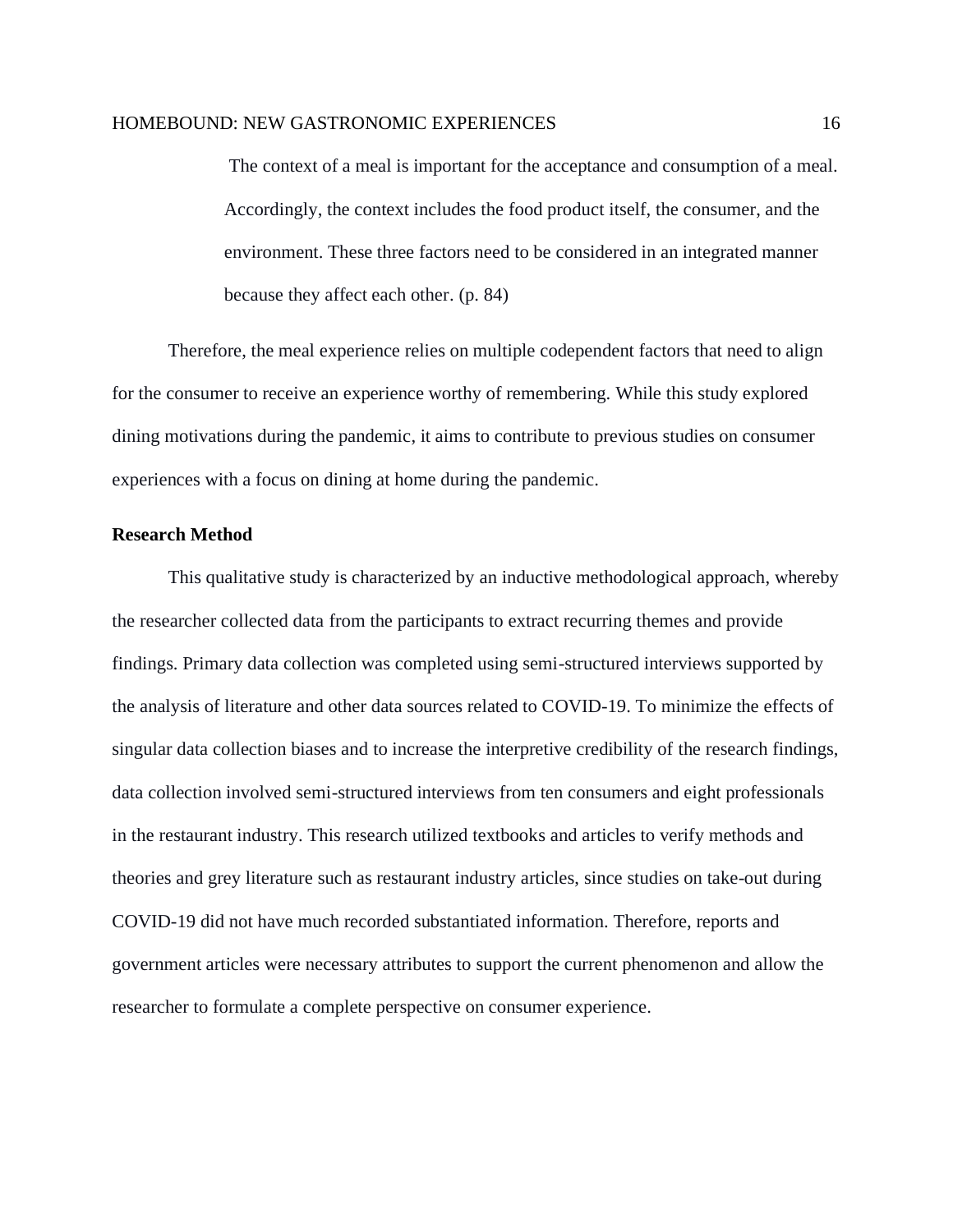The context of a meal is important for the acceptance and consumption of a meal. Accordingly, the context includes the food product itself, the consumer, and the environment. These three factors need to be considered in an integrated manner because they affect each other. (p. 84)

Therefore, the meal experience relies on multiple codependent factors that need to align for the consumer to receive an experience worthy of remembering. While this study explored dining motivations during the pandemic, it aims to contribute to previous studies on consumer experiences with a focus on dining at home during the pandemic.

#### <span id="page-15-0"></span>**Research Method**

This qualitative study is characterized by an inductive methodological approach, whereby the researcher collected data from the participants to extract recurring themes and provide findings. Primary data collection was completed using semi-structured interviews supported by the analysis of literature and other data sources related to COVID-19. To minimize the effects of singular data collection biases and to increase the interpretive credibility of the research findings, data collection involved semi-structured interviews from ten consumers and eight professionals in the restaurant industry. This research utilized textbooks and articles to verify methods and theories and grey literature such as restaurant industry articles, since studies on take-out during COVID-19 did not have much recorded substantiated information. Therefore, reports and government articles were necessary attributes to support the current phenomenon and allow the researcher to formulate a complete perspective on consumer experience.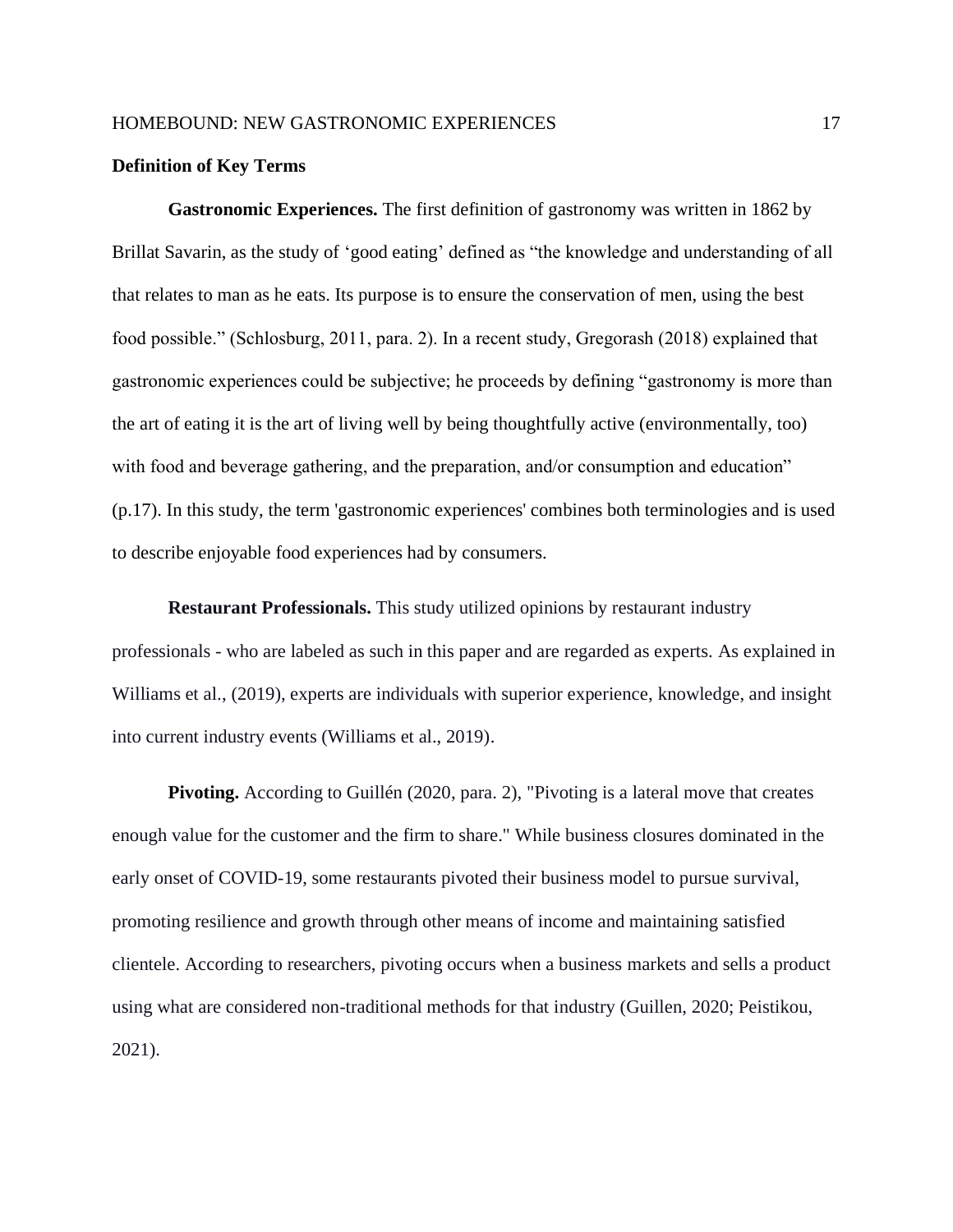#### <span id="page-16-0"></span>**Definition of Key Terms**

**Gastronomic Experiences.** The first definition of gastronomy was written in 1862 by Brillat Savarin, as the study of 'good eating' defined as "the knowledge and understanding of all that relates to man as he eats. Its purpose is to ensure the conservation of men, using the best food possible." (Schlosburg, 2011, para. 2). In a recent study, Gregorash (2018) explained that gastronomic experiences could be subjective; he proceeds by defining "gastronomy is more than the art of eating it is the art of living well by being thoughtfully active (environmentally, too) with food and beverage gathering, and the preparation, and/or consumption and education" (p.17). In this study, the term 'gastronomic experiences' combines both terminologies and is used to describe enjoyable food experiences had by consumers.

**Restaurant Professionals.** This study utilized opinions by restaurant industry professionals - who are labeled as such in this paper and are regarded as experts. As explained in Williams et al., (2019), experts are individuals with superior experience, knowledge, and insight into current industry events (Williams et al., 2019).

**Pivoting.** According to Guillén (2020, para. 2), "Pivoting is a lateral move that creates enough value for the customer and the firm to share." While business closures dominated in the early onset of COVID-19, some restaurants pivoted their business model to pursue survival, promoting resilience and growth through other means of income and maintaining satisfied clientele. According to researchers, pivoting occurs when a business markets and sells a product using what are considered non-traditional methods for that industry (Guillen, 2020; Peistikou, 2021).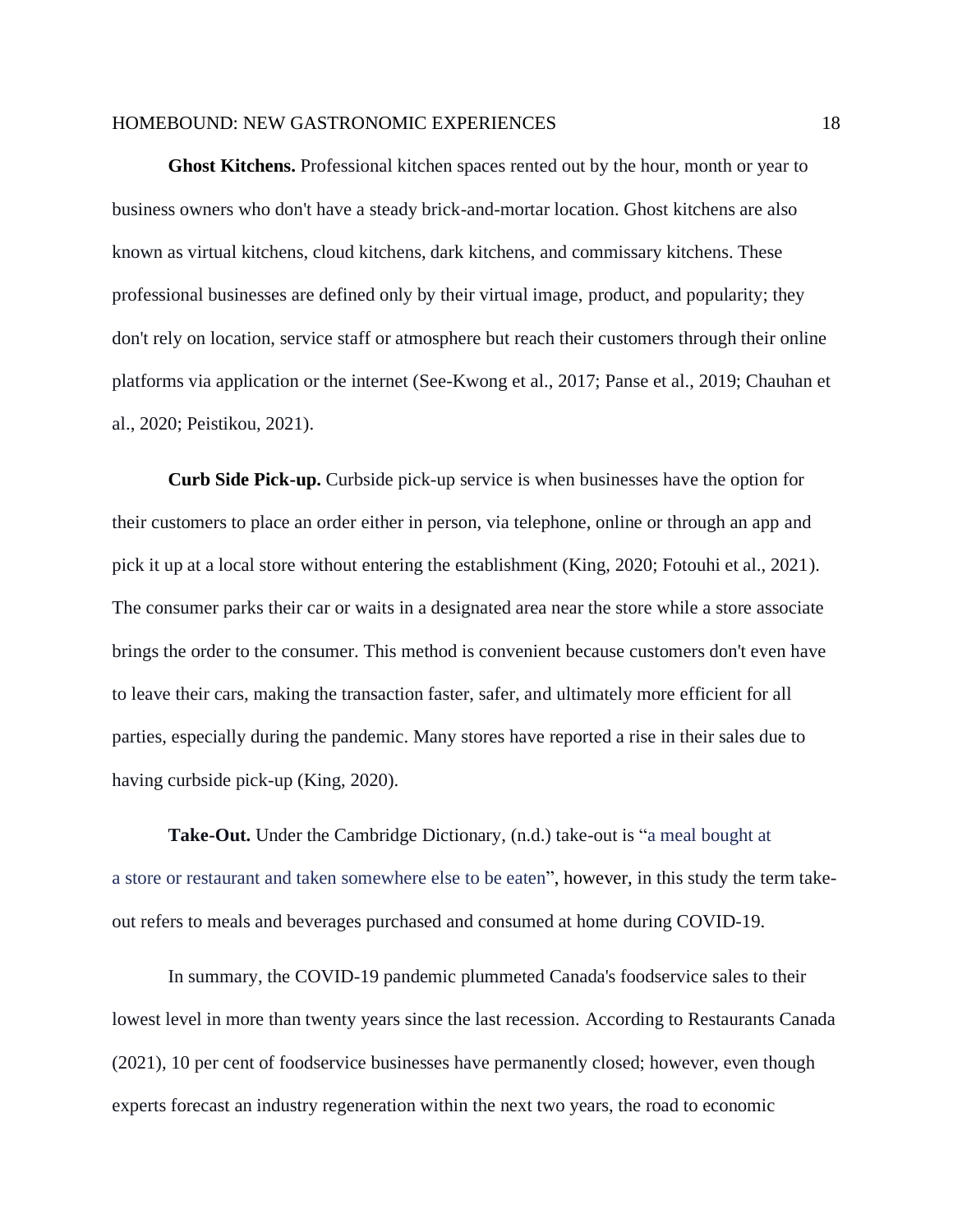**Ghost Kitchens.** Professional kitchen spaces rented out by the hour, month or year to business owners who don't have a steady brick-and-mortar location. Ghost kitchens are also known as virtual kitchens, cloud kitchens, dark kitchens, and commissary kitchens. These professional businesses are defined only by their virtual image, product, and popularity; they don't rely on location, service staff or atmosphere but reach their customers through their online platforms via application or the internet (See-Kwong et al., 2017; Panse et al., 2019; Chauhan et al., 2020; Peistikou, 2021).

**Curb Side Pick-up.** Curbside pick-up service is when businesses have the option for their customers to place an order either in person, via telephone, online or through an app and pick it up at a local store without entering the establishment (King, 2020; Fotouhi et al., 2021). The consumer parks their car or waits in a designated area near the store while a store associate brings the order to the consumer. This method is convenient because customers don't even have to leave their cars, making the transaction faster, safer, and ultimately more efficient for all parties, especially during the pandemic. Many stores have reported a rise in their sales due to having curbside pick-up (King, 2020).

**Take-Out.** Under the Cambridge Dictionary, (n.d.) take-out is "a [meal](https://dictionary.cambridge.org/dictionary/english/meal) [bought](https://dictionary.cambridge.org/dictionary/english/bought) at a [store](https://dictionary.cambridge.org/dictionary/english/store) or [restaurant](https://dictionary.cambridge.org/dictionary/english/restaurant) and taken [somewhere](https://dictionary.cambridge.org/dictionary/english/somewhere) [else](https://dictionary.cambridge.org/dictionary/english/else) to be [eaten"](https://dictionary.cambridge.org/dictionary/english/eaten), however, in this study the term takeout refers to meals and beverages purchased and consumed at home during COVID-19.

In summary, the COVID-19 pandemic plummeted Canada's foodservice sales to their lowest level in more than twenty years since the last recession. According to Restaurants Canada (2021), 10 per cent of foodservice businesses have permanently closed; however, even though experts forecast an industry regeneration within the next two years, the road to economic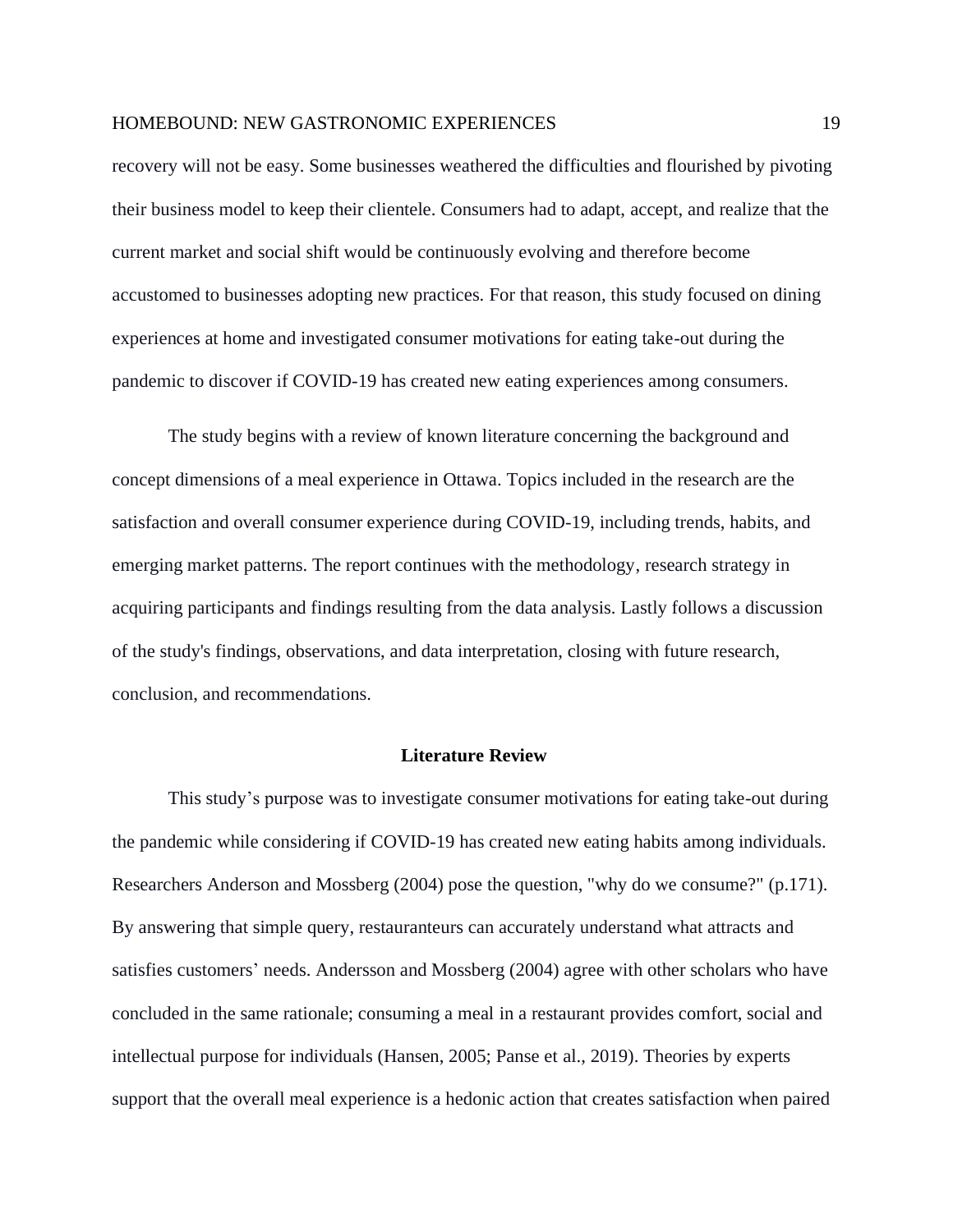recovery will not be easy. Some businesses weathered the difficulties and flourished by pivoting their business model to keep their clientele. Consumers had to adapt, accept, and realize that the current market and social shift would be continuously evolving and therefore become accustomed to businesses adopting new practices. For that reason, this study focused on dining experiences at home and investigated consumer motivations for eating take-out during the pandemic to discover if COVID-19 has created new eating experiences among consumers.

The study begins with a review of known literature concerning the background and concept dimensions of a meal experience in Ottawa. Topics included in the research are the satisfaction and overall consumer experience during COVID-19, including trends, habits, and emerging market patterns. The report continues with the methodology, research strategy in acquiring participants and findings resulting from the data analysis. Lastly follows a discussion of the study's findings, observations, and data interpretation, closing with future research, conclusion, and recommendations.

## **Literature Review**

<span id="page-18-0"></span>This study's purpose was to investigate consumer motivations for eating take-out during the pandemic while considering if COVID-19 has created new eating habits among individuals. Researchers Anderson and Mossberg (2004) pose the question, "why do we consume?" (p.171). By answering that simple query, restauranteurs can accurately understand what attracts and satisfies customers' needs. Andersson and Mossberg (2004) agree with other scholars who have concluded in the same rationale; consuming a meal in a restaurant provides comfort, social and intellectual purpose for individuals (Hansen, 2005; Panse et al., 2019). Theories by experts support that the overall meal experience is a hedonic action that creates satisfaction when paired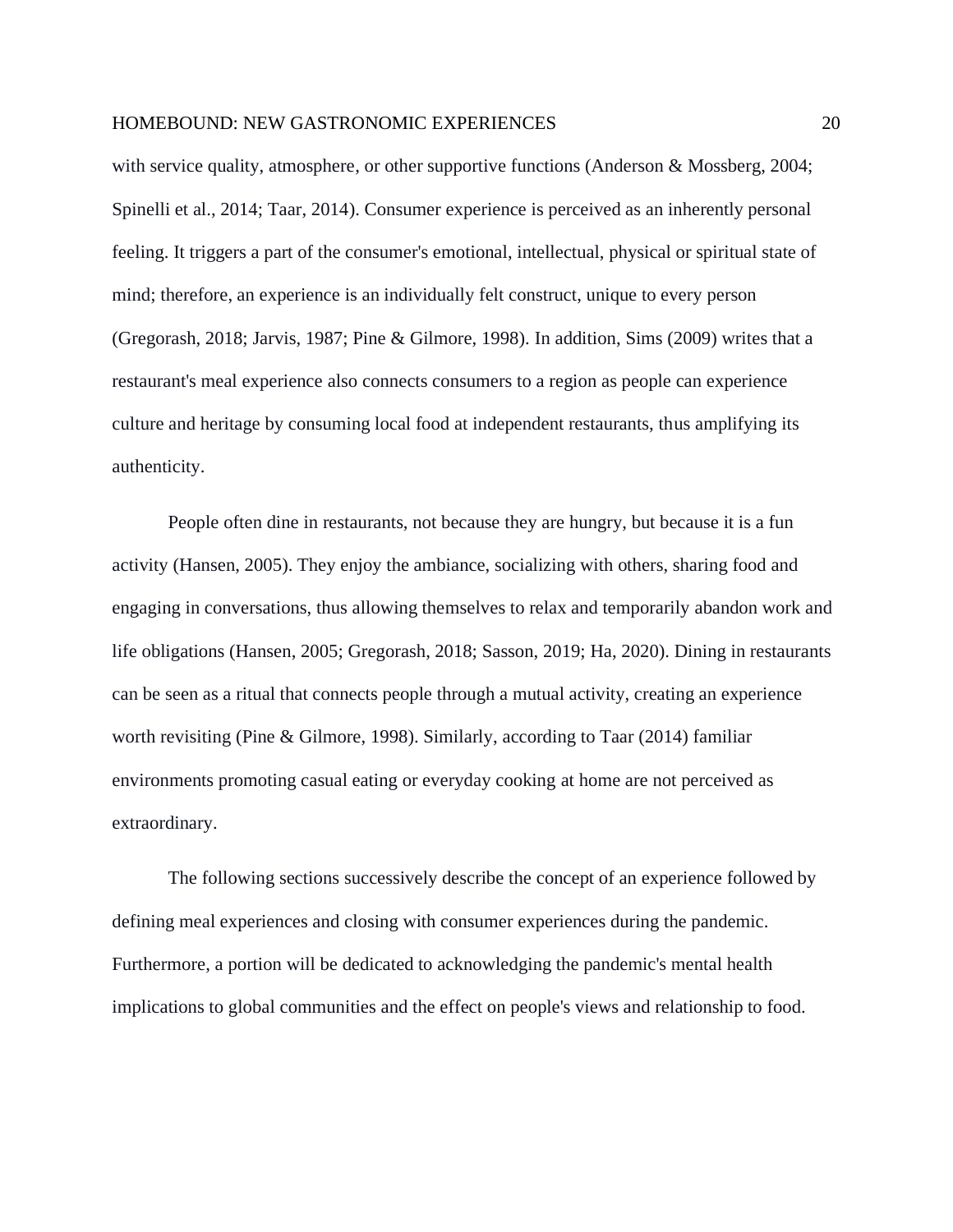with service quality, atmosphere, or other supportive functions (Anderson & Mossberg, 2004; Spinelli et al., 2014; Taar, 2014). Consumer experience is perceived as an inherently personal feeling. It triggers a part of the consumer's emotional, intellectual, physical or spiritual state of mind; therefore, an experience is an individually felt construct, unique to every person (Gregorash, 2018; Jarvis, 1987; Pine & Gilmore, 1998). In addition, Sims (2009) writes that a restaurant's meal experience also connects consumers to a region as people can experience culture and heritage by consuming local food at independent restaurants, thus amplifying its authenticity.

People often dine in restaurants, not because they are hungry, but because it is a fun activity (Hansen, 2005). They enjoy the ambiance, socializing with others, sharing food and engaging in conversations, thus allowing themselves to relax and temporarily abandon work and life obligations (Hansen, 2005; Gregorash, 2018; Sasson, 2019; Ha, 2020). Dining in restaurants can be seen as a ritual that connects people through a mutual activity, creating an experience worth revisiting (Pine & Gilmore, 1998). Similarly, according to Taar (2014) familiar environments promoting casual eating or everyday cooking at home are not perceived as extraordinary.

The following sections successively describe the concept of an experience followed by defining meal experiences and closing with consumer experiences during the pandemic. Furthermore, a portion will be dedicated to acknowledging the pandemic's mental health implications to global communities and the effect on people's views and relationship to food.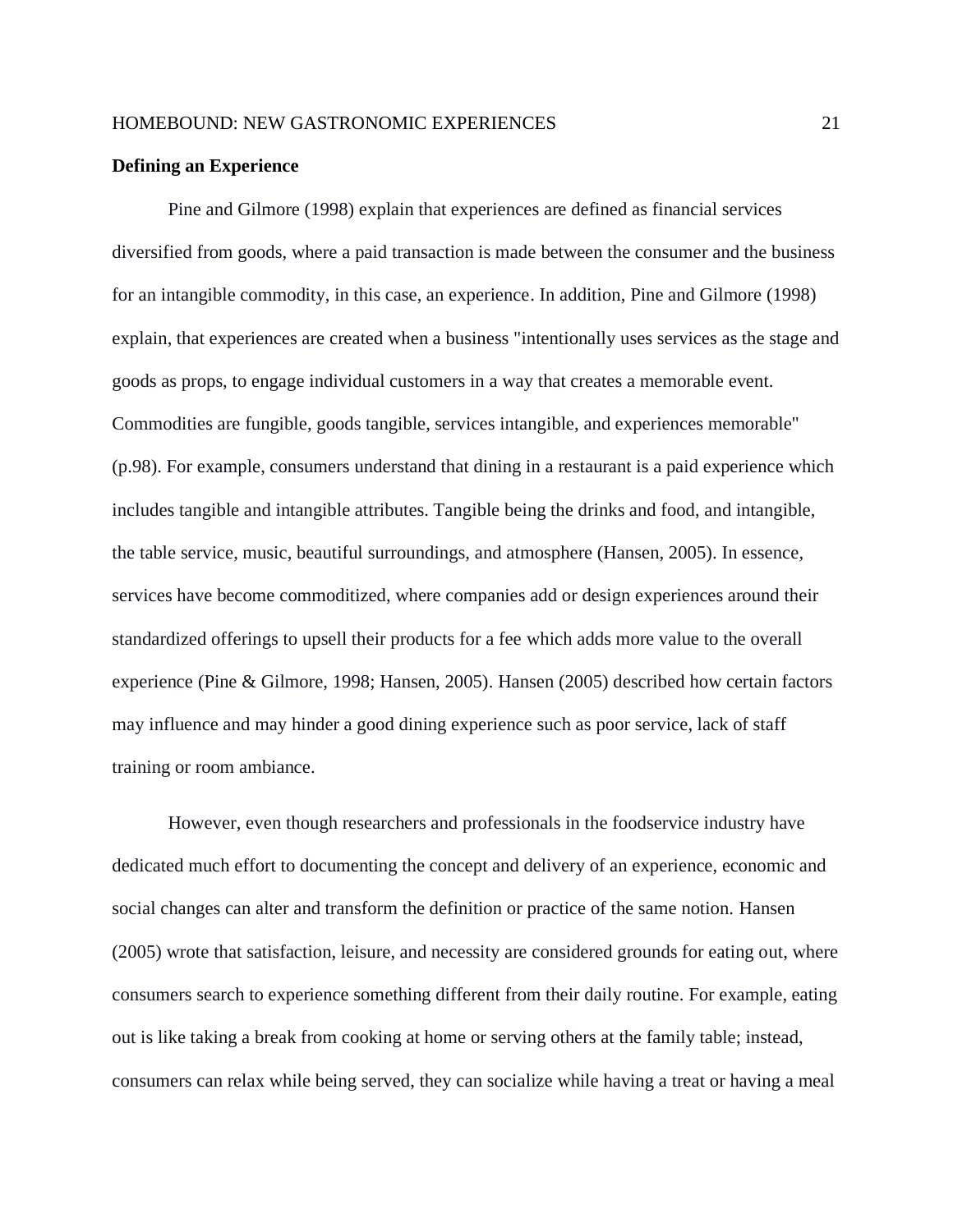#### <span id="page-20-0"></span>**Defining an Experience**

Pine and Gilmore (1998) explain that experiences are defined as financial services diversified from goods, where a paid transaction is made between the consumer and the business for an intangible commodity, in this case, an experience. In addition, Pine and Gilmore (1998) explain, that experiences are created when a business "intentionally uses services as the stage and goods as props, to engage individual customers in a way that creates a memorable event. Commodities are fungible, goods tangible, services intangible, and experiences memorable" (p.98). For example, consumers understand that dining in a restaurant is a paid experience which includes tangible and intangible attributes. Tangible being the drinks and food, and intangible, the table service, music, beautiful surroundings, and atmosphere (Hansen, 2005). In essence, services have become commoditized, where companies add or design experiences around their standardized offerings to upsell their products for a fee which adds more value to the overall experience (Pine & Gilmore, 1998; Hansen, 2005). Hansen (2005) described how certain factors may influence and may hinder a good dining experience such as poor service, lack of staff training or room ambiance.

However, even though researchers and professionals in the foodservice industry have dedicated much effort to documenting the concept and delivery of an experience, economic and social changes can alter and transform the definition or practice of the same notion. Hansen (2005) wrote that satisfaction, leisure, and necessity are considered grounds for eating out, where consumers search to experience something different from their daily routine. For example, eating out is like taking a break from cooking at home or serving others at the family table; instead, consumers can relax while being served, they can socialize while having a treat or having a meal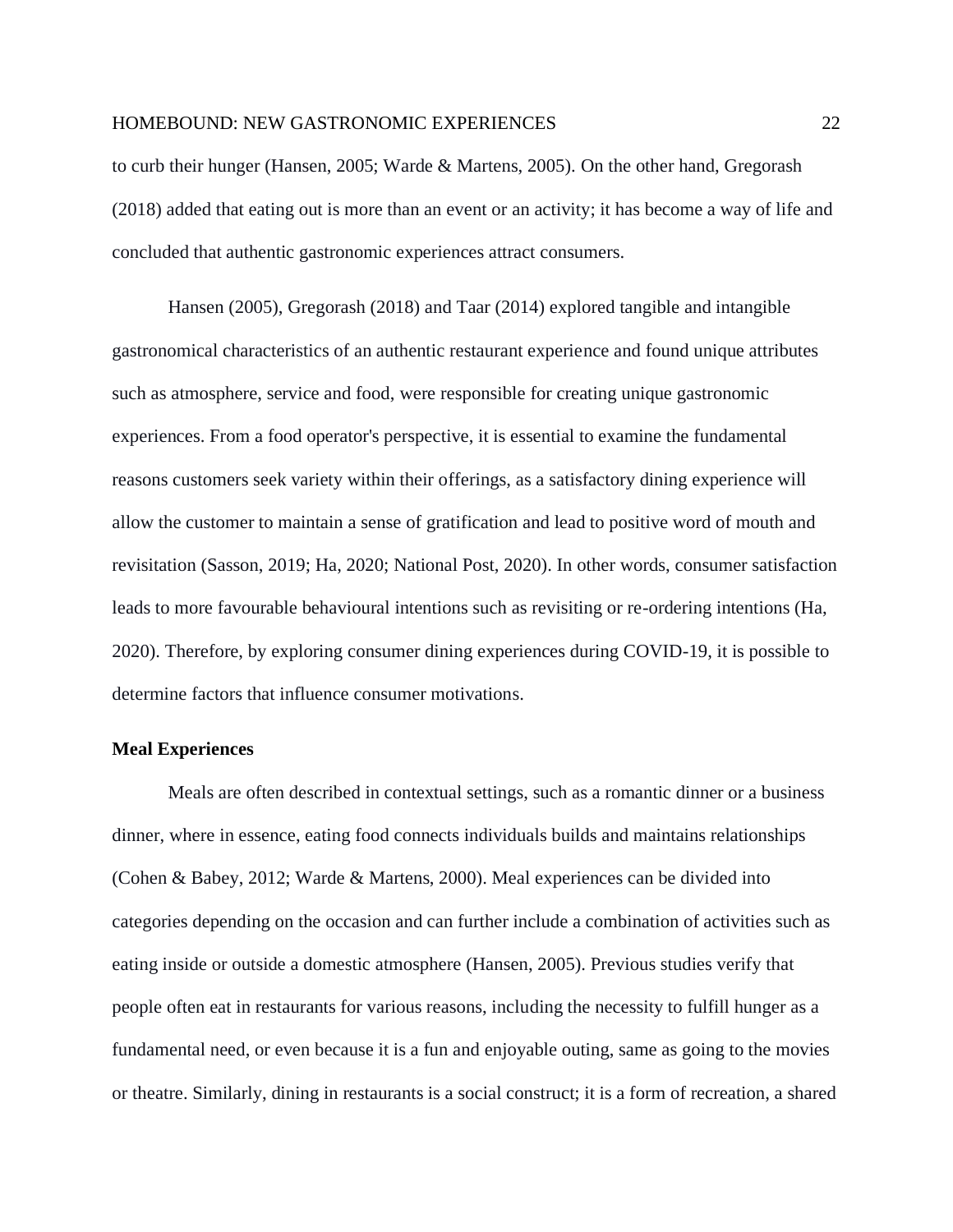to curb their hunger (Hansen, 2005; Warde & Martens, 2005). On the other hand, Gregorash (2018) added that eating out is more than an event or an activity; it has become a way of life and concluded that authentic gastronomic experiences attract consumers.

Hansen (2005), Gregorash (2018) and Taar (2014) explored tangible and intangible gastronomical characteristics of an authentic restaurant experience and found unique attributes such as atmosphere, service and food, were responsible for creating unique gastronomic experiences. From a food operator's perspective, it is essential to examine the fundamental reasons customers seek variety within their offerings, as a satisfactory dining experience will allow the customer to maintain a sense of gratification and lead to positive word of mouth and revisitation (Sasson, 2019; Ha, 2020; National Post, 2020). In other words, consumer satisfaction leads to more favourable behavioural intentions such as revisiting or re-ordering intentions (Ha, 2020). Therefore, by exploring consumer dining experiences during COVID-19, it is possible to determine factors that influence consumer motivations.

#### <span id="page-21-0"></span>**Meal Experiences**

Meals are often described in contextual settings, such as a romantic dinner or a business dinner, where in essence, eating food connects individuals builds and maintains relationships (Cohen & Babey, 2012; Warde & Martens, 2000). Meal experiences can be divided into categories depending on the occasion and can further include a combination of activities such as eating inside or outside a domestic atmosphere (Hansen, 2005). Previous studies verify that people often eat in restaurants for various reasons, including the necessity to fulfill hunger as a fundamental need, or even because it is a fun and enjoyable outing, same as going to the movies or theatre. Similarly, dining in restaurants is a social construct; it is a form of recreation, a shared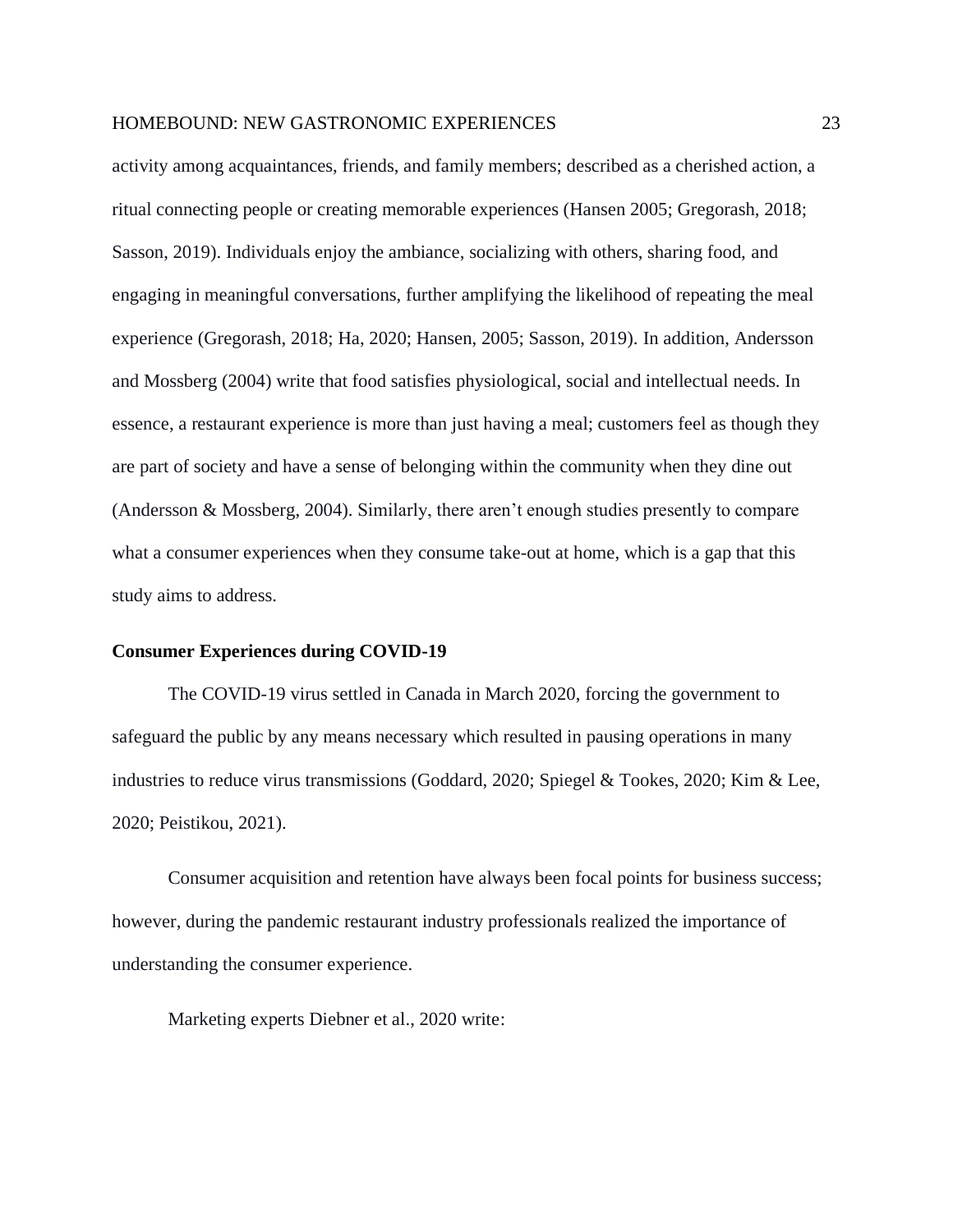activity among acquaintances, friends, and family members; described as a cherished action, a ritual connecting people or creating memorable experiences (Hansen 2005; Gregorash, 2018; Sasson, 2019). Individuals enjoy the ambiance, socializing with others, sharing food, and engaging in meaningful conversations, further amplifying the likelihood of repeating the meal experience (Gregorash, 2018; Ha, 2020; Hansen, 2005; Sasson, 2019). In addition, Andersson and Mossberg (2004) write that food satisfies physiological, social and intellectual needs. In essence, a restaurant experience is more than just having a meal; customers feel as though they are part of society and have a sense of belonging within the community when they dine out (Andersson & Mossberg, 2004). Similarly, there aren't enough studies presently to compare what a consumer experiences when they consume take-out at home, which is a gap that this study aims to address.

#### <span id="page-22-0"></span>**Consumer Experiences during COVID-19**

The COVID-19 virus settled in Canada in March 2020, forcing the government to safeguard the public by any means necessary which resulted in pausing operations in many industries to reduce virus transmissions (Goddard, 2020; Spiegel & Tookes, 2020; Kim & Lee, 2020; Peistikou, 2021).

Consumer acquisition and retention have always been focal points for business success; however, during the pandemic restaurant industry professionals realized the importance of understanding the consumer experience.

Marketing experts Diebner et al., 2020 write: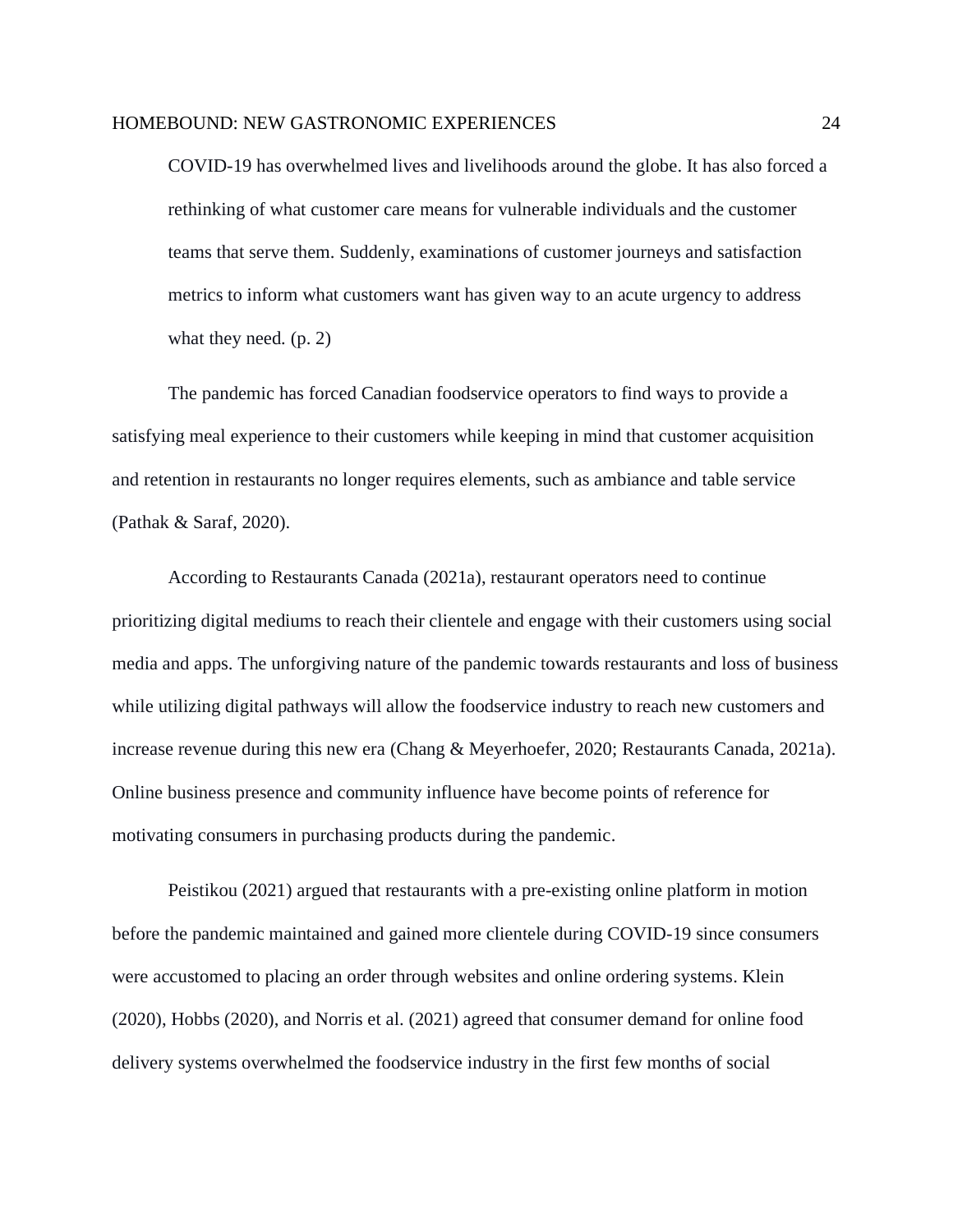COVID-19 has overwhelmed lives and livelihoods around the globe. It has also forced a rethinking of what customer care means for vulnerable individuals and the customer teams that serve them. Suddenly, examinations of customer journeys and satisfaction metrics to inform what customers want has given way to an acute urgency to address what they need.  $(p, 2)$ 

The pandemic has forced Canadian foodservice operators to find ways to provide a satisfying meal experience to their customers while keeping in mind that customer acquisition and retention in restaurants no longer requires elements, such as ambiance and table service (Pathak & Saraf, 2020).

According to Restaurants Canada (2021a), restaurant operators need to continue prioritizing digital mediums to reach their clientele and engage with their customers using social media and apps. The unforgiving nature of the pandemic towards restaurants and loss of business while utilizing digital pathways will allow the foodservice industry to reach new customers and increase revenue during this new era (Chang & Meyerhoefer, 2020; Restaurants Canada, 2021a). Online business presence and community influence have become points of reference for motivating consumers in purchasing products during the pandemic.

Peistikou (2021) argued that restaurants with a pre-existing online platform in motion before the pandemic maintained and gained more clientele during COVID-19 since consumers were accustomed to placing an order through websites and online ordering systems. Klein (2020), Hobbs (2020), and Norris et al. (2021) agreed that consumer demand for online food delivery systems overwhelmed the foodservice industry in the first few months of social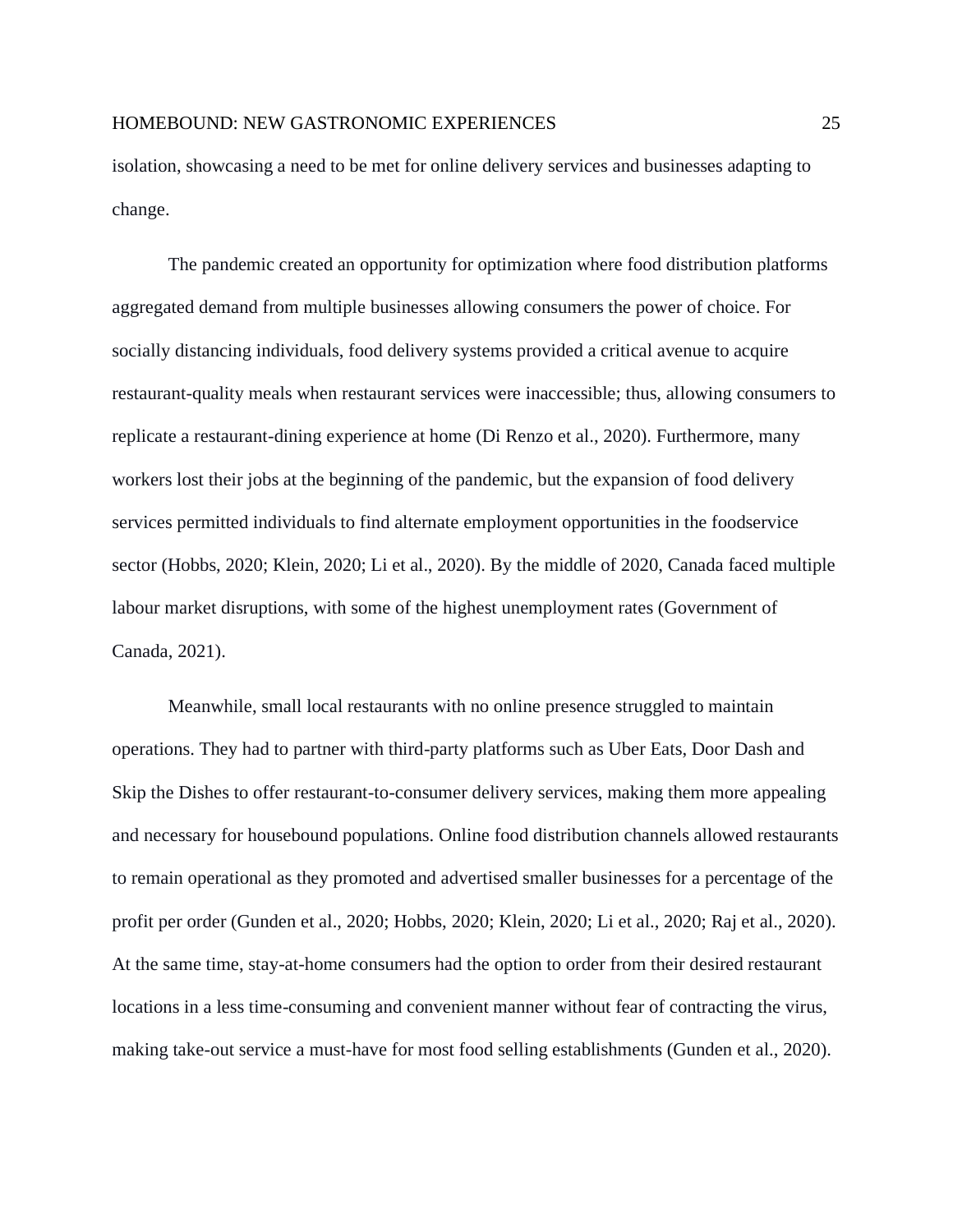isolation, showcasing a need to be met for online delivery services and businesses adapting to change.

The pandemic created an opportunity for optimization where food distribution platforms aggregated demand from multiple businesses allowing consumers the power of choice. For socially distancing individuals, food delivery systems provided a critical avenue to acquire restaurant-quality meals when restaurant services were inaccessible; thus, allowing consumers to replicate a restaurant-dining experience at home (Di Renzo et al., 2020). Furthermore, many workers lost their jobs at the beginning of the pandemic, but the expansion of food delivery services permitted individuals to find alternate employment opportunities in the foodservice sector (Hobbs, 2020; Klein, 2020; Li et al., 2020). By the middle of 2020, Canada faced multiple labour market disruptions, with some of the highest unemployment rates (Government of Canada, 2021).

Meanwhile, small local restaurants with no online presence struggled to maintain operations. They had to partner with third-party platforms such as Uber Eats, Door Dash and Skip the Dishes to offer restaurant-to-consumer delivery services, making them more appealing and necessary for housebound populations. Online food distribution channels allowed restaurants to remain operational as they promoted and advertised smaller businesses for a percentage of the profit per order (Gunden et al., 2020; Hobbs, 2020; Klein, 2020; Li et al., 2020; Raj et al., 2020). At the same time, stay-at-home consumers had the option to order from their desired restaurant locations in a less time-consuming and convenient manner without fear of contracting the virus, making take-out service a must-have for most food selling establishments (Gunden et al., 2020).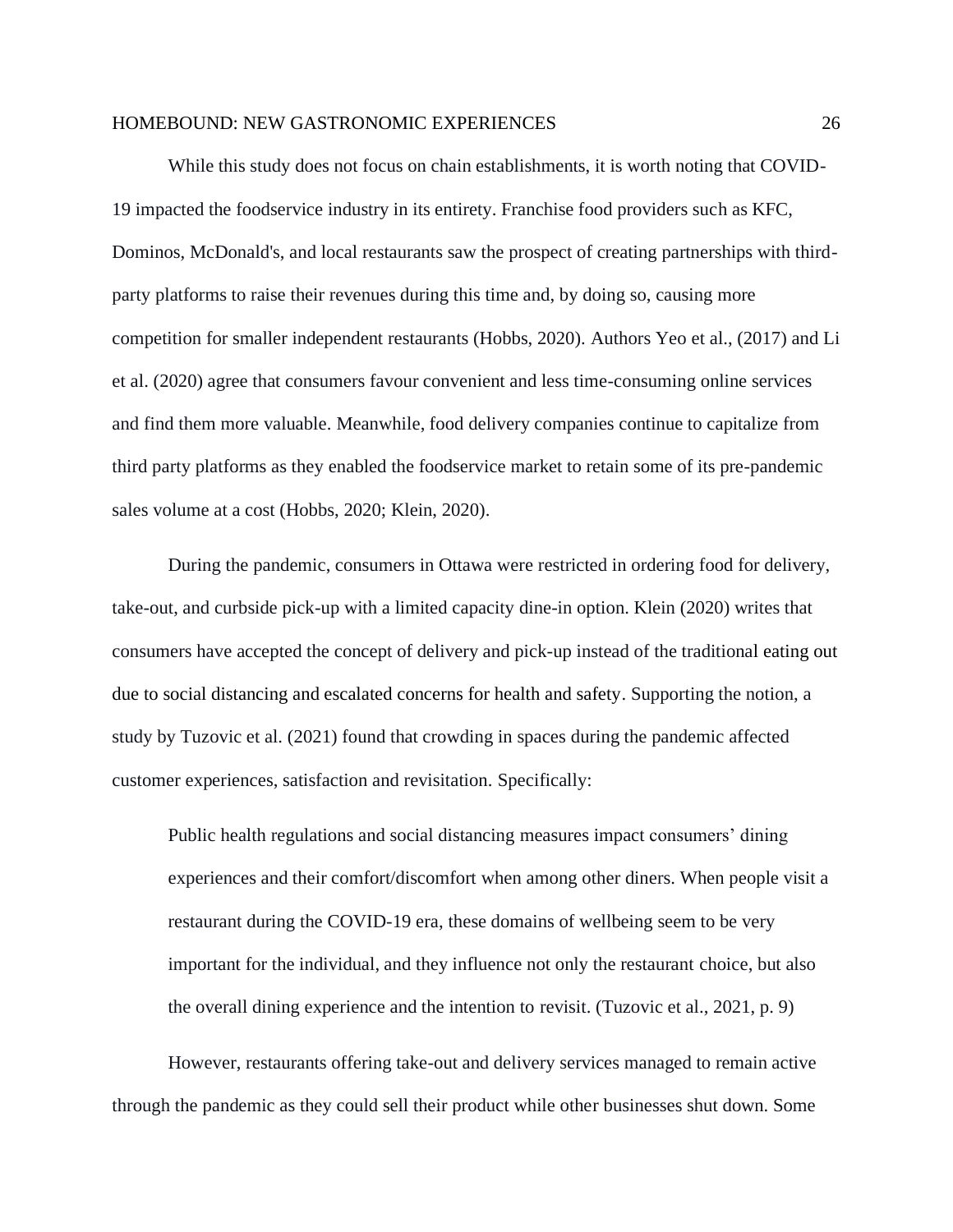While this study does not focus on chain establishments, it is worth noting that COVID-19 impacted the foodservice industry in its entirety. Franchise food providers such as KFC, Dominos, McDonald's, and local restaurants saw the prospect of creating partnerships with thirdparty platforms to raise their revenues during this time and, by doing so, causing more competition for smaller independent restaurants (Hobbs, 2020). Authors Yeo et al., (2017) and Li et al. (2020) agree that consumers favour convenient and less time-consuming online services and find them more valuable. Meanwhile, food delivery companies continue to capitalize from third party platforms as they enabled the foodservice market to retain some of its pre-pandemic sales volume at a cost (Hobbs, 2020; Klein, 2020).

During the pandemic, consumers in Ottawa were restricted in ordering food for delivery, take-out, and curbside pick-up with a limited capacity dine-in option. Klein (2020) writes that consumers have accepted the concept of delivery and pick-up instead of the traditional eating out due to social distancing and escalated concerns for health and safety. Supporting the notion, a study by Tuzovic et al. (2021) found that crowding in spaces during the pandemic affected customer experiences, satisfaction and revisitation. Specifically:

Public health regulations and social distancing measures impact consumers' dining experiences and their comfort/discomfort when among other diners. When people visit a restaurant during the COVID-19 era, these domains of wellbeing seem to be very important for the individual, and they influence not only the restaurant choice, but also the overall dining experience and the intention to revisit. (Tuzovic et al., 2021, p. 9)

However, restaurants offering take-out and delivery services managed to remain active through the pandemic as they could sell their product while other businesses shut down. Some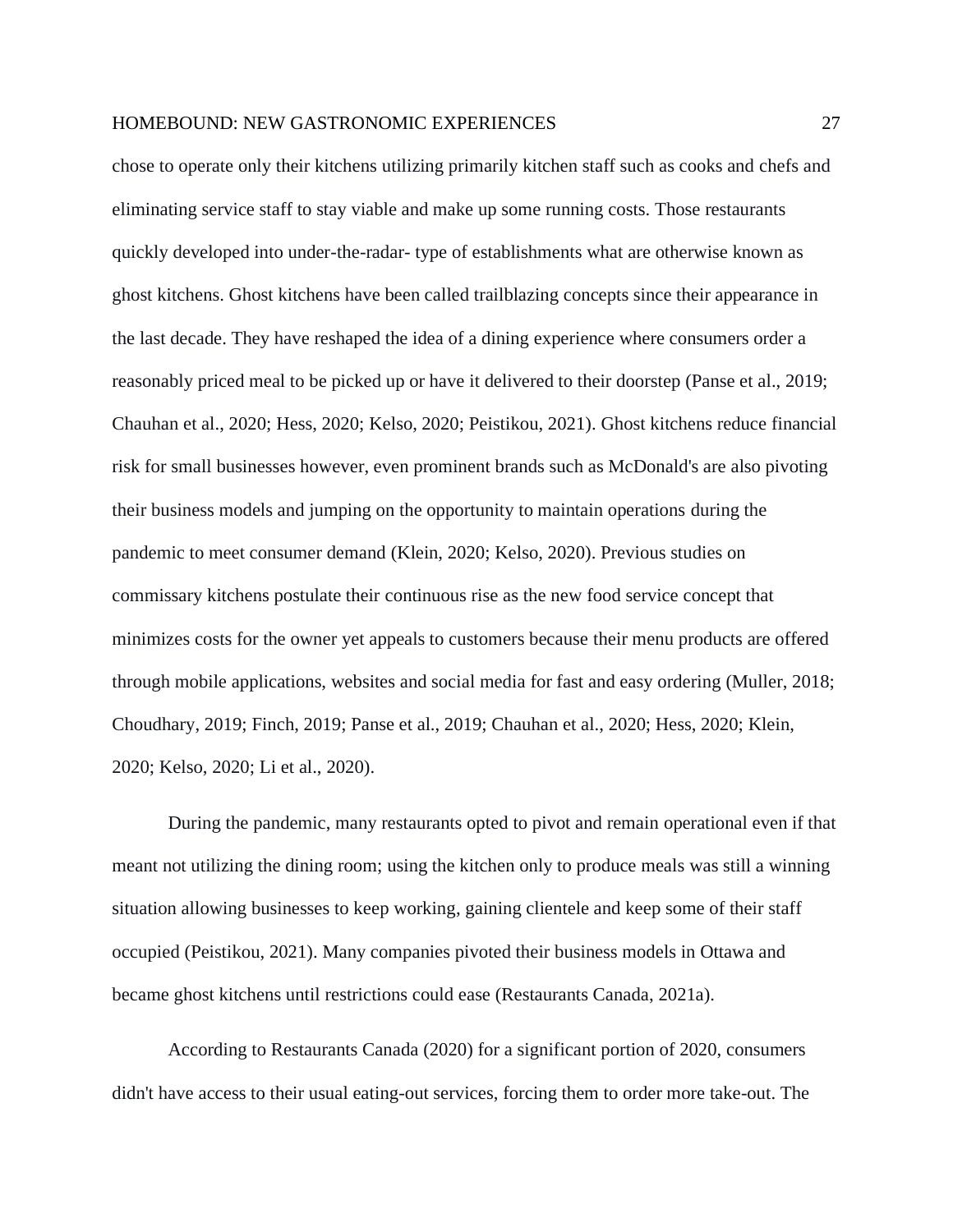chose to operate only their kitchens utilizing primarily kitchen staff such as cooks and chefs and eliminating service staff to stay viable and make up some running costs. Those restaurants quickly developed into under-the-radar- type of establishments what are otherwise known as ghost kitchens. Ghost kitchens have been called trailblazing concepts since their appearance in the last decade. They have reshaped the idea of a dining experience where consumers order a reasonably priced meal to be picked up or have it delivered to their doorstep (Panse et al., 2019; Chauhan et al., 2020; Hess, 2020; Kelso, 2020; Peistikou, 2021). Ghost kitchens reduce financial risk for small businesses however, even prominent brands such as McDonald's are also pivoting their business models and jumping on the opportunity to maintain operations during the pandemic to meet consumer demand (Klein, 2020; Kelso, 2020). Previous studies on commissary kitchens postulate their continuous rise as the new food service concept that minimizes costs for the owner yet appeals to customers because their menu products are offered through mobile applications, websites and social media for fast and easy ordering (Muller, 2018; Choudhary, 2019; Finch, 2019; Panse et al., 2019; Chauhan et al., 2020; Hess, 2020; Klein, 2020; Kelso, 2020; Li et al., 2020).

During the pandemic, many restaurants opted to pivot and remain operational even if that meant not utilizing the dining room; using the kitchen only to produce meals was still a winning situation allowing businesses to keep working, gaining clientele and keep some of their staff occupied (Peistikou, 2021). Many companies pivoted their business models in Ottawa and became ghost kitchens until restrictions could ease (Restaurants Canada, 2021a).

According to Restaurants Canada (2020) for a significant portion of 2020, consumers didn't have access to their usual eating-out services, forcing them to order more take-out. The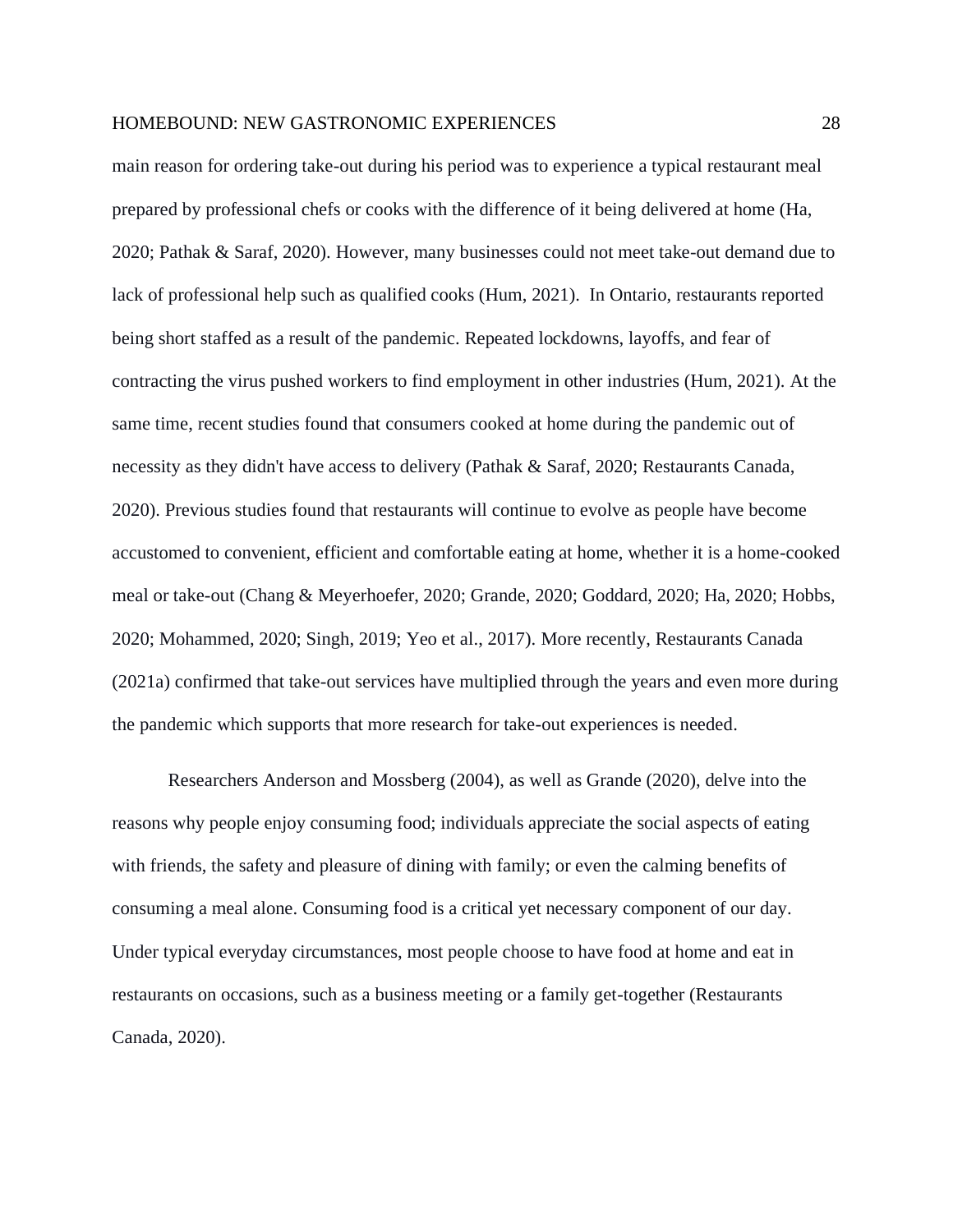main reason for ordering take-out during his period was to experience a typical restaurant meal prepared by professional chefs or cooks with the difference of it being delivered at home (Ha, 2020; Pathak & Saraf, 2020). However, many businesses could not meet take-out demand due to lack of professional help such as qualified cooks (Hum, 2021). In Ontario, restaurants reported being short staffed as a result of the pandemic. Repeated lockdowns, layoffs, and fear of contracting the virus pushed workers to find employment in other industries (Hum, 2021). At the same time, recent studies found that consumers cooked at home during the pandemic out of necessity as they didn't have access to delivery (Pathak & Saraf, 2020; Restaurants Canada, 2020). Previous studies found that restaurants will continue to evolve as people have become accustomed to convenient, efficient and comfortable eating at home, whether it is a home-cooked meal or take-out (Chang & Meyerhoefer, 2020; Grande, 2020; Goddard, 2020; Ha, 2020; Hobbs, 2020; Mohammed, 2020; Singh, 2019; Yeo et al., 2017). More recently, Restaurants Canada (2021a) confirmed that take-out services have multiplied through the years and even more during the pandemic which supports that more research for take-out experiences is needed.

Researchers Anderson and Mossberg (2004), as well as Grande (2020), delve into the reasons why people enjoy consuming food; individuals appreciate the social aspects of eating with friends, the safety and pleasure of dining with family; or even the calming benefits of consuming a meal alone. Consuming food is a critical yet necessary component of our day. Under typical everyday circumstances, most people choose to have food at home and eat in restaurants on occasions, such as a business meeting or a family get-together (Restaurants Canada, 2020).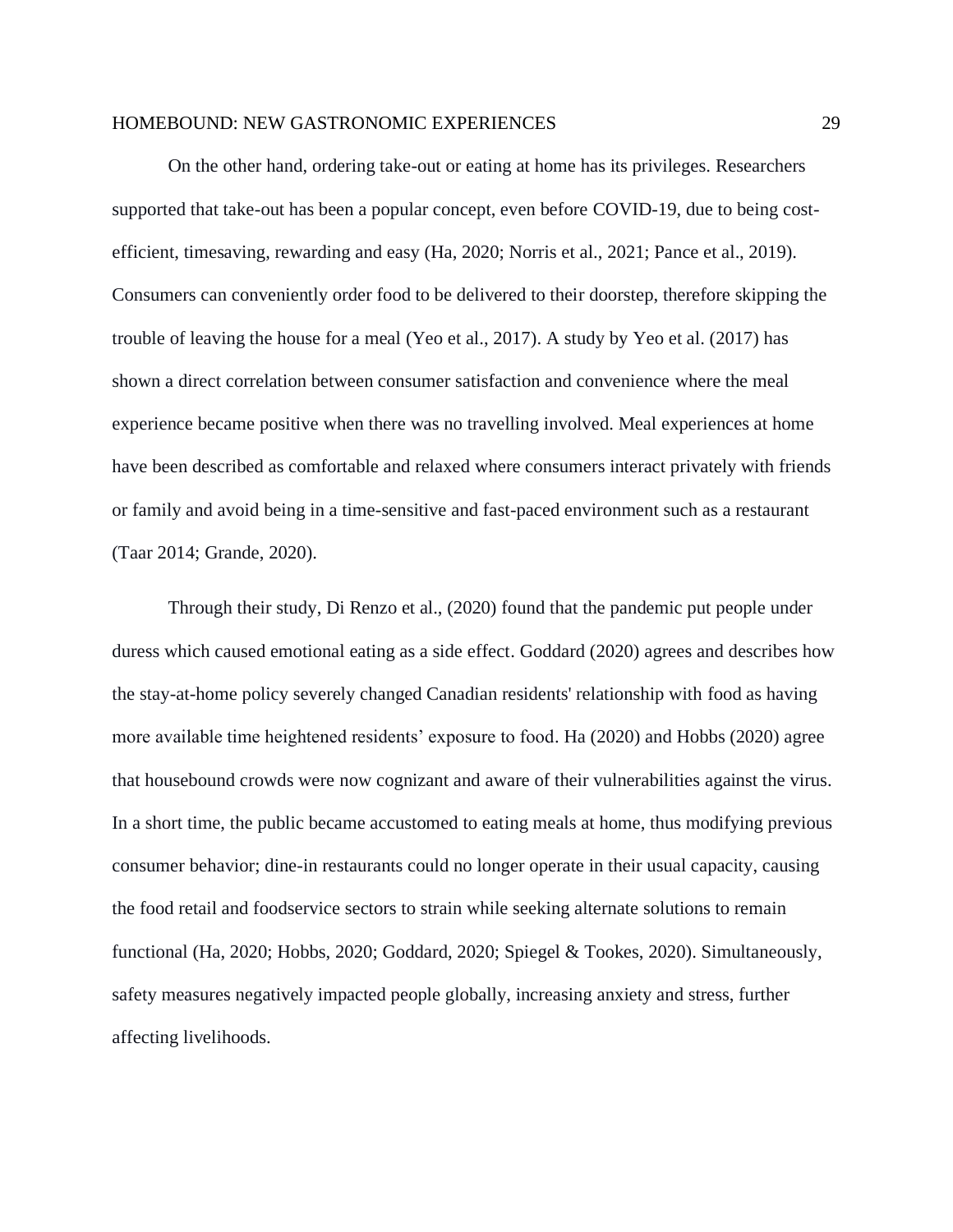On the other hand, ordering take-out or eating at home has its privileges. Researchers supported that take-out has been a popular concept, even before COVID-19, due to being costefficient, timesaving, rewarding and easy (Ha, 2020; Norris et al., 2021; Pance et al., 2019). Consumers can conveniently order food to be delivered to their doorstep, therefore skipping the trouble of leaving the house for a meal (Yeo et al., 2017). A study by Yeo et al. (2017) has shown a direct correlation between consumer satisfaction and convenience where the meal experience became positive when there was no travelling involved. Meal experiences at home have been described as comfortable and relaxed where consumers interact privately with friends or family and avoid being in a time-sensitive and fast-paced environment such as a restaurant (Taar 2014; Grande, 2020).

Through their study, Di Renzo et al., (2020) found that the pandemic put people under duress which caused emotional eating as a side effect. Goddard (2020) agrees and describes how the stay-at-home policy severely changed Canadian residents' relationship with food as having more available time heightened residents' exposure to food. Ha (2020) and Hobbs (2020) agree that housebound crowds were now cognizant and aware of their vulnerabilities against the virus. In a short time, the public became accustomed to eating meals at home, thus modifying previous consumer behavior; dine-in restaurants could no longer operate in their usual capacity, causing the food retail and foodservice sectors to strain while seeking alternate solutions to remain functional (Ha, 2020; Hobbs, 2020; Goddard, 2020; Spiegel & Tookes, 2020). Simultaneously, safety measures negatively impacted people globally, increasing anxiety and stress, further affecting livelihoods.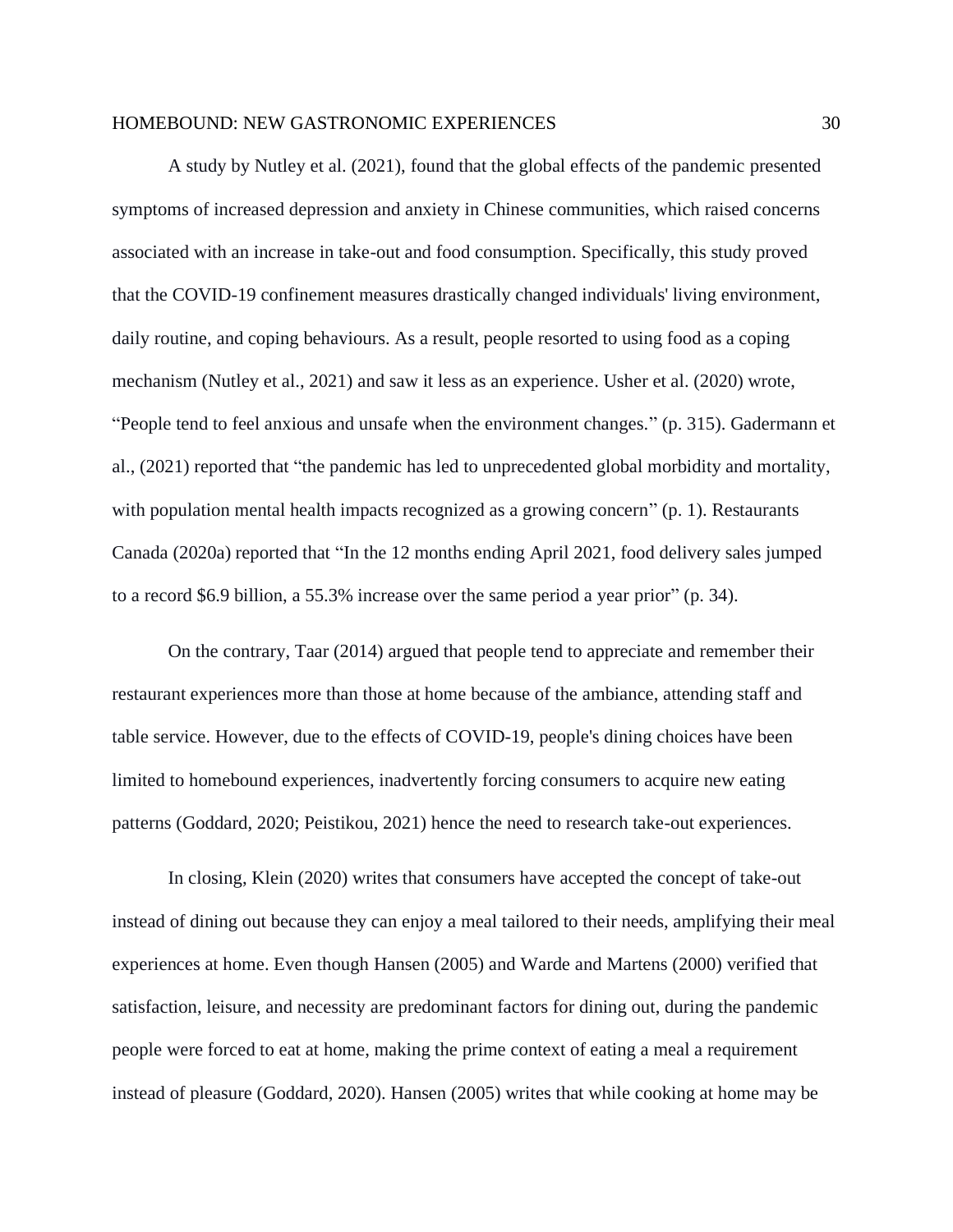A study by Nutley et al. (2021), found that the global effects of the pandemic presented symptoms of increased depression and anxiety in Chinese communities, which raised concerns associated with an increase in take-out and food consumption. Specifically, this study proved that the COVID-19 confinement measures drastically changed individuals' living environment, daily routine, and coping behaviours. As a result, people resorted to using food as a coping mechanism (Nutley et al., 2021) and saw it less as an experience. Usher et al. (2020) wrote, "People tend to feel anxious and unsafe when the environment changes." (p. 315). Gadermann et al., (2021) reported that "the pandemic has led to unprecedented global morbidity and mortality, with population mental health impacts recognized as a growing concern" (p. 1). Restaurants Canada (2020a) reported that "In the 12 months ending April 2021, food delivery sales jumped to a record \$6.9 billion, a 55.3% increase over the same period a year prior" (p. 34).

On the contrary, Taar (2014) argued that people tend to appreciate and remember their restaurant experiences more than those at home because of the ambiance, attending staff and table service. However, due to the effects of COVID-19, people's dining choices have been limited to homebound experiences, inadvertently forcing consumers to acquire new eating patterns (Goddard, 2020; Peistikou, 2021) hence the need to research take-out experiences.

In closing, Klein (2020) writes that consumers have accepted the concept of take-out instead of dining out because they can enjoy a meal tailored to their needs, amplifying their meal experiences at home. Even though Hansen (2005) and Warde and Martens (2000) verified that satisfaction, leisure, and necessity are predominant factors for dining out, during the pandemic people were forced to eat at home, making the prime context of eating a meal a requirement instead of pleasure (Goddard, 2020). Hansen (2005) writes that while cooking at home may be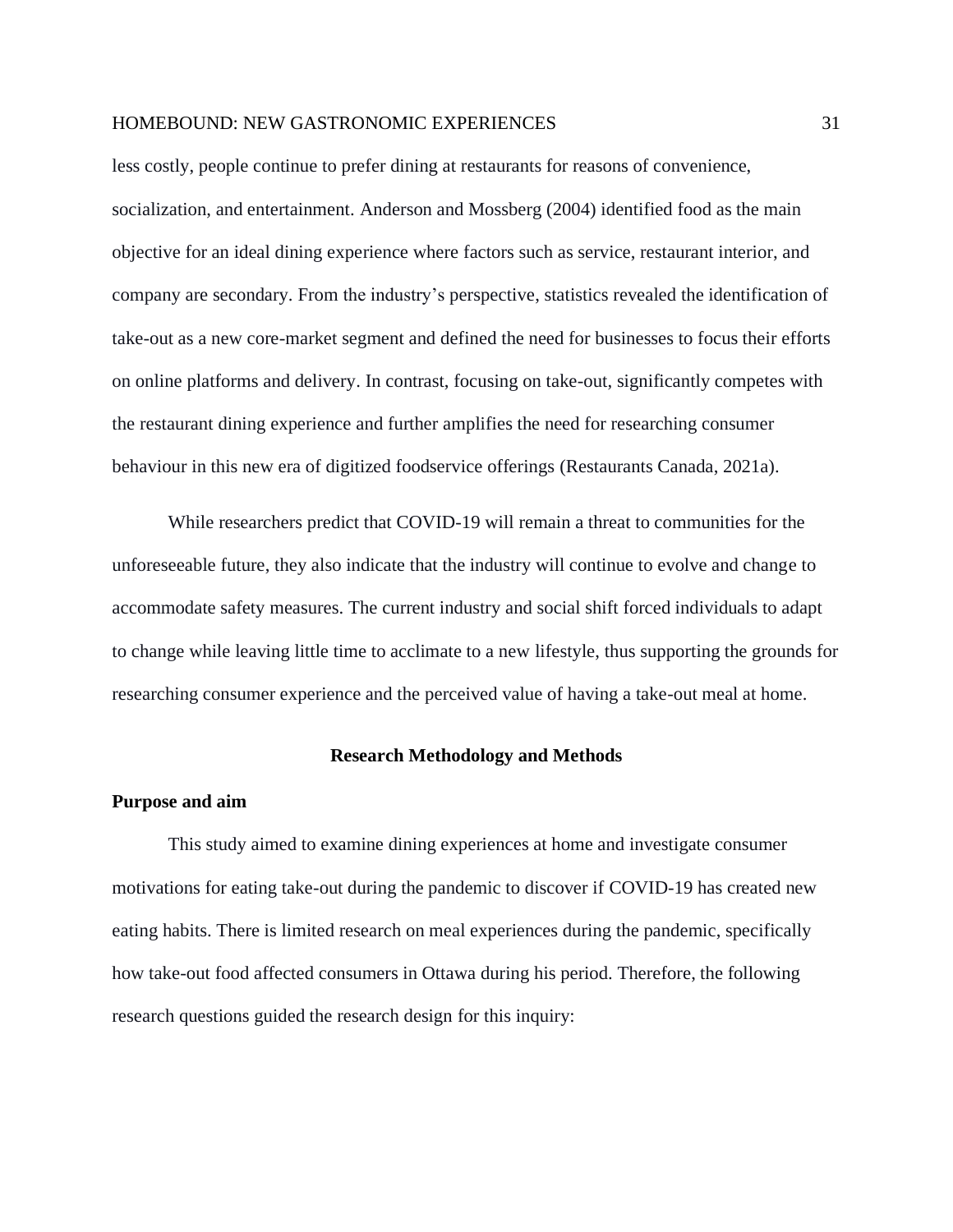less costly, people continue to prefer dining at restaurants for reasons of convenience, socialization, and entertainment. Anderson and Mossberg (2004) identified food as the main objective for an ideal dining experience where factors such as service, restaurant interior, and company are secondary. From the industry's perspective, statistics revealed the identification of take-out as a new core-market segment and defined the need for businesses to focus their efforts on online platforms and delivery. In contrast, focusing on take-out, significantly competes with the restaurant dining experience and further amplifies the need for researching consumer behaviour in this new era of digitized foodservice offerings (Restaurants Canada, 2021a).

While researchers predict that COVID-19 will remain a threat to communities for the unforeseeable future, they also indicate that the industry will continue to evolve and change to accommodate safety measures. The current industry and social shift forced individuals to adapt to change while leaving little time to acclimate to a new lifestyle, thus supporting the grounds for researching consumer experience and the perceived value of having a take-out meal at home.

#### **Research Methodology and Methods**

#### <span id="page-30-1"></span><span id="page-30-0"></span>**Purpose and aim**

This study aimed to examine dining experiences at home and investigate consumer motivations for eating take-out during the pandemic to discover if COVID-19 has created new eating habits. There is limited research on meal experiences during the pandemic, specifically how take-out food affected consumers in Ottawa during his period. Therefore, the following research questions guided the research design for this inquiry: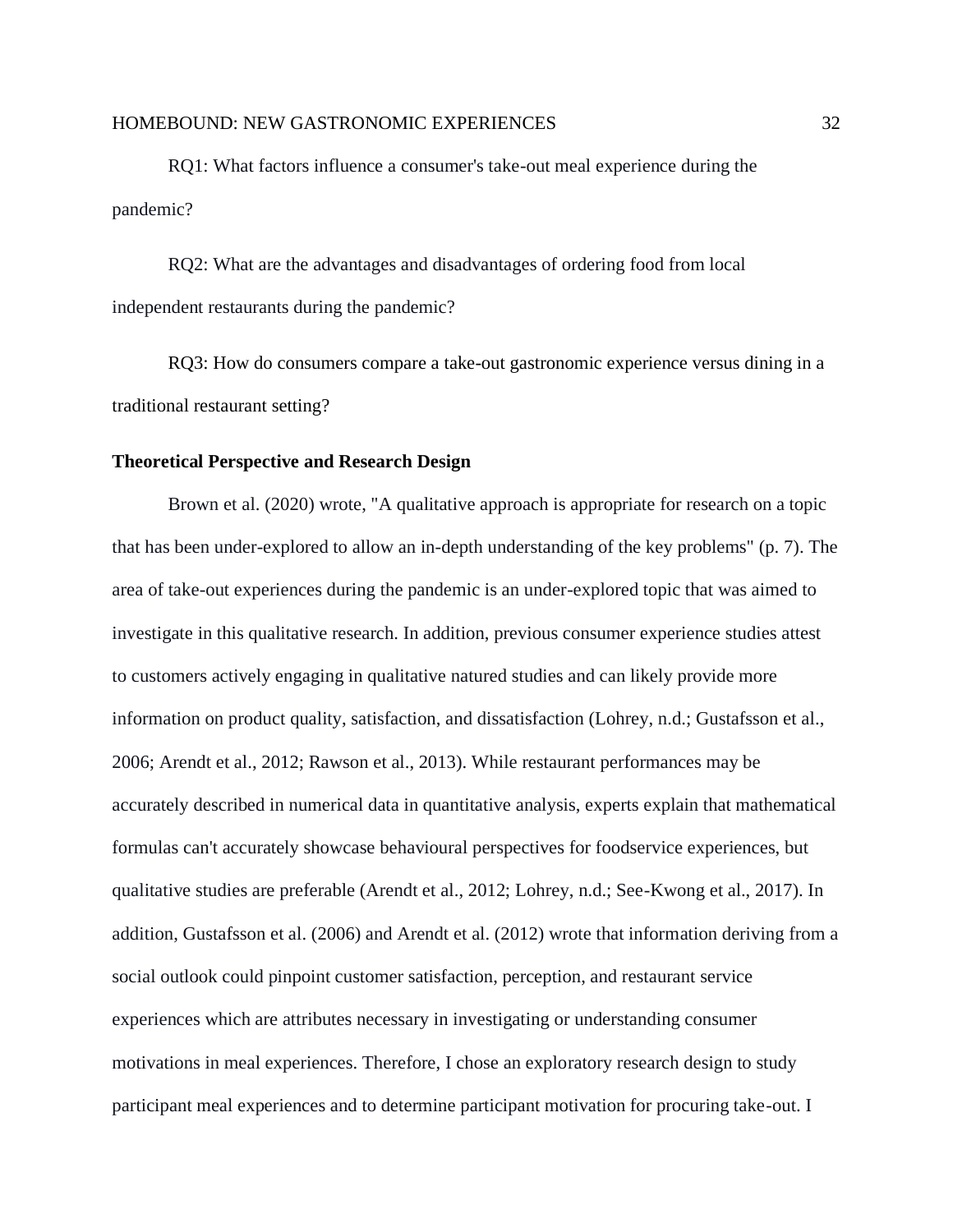RQ1: What factors influence a consumer's take-out meal experience during the pandemic?

RQ2: What are the advantages and disadvantages of ordering food from local independent restaurants during the pandemic?

RQ3: How do consumers compare a take-out gastronomic experience versus dining in a traditional restaurant setting?

# <span id="page-31-0"></span>**Theoretical Perspective and Research Design**

Brown et al. (2020) wrote, "A qualitative approach is appropriate for research on a topic that has been under-explored to allow an in-depth understanding of the key problems" (p. 7). The area of take-out experiences during the pandemic is an under-explored topic that was aimed to investigate in this qualitative research. In addition, previous consumer experience studies attest to customers actively engaging in qualitative natured studies and can likely provide more information on product quality, satisfaction, and dissatisfaction (Lohrey, n.d.; Gustafsson et al., 2006; Arendt et al., 2012; Rawson et al., 2013). While restaurant performances may be accurately described in numerical data in quantitative analysis, experts explain that mathematical formulas can't accurately showcase behavioural perspectives for foodservice experiences, but qualitative studies are preferable (Arendt et al., 2012; Lohrey, n.d.; See-Kwong et al., 2017). In addition, Gustafsson et al. (2006) and Arendt et al. (2012) wrote that information deriving from a social outlook could pinpoint customer satisfaction, perception, and restaurant service experiences which are attributes necessary in investigating or understanding consumer motivations in meal experiences. Therefore, I chose an exploratory research design to study participant meal experiences and to determine participant motivation for procuring take-out. I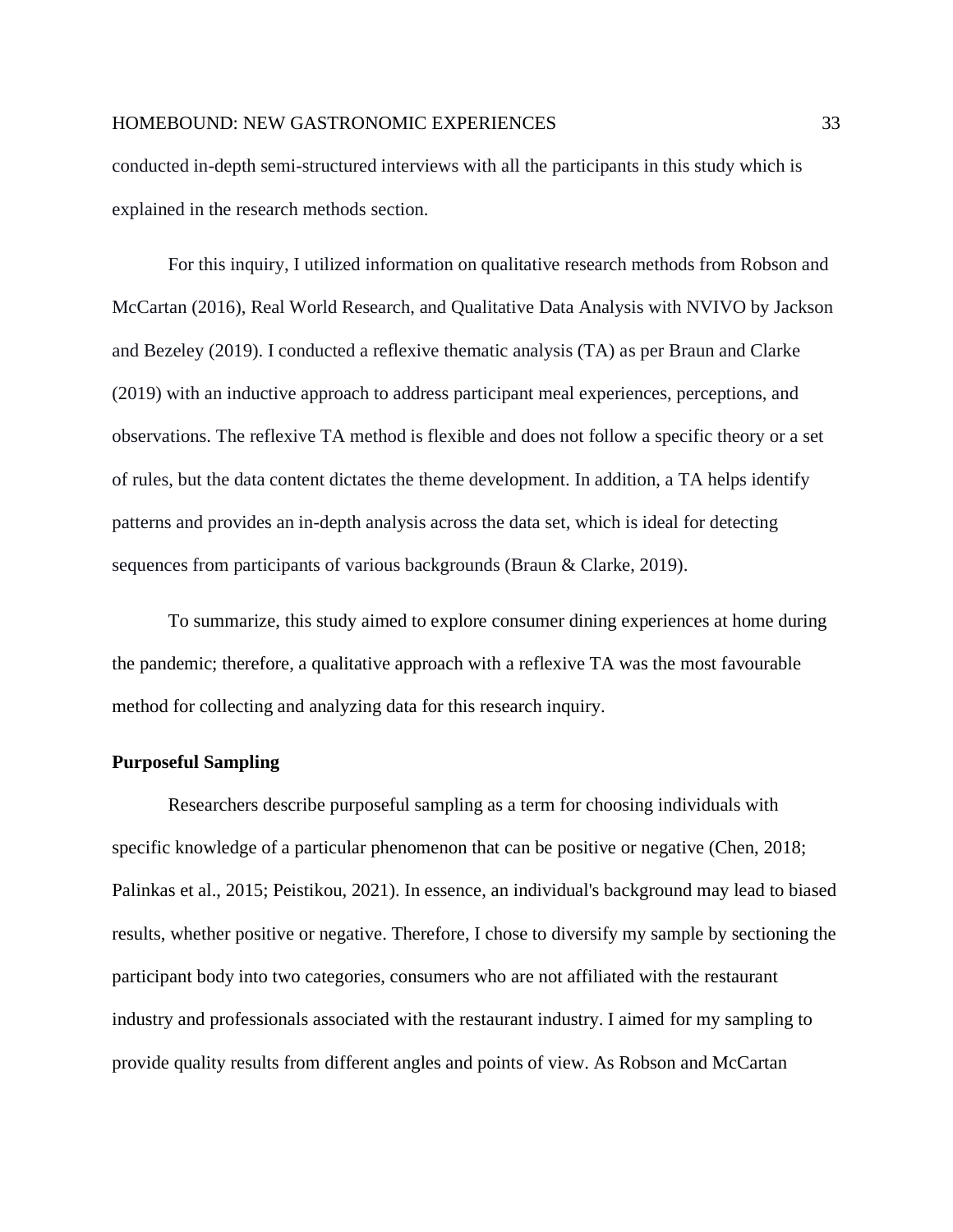conducted in-depth semi-structured interviews with all the participants in this study which is explained in the research methods section.

For this inquiry, I utilized information on qualitative research methods from Robson and McCartan (2016), Real World Research, and Qualitative Data Analysis with NVIVO by Jackson and Bezeley (2019). I conducted a reflexive thematic analysis (TA) as per Braun and Clarke (2019) with an inductive approach to address participant meal experiences, perceptions, and observations. The reflexive TA method is flexible and does not follow a specific theory or a set of rules, but the data content dictates the theme development. In addition, a TA helps identify patterns and provides an in-depth analysis across the data set, which is ideal for detecting sequences from participants of various backgrounds (Braun & Clarke, 2019).

To summarize, this study aimed to explore consumer dining experiences at home during the pandemic; therefore, a qualitative approach with a reflexive TA was the most favourable method for collecting and analyzing data for this research inquiry.

#### <span id="page-32-0"></span>**Purposeful Sampling**

Researchers describe purposeful sampling as a term for choosing individuals with specific knowledge of a particular phenomenon that can be positive or negative (Chen, 2018; Palinkas et al., 2015; Peistikou, 2021). In essence, an individual's background may lead to biased results, whether positive or negative. Therefore, I chose to diversify my sample by sectioning the participant body into two categories, consumers who are not affiliated with the restaurant industry and professionals associated with the restaurant industry. I aimed for my sampling to provide quality results from different angles and points of view. As Robson and McCartan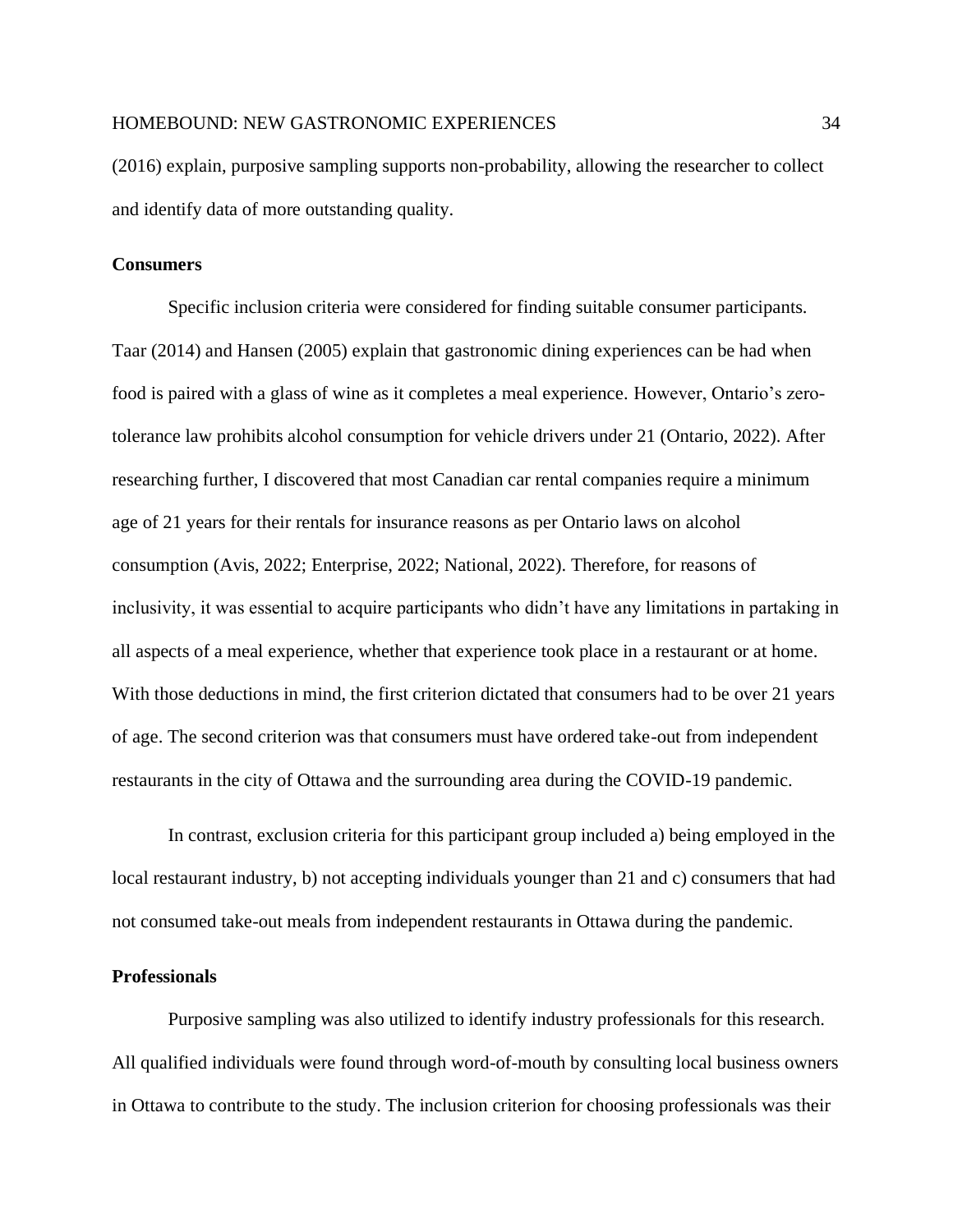(2016) explain, purposive sampling supports non-probability, allowing the researcher to collect and identify data of more outstanding quality.

#### <span id="page-33-0"></span>**Consumers**

Specific inclusion criteria were considered for finding suitable consumer participants. Taar (2014) and Hansen (2005) explain that gastronomic dining experiences can be had when food is paired with a glass of wine as it completes a meal experience. However, Ontario's zerotolerance law prohibits alcohol consumption for vehicle drivers under 21 (Ontario, 2022). After researching further, I discovered that most Canadian car rental companies require a minimum age of 21 years for their rentals for insurance reasons as per Ontario laws on alcohol consumption (Avis, 2022; Enterprise, 2022; National, 2022). Therefore, for reasons of inclusivity, it was essential to acquire participants who didn't have any limitations in partaking in all aspects of a meal experience, whether that experience took place in a restaurant or at home. With those deductions in mind, the first criterion dictated that consumers had to be over 21 years of age. The second criterion was that consumers must have ordered take-out from independent restaurants in the city of Ottawa and the surrounding area during the COVID-19 pandemic.

In contrast, exclusion criteria for this participant group included a) being employed in the local restaurant industry, b) not accepting individuals younger than 21 and c) consumers that had not consumed take-out meals from independent restaurants in Ottawa during the pandemic.

# <span id="page-33-1"></span>**Professionals**

Purposive sampling was also utilized to identify industry professionals for this research. All qualified individuals were found through word-of-mouth by consulting local business owners in Ottawa to contribute to the study. The inclusion criterion for choosing professionals was their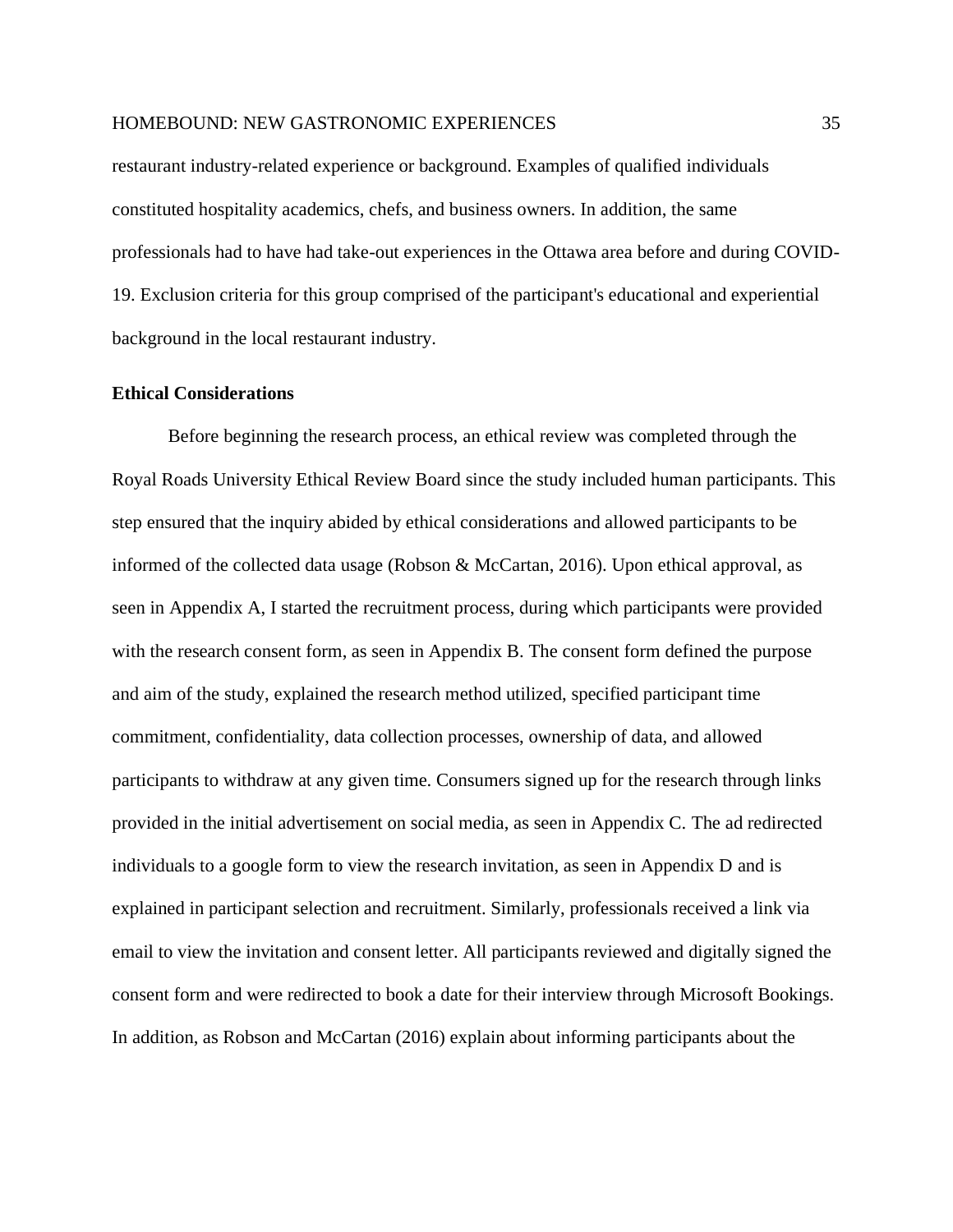restaurant industry-related experience or background. Examples of qualified individuals constituted hospitality academics, chefs, and business owners. In addition, the same professionals had to have had take-out experiences in the Ottawa area before and during COVID-19. Exclusion criteria for this group comprised of the participant's educational and experiential background in the local restaurant industry.

#### <span id="page-34-0"></span>**Ethical Considerations**

Before beginning the research process, an ethical review was completed through the Royal Roads University Ethical Review Board since the study included human participants. This step ensured that the inquiry abided by ethical considerations and allowed participants to be informed of the collected data usage (Robson & McCartan, 2016). Upon ethical approval, as seen in Appendix A, I started the recruitment process, during which participants were provided with the research consent form, as seen in Appendix B. The consent form defined the purpose and aim of the study, explained the research method utilized, specified participant time commitment, confidentiality, data collection processes, ownership of data, and allowed participants to withdraw at any given time. Consumers signed up for the research through links provided in the initial advertisement on social media, as seen in Appendix C. The ad redirected individuals to a google form to view the research invitation, as seen in Appendix D and is explained in participant selection and recruitment. Similarly, professionals received a link via email to view the invitation and consent letter. All participants reviewed and digitally signed the consent form and were redirected to book a date for their interview through Microsoft Bookings. In addition, as Robson and McCartan (2016) explain about informing participants about the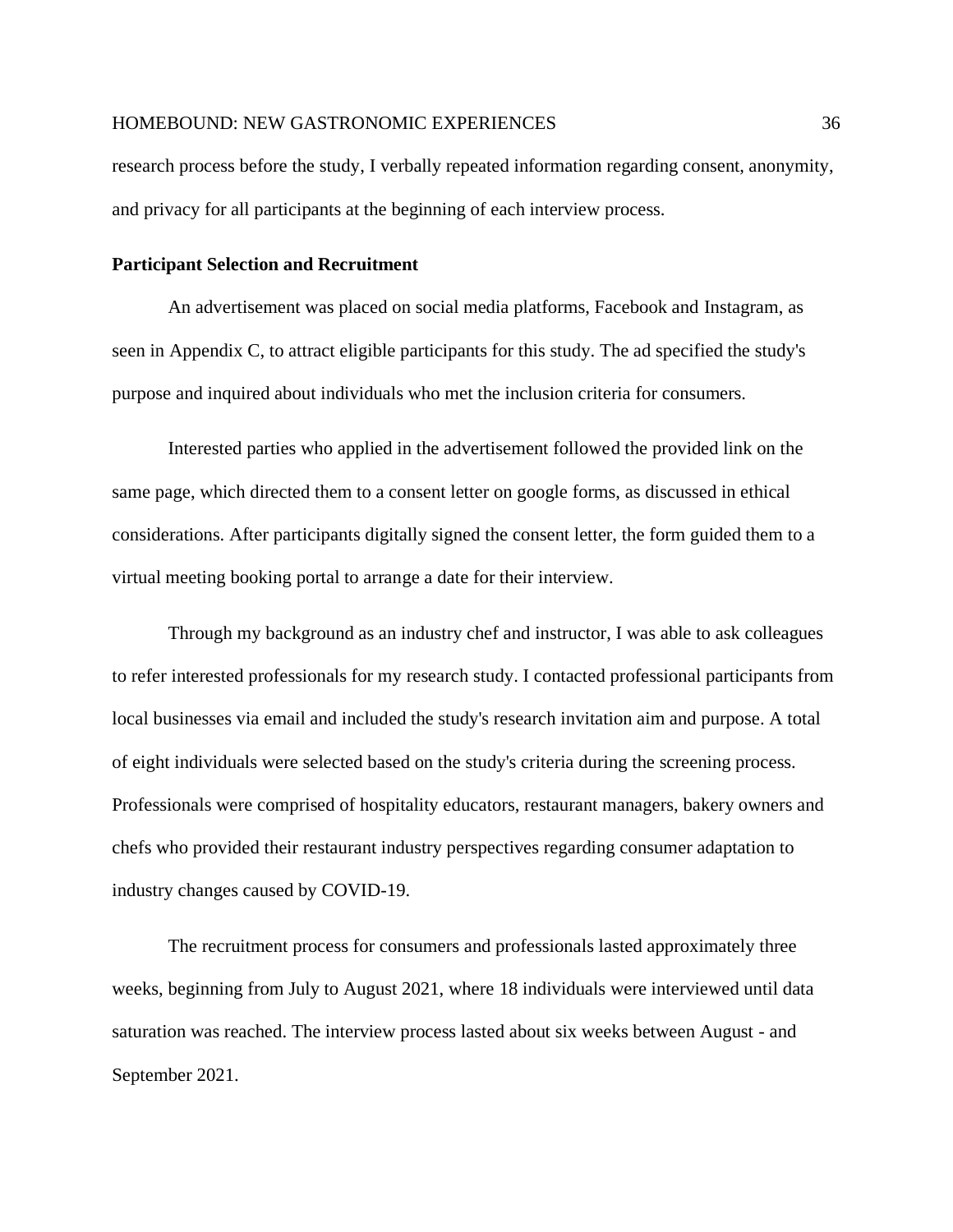research process before the study, I verbally repeated information regarding consent, anonymity, and privacy for all participants at the beginning of each interview process.

#### <span id="page-35-0"></span>**Participant Selection and Recruitment**

An advertisement was placed on social media platforms, Facebook and Instagram, as seen in Appendix C, to attract eligible participants for this study. The ad specified the study's purpose and inquired about individuals who met the inclusion criteria for consumers.

Interested parties who applied in the advertisement followed the provided link on the same page, which directed them to a consent letter on google forms, as discussed in ethical considerations. After participants digitally signed the consent letter, the form guided them to a virtual meeting booking portal to arrange a date for their interview.

Through my background as an industry chef and instructor, I was able to ask colleagues to refer interested professionals for my research study. I contacted professional participants from local businesses via email and included the study's research invitation aim and purpose. A total of eight individuals were selected based on the study's criteria during the screening process. Professionals were comprised of hospitality educators, restaurant managers, bakery owners and chefs who provided their restaurant industry perspectives regarding consumer adaptation to industry changes caused by COVID-19.

The recruitment process for consumers and professionals lasted approximately three weeks, beginning from July to August 2021, where 18 individuals were interviewed until data saturation was reached. The interview process lasted about six weeks between August - and September 2021.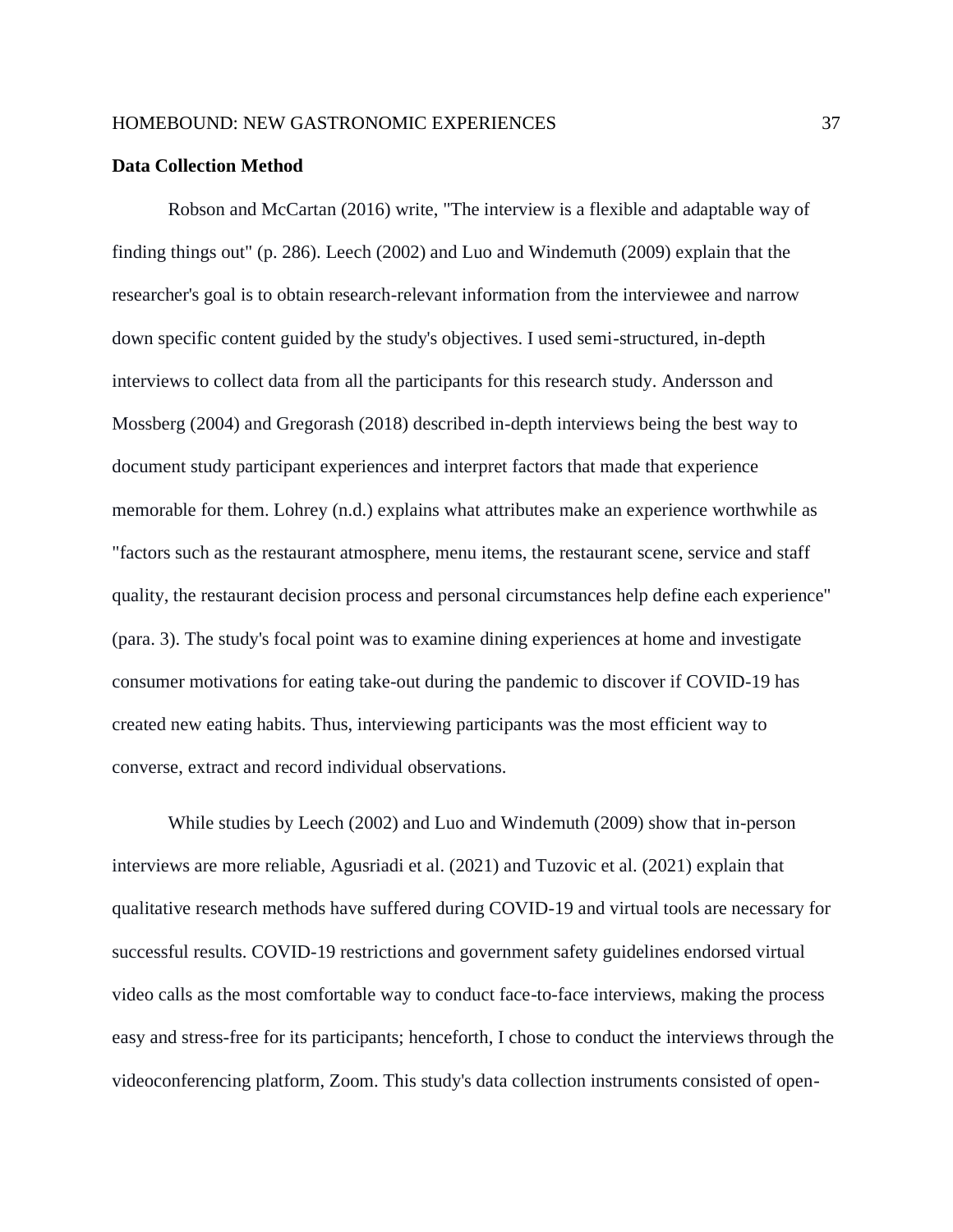#### **Data Collection Method**

Robson and McCartan (2016) write, "The interview is a flexible and adaptable way of finding things out" (p. 286). Leech (2002) and Luo and Windemuth (2009) explain that the researcher's goal is to obtain research-relevant information from the interviewee and narrow down specific content guided by the study's objectives. I used semi-structured, in-depth interviews to collect data from all the participants for this research study. Andersson and Mossberg (2004) and Gregorash (2018) described in-depth interviews being the best way to document study participant experiences and interpret factors that made that experience memorable for them. Lohrey (n.d.) explains what attributes make an experience worthwhile as "factors such as the restaurant atmosphere, menu items, the restaurant scene, service and staff quality, the restaurant decision process and personal circumstances help define each experience" (para. 3). The study's focal point was to examine dining experiences at home and investigate consumer motivations for eating take-out during the pandemic to discover if COVID-19 has created new eating habits. Thus, interviewing participants was the most efficient way to converse, extract and record individual observations.

While studies by Leech (2002) and Luo and Windemuth (2009) show that in-person interviews are more reliable, Agusriadi et al. (2021) and Tuzovic et al. (2021) explain that qualitative research methods have suffered during COVID-19 and virtual tools are necessary for successful results. COVID-19 restrictions and government safety guidelines endorsed virtual video calls as the most comfortable way to conduct face-to-face interviews, making the process easy and stress-free for its participants; henceforth, I chose to conduct the interviews through the videoconferencing platform, Zoom. This study's data collection instruments consisted of open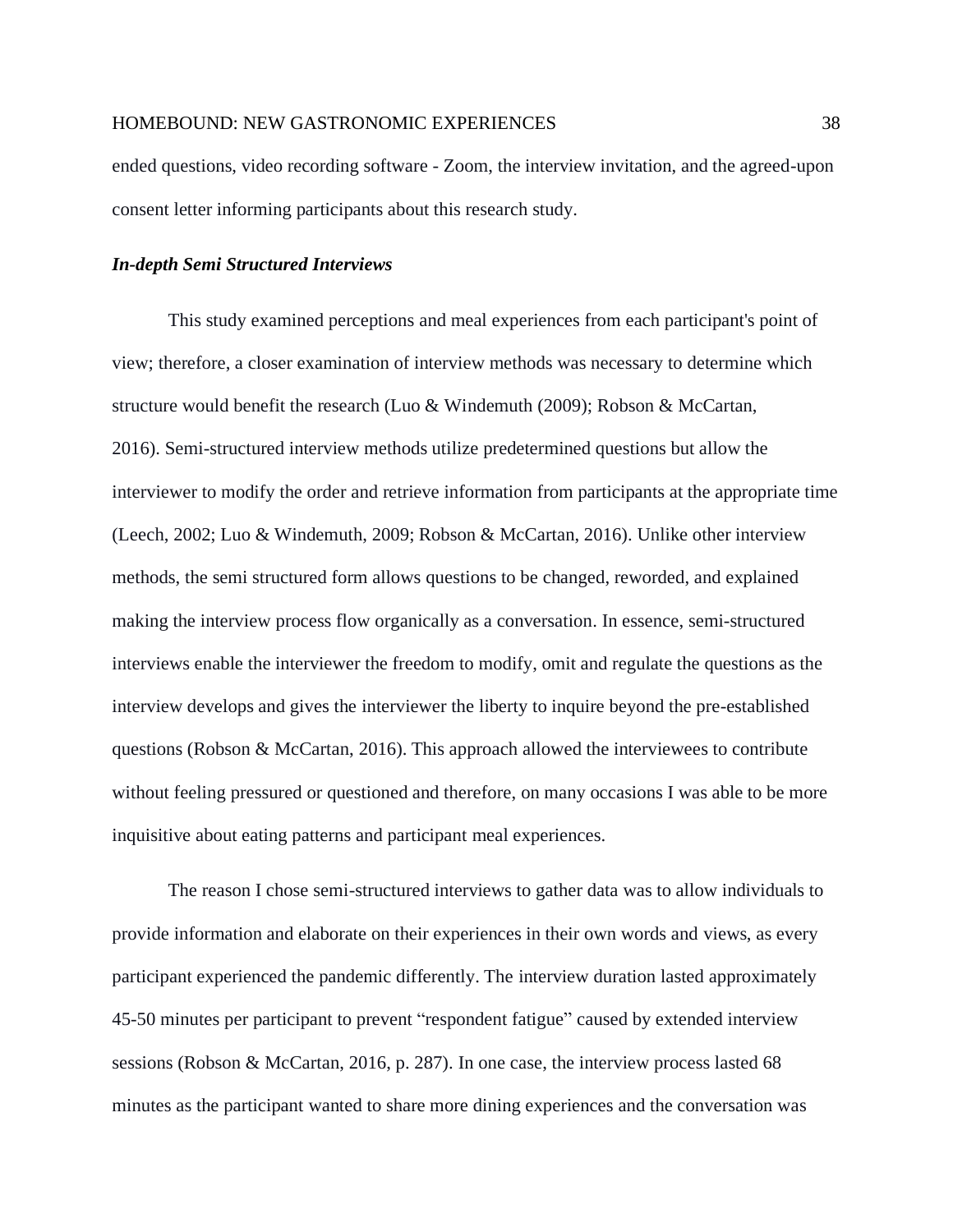ended questions, video recording software - Zoom, the interview invitation, and the agreed-upon consent letter informing participants about this research study.

#### *In-depth Semi Structured Interviews*

This study examined perceptions and meal experiences from each participant's point of view; therefore, a closer examination of interview methods was necessary to determine which structure would benefit the research (Luo & Windemuth (2009); Robson & McCartan, 2016). Semi-structured interview methods utilize predetermined questions but allow the interviewer to modify the order and retrieve information from participants at the appropriate time (Leech, 2002; Luo & Windemuth, 2009; Robson & McCartan, 2016). Unlike other interview methods, the semi structured form allows questions to be changed, reworded, and explained making the interview process flow organically as a conversation. In essence, semi-structured interviews enable the interviewer the freedom to modify, omit and regulate the questions as the interview develops and gives the interviewer the liberty to inquire beyond the pre-established questions (Robson & McCartan, 2016). This approach allowed the interviewees to contribute without feeling pressured or questioned and therefore, on many occasions I was able to be more inquisitive about eating patterns and participant meal experiences.

The reason I chose semi-structured interviews to gather data was to allow individuals to provide information and elaborate on their experiences in their own words and views, as every participant experienced the pandemic differently. The interview duration lasted approximately 45-50 minutes per participant to prevent "respondent fatigue" caused by extended interview sessions (Robson & McCartan, 2016, p. 287). In one case, the interview process lasted 68 minutes as the participant wanted to share more dining experiences and the conversation was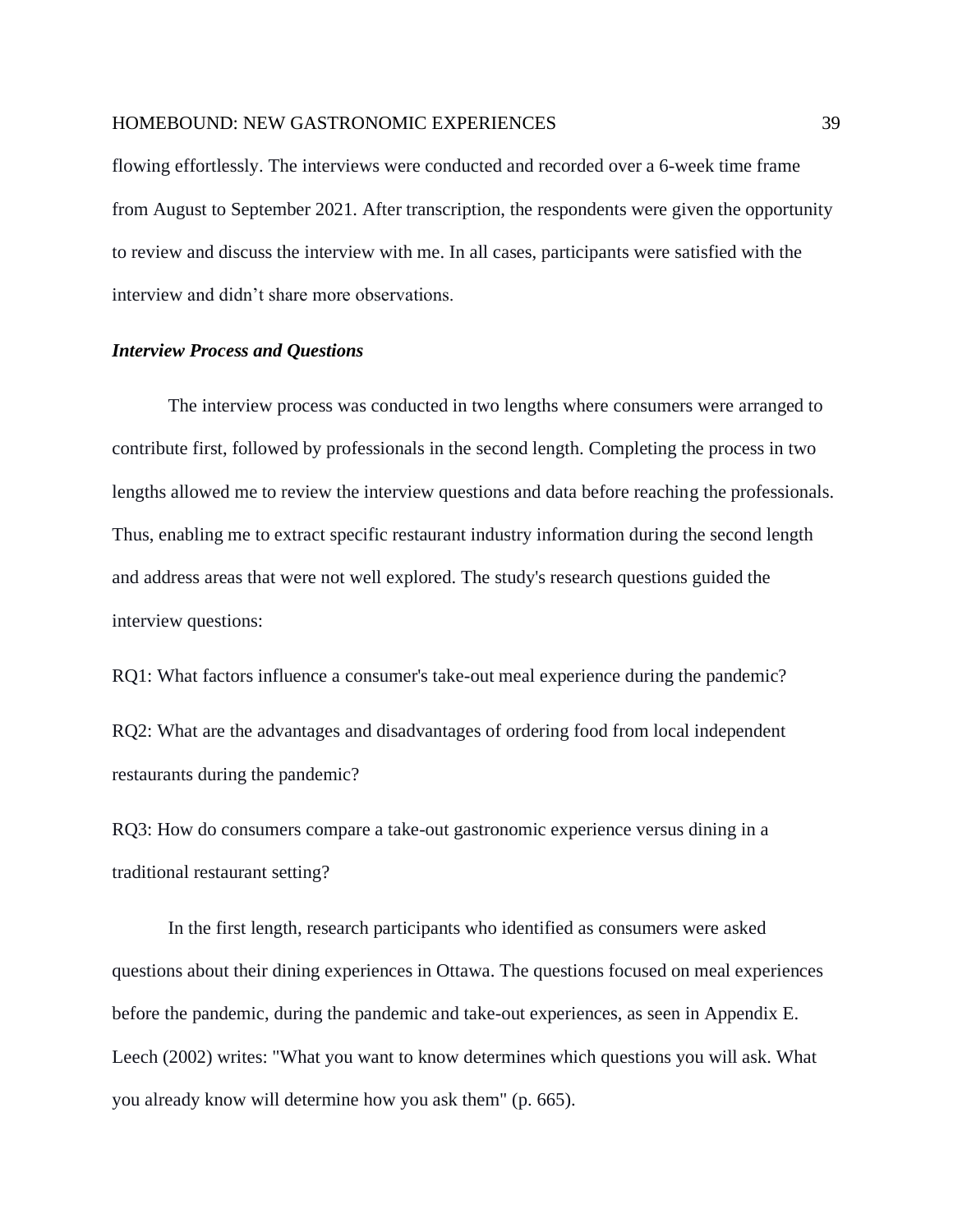flowing effortlessly. The interviews were conducted and recorded over a 6-week time frame from August to September 2021. After transcription, the respondents were given the opportunity to review and discuss the interview with me. In all cases, participants were satisfied with the interview and didn't share more observations.

#### *Interview Process and Questions*

The interview process was conducted in two lengths where consumers were arranged to contribute first, followed by professionals in the second length. Completing the process in two lengths allowed me to review the interview questions and data before reaching the professionals. Thus, enabling me to extract specific restaurant industry information during the second length and address areas that were not well explored. The study's research questions guided the interview questions:

RQ1: What factors influence a consumer's take-out meal experience during the pandemic? RQ2: What are the advantages and disadvantages of ordering food from local independent restaurants during the pandemic?

RQ3: How do consumers compare a take-out gastronomic experience versus dining in a traditional restaurant setting?

In the first length, research participants who identified as consumers were asked questions about their dining experiences in Ottawa. The questions focused on meal experiences before the pandemic, during the pandemic and take-out experiences, as seen in Appendix E. Leech (2002) writes: "What you want to know determines which questions you will ask. What you already know will determine how you ask them" (p. 665).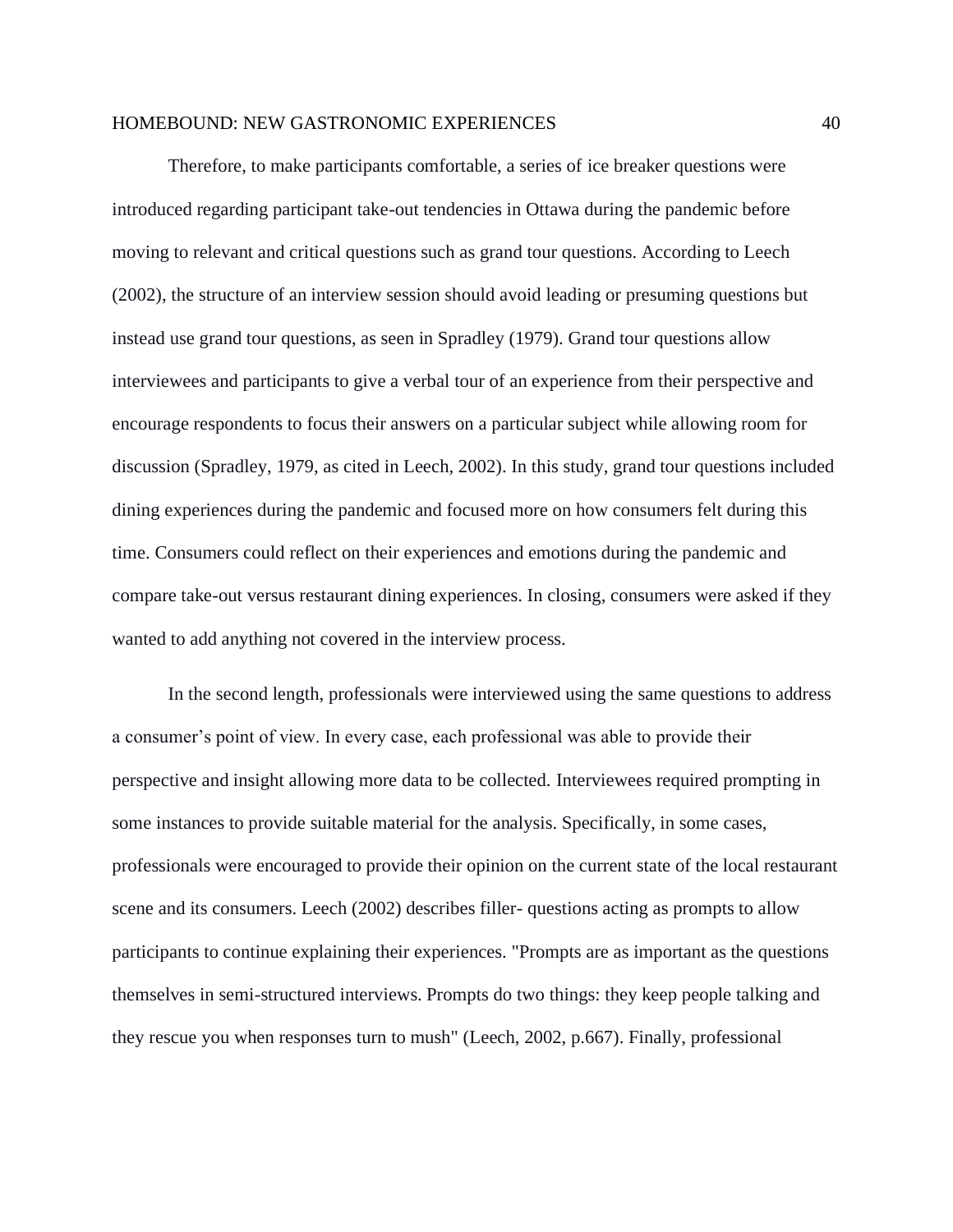Therefore, to make participants comfortable, a series of ice breaker questions were introduced regarding participant take-out tendencies in Ottawa during the pandemic before moving to relevant and critical questions such as grand tour questions. According to Leech (2002), the structure of an interview session should avoid leading or presuming questions but instead use grand tour questions, as seen in Spradley (1979). Grand tour questions allow interviewees and participants to give a verbal tour of an experience from their perspective and encourage respondents to focus their answers on a particular subject while allowing room for discussion (Spradley, 1979, as cited in Leech, 2002). In this study, grand tour questions included dining experiences during the pandemic and focused more on how consumers felt during this time. Consumers could reflect on their experiences and emotions during the pandemic and compare take-out versus restaurant dining experiences. In closing, consumers were asked if they wanted to add anything not covered in the interview process.

In the second length, professionals were interviewed using the same questions to address a consumer's point of view. In every case, each professional was able to provide their perspective and insight allowing more data to be collected. Interviewees required prompting in some instances to provide suitable material for the analysis. Specifically, in some cases, professionals were encouraged to provide their opinion on the current state of the local restaurant scene and its consumers. Leech (2002) describes filler- questions acting as prompts to allow participants to continue explaining their experiences. "Prompts are as important as the questions themselves in semi-structured interviews. Prompts do two things: they keep people talking and they rescue you when responses turn to mush" (Leech, 2002, p.667). Finally, professional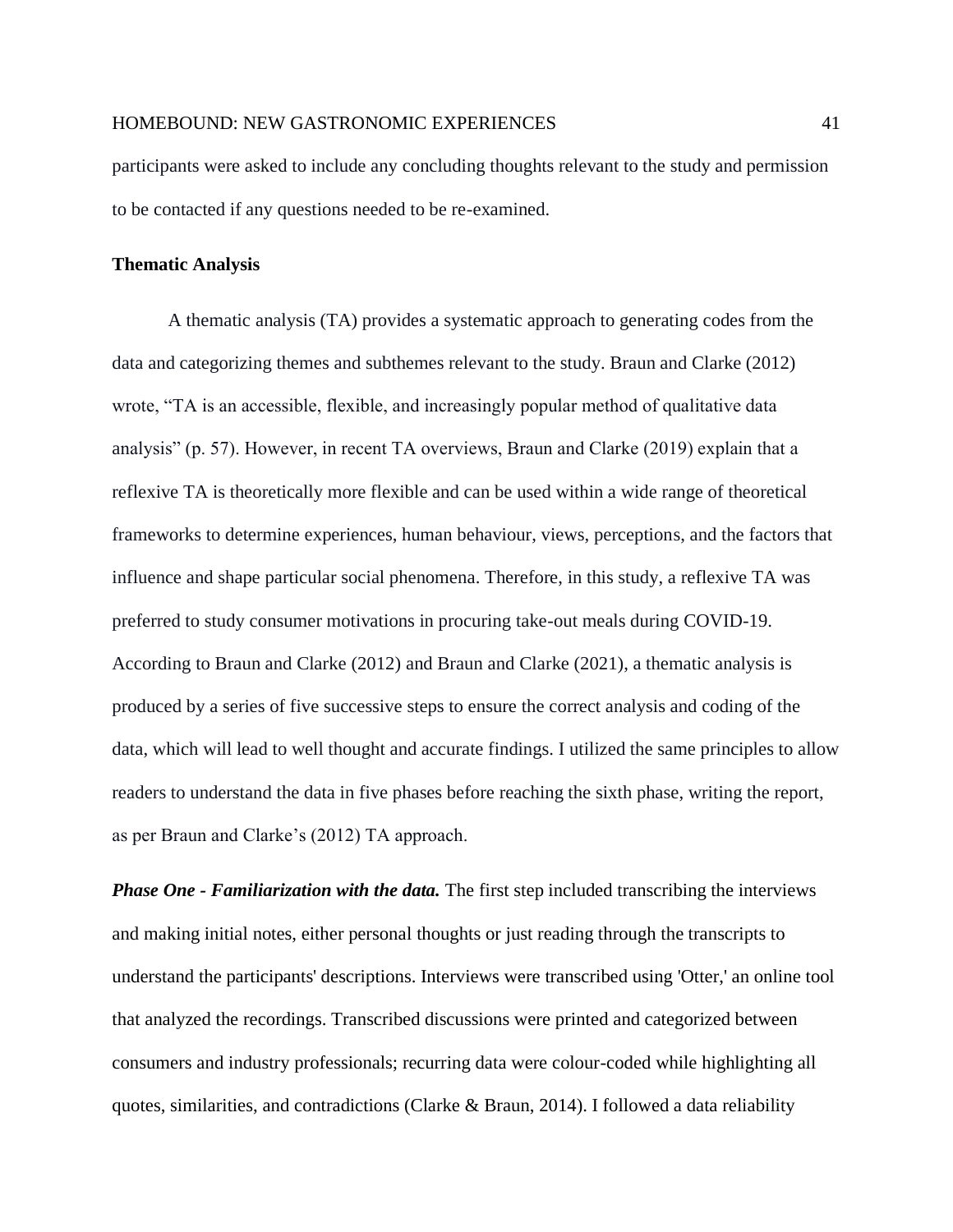participants were asked to include any concluding thoughts relevant to the study and permission to be contacted if any questions needed to be re-examined.

#### **Thematic Analysis**

A thematic analysis (TA) provides a systematic approach to generating codes from the data and categorizing themes and subthemes relevant to the study. Braun and Clarke (2012) wrote, "TA is an accessible, flexible, and increasingly popular method of qualitative data analysis" (p. 57). However, in recent TA overviews, Braun and Clarke (2019) explain that a reflexive TA is theoretically more flexible and can be used within a wide range of theoretical frameworks to determine experiences, human behaviour, views, perceptions, and the factors that influence and shape particular social phenomena. Therefore, in this study, a reflexive TA was preferred to study consumer motivations in procuring take-out meals during COVID-19. According to Braun and Clarke (2012) and Braun and Clarke (2021), a thematic analysis is produced by a series of five successive steps to ensure the correct analysis and coding of the data, which will lead to well thought and accurate findings. I utilized the same principles to allow readers to understand the data in five phases before reaching the sixth phase, writing the report, as per Braun and Clarke's (2012) TA approach.

*Phase One - Familiarization with the data.* The first step included transcribing the interviews and making initial notes, either personal thoughts or just reading through the transcripts to understand the participants' descriptions. Interviews were transcribed using 'Otter,' an online tool that analyzed the recordings. Transcribed discussions were printed and categorized between consumers and industry professionals; recurring data were colour-coded while highlighting all quotes, similarities, and contradictions (Clarke & Braun, 2014). I followed a data reliability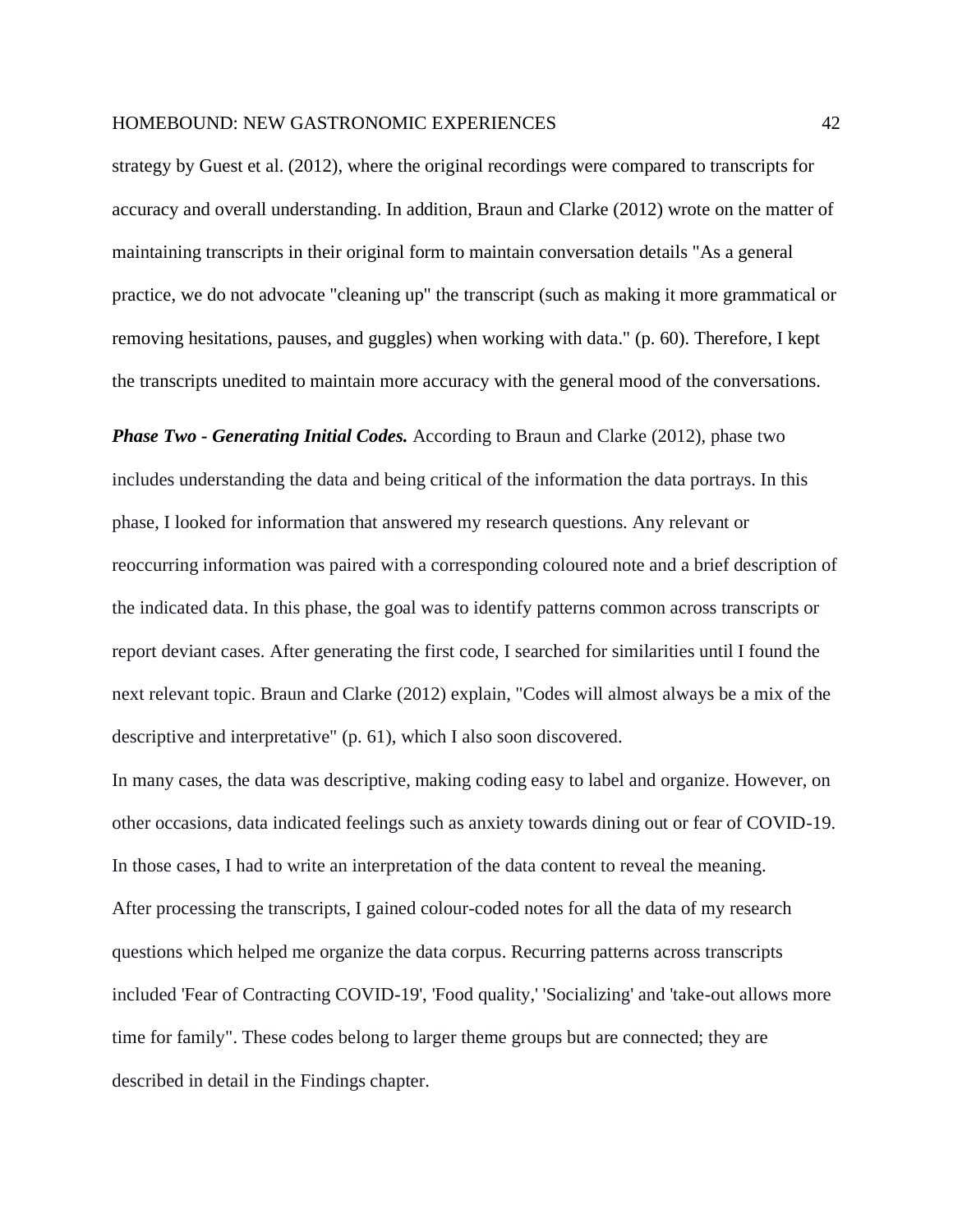strategy by Guest et al. (2012), where the original recordings were compared to transcripts for accuracy and overall understanding. In addition, Braun and Clarke (2012) wrote on the matter of maintaining transcripts in their original form to maintain conversation details "As a general practice, we do not advocate "cleaning up" the transcript (such as making it more grammatical or removing hesitations, pauses, and guggles) when working with data." (p. 60). Therefore, I kept the transcripts unedited to maintain more accuracy with the general mood of the conversations.

*Phase Two - Generating Initial Codes.* According to Braun and Clarke (2012), phase two includes understanding the data and being critical of the information the data portrays. In this phase, I looked for information that answered my research questions. Any relevant or reoccurring information was paired with a corresponding coloured note and a brief description of the indicated data. In this phase, the goal was to identify patterns common across transcripts or report deviant cases. After generating the first code, I searched for similarities until I found the next relevant topic. Braun and Clarke (2012) explain, "Codes will almost always be a mix of the descriptive and interpretative" (p. 61), which I also soon discovered.

In many cases, the data was descriptive, making coding easy to label and organize. However, on other occasions, data indicated feelings such as anxiety towards dining out or fear of COVID-19. In those cases, I had to write an interpretation of the data content to reveal the meaning. After processing the transcripts, I gained colour-coded notes for all the data of my research questions which helped me organize the data corpus. Recurring patterns across transcripts included 'Fear of Contracting COVID-19', 'Food quality,' 'Socializing' and 'take-out allows more time for family". These codes belong to larger theme groups but are connected; they are described in detail in the Findings chapter.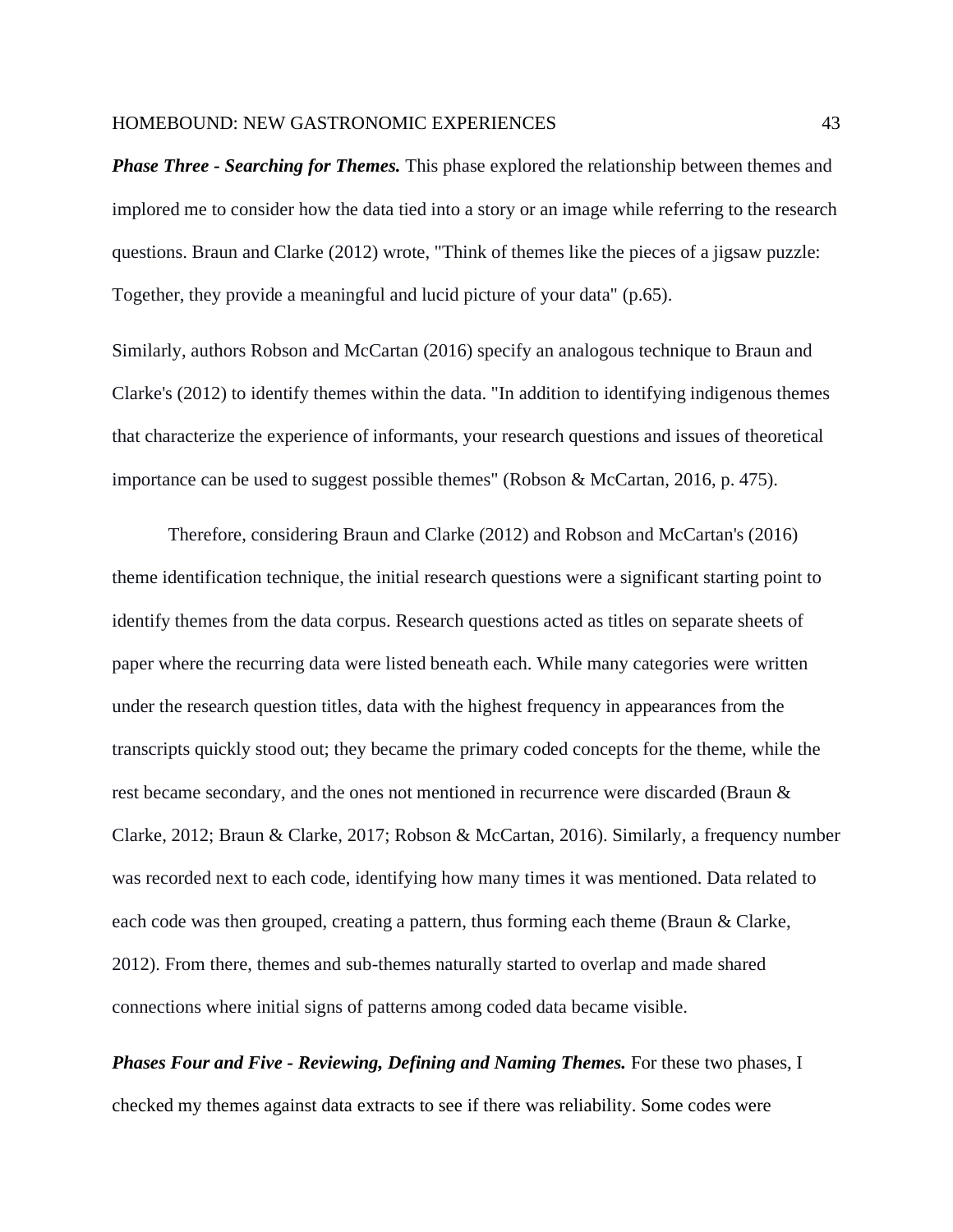*Phase Three - Searching for Themes.* This phase explored the relationship between themes and implored me to consider how the data tied into a story or an image while referring to the research questions. Braun and Clarke (2012) wrote, "Think of themes like the pieces of a jigsaw puzzle: Together, they provide a meaningful and lucid picture of your data" (p.65).

Similarly, authors Robson and McCartan (2016) specify an analogous technique to Braun and Clarke's (2012) to identify themes within the data. "In addition to identifying indigenous themes that characterize the experience of informants, your research questions and issues of theoretical importance can be used to suggest possible themes" (Robson & McCartan, 2016, p. 475).

Therefore, considering Braun and Clarke (2012) and Robson and McCartan's (2016) theme identification technique, the initial research questions were a significant starting point to identify themes from the data corpus. Research questions acted as titles on separate sheets of paper where the recurring data were listed beneath each. While many categories were written under the research question titles, data with the highest frequency in appearances from the transcripts quickly stood out; they became the primary coded concepts for the theme, while the rest became secondary, and the ones not mentioned in recurrence were discarded (Braun & Clarke, 2012; Braun & Clarke, 2017; Robson & McCartan, 2016). Similarly, a frequency number was recorded next to each code, identifying how many times it was mentioned. Data related to each code was then grouped, creating a pattern, thus forming each theme (Braun & Clarke, 2012). From there, themes and sub-themes naturally started to overlap and made shared connections where initial signs of patterns among coded data became visible.

*Phases Four and Five - Reviewing, Defining and Naming Themes.* For these two phases, I checked my themes against data extracts to see if there was reliability. Some codes were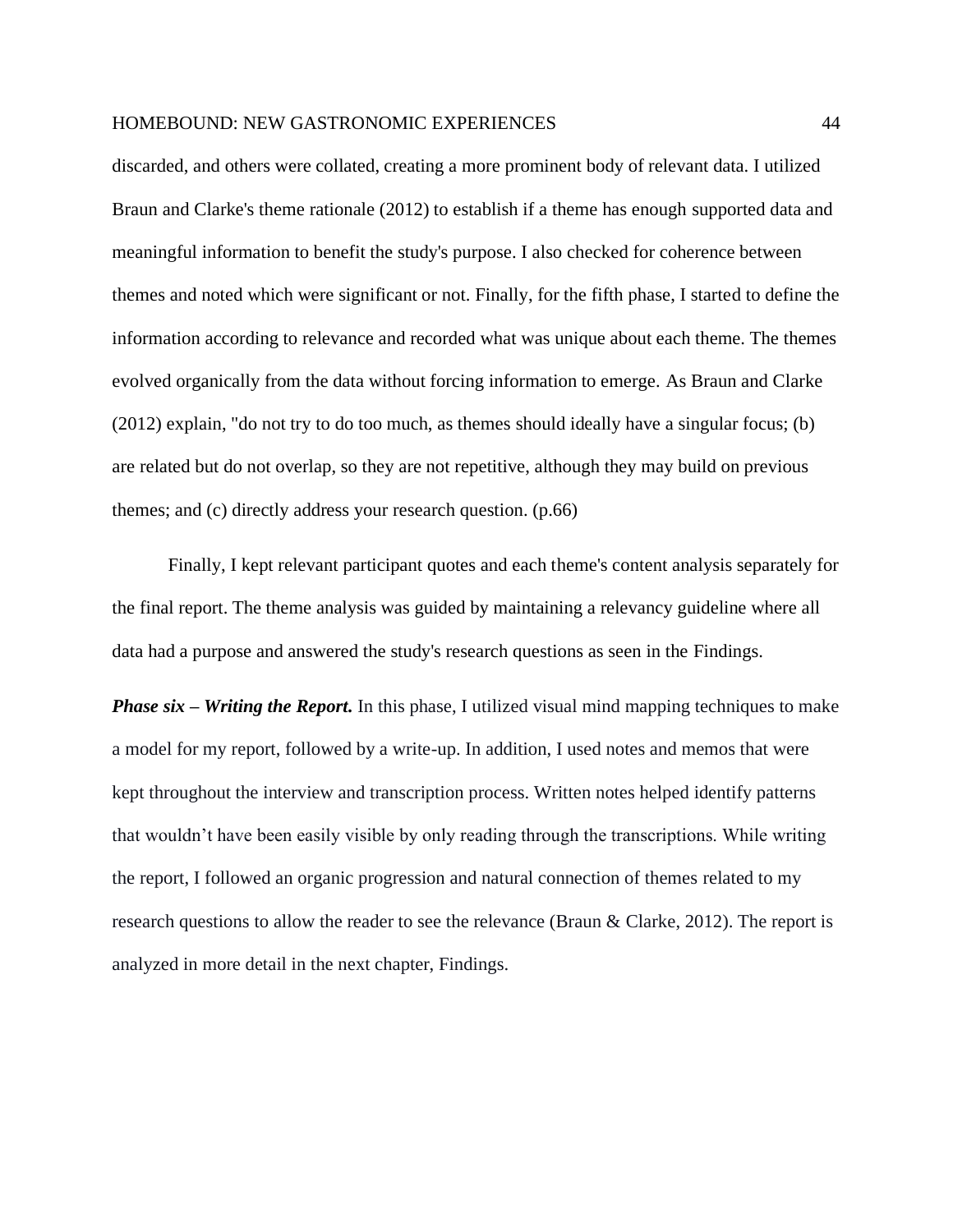discarded, and others were collated, creating a more prominent body of relevant data. I utilized Braun and Clarke's theme rationale (2012) to establish if a theme has enough supported data and meaningful information to benefit the study's purpose. I also checked for coherence between themes and noted which were significant or not. Finally, for the fifth phase, I started to define the information according to relevance and recorded what was unique about each theme. The themes evolved organically from the data without forcing information to emerge. As Braun and Clarke (2012) explain, "do not try to do too much, as themes should ideally have a singular focus; (b) are related but do not overlap, so they are not repetitive, although they may build on previous themes; and (c) directly address your research question. (p.66)

Finally, I kept relevant participant quotes and each theme's content analysis separately for the final report. The theme analysis was guided by maintaining a relevancy guideline where all data had a purpose and answered the study's research questions as seen in the Findings.

*Phase six – Writing the Report.* In this phase, I utilized visual mind mapping techniques to make a model for my report, followed by a write-up. In addition, I used notes and memos that were kept throughout the interview and transcription process. Written notes helped identify patterns that wouldn't have been easily visible by only reading through the transcriptions. While writing the report, I followed an organic progression and natural connection of themes related to my research questions to allow the reader to see the relevance (Braun & Clarke, 2012). The report is analyzed in more detail in the next chapter, Findings.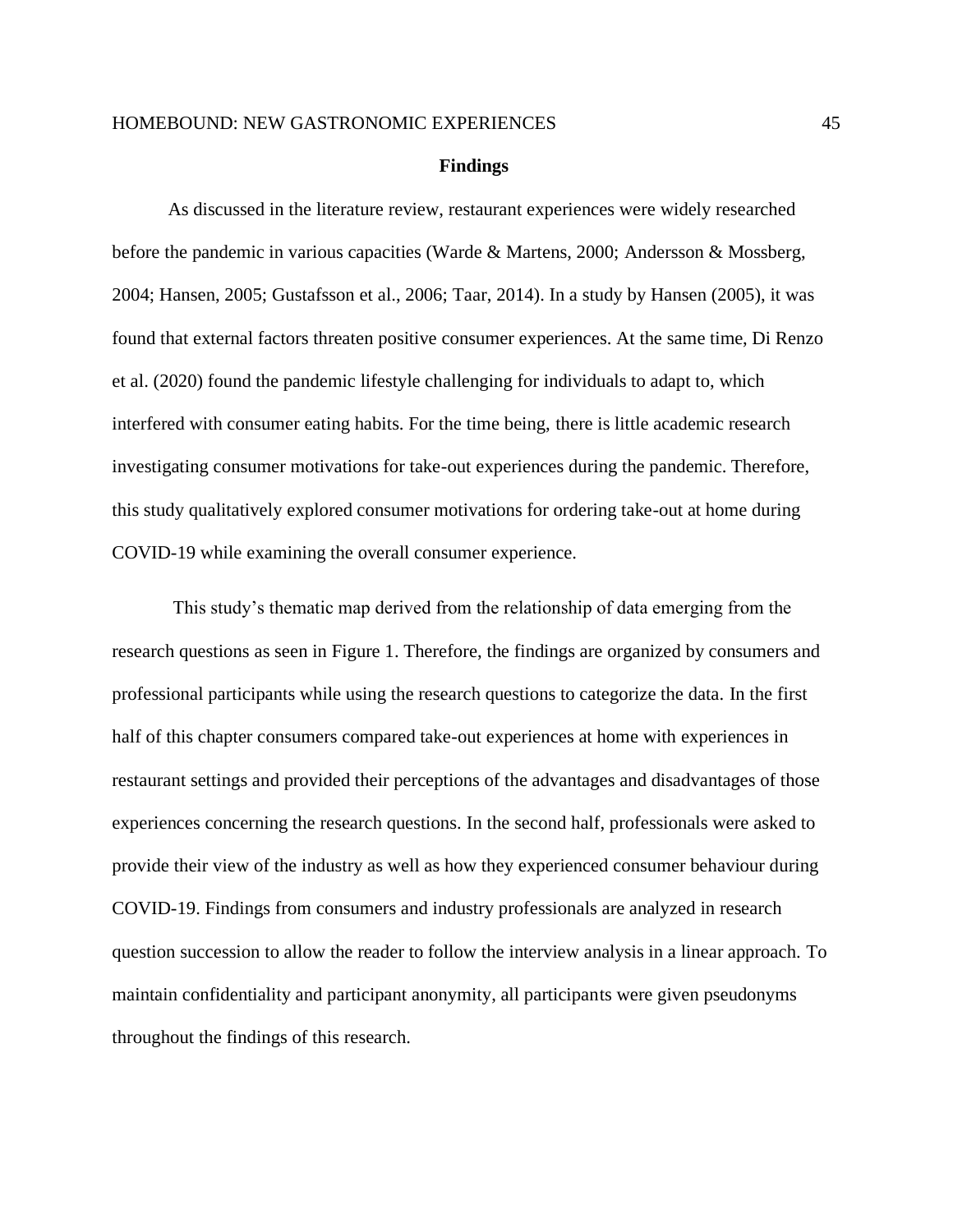#### **Findings**

As discussed in the literature review, restaurant experiences were widely researched before the pandemic in various capacities (Warde & Martens, 2000; Andersson & Mossberg, 2004; Hansen, 2005; Gustafsson et al., 2006; Taar, 2014). In a study by Hansen (2005), it was found that external factors threaten positive consumer experiences. At the same time, Di Renzo et al. (2020) found the pandemic lifestyle challenging for individuals to adapt to, which interfered with consumer eating habits. For the time being, there is little academic research investigating consumer motivations for take-out experiences during the pandemic. Therefore, this study qualitatively explored consumer motivations for ordering take-out at home during COVID-19 while examining the overall consumer experience.

This study's thematic map derived from the relationship of data emerging from the research questions as seen in Figure 1. Therefore, the findings are organized by consumers and professional participants while using the research questions to categorize the data. In the first half of this chapter consumers compared take-out experiences at home with experiences in restaurant settings and provided their perceptions of the advantages and disadvantages of those experiences concerning the research questions. In the second half, professionals were asked to provide their view of the industry as well as how they experienced consumer behaviour during COVID-19. Findings from consumers and industry professionals are analyzed in research question succession to allow the reader to follow the interview analysis in a linear approach. To maintain confidentiality and participant anonymity, all participants were given pseudonyms throughout the findings of this research.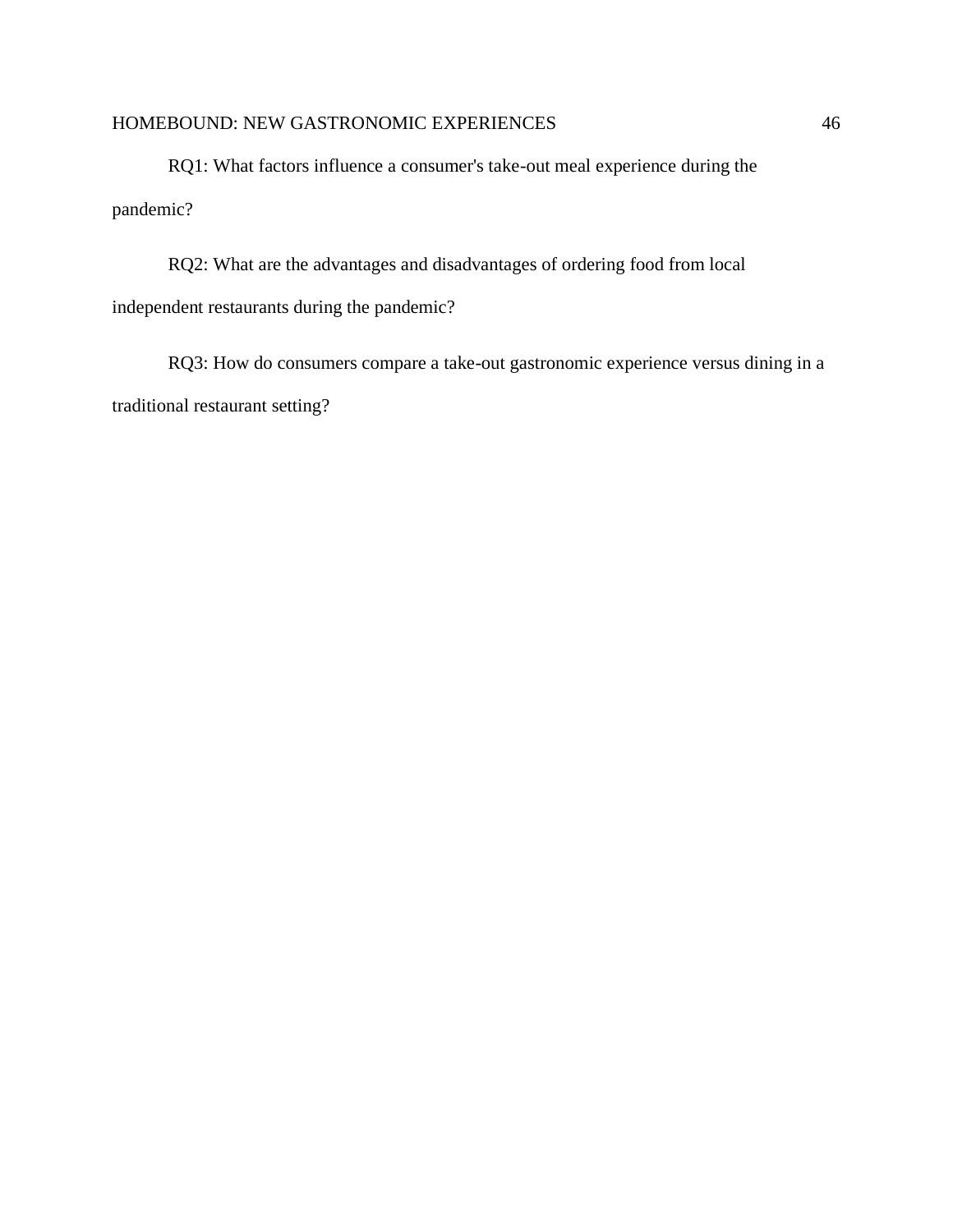RQ1: What factors influence a consumer's take-out meal experience during the pandemic?

RQ2: What are the advantages and disadvantages of ordering food from local independent restaurants during the pandemic?

RQ3: How do consumers compare a take-out gastronomic experience versus dining in a traditional restaurant setting?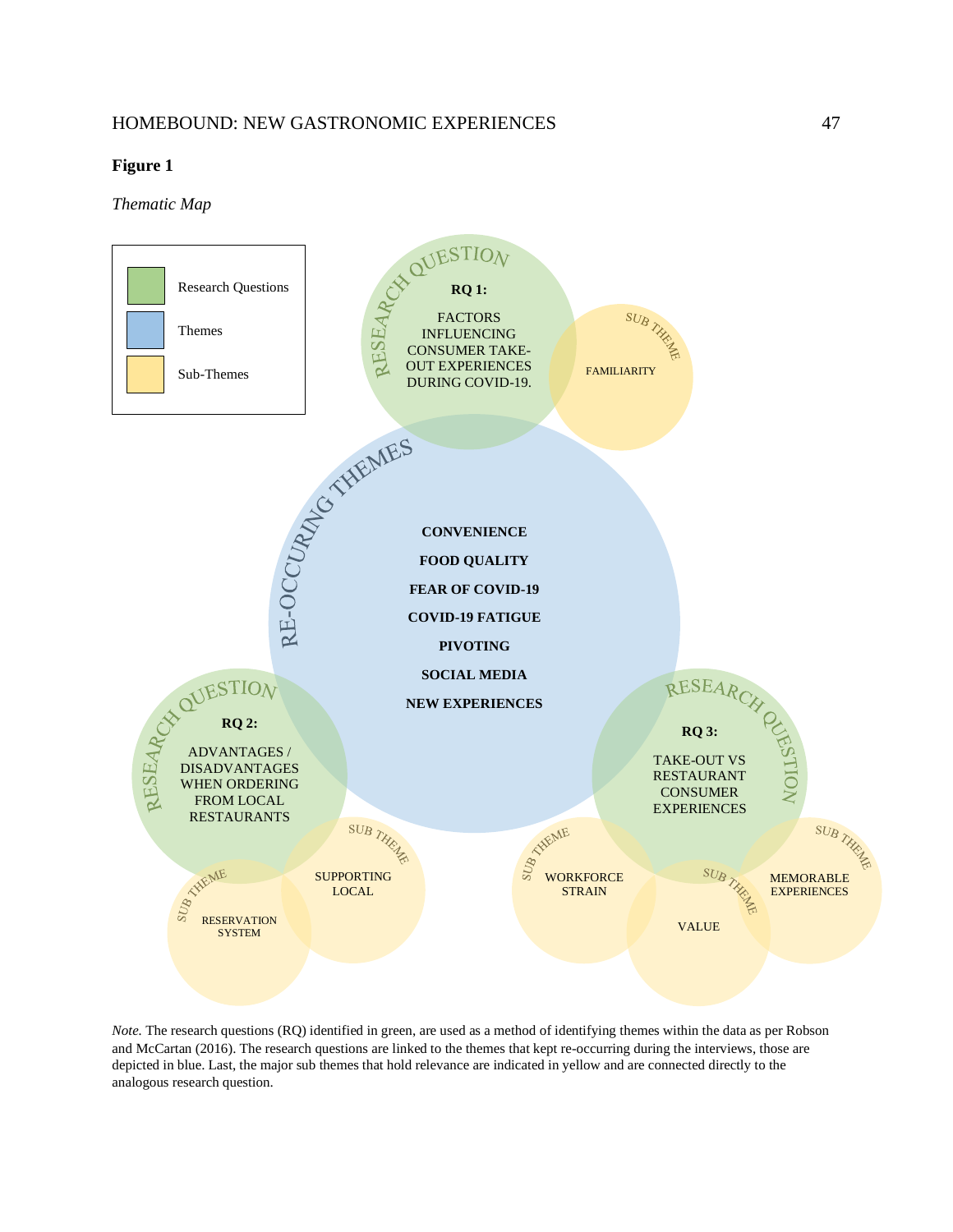#### **Figure 1**

*Thematic Map*



*Note.* The research questions (RQ) identified in green, are used as a method of identifying themes within the data as per Robson and McCartan (2016). The research questions are linked to the themes that kept re-occurring during the interviews, those are depicted in blue. Last, the major sub themes that hold relevance are indicated in yellow and are connected directly to the analogous research question.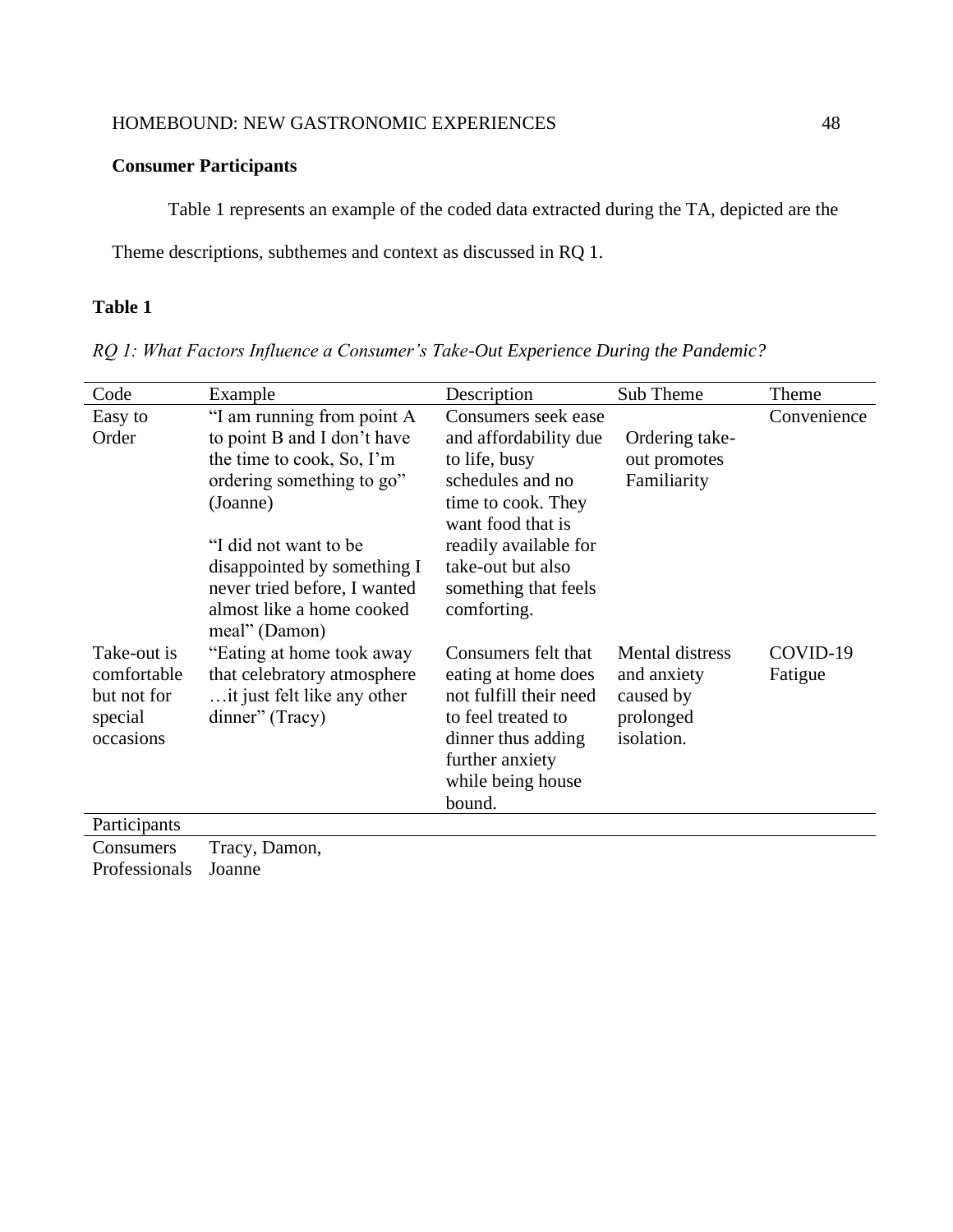### **Consumer Participants**

Table 1 represents an example of the coded data extracted during the TA, depicted are the

Theme descriptions, subthemes and context as discussed in RQ 1.

### **Table 1**

*RQ 1: What Factors Influence a Consumer's Take-Out Experience During the Pandemic?* 

| Code         | Example                      | Description            | Sub Theme       | Theme       |
|--------------|------------------------------|------------------------|-----------------|-------------|
| Easy to      | "I am running from point A   | Consumers seek ease    |                 | Convenience |
| Order        | to point B and I don't have  | and affordability due  | Ordering take-  |             |
|              | the time to cook, So, I'm    | to life, busy          | out promotes    |             |
|              | ordering something to go"    | schedules and no       | Familiarity     |             |
|              | (Joanne)                     | time to cook. They     |                 |             |
|              |                              | want food that is      |                 |             |
|              | "I did not want to be        | readily available for  |                 |             |
|              | disappointed by something I  | take-out but also      |                 |             |
|              | never tried before, I wanted | something that feels   |                 |             |
|              | almost like a home cooked    | comforting.            |                 |             |
|              | meal" (Damon)                |                        |                 |             |
| Take-out is  | "Eating at home took away"   | Consumers felt that    | Mental distress | COVID-19    |
| comfortable  | that celebratory atmosphere  | eating at home does    | and anxiety     | Fatigue     |
| but not for  | it just felt like any other  | not fulfill their need | caused by       |             |
| special      | dinner" (Tracy)              | to feel treated to     | prolonged       |             |
| occasions    |                              | dinner thus adding     | isolation.      |             |
|              |                              | further anxiety        |                 |             |
|              |                              |                        |                 |             |
|              |                              | while being house      |                 |             |
|              |                              | bound.                 |                 |             |
| Participants |                              |                        |                 |             |
|              | $\overline{\phantom{0}}$     |                        |                 |             |

Consumers Tracy, Damon, Professionals Joanne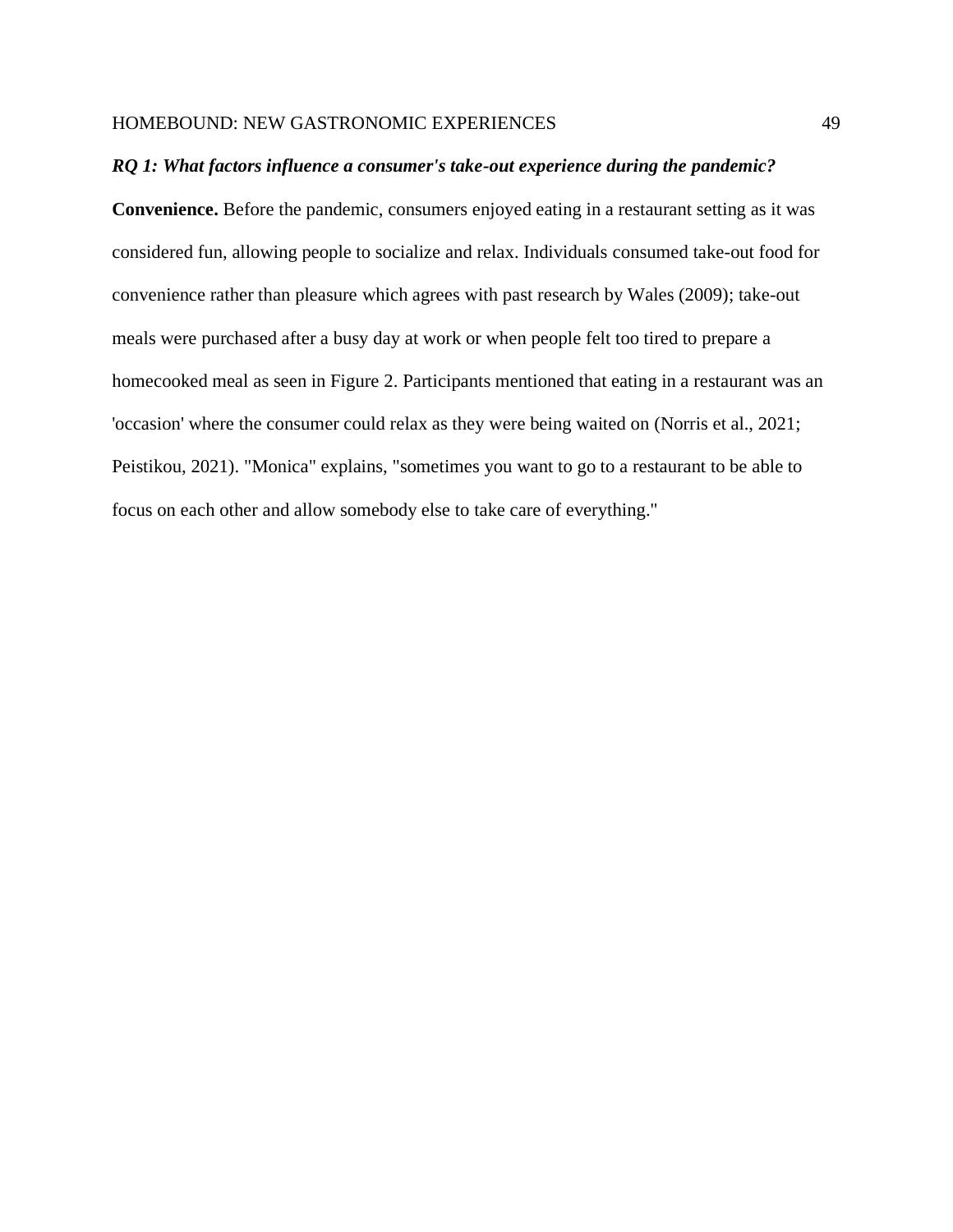#### *RQ 1: What factors influence a consumer's take-out experience during the pandemic?*

**Convenience.** Before the pandemic, consumers enjoyed eating in a restaurant setting as it was considered fun, allowing people to socialize and relax. Individuals consumed take-out food for convenience rather than pleasure which agrees with past research by Wales (2009); take-out meals were purchased after a busy day at work or when people felt too tired to prepare a homecooked meal as seen in Figure 2. Participants mentioned that eating in a restaurant was an 'occasion' where the consumer could relax as they were being waited on (Norris et al., 2021; Peistikou, 2021). "Monica" explains, "sometimes you want to go to a restaurant to be able to focus on each other and allow somebody else to take care of everything."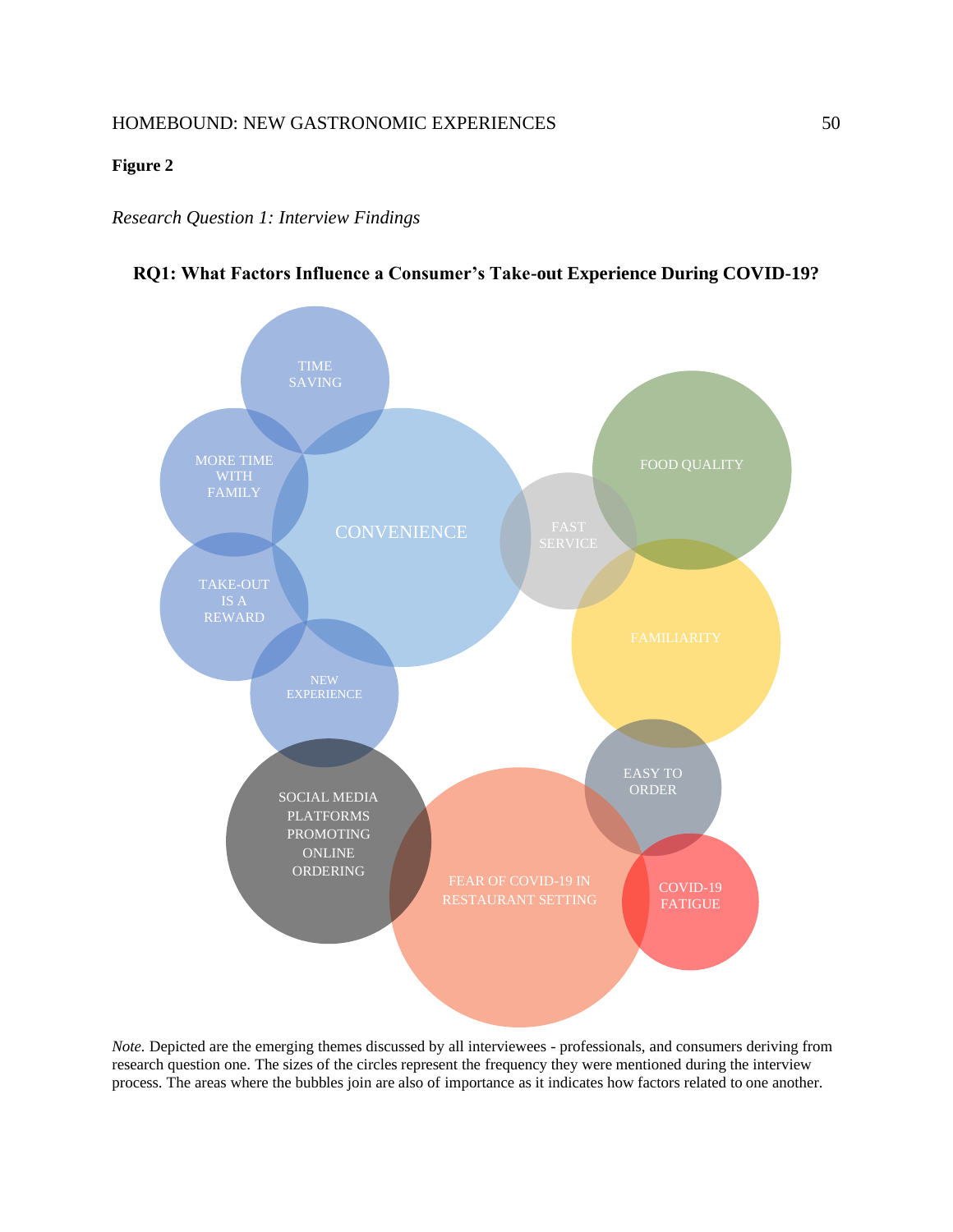#### **Figure 2**

#### *Research Question 1: Interview Findings*





*Note.* Depicted are the emerging themes discussed by all interviewees - professionals, and consumers deriving from research question one. The sizes of the circles represent the frequency they were mentioned during the interview process. The areas where the bubbles join are also of importance as it indicates how factors related to one another.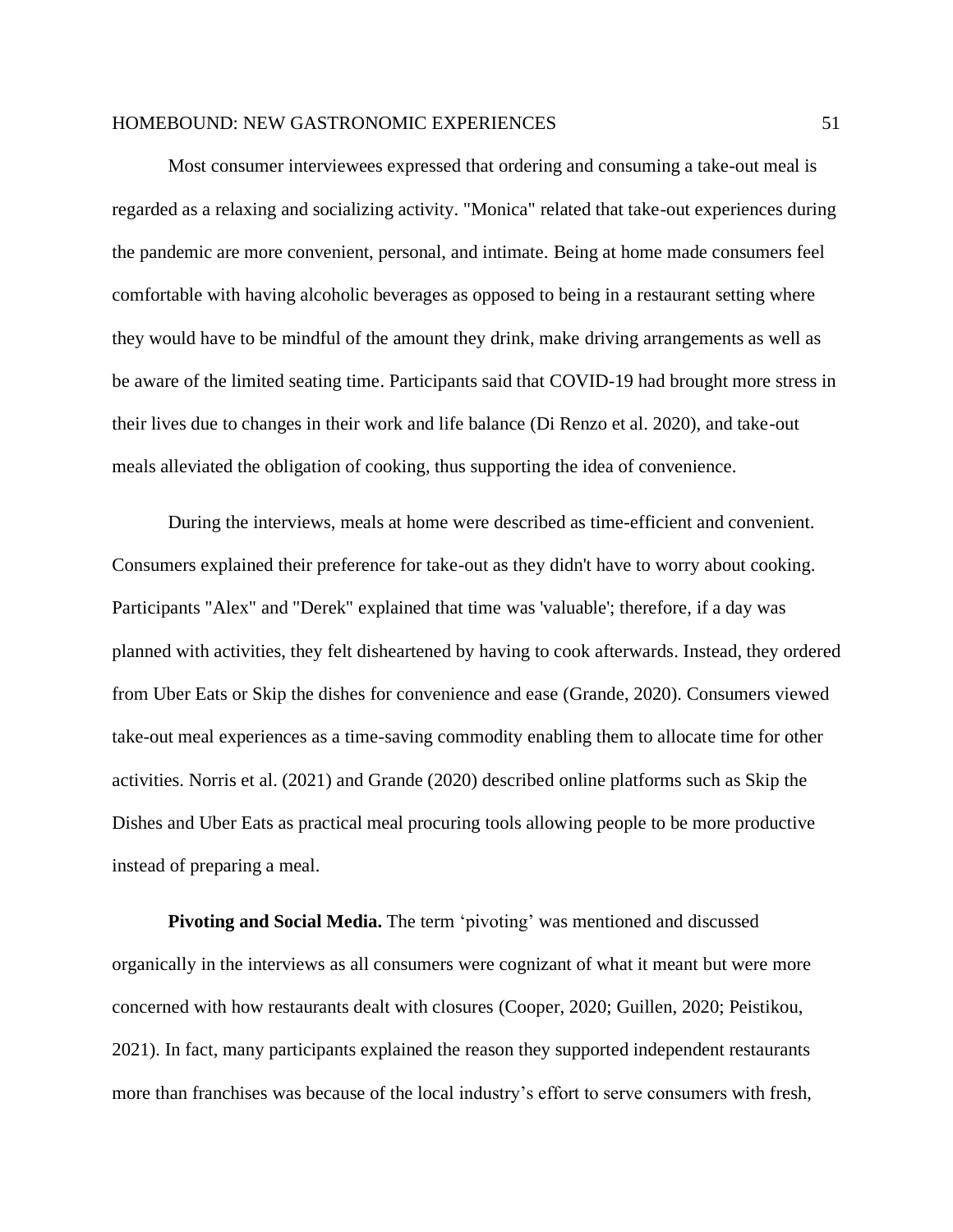Most consumer interviewees expressed that ordering and consuming a take-out meal is regarded as a relaxing and socializing activity. "Monica" related that take-out experiences during the pandemic are more convenient, personal, and intimate. Being at home made consumers feel comfortable with having alcoholic beverages as opposed to being in a restaurant setting where they would have to be mindful of the amount they drink, make driving arrangements as well as be aware of the limited seating time. Participants said that COVID-19 had brought more stress in their lives due to changes in their work and life balance (Di Renzo et al. 2020), and take-out meals alleviated the obligation of cooking, thus supporting the idea of convenience.

During the interviews, meals at home were described as time-efficient and convenient. Consumers explained their preference for take-out as they didn't have to worry about cooking. Participants "Alex" and "Derek" explained that time was 'valuable'; therefore, if a day was planned with activities, they felt disheartened by having to cook afterwards. Instead, they ordered from Uber Eats or Skip the dishes for convenience and ease (Grande, 2020). Consumers viewed take-out meal experiences as a time-saving commodity enabling them to allocate time for other activities. Norris et al. (2021) and Grande (2020) described online platforms such as Skip the Dishes and Uber Eats as practical meal procuring tools allowing people to be more productive instead of preparing a meal.

**Pivoting and Social Media.** The term 'pivoting' was mentioned and discussed organically in the interviews as all consumers were cognizant of what it meant but were more concerned with how restaurants dealt with closures (Cooper, 2020; Guillen, 2020; Peistikou, 2021). In fact, many participants explained the reason they supported independent restaurants more than franchises was because of the local industry's effort to serve consumers with fresh,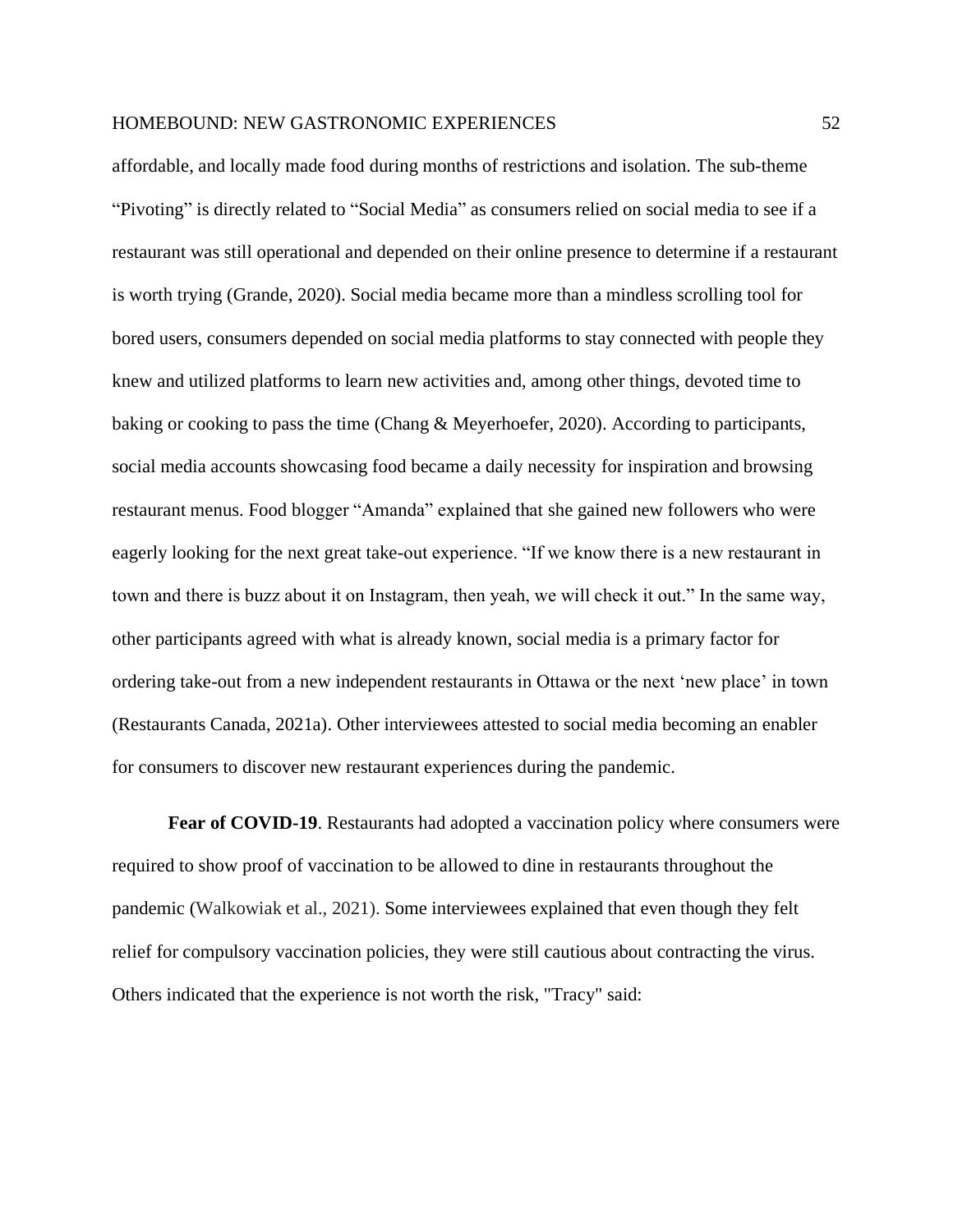affordable, and locally made food during months of restrictions and isolation. The sub-theme "Pivoting" is directly related to "Social Media" as consumers relied on social media to see if a restaurant was still operational and depended on their online presence to determine if a restaurant is worth trying (Grande, 2020). Social media became more than a mindless scrolling tool for bored users, consumers depended on social media platforms to stay connected with people they knew and utilized platforms to learn new activities and, among other things, devoted time to baking or cooking to pass the time (Chang & Meyerhoefer, 2020). According to participants, social media accounts showcasing food became a daily necessity for inspiration and browsing restaurant menus. Food blogger "Amanda" explained that she gained new followers who were eagerly looking for the next great take-out experience. "If we know there is a new restaurant in town and there is buzz about it on Instagram, then yeah, we will check it out." In the same way, other participants agreed with what is already known, social media is a primary factor for ordering take-out from a new independent restaurants in Ottawa or the next 'new place' in town (Restaurants Canada, 2021a). Other interviewees attested to social media becoming an enabler for consumers to discover new restaurant experiences during the pandemic.

**Fear of COVID-19.** Restaurants had adopted a vaccination policy where consumers were required to show proof of vaccination to be allowed to dine in restaurants throughout the pandemic (Walkowiak et al., 2021). Some interviewees explained that even though they felt relief for compulsory vaccination policies, they were still cautious about contracting the virus. Others indicated that the experience is not worth the risk, "Tracy" said: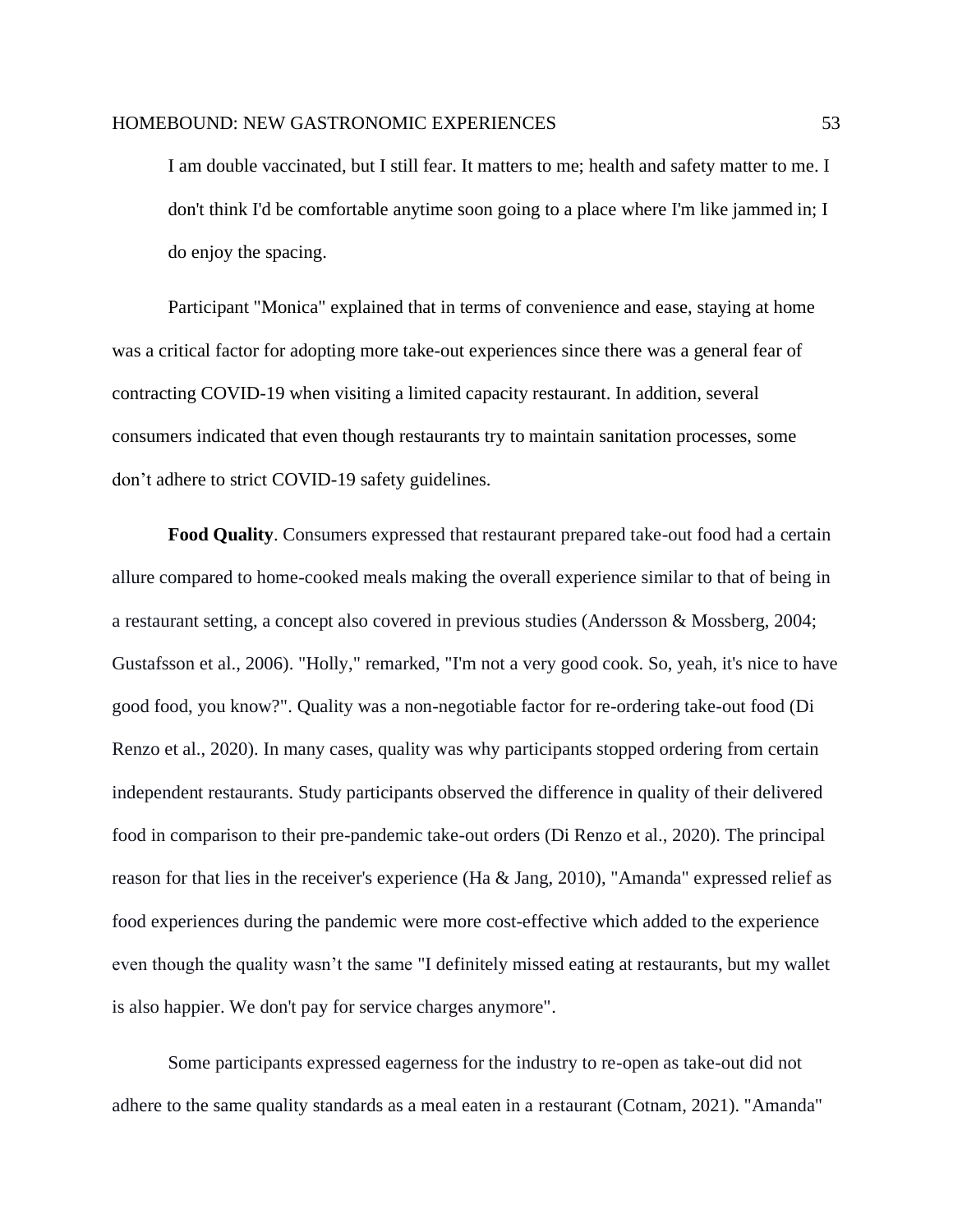I am double vaccinated, but I still fear. It matters to me; health and safety matter to me. I don't think I'd be comfortable anytime soon going to a place where I'm like jammed in; I do enjoy the spacing.

Participant "Monica" explained that in terms of convenience and ease, staying at home was a critical factor for adopting more take-out experiences since there was a general fear of contracting COVID-19 when visiting a limited capacity restaurant. In addition, several consumers indicated that even though restaurants try to maintain sanitation processes, some don't adhere to strict COVID-19 safety guidelines.

**Food Quality**. Consumers expressed that restaurant prepared take-out food had a certain allure compared to home-cooked meals making the overall experience similar to that of being in a restaurant setting, a concept also covered in previous studies (Andersson & Mossberg, 2004; Gustafsson et al., 2006). "Holly," remarked, "I'm not a very good cook. So, yeah, it's nice to have good food, you know?". Quality was a non-negotiable factor for re-ordering take-out food (Di Renzo et al., 2020). In many cases, quality was why participants stopped ordering from certain independent restaurants. Study participants observed the difference in quality of their delivered food in comparison to their pre-pandemic take-out orders (Di Renzo et al., 2020). The principal reason for that lies in the receiver's experience (Ha & Jang, 2010), "Amanda" expressed relief as food experiences during the pandemic were more cost-effective which added to the experience even though the quality wasn't the same "I definitely missed eating at restaurants, but my wallet is also happier. We don't pay for service charges anymore".

Some participants expressed eagerness for the industry to re-open as take-out did not adhere to the same quality standards as a meal eaten in a restaurant (Cotnam, 2021). "Amanda"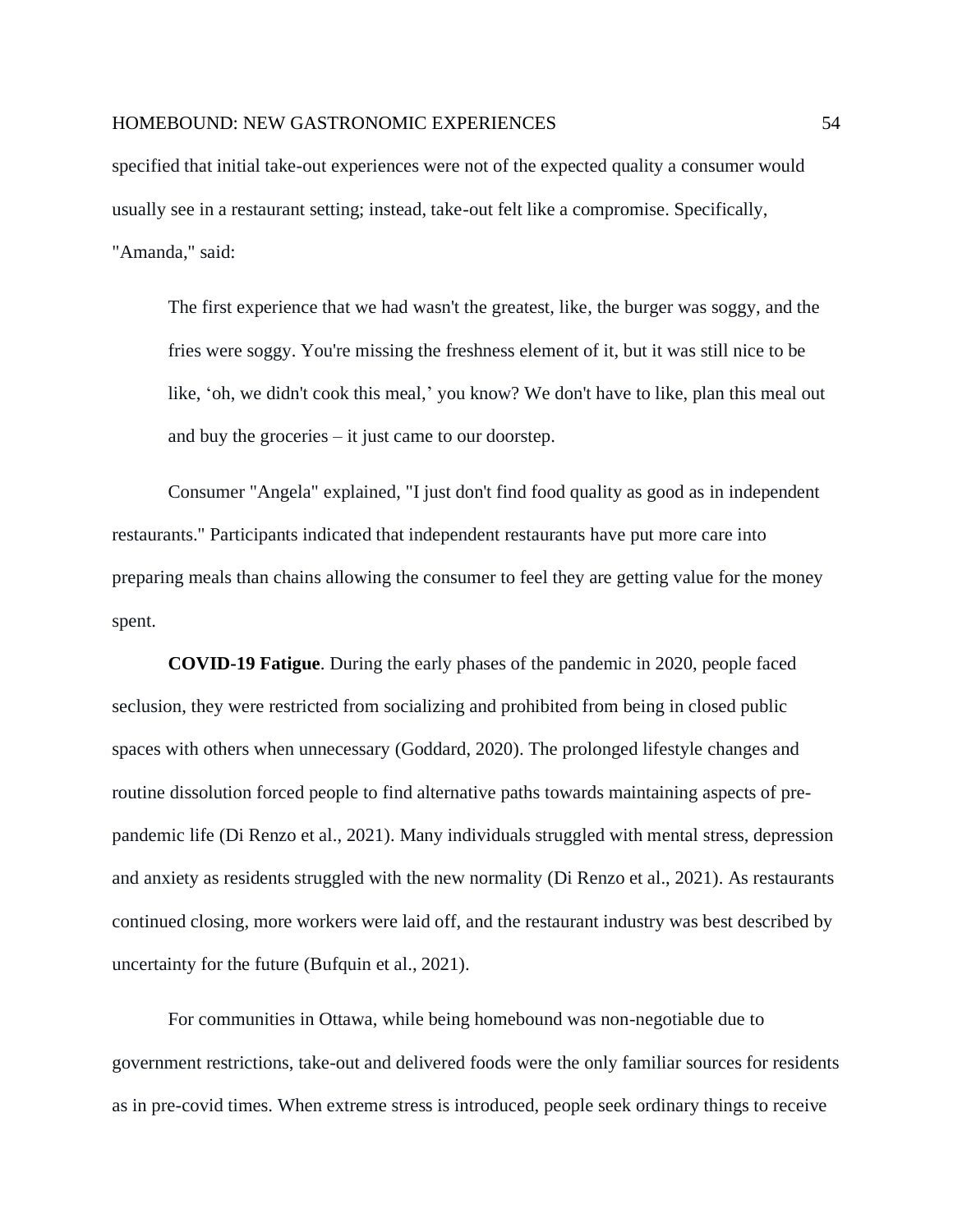specified that initial take-out experiences were not of the expected quality a consumer would usually see in a restaurant setting; instead, take-out felt like a compromise. Specifically, "Amanda," said:

The first experience that we had wasn't the greatest, like, the burger was soggy, and the fries were soggy. You're missing the freshness element of it, but it was still nice to be like, 'oh, we didn't cook this meal,' you know? We don't have to like, plan this meal out and buy the groceries – it just came to our doorstep.

Consumer "Angela" explained, "I just don't find food quality as good as in independent restaurants." Participants indicated that independent restaurants have put more care into preparing meals than chains allowing the consumer to feel they are getting value for the money spent.

**COVID-19 Fatigue**. During the early phases of the pandemic in 2020, people faced seclusion, they were restricted from socializing and prohibited from being in closed public spaces with others when unnecessary (Goddard, 2020). The prolonged lifestyle changes and routine dissolution forced people to find alternative paths towards maintaining aspects of prepandemic life (Di Renzo et al., 2021). Many individuals struggled with mental stress, depression and anxiety as residents struggled with the new normality (Di Renzo et al., 2021). As restaurants continued closing, more workers were laid off, and the restaurant industry was best described by uncertainty for the future (Bufquin et al., 2021).

For communities in Ottawa, while being homebound was non-negotiable due to government restrictions, take-out and delivered foods were the only familiar sources for residents as in pre-covid times. When extreme stress is introduced, people seek ordinary things to receive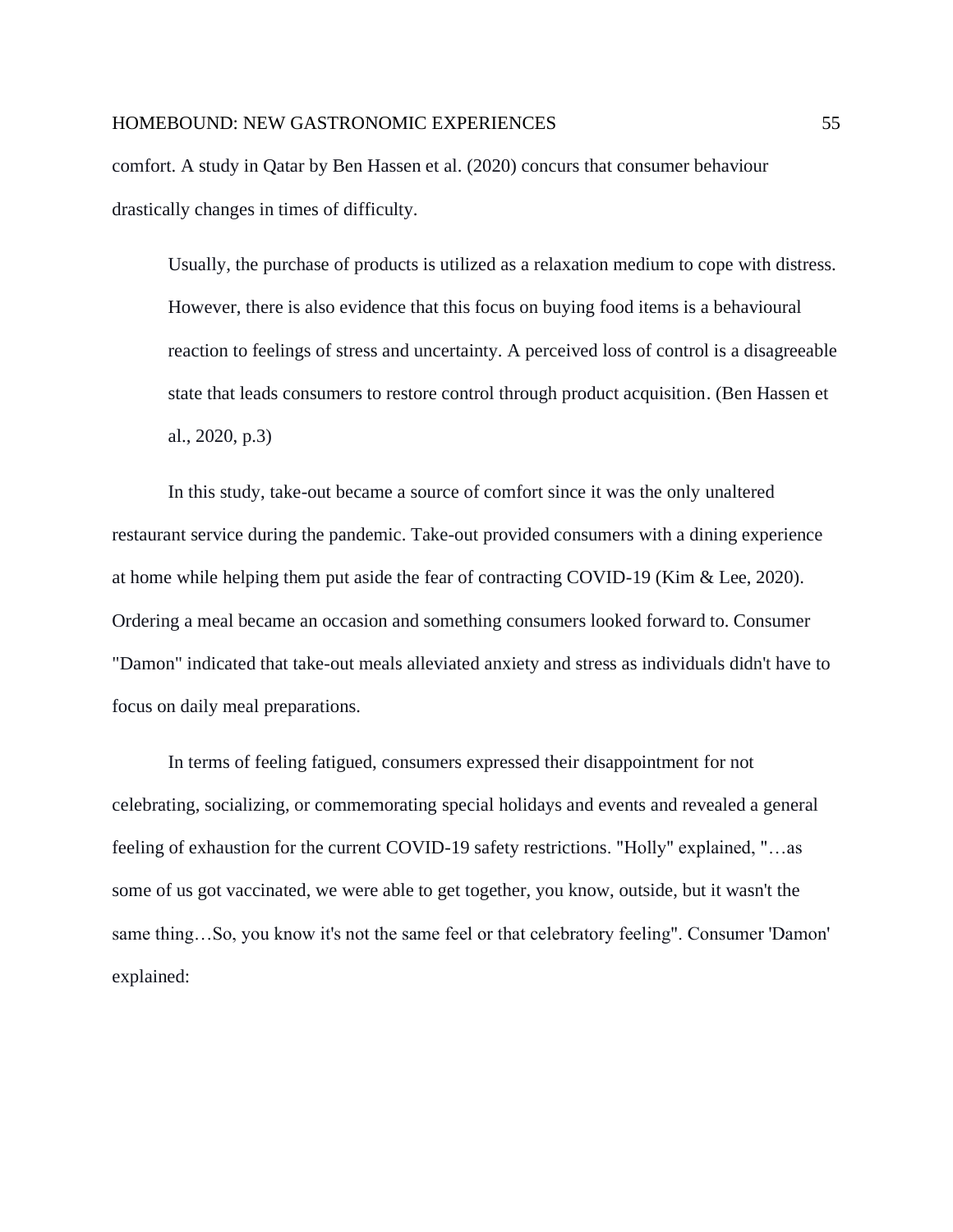comfort. A study in Qatar by Ben Hassen et al. (2020) concurs that consumer behaviour drastically changes in times of difficulty.

Usually, the purchase of products is utilized as a relaxation medium to cope with distress. However, there is also evidence that this focus on buying food items is a behavioural reaction to feelings of stress and uncertainty. A perceived loss of control is a disagreeable state that leads consumers to restore control through product acquisition. (Ben Hassen et al., 2020, p.3)

In this study, take-out became a source of comfort since it was the only unaltered restaurant service during the pandemic. Take-out provided consumers with a dining experience at home while helping them put aside the fear of contracting COVID-19 (Kim & Lee, 2020). Ordering a meal became an occasion and something consumers looked forward to. Consumer "Damon" indicated that take-out meals alleviated anxiety and stress as individuals didn't have to focus on daily meal preparations.

In terms of feeling fatigued, consumers expressed their disappointment for not celebrating, socializing, or commemorating special holidays and events and revealed a general feeling of exhaustion for the current COVID-19 safety restrictions. "Holly" explained, "…as some of us got vaccinated, we were able to get together, you know, outside, but it wasn't the same thing…So, you know it's not the same feel or that celebratory feeling". Consumer 'Damon' explained: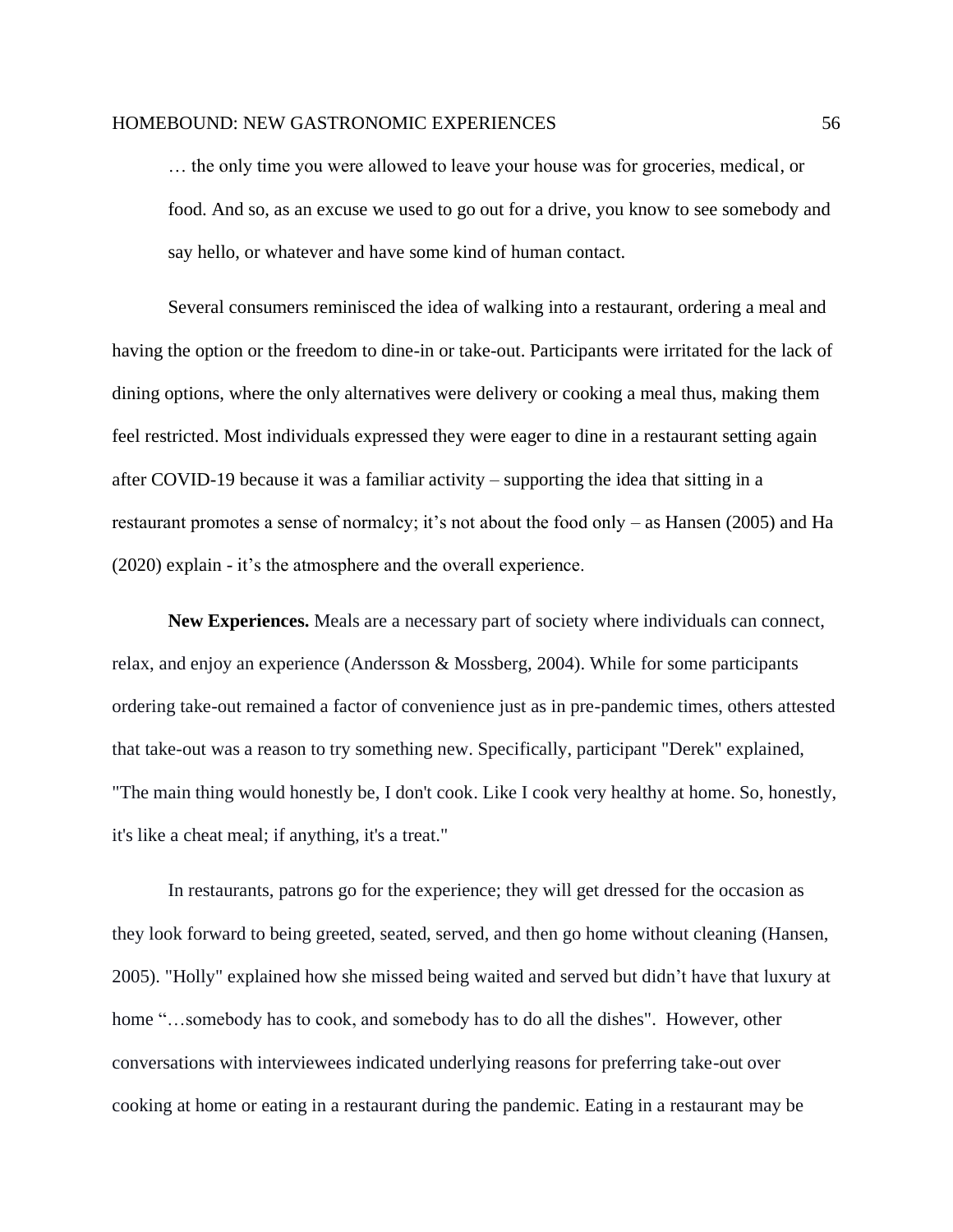… the only time you were allowed to leave your house was for groceries, medical, or food. And so, as an excuse we used to go out for a drive, you know to see somebody and say hello, or whatever and have some kind of human contact.

Several consumers reminisced the idea of walking into a restaurant, ordering a meal and having the option or the freedom to dine-in or take-out. Participants were irritated for the lack of dining options, where the only alternatives were delivery or cooking a meal thus, making them feel restricted. Most individuals expressed they were eager to dine in a restaurant setting again after COVID-19 because it was a familiar activity – supporting the idea that sitting in a restaurant promotes a sense of normalcy; it's not about the food only – as Hansen (2005) and Ha (2020) explain - it's the atmosphere and the overall experience.

**New Experiences.** Meals are a necessary part of society where individuals can connect, relax, and enjoy an experience (Andersson & Mossberg, 2004). While for some participants ordering take-out remained a factor of convenience just as in pre-pandemic times, others attested that take-out was a reason to try something new. Specifically, participant "Derek" explained, "The main thing would honestly be, I don't cook. Like I cook very healthy at home. So, honestly, it's like a cheat meal; if anything, it's a treat."

In restaurants, patrons go for the experience; they will get dressed for the occasion as they look forward to being greeted, seated, served, and then go home without cleaning (Hansen, 2005). "Holly" explained how she missed being waited and served but didn't have that luxury at home "…somebody has to cook, and somebody has to do all the dishes". However, other conversations with interviewees indicated underlying reasons for preferring take-out over cooking at home or eating in a restaurant during the pandemic. Eating in a restaurant may be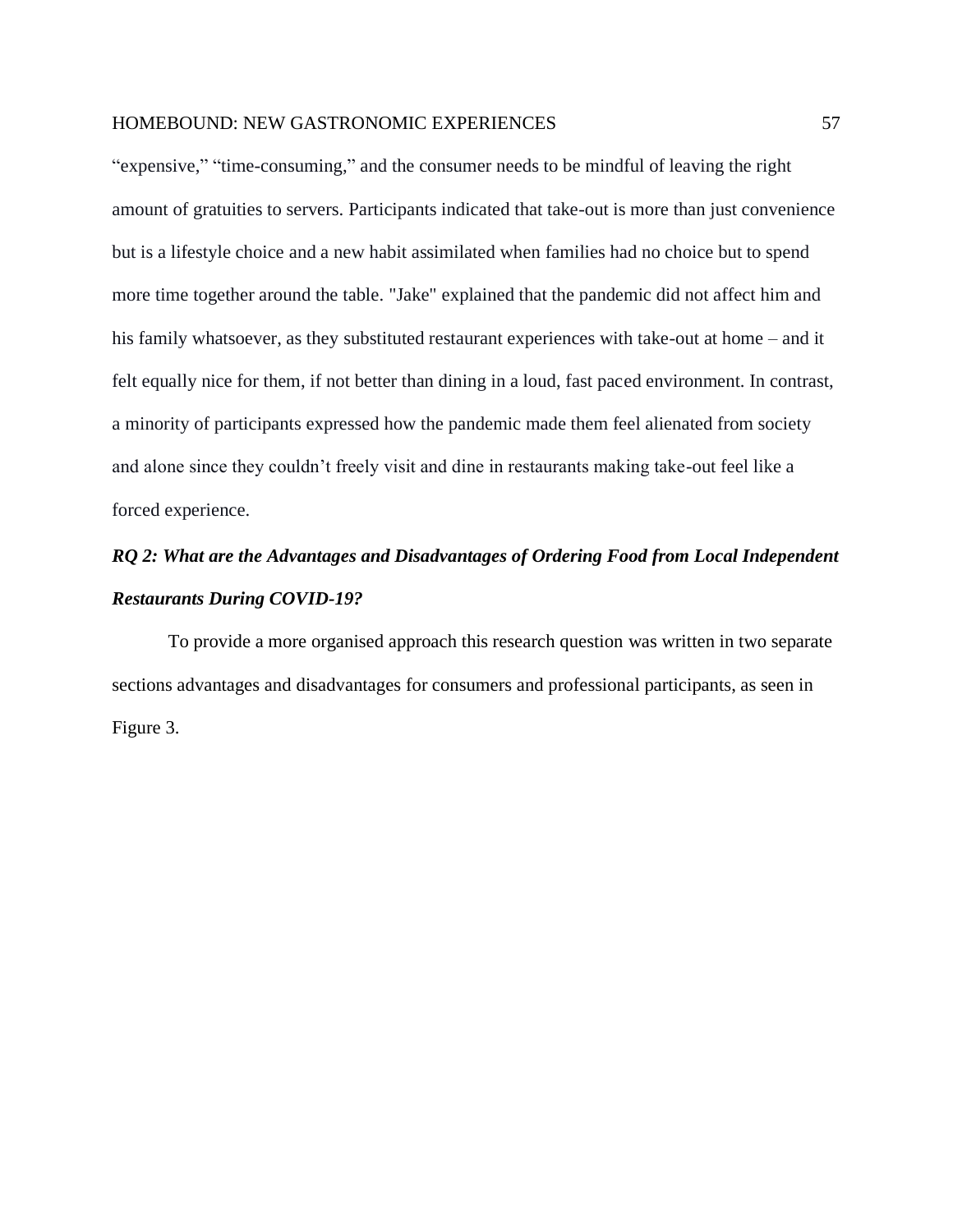"expensive," "time-consuming," and the consumer needs to be mindful of leaving the right amount of gratuities to servers. Participants indicated that take-out is more than just convenience but is a lifestyle choice and a new habit assimilated when families had no choice but to spend more time together around the table. "Jake" explained that the pandemic did not affect him and his family whatsoever, as they substituted restaurant experiences with take-out at home – and it felt equally nice for them, if not better than dining in a loud, fast paced environment. In contrast, a minority of participants expressed how the pandemic made them feel alienated from society and alone since they couldn't freely visit and dine in restaurants making take-out feel like a forced experience.

# *RQ 2: What are the Advantages and Disadvantages of Ordering Food from Local Independent Restaurants During COVID-19?*

To provide a more organised approach this research question was written in two separate sections advantages and disadvantages for consumers and professional participants, as seen in Figure 3.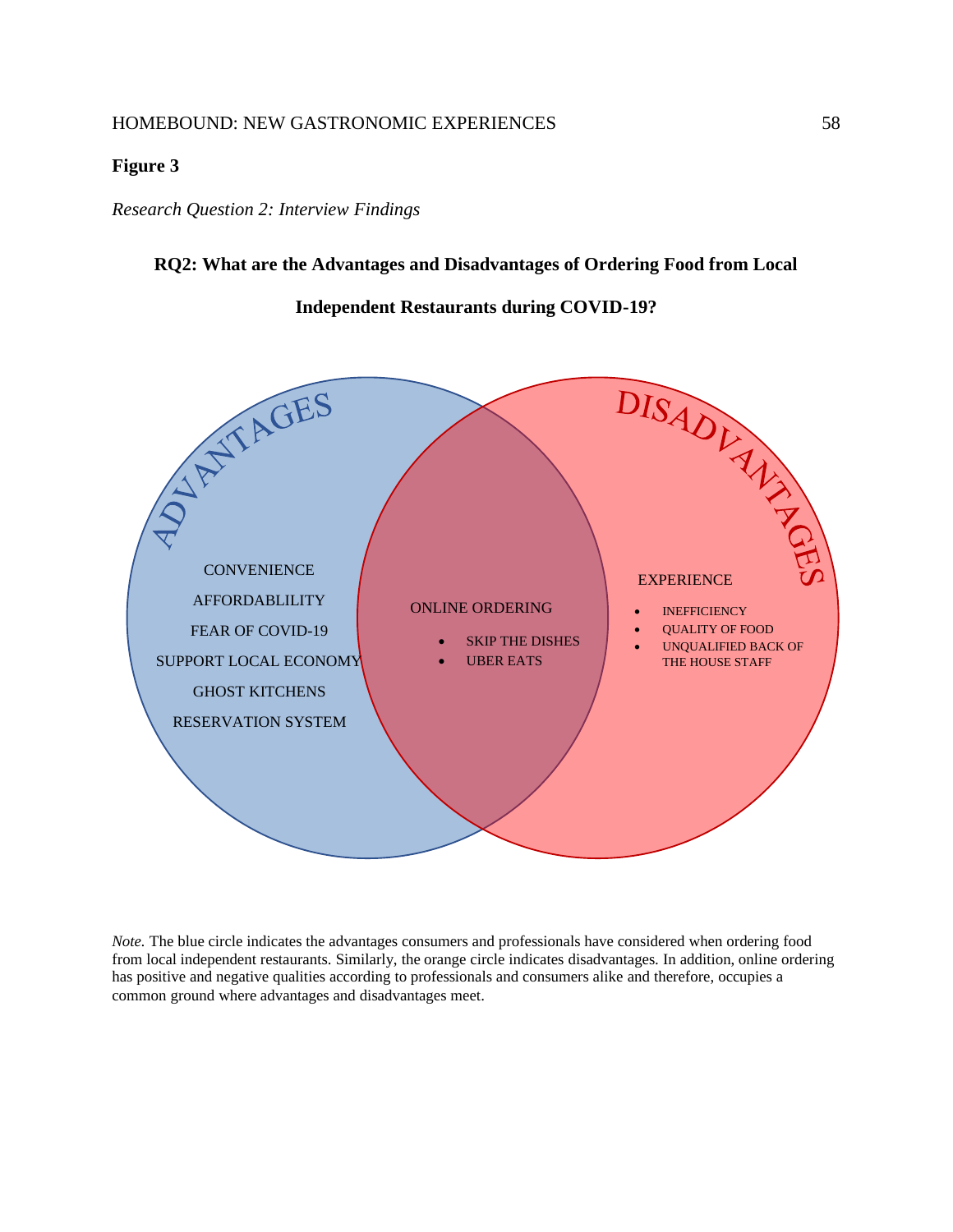#### **Figure 3**

#### *Research Question 2: Interview Findings*

#### **RQ2: What are the Advantages and Disadvantages of Ordering Food from Local**

**Independent Restaurants during COVID-19?**



*Note.* The blue circle indicates the advantages consumers and professionals have considered when ordering food from local independent restaurants. Similarly, the orange circle indicates disadvantages. In addition, online ordering has positive and negative qualities according to professionals and consumers alike and therefore, occupies a common ground where advantages and disadvantages meet.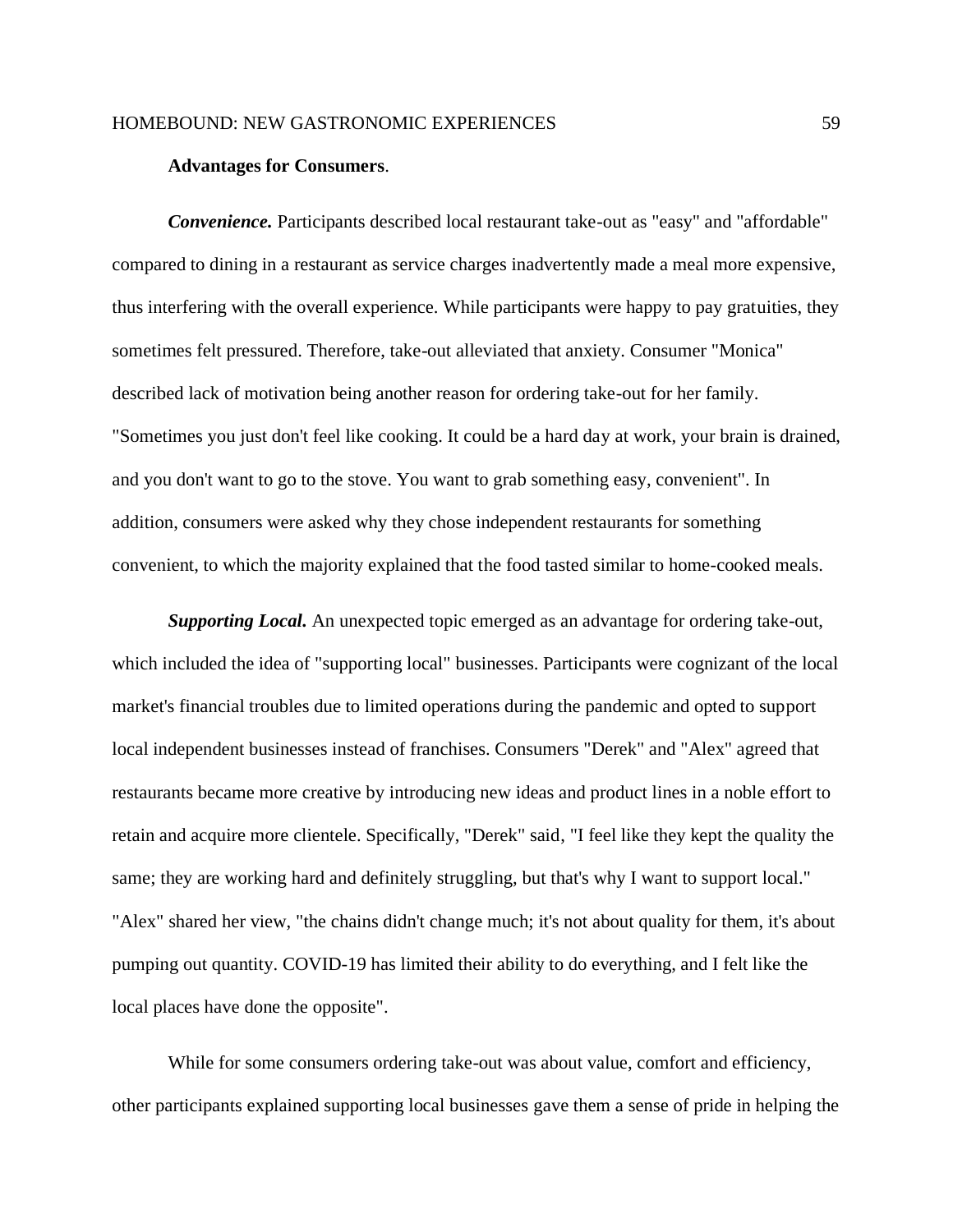#### **Advantages for Consumers**.

*Convenience.* Participants described local restaurant take-out as "easy" and "affordable" compared to dining in a restaurant as service charges inadvertently made a meal more expensive, thus interfering with the overall experience. While participants were happy to pay gratuities, they sometimes felt pressured. Therefore, take-out alleviated that anxiety. Consumer "Monica" described lack of motivation being another reason for ordering take-out for her family. "Sometimes you just don't feel like cooking. It could be a hard day at work, your brain is drained, and you don't want to go to the stove. You want to grab something easy, convenient". In addition, consumers were asked why they chose independent restaurants for something convenient, to which the majority explained that the food tasted similar to home-cooked meals.

*Supporting Local.* An unexpected topic emerged as an advantage for ordering take-out, which included the idea of "supporting local" businesses. Participants were cognizant of the local market's financial troubles due to limited operations during the pandemic and opted to support local independent businesses instead of franchises. Consumers "Derek" and "Alex" agreed that restaurants became more creative by introducing new ideas and product lines in a noble effort to retain and acquire more clientele. Specifically, "Derek" said, "I feel like they kept the quality the same; they are working hard and definitely struggling, but that's why I want to support local." "Alex" shared her view, "the chains didn't change much; it's not about quality for them, it's about pumping out quantity. COVID-19 has limited their ability to do everything, and I felt like the local places have done the opposite".

While for some consumers ordering take-out was about value, comfort and efficiency, other participants explained supporting local businesses gave them a sense of pride in helping the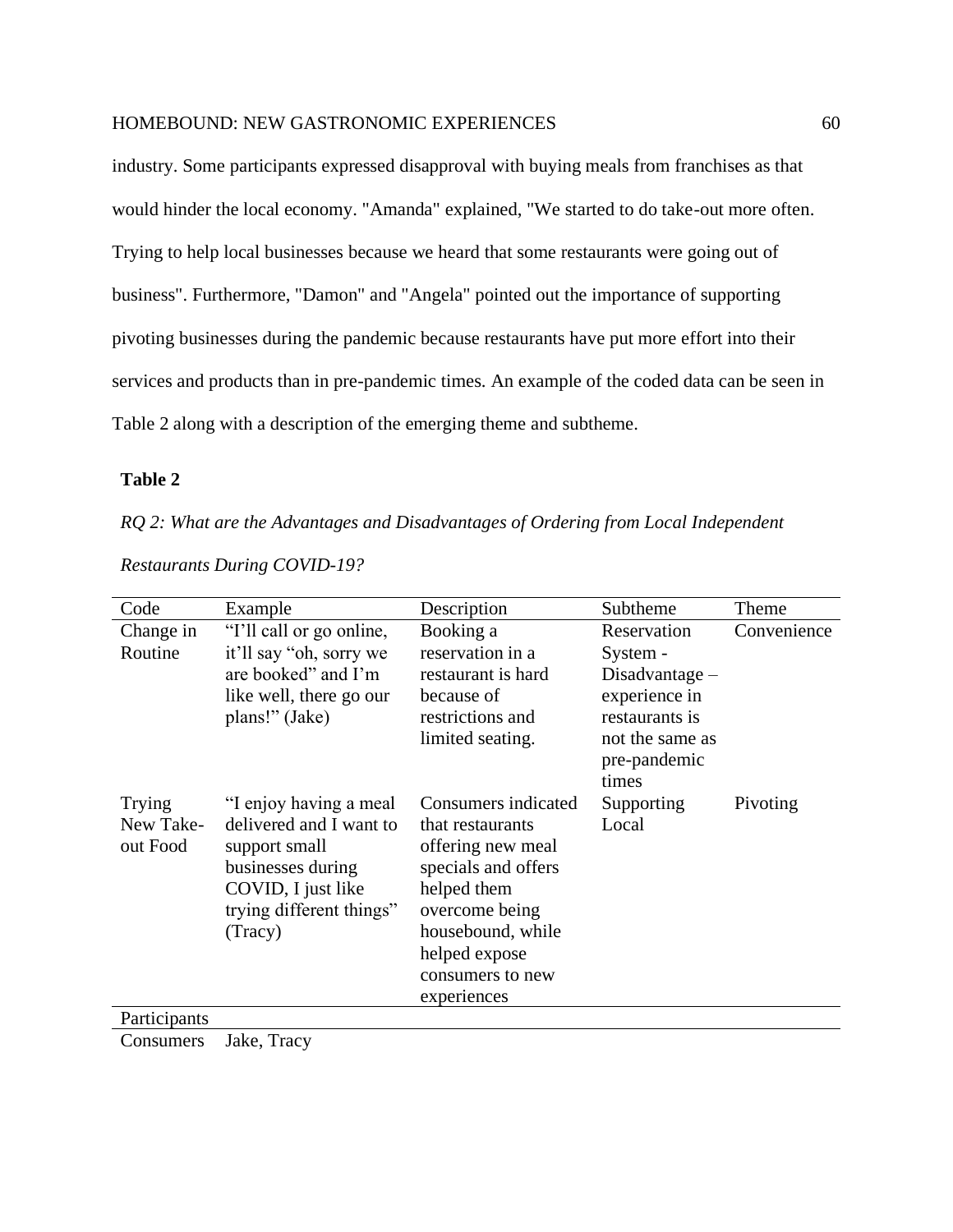industry. Some participants expressed disapproval with buying meals from franchises as that would hinder the local economy. "Amanda" explained, "We started to do take-out more often. Trying to help local businesses because we heard that some restaurants were going out of business". Furthermore, "Damon" and "Angela" pointed out the importance of supporting pivoting businesses during the pandemic because restaurants have put more effort into their services and products than in pre-pandemic times. An example of the coded data can be seen in Table 2 along with a description of the emerging theme and subtheme.

### **Table 2**

*RQ 2: What are the Advantages and Disadvantages of Ordering from Local Independent* 

| Code                            | Example                                                                                                                                              | Description                                                                                                                                                                                   | Subtheme                                                                                                                   | Theme       |
|---------------------------------|------------------------------------------------------------------------------------------------------------------------------------------------------|-----------------------------------------------------------------------------------------------------------------------------------------------------------------------------------------------|----------------------------------------------------------------------------------------------------------------------------|-------------|
| Change in<br>Routine            | "I'll call or go online,<br>it'll say "oh, sorry we<br>are booked" and I'm<br>like well, there go our<br>plans!" (Jake)                              | Booking a<br>reservation in a<br>restaurant is hard<br>because of<br>restrictions and<br>limited seating.                                                                                     | Reservation<br>System -<br>$Disadvantage -$<br>experience in<br>restaurants is<br>not the same as<br>pre-pandemic<br>times | Convenience |
| Trying<br>New Take-<br>out Food | "I enjoy having a meal<br>delivered and I want to<br>support small<br>businesses during<br>COVID, I just like<br>trying different things"<br>(Tracy) | Consumers indicated<br>that restaurants<br>offering new meal<br>specials and offers<br>helped them<br>overcome being<br>housebound, while<br>helped expose<br>consumers to new<br>experiences | Supporting<br>Local                                                                                                        | Pivoting    |
| Participants                    |                                                                                                                                                      |                                                                                                                                                                                               |                                                                                                                            |             |

*Restaurants During COVID-19?*

Consumers Jake, Tracy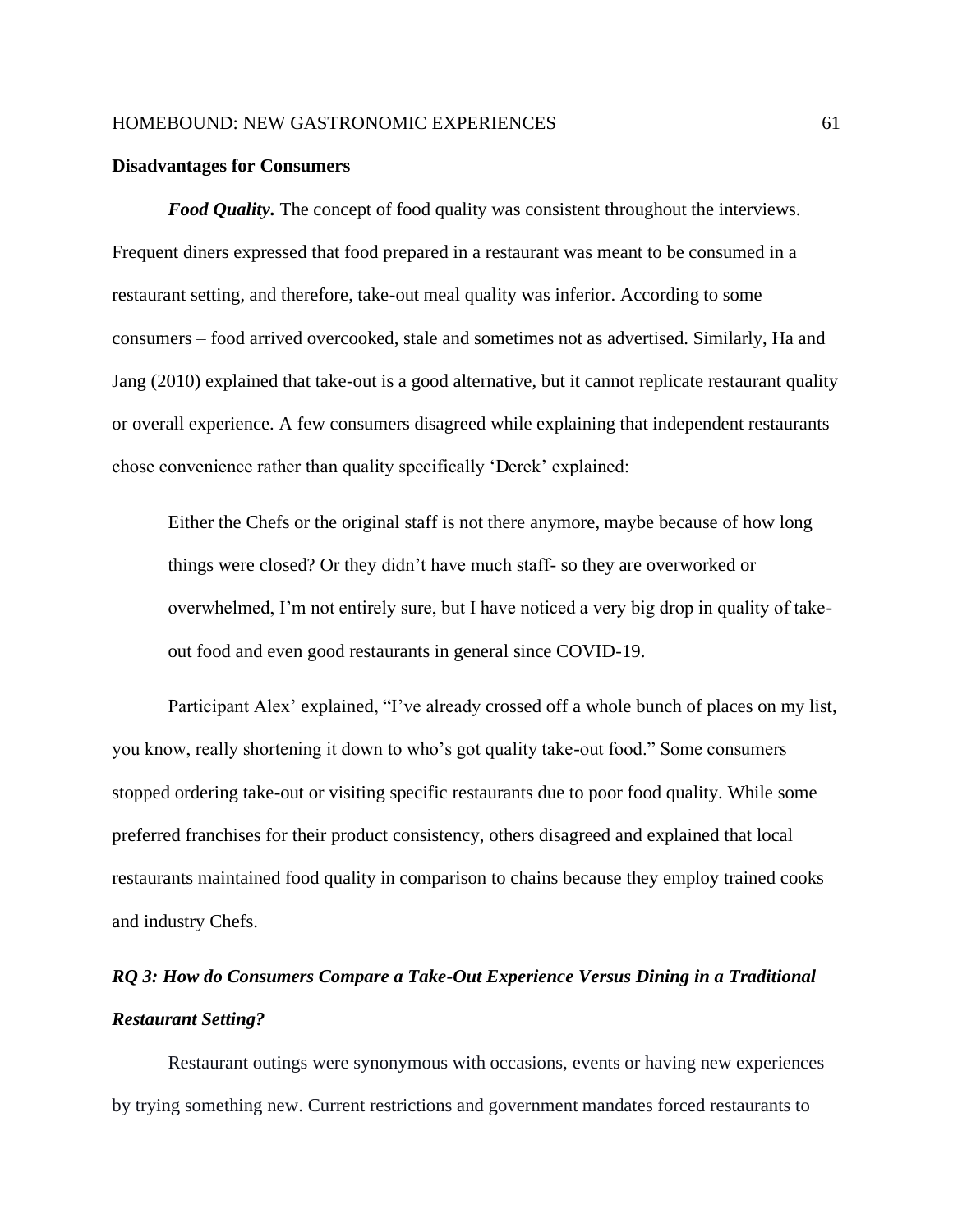#### **Disadvantages for Consumers**

*Food Quality.* The concept of food quality was consistent throughout the interviews. Frequent diners expressed that food prepared in a restaurant was meant to be consumed in a restaurant setting, and therefore, take-out meal quality was inferior. According to some consumers – food arrived overcooked, stale and sometimes not as advertised. Similarly, Ha and Jang (2010) explained that take-out is a good alternative, but it cannot replicate restaurant quality or overall experience. A few consumers disagreed while explaining that independent restaurants chose convenience rather than quality specifically 'Derek' explained:

Either the Chefs or the original staff is not there anymore, maybe because of how long things were closed? Or they didn't have much staff- so they are overworked or overwhelmed, I'm not entirely sure, but I have noticed a very big drop in quality of takeout food and even good restaurants in general since COVID-19.

Participant Alex' explained, "I've already crossed off a whole bunch of places on my list, you know, really shortening it down to who's got quality take-out food." Some consumers stopped ordering take-out or visiting specific restaurants due to poor food quality. While some preferred franchises for their product consistency, others disagreed and explained that local restaurants maintained food quality in comparison to chains because they employ trained cooks and industry Chefs.

# *RQ 3: How do Consumers Compare a Take-Out Experience Versus Dining in a Traditional Restaurant Setting?*

Restaurant outings were synonymous with occasions, events or having new experiences by trying something new. Current restrictions and government mandates forced restaurants to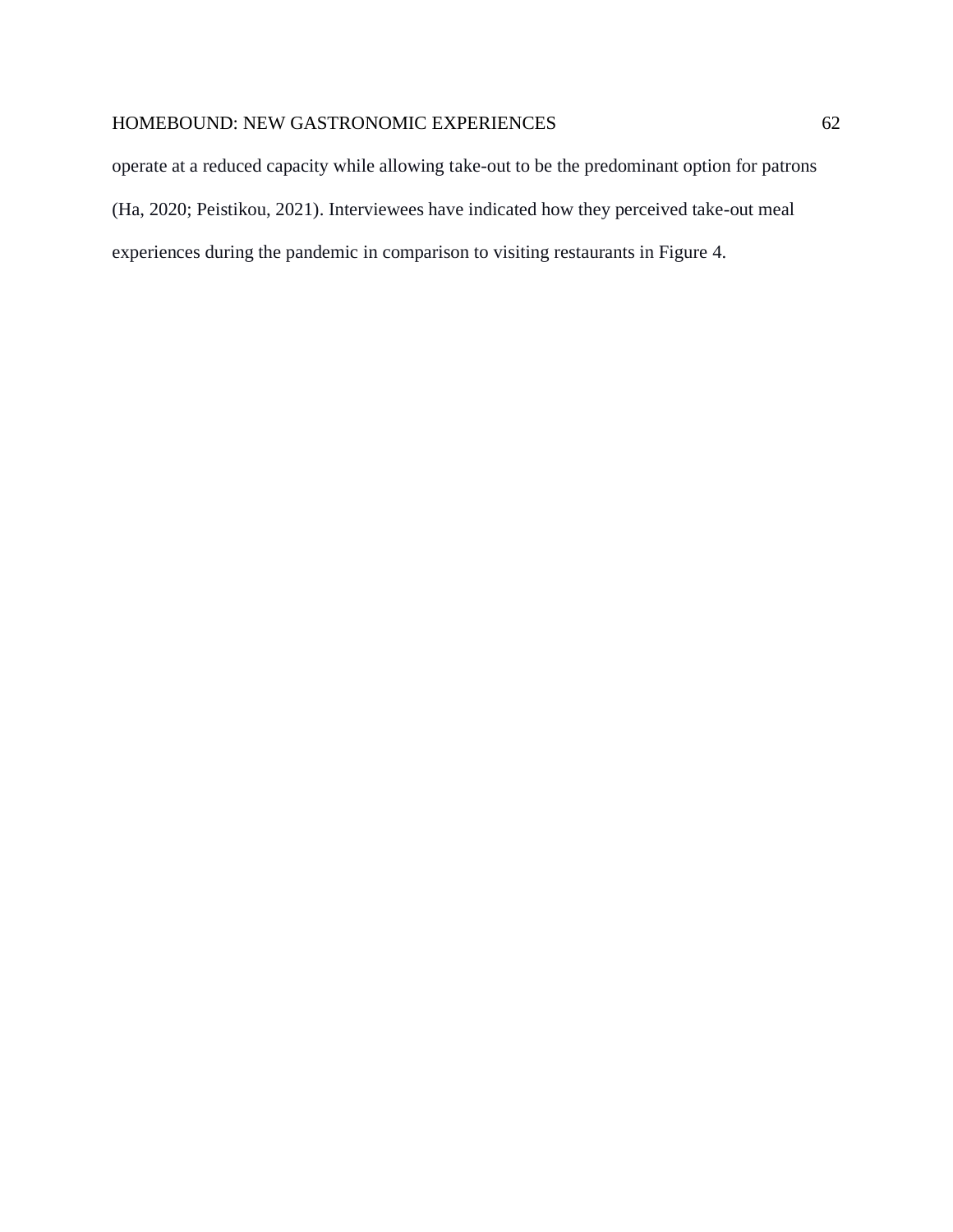operate at a reduced capacity while allowing take-out to be the predominant option for patrons (Ha, 2020; Peistikou, 2021). Interviewees have indicated how they perceived take-out meal experiences during the pandemic in comparison to visiting restaurants in Figure 4.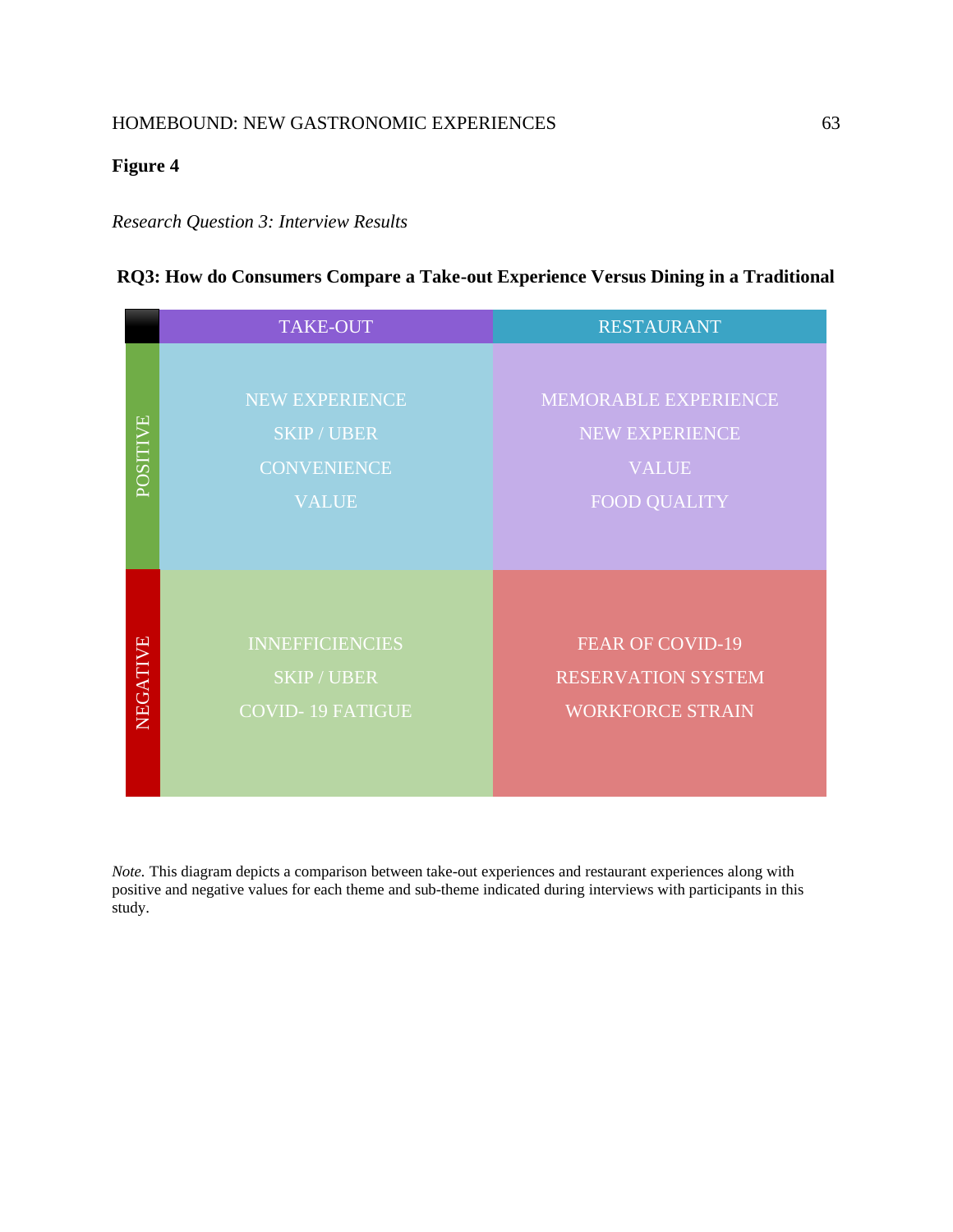# **Figure 4**

## *Research Question 3: Interview Results*

# **RQ3: How do Consumers Compare a Take-out Experience Versus Dining in a Traditional**

|          | <b>TAKE-OUT</b>                                                          | <b>RESTAURANT</b>                                                                    |
|----------|--------------------------------------------------------------------------|--------------------------------------------------------------------------------------|
| POSITIVE | NEW EXPERIENCE<br><b>SKIP/UBER</b><br><b>CONVENIENCE</b><br><b>VALUE</b> | MEMORABLE EXPERIENCE<br><b>NEW EXPERIENCE</b><br><b>VALUE</b><br><b>FOOD QUALITY</b> |
| NEGATIVE | <b>INNEFFICIENCIES</b><br><b>SKIP/UBER</b><br><b>COVID-19 FATIGUE</b>    | <b>FEAR OF COVID-19</b><br><b>RESERVATION SYSTEM</b><br><b>WORKFORCE STRAIN</b>      |

*Note.* This diagram depicts a comparison between take-out experiences and restaurant experiences along with positive and negative values for each theme and sub-theme indicated during interviews with participants in this study.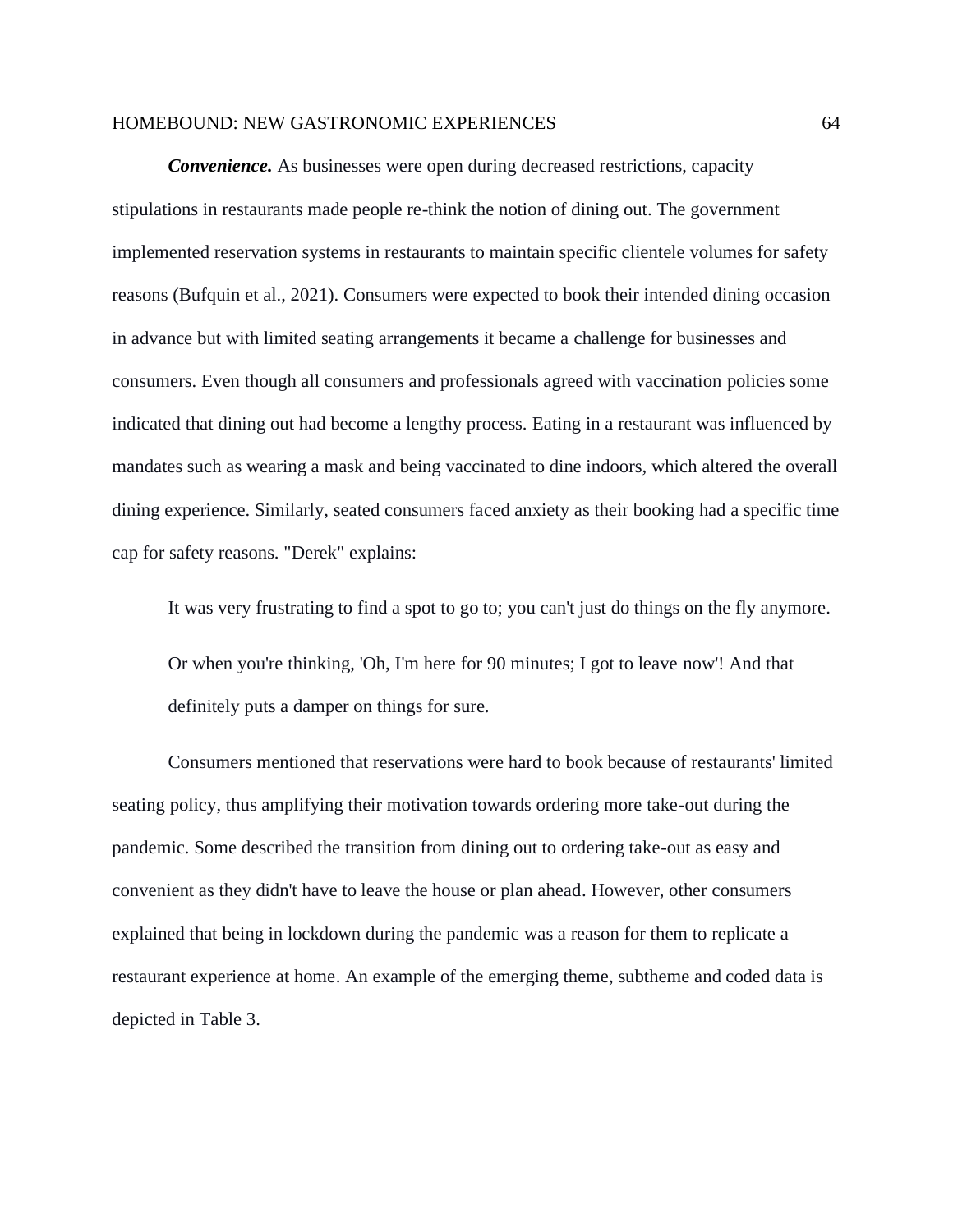*Convenience.* As businesses were open during decreased restrictions, capacity stipulations in restaurants made people re-think the notion of dining out. The government implemented reservation systems in restaurants to maintain specific clientele volumes for safety reasons (Bufquin et al., 2021). Consumers were expected to book their intended dining occasion in advance but with limited seating arrangements it became a challenge for businesses and consumers. Even though all consumers and professionals agreed with vaccination policies some indicated that dining out had become a lengthy process. Eating in a restaurant was influenced by mandates such as wearing a mask and being vaccinated to dine indoors, which altered the overall dining experience. Similarly, seated consumers faced anxiety as their booking had a specific time cap for safety reasons. "Derek" explains:

It was very frustrating to find a spot to go to; you can't just do things on the fly anymore.

Or when you're thinking, 'Oh, I'm here for 90 minutes; I got to leave now'! And that definitely puts a damper on things for sure.

Consumers mentioned that reservations were hard to book because of restaurants' limited seating policy, thus amplifying their motivation towards ordering more take-out during the pandemic. Some described the transition from dining out to ordering take-out as easy and convenient as they didn't have to leave the house or plan ahead. However, other consumers explained that being in lockdown during the pandemic was a reason for them to replicate a restaurant experience at home. An example of the emerging theme, subtheme and coded data is depicted in Table 3.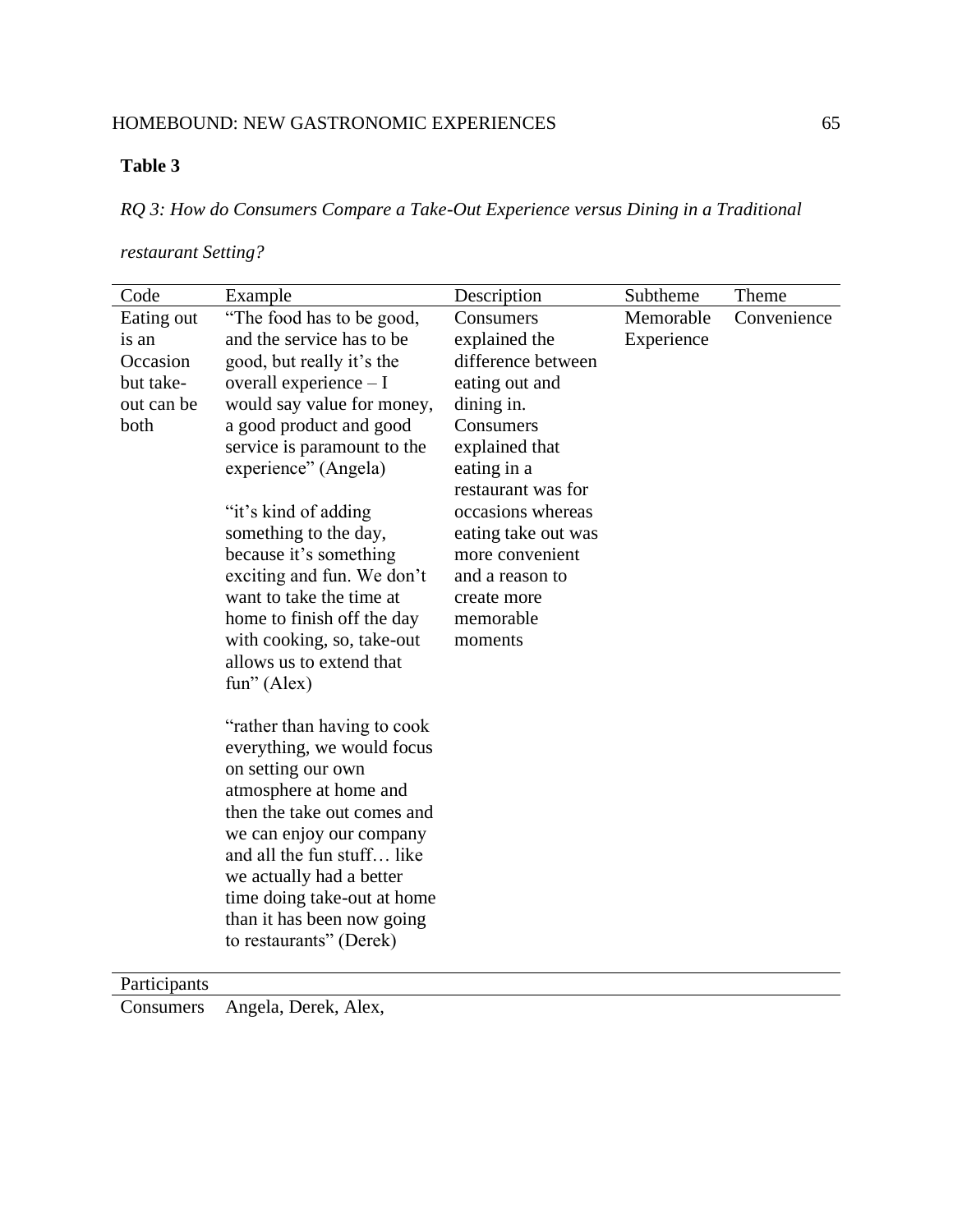# **Table 3**

*RQ 3: How do Consumers Compare a Take-Out Experience versus Dining in a Traditional* 

# *restaurant Setting?*

| Code                                                               | Example                                                                                                                                                                                                                                                                                                                                                                                                                                                                                                     | Description                                                                                                                                                                                                                                                                   | Subtheme                | Theme       |
|--------------------------------------------------------------------|-------------------------------------------------------------------------------------------------------------------------------------------------------------------------------------------------------------------------------------------------------------------------------------------------------------------------------------------------------------------------------------------------------------------------------------------------------------------------------------------------------------|-------------------------------------------------------------------------------------------------------------------------------------------------------------------------------------------------------------------------------------------------------------------------------|-------------------------|-------------|
| Eating out<br>is an<br>Occasion<br>but take-<br>out can be<br>both | "The food has to be good,<br>and the service has to be<br>good, but really it's the<br>overall experience $-I$<br>would say value for money,<br>a good product and good<br>service is paramount to the<br>experience" (Angela)<br>"it's kind of adding"<br>something to the day,<br>because it's something<br>exciting and fun. We don't<br>want to take the time at<br>home to finish off the day<br>with cooking, so, take-out<br>allows us to extend that<br>fun" (Alex)<br>"rather than having to cook" | Consumers<br>explained the<br>difference between<br>eating out and<br>dining in.<br>Consumers<br>explained that<br>eating in a<br>restaurant was for<br>occasions whereas<br>eating take out was<br>more convenient<br>and a reason to<br>create more<br>memorable<br>moments | Memorable<br>Experience | Convenience |
|                                                                    | everything, we would focus<br>on setting our own<br>atmosphere at home and<br>then the take out comes and                                                                                                                                                                                                                                                                                                                                                                                                   |                                                                                                                                                                                                                                                                               |                         |             |
|                                                                    | we can enjoy our company<br>and all the fun stuff like<br>we actually had a better<br>time doing take-out at home                                                                                                                                                                                                                                                                                                                                                                                           |                                                                                                                                                                                                                                                                               |                         |             |
|                                                                    | than it has been now going<br>to restaurants" (Derek)                                                                                                                                                                                                                                                                                                                                                                                                                                                       |                                                                                                                                                                                                                                                                               |                         |             |

Participants

Consumers Angela, Derek, Alex,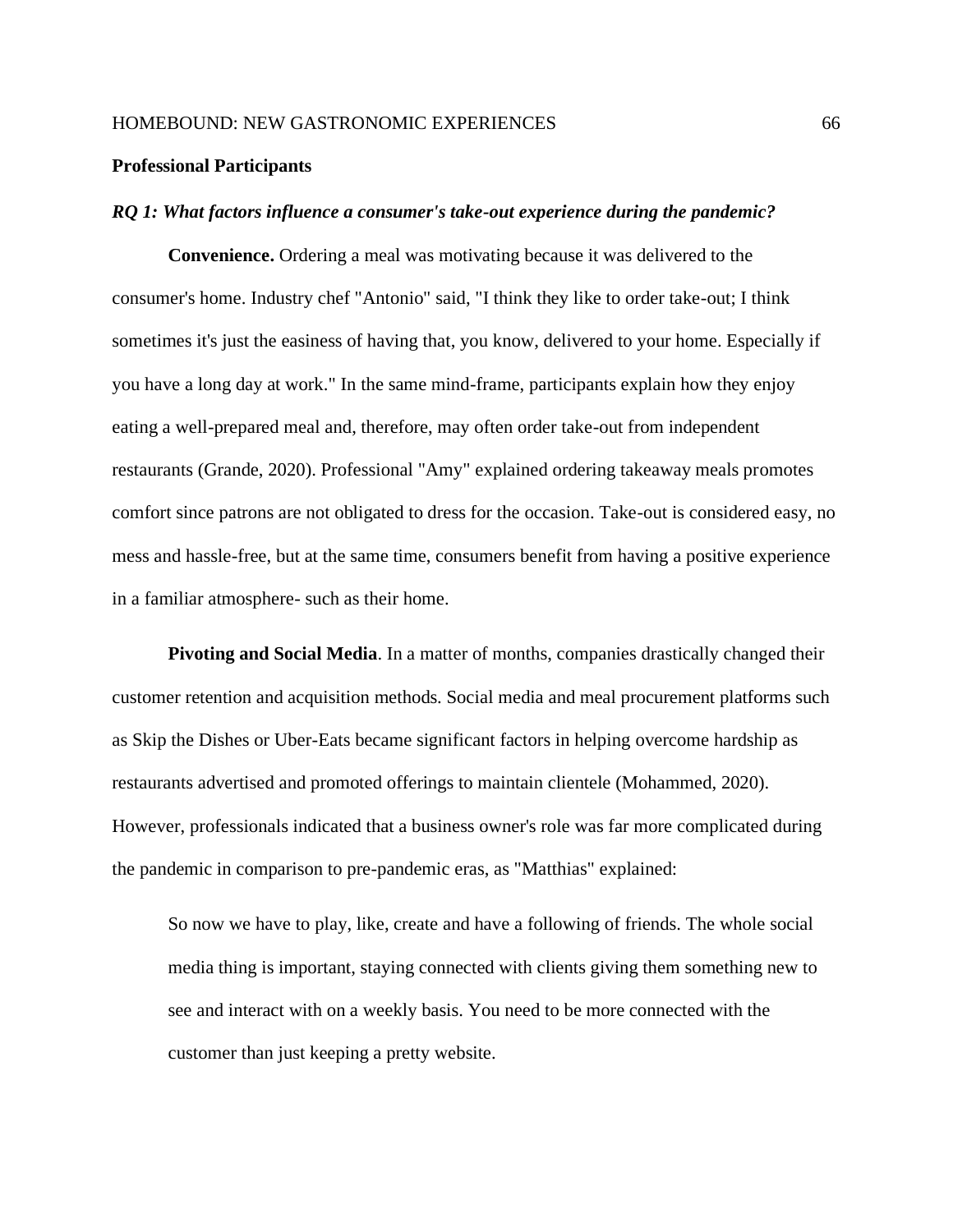#### **Professional Participants**

#### *RQ 1: What factors influence a consumer's take-out experience during the pandemic?*

**Convenience.** Ordering a meal was motivating because it was delivered to the consumer's home. Industry chef "Antonio" said, "I think they like to order take-out; I think sometimes it's just the easiness of having that, you know, delivered to your home. Especially if you have a long day at work." In the same mind-frame, participants explain how they enjoy eating a well-prepared meal and, therefore, may often order take-out from independent restaurants (Grande, 2020). Professional "Amy" explained ordering takeaway meals promotes comfort since patrons are not obligated to dress for the occasion. Take-out is considered easy, no mess and hassle-free, but at the same time, consumers benefit from having a positive experience in a familiar atmosphere- such as their home.

**Pivoting and Social Media**. In a matter of months, companies drastically changed their customer retention and acquisition methods. Social media and meal procurement platforms such as Skip the Dishes or Uber-Eats became significant factors in helping overcome hardship as restaurants advertised and promoted offerings to maintain clientele (Mohammed, 2020). However, professionals indicated that a business owner's role was far more complicated during the pandemic in comparison to pre-pandemic eras, as "Matthias" explained:

So now we have to play, like, create and have a following of friends. The whole social media thing is important, staying connected with clients giving them something new to see and interact with on a weekly basis. You need to be more connected with the customer than just keeping a pretty website.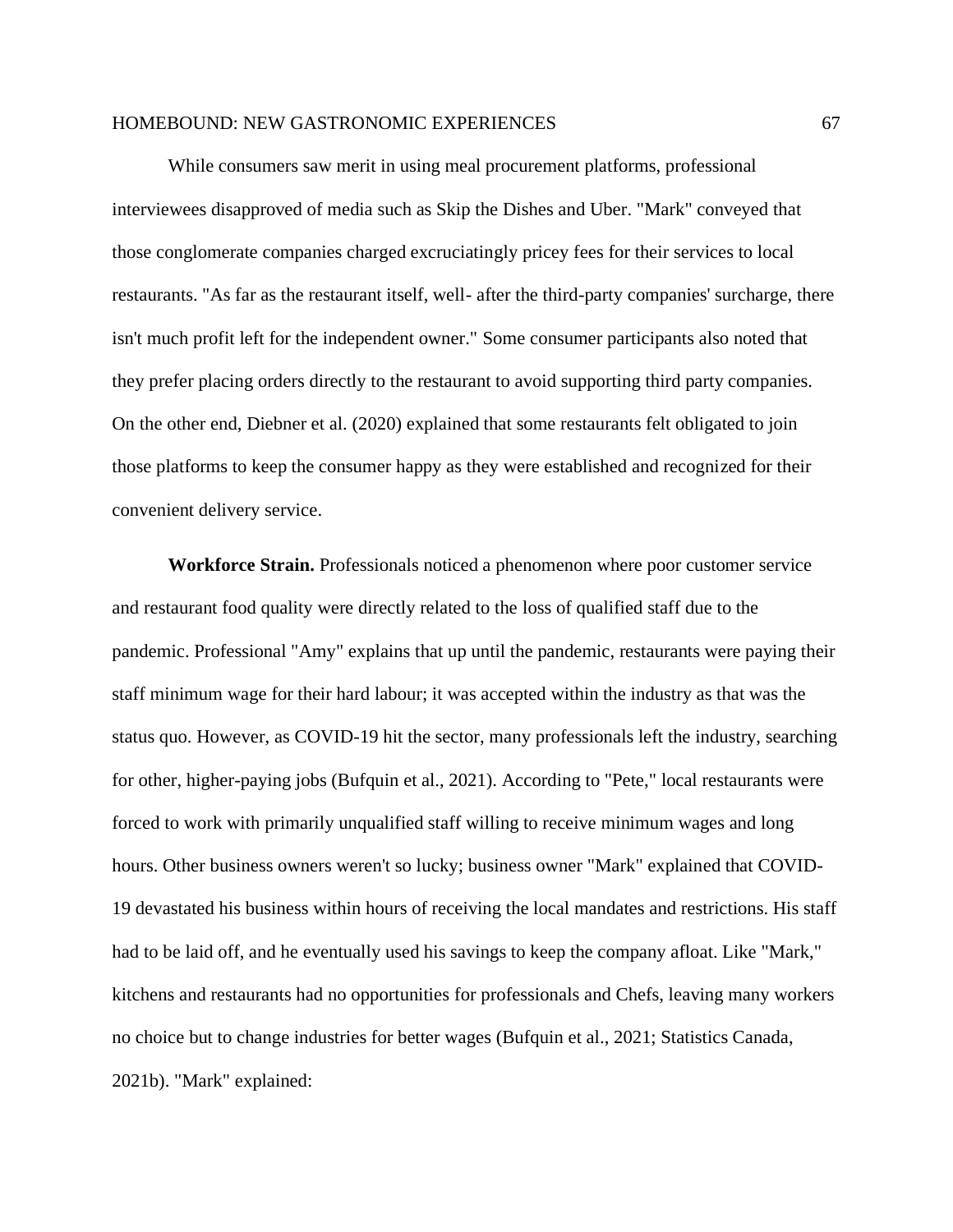While consumers saw merit in using meal procurement platforms, professional interviewees disapproved of media such as Skip the Dishes and Uber. "Mark" conveyed that those conglomerate companies charged excruciatingly pricey fees for their services to local restaurants. "As far as the restaurant itself, well- after the third-party companies' surcharge, there isn't much profit left for the independent owner." Some consumer participants also noted that they prefer placing orders directly to the restaurant to avoid supporting third party companies. On the other end, Diebner et al. (2020) explained that some restaurants felt obligated to join those platforms to keep the consumer happy as they were established and recognized for their convenient delivery service.

**Workforce Strain.** Professionals noticed a phenomenon where poor customer service and restaurant food quality were directly related to the loss of qualified staff due to the pandemic. Professional "Amy" explains that up until the pandemic, restaurants were paying their staff minimum wage for their hard labour; it was accepted within the industry as that was the status quo. However, as COVID-19 hit the sector, many professionals left the industry, searching for other, higher-paying jobs (Bufquin et al., 2021). According to "Pete," local restaurants were forced to work with primarily unqualified staff willing to receive minimum wages and long hours. Other business owners weren't so lucky; business owner "Mark" explained that COVID-19 devastated his business within hours of receiving the local mandates and restrictions. His staff had to be laid off, and he eventually used his savings to keep the company afloat. Like "Mark," kitchens and restaurants had no opportunities for professionals and Chefs, leaving many workers no choice but to change industries for better wages (Bufquin et al., 2021; Statistics Canada, 2021b). "Mark" explained: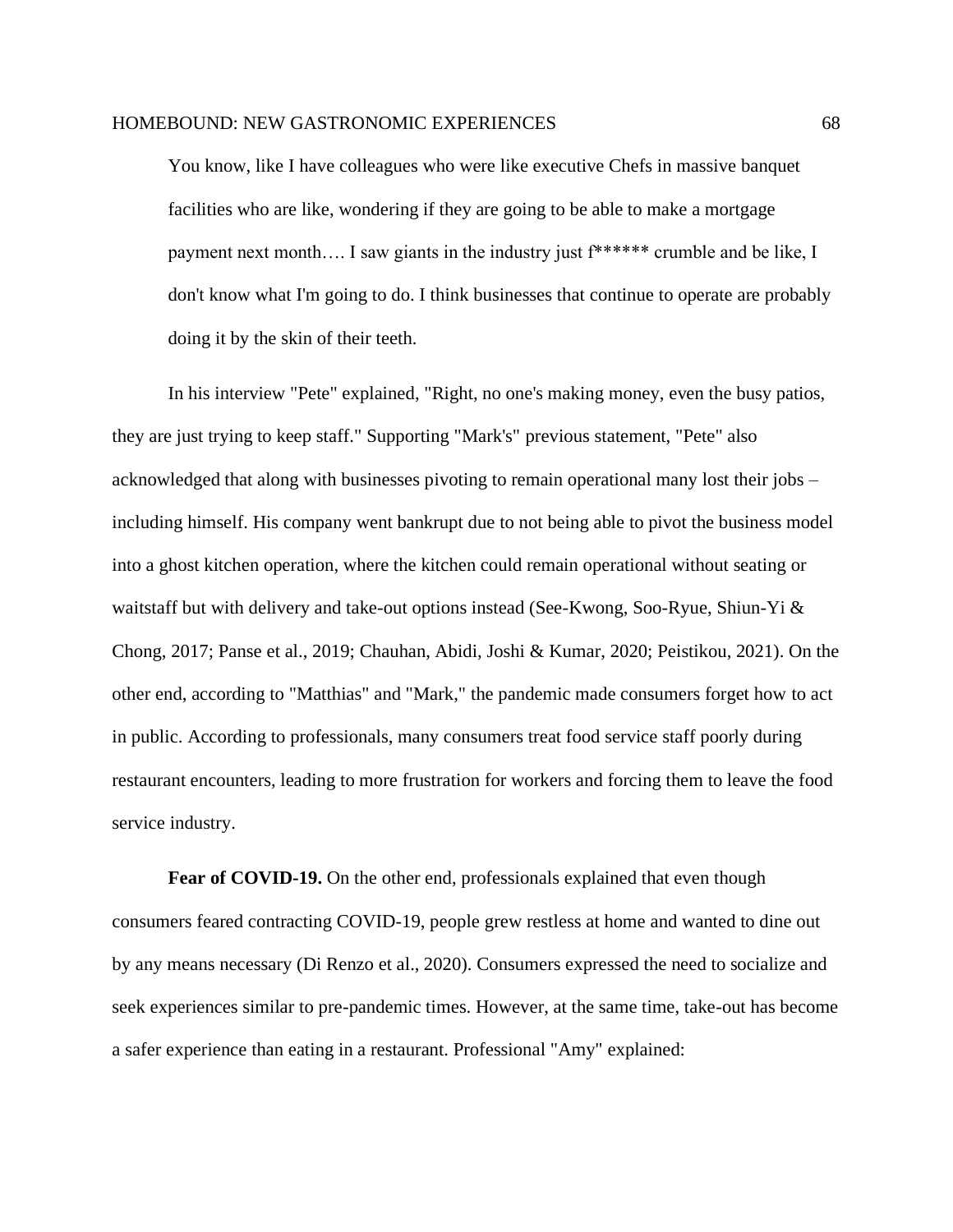You know, like I have colleagues who were like executive Chefs in massive banquet facilities who are like, wondering if they are going to be able to make a mortgage payment next month…. I saw giants in the industry just f\*\*\*\*\*\* crumble and be like, I don't know what I'm going to do. I think businesses that continue to operate are probably doing it by the skin of their teeth.

In his interview "Pete" explained, "Right, no one's making money, even the busy patios, they are just trying to keep staff." Supporting "Mark's" previous statement, "Pete" also acknowledged that along with businesses pivoting to remain operational many lost their jobs – including himself. His company went bankrupt due to not being able to pivot the business model into a ghost kitchen operation, where the kitchen could remain operational without seating or waitstaff but with delivery and take-out options instead (See-Kwong, Soo-Ryue, Shiun-Yi & Chong, 2017; Panse et al., 2019; Chauhan, Abidi, Joshi & Kumar, 2020; Peistikou, 2021). On the other end, according to "Matthias" and "Mark," the pandemic made consumers forget how to act in public. According to professionals, many consumers treat food service staff poorly during restaurant encounters, leading to more frustration for workers and forcing them to leave the food service industry.

**Fear of COVID-19.** On the other end, professionals explained that even though consumers feared contracting COVID-19, people grew restless at home and wanted to dine out by any means necessary (Di Renzo et al., 2020). Consumers expressed the need to socialize and seek experiences similar to pre-pandemic times. However, at the same time, take-out has become a safer experience than eating in a restaurant. Professional "Amy" explained: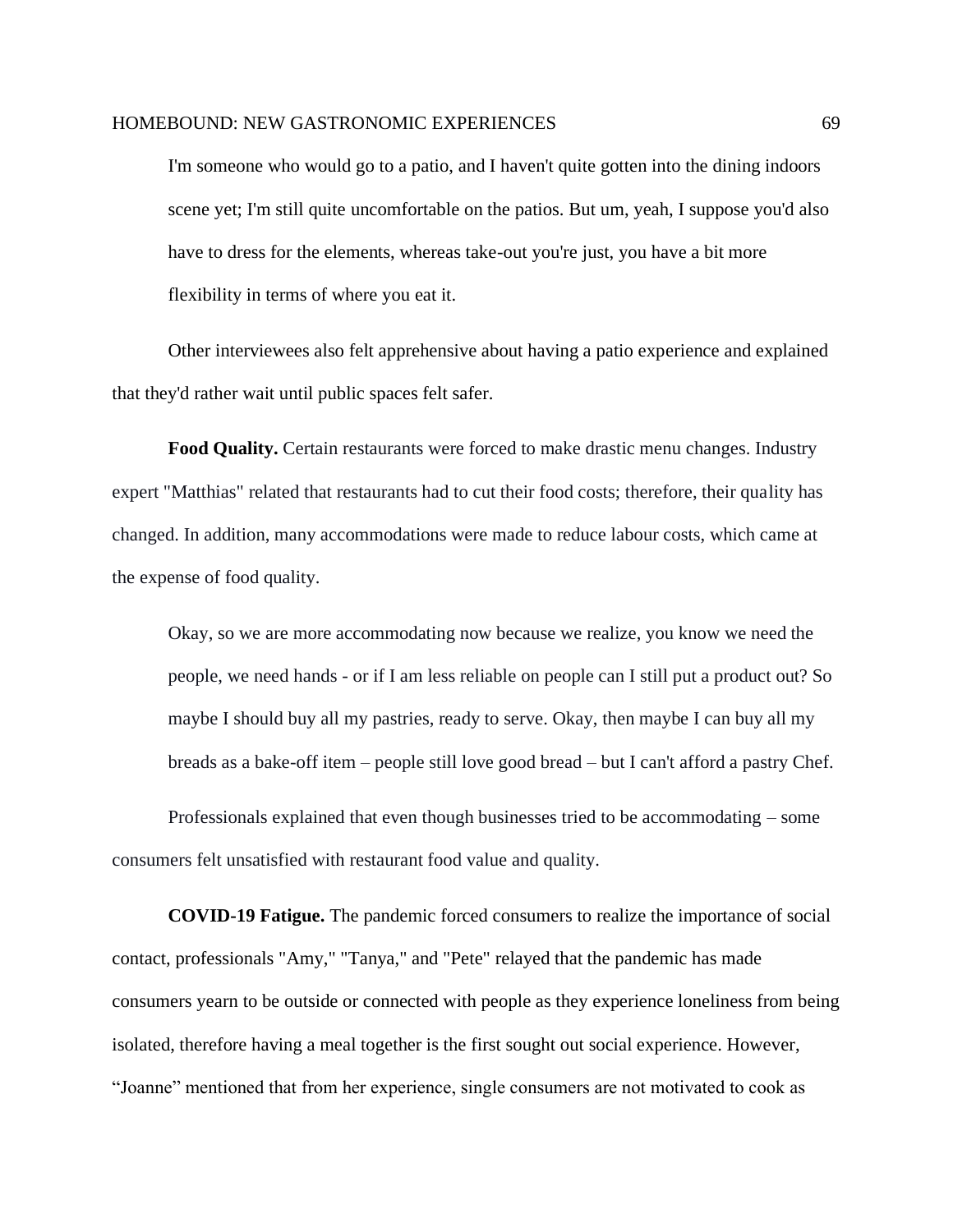I'm someone who would go to a patio, and I haven't quite gotten into the dining indoors scene yet; I'm still quite uncomfortable on the patios. But um, yeah, I suppose you'd also have to dress for the elements, whereas take-out you're just, you have a bit more flexibility in terms of where you eat it.

Other interviewees also felt apprehensive about having a patio experience and explained that they'd rather wait until public spaces felt safer.

**Food Quality.** Certain restaurants were forced to make drastic menu changes. Industry expert "Matthias" related that restaurants had to cut their food costs; therefore, their quality has changed. In addition, many accommodations were made to reduce labour costs, which came at the expense of food quality.

Okay, so we are more accommodating now because we realize, you know we need the people, we need hands - or if I am less reliable on people can I still put a product out? So maybe I should buy all my pastries, ready to serve. Okay, then maybe I can buy all my breads as a bake-off item – people still love good bread – but I can't afford a pastry Chef.

Professionals explained that even though businesses tried to be accommodating – some consumers felt unsatisfied with restaurant food value and quality.

**COVID-19 Fatigue.** The pandemic forced consumers to realize the importance of social contact, professionals "Amy," "Tanya," and "Pete" relayed that the pandemic has made consumers yearn to be outside or connected with people as they experience loneliness from being isolated, therefore having a meal together is the first sought out social experience. However, "Joanne" mentioned that from her experience, single consumers are not motivated to cook as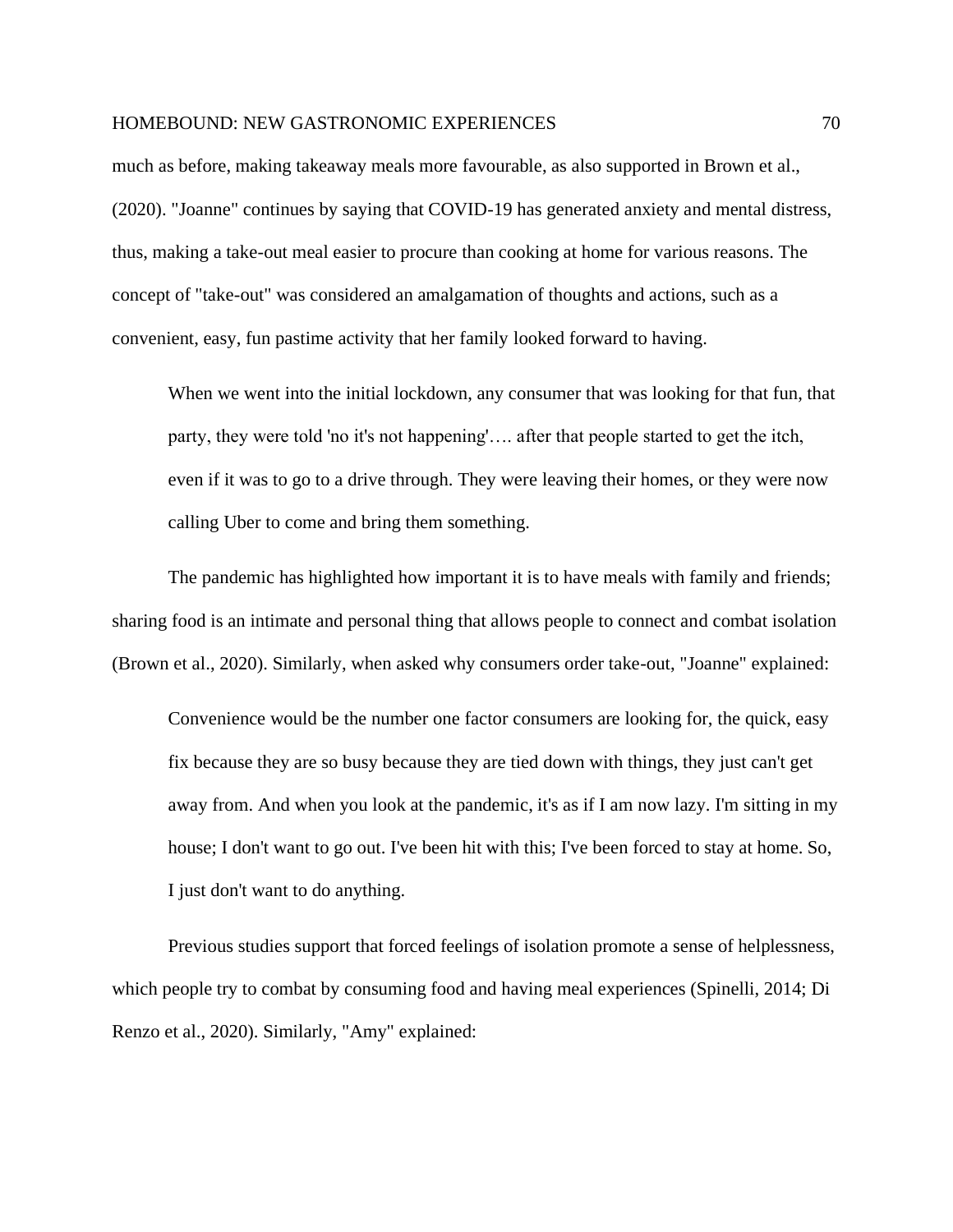much as before, making takeaway meals more favourable, as also supported in Brown et al., (2020). "Joanne" continues by saying that COVID-19 has generated anxiety and mental distress, thus, making a take-out meal easier to procure than cooking at home for various reasons. The concept of "take-out" was considered an amalgamation of thoughts and actions, such as a convenient, easy, fun pastime activity that her family looked forward to having.

When we went into the initial lockdown, any consumer that was looking for that fun, that party, they were told 'no it's not happening'…. after that people started to get the itch, even if it was to go to a drive through. They were leaving their homes, or they were now calling Uber to come and bring them something.

The pandemic has highlighted how important it is to have meals with family and friends; sharing food is an intimate and personal thing that allows people to connect and combat isolation (Brown et al., 2020). Similarly, when asked why consumers order take-out, "Joanne" explained:

Convenience would be the number one factor consumers are looking for, the quick, easy fix because they are so busy because they are tied down with things, they just can't get away from. And when you look at the pandemic, it's as if I am now lazy. I'm sitting in my house; I don't want to go out. I've been hit with this; I've been forced to stay at home. So, I just don't want to do anything.

Previous studies support that forced feelings of isolation promote a sense of helplessness, which people try to combat by consuming food and having meal experiences (Spinelli, 2014; Di Renzo et al., 2020). Similarly, "Amy" explained: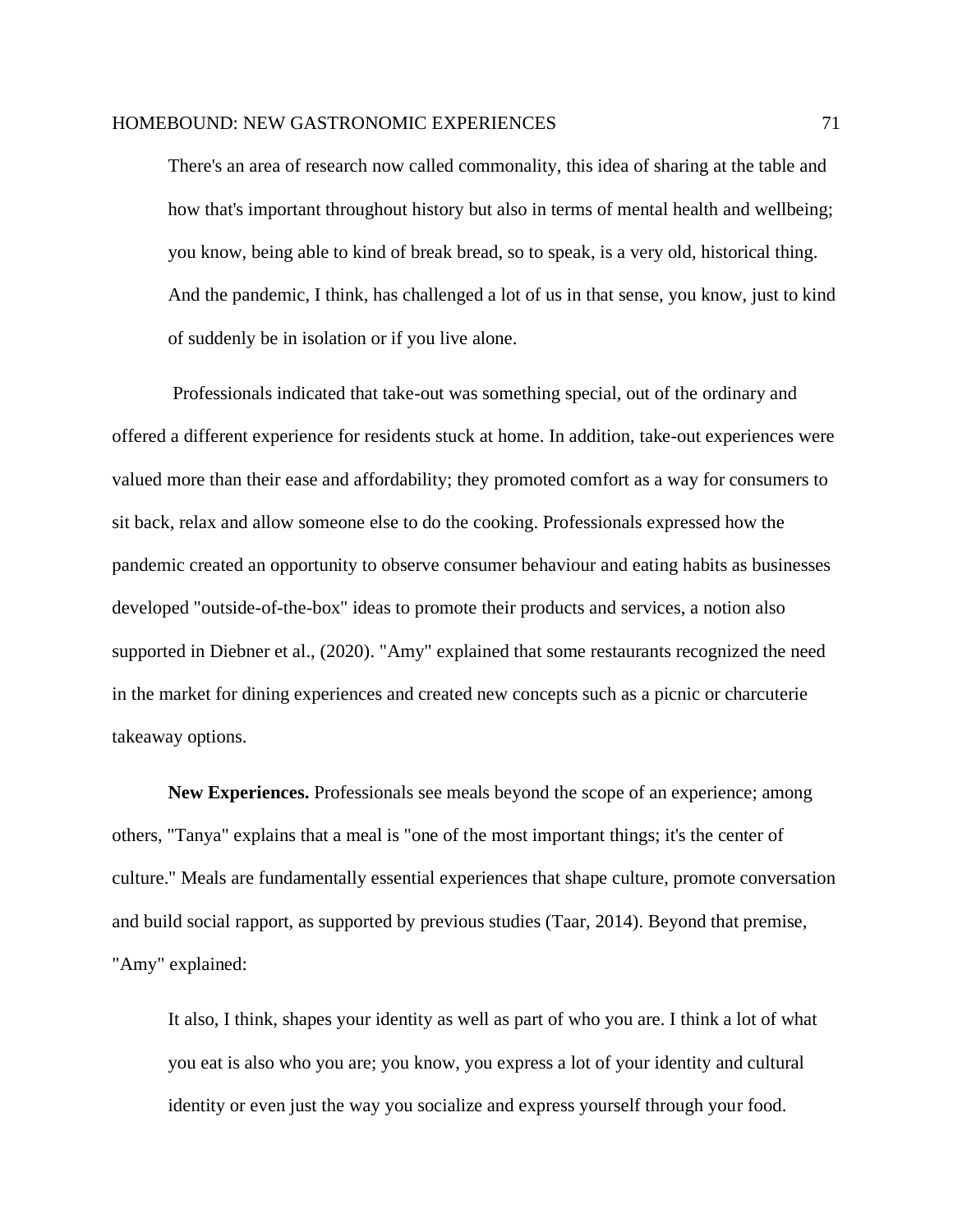There's an area of research now called commonality, this idea of sharing at the table and how that's important throughout history but also in terms of mental health and wellbeing; you know, being able to kind of break bread, so to speak, is a very old, historical thing. And the pandemic, I think, has challenged a lot of us in that sense, you know, just to kind of suddenly be in isolation or if you live alone.

Professionals indicated that take-out was something special, out of the ordinary and offered a different experience for residents stuck at home. In addition, take-out experiences were valued more than their ease and affordability; they promoted comfort as a way for consumers to sit back, relax and allow someone else to do the cooking. Professionals expressed how the pandemic created an opportunity to observe consumer behaviour and eating habits as businesses developed "outside-of-the-box" ideas to promote their products and services, a notion also supported in Diebner et al., (2020). "Amy" explained that some restaurants recognized the need in the market for dining experiences and created new concepts such as a picnic or charcuterie takeaway options.

**New Experiences.** Professionals see meals beyond the scope of an experience; among others, "Tanya" explains that a meal is "one of the most important things; it's the center of culture." Meals are fundamentally essential experiences that shape culture, promote conversation and build social rapport, as supported by previous studies (Taar, 2014). Beyond that premise, "Amy" explained:

It also, I think, shapes your identity as well as part of who you are. I think a lot of what you eat is also who you are; you know, you express a lot of your identity and cultural identity or even just the way you socialize and express yourself through your food.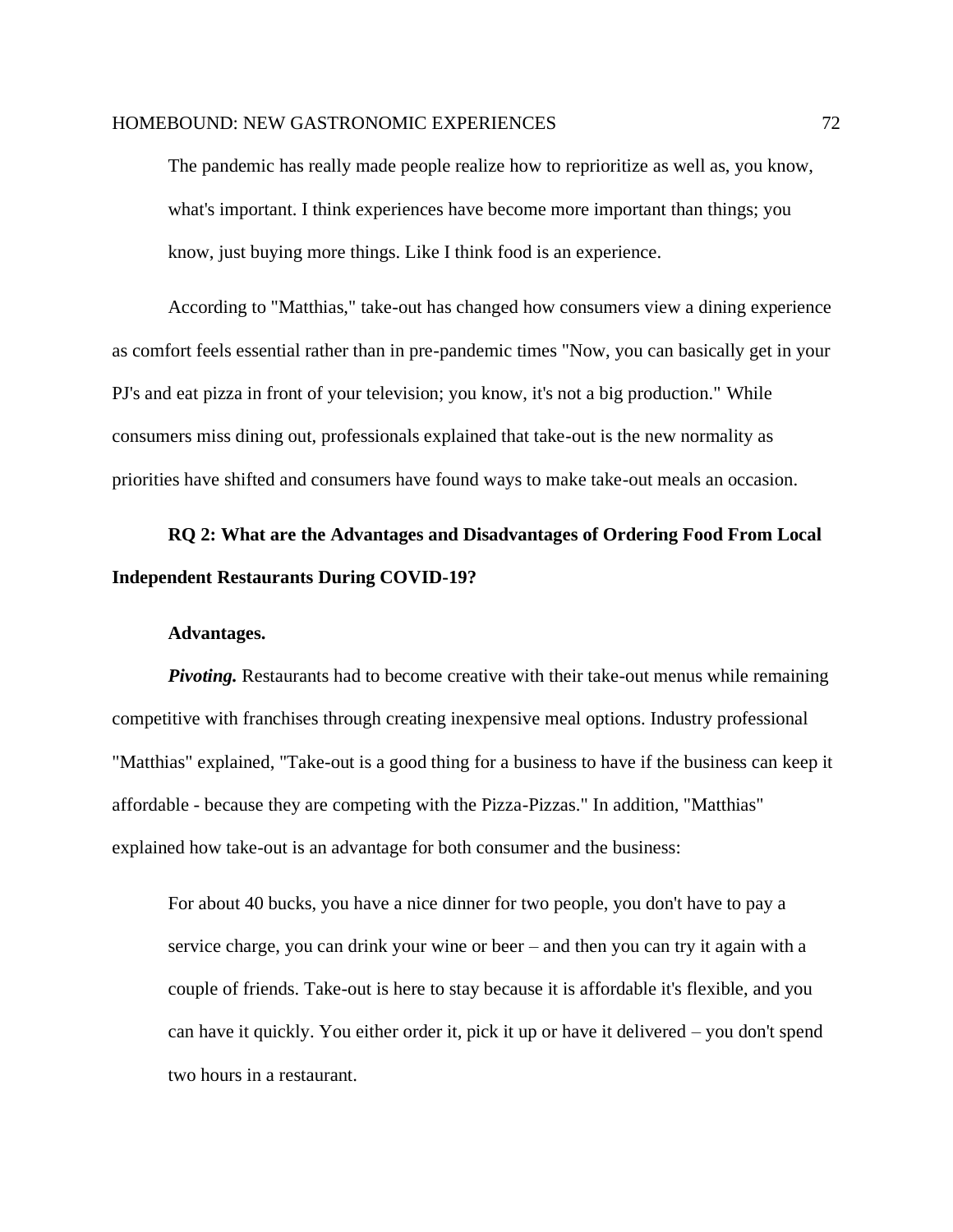The pandemic has really made people realize how to reprioritize as well as, you know, what's important. I think experiences have become more important than things; you know, just buying more things. Like I think food is an experience.

According to "Matthias," take-out has changed how consumers view a dining experience as comfort feels essential rather than in pre-pandemic times "Now, you can basically get in your PJ's and eat pizza in front of your television; you know, it's not a big production." While consumers miss dining out, professionals explained that take-out is the new normality as priorities have shifted and consumers have found ways to make take-out meals an occasion.

# **RQ 2: What are the Advantages and Disadvantages of Ordering Food From Local Independent Restaurants During COVID-19?**

#### **Advantages.**

*Pivoting.* Restaurants had to become creative with their take-out menus while remaining competitive with franchises through creating inexpensive meal options. Industry professional "Matthias" explained, "Take-out is a good thing for a business to have if the business can keep it affordable - because they are competing with the Pizza-Pizzas." In addition, "Matthias" explained how take-out is an advantage for both consumer and the business:

For about 40 bucks, you have a nice dinner for two people, you don't have to pay a service charge, you can drink your wine or beer – and then you can try it again with a couple of friends. Take-out is here to stay because it is affordable it's flexible, and you can have it quickly. You either order it, pick it up or have it delivered – you don't spend two hours in a restaurant.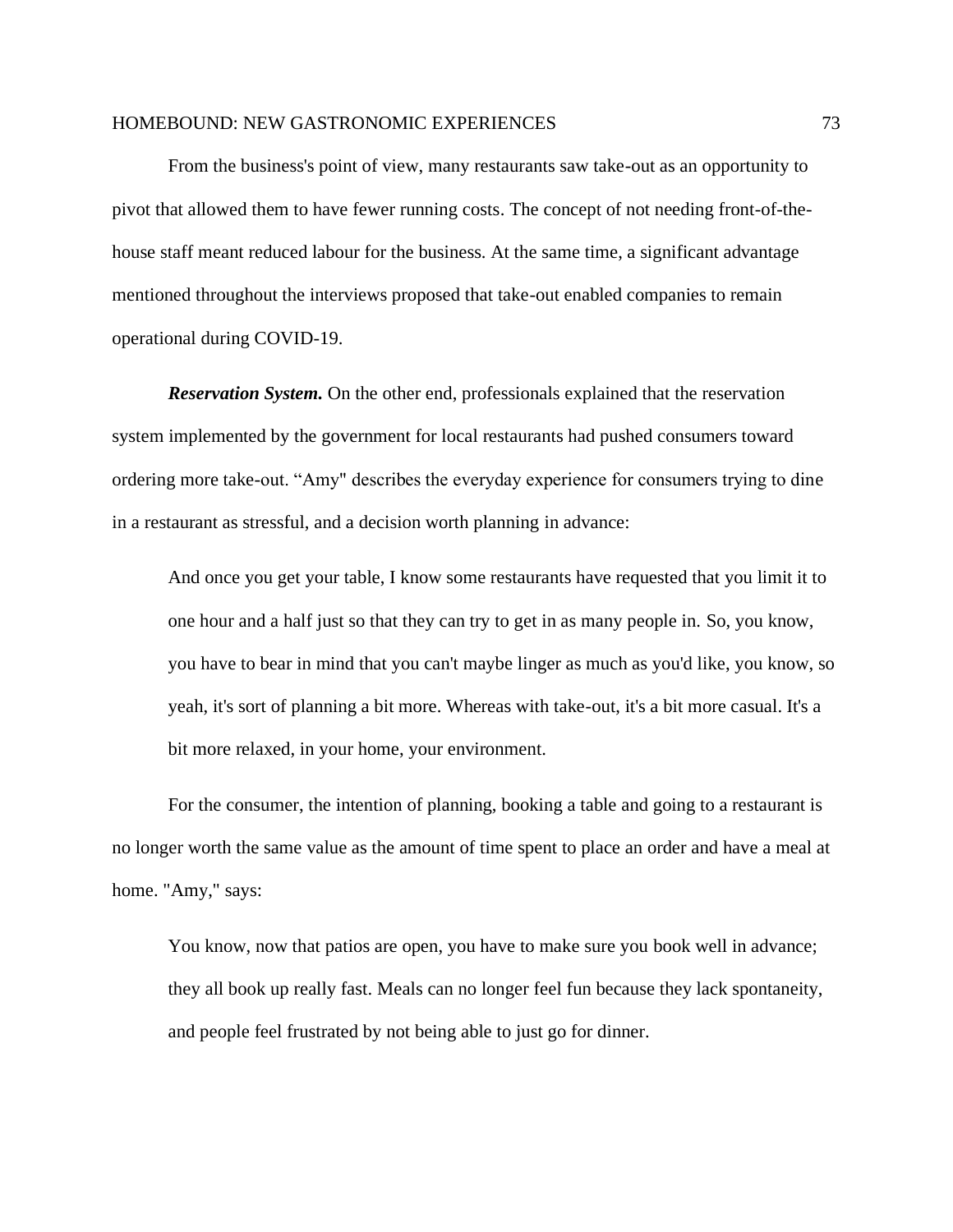From the business's point of view, many restaurants saw take-out as an opportunity to pivot that allowed them to have fewer running costs. The concept of not needing front-of-thehouse staff meant reduced labour for the business. At the same time, a significant advantage mentioned throughout the interviews proposed that take-out enabled companies to remain operational during COVID-19.

*Reservation System.* On the other end, professionals explained that the reservation system implemented by the government for local restaurants had pushed consumers toward ordering more take-out. "Amy" describes the everyday experience for consumers trying to dine in a restaurant as stressful, and a decision worth planning in advance:

And once you get your table, I know some restaurants have requested that you limit it to one hour and a half just so that they can try to get in as many people in. So, you know, you have to bear in mind that you can't maybe linger as much as you'd like, you know, so yeah, it's sort of planning a bit more. Whereas with take-out, it's a bit more casual. It's a bit more relaxed, in your home, your environment.

For the consumer, the intention of planning, booking a table and going to a restaurant is no longer worth the same value as the amount of time spent to place an order and have a meal at home. "Amy," says:

You know, now that patios are open, you have to make sure you book well in advance; they all book up really fast. Meals can no longer feel fun because they lack spontaneity, and people feel frustrated by not being able to just go for dinner.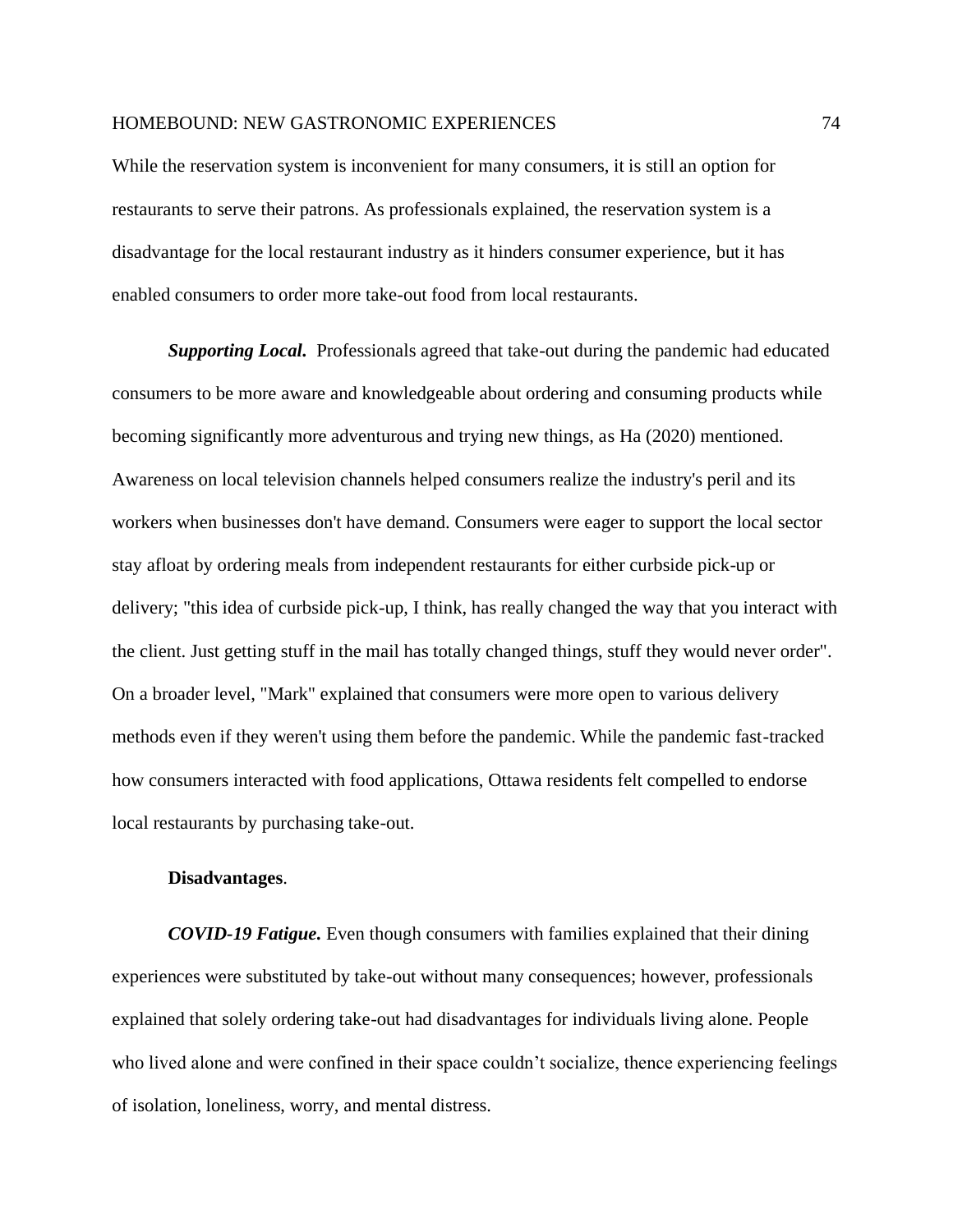While the reservation system is inconvenient for many consumers, it is still an option for restaurants to serve their patrons. As professionals explained, the reservation system is a disadvantage for the local restaurant industry as it hinders consumer experience, but it has enabled consumers to order more take-out food from local restaurants.

**Supporting Local.** Professionals agreed that take-out during the pandemic had educated consumers to be more aware and knowledgeable about ordering and consuming products while becoming significantly more adventurous and trying new things, as Ha (2020) mentioned. Awareness on local television channels helped consumers realize the industry's peril and its workers when businesses don't have demand. Consumers were eager to support the local sector stay afloat by ordering meals from independent restaurants for either curbside pick-up or delivery; "this idea of curbside pick-up, I think, has really changed the way that you interact with the client. Just getting stuff in the mail has totally changed things, stuff they would never order". On a broader level, "Mark" explained that consumers were more open to various delivery methods even if they weren't using them before the pandemic. While the pandemic fast-tracked how consumers interacted with food applications, Ottawa residents felt compelled to endorse local restaurants by purchasing take-out.

### **Disadvantages**.

*COVID-19 Fatigue.* Even though consumers with families explained that their dining experiences were substituted by take-out without many consequences; however, professionals explained that solely ordering take-out had disadvantages for individuals living alone. People who lived alone and were confined in their space couldn't socialize, thence experiencing feelings of isolation, loneliness, worry, and mental distress.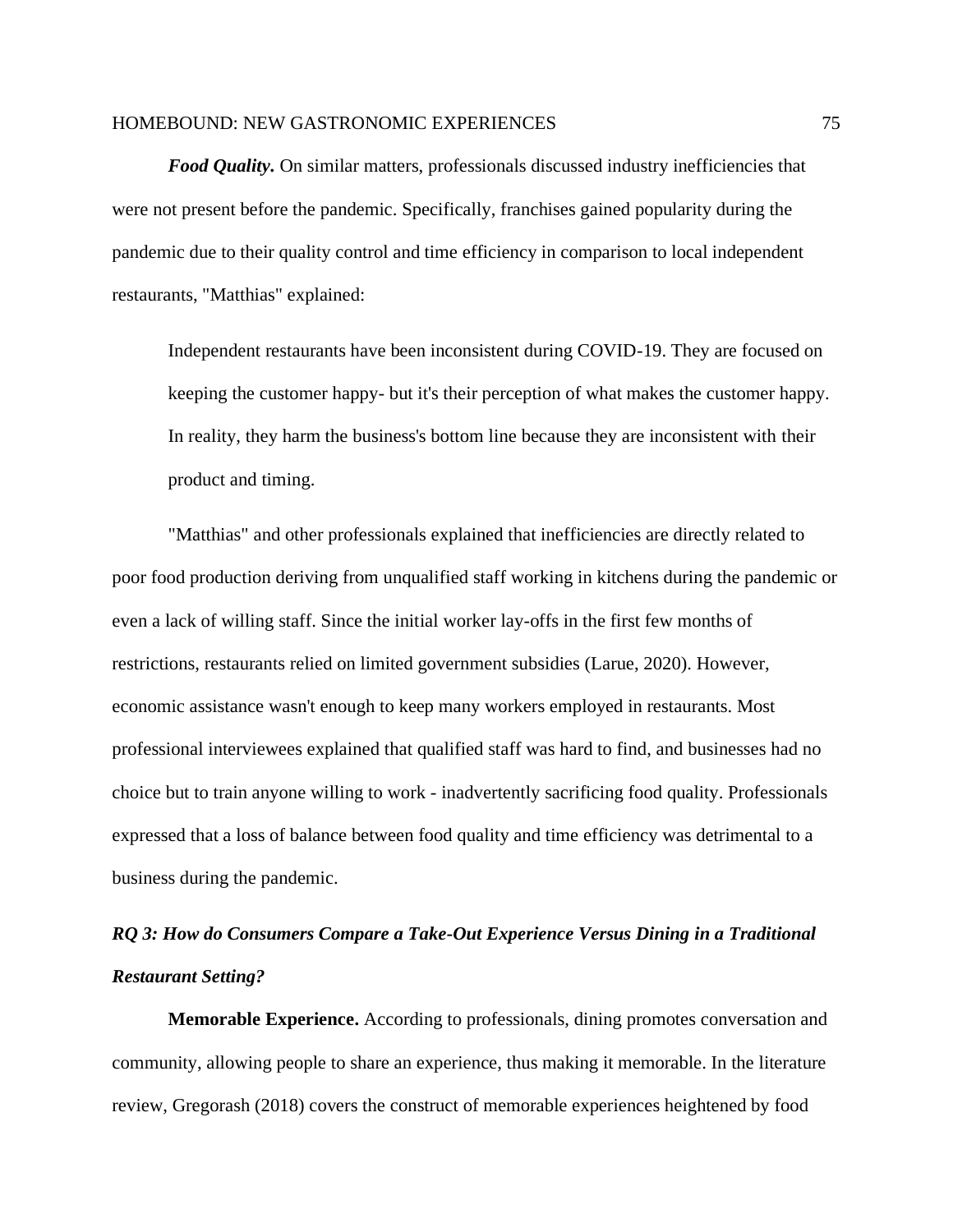*Food Quality.* On similar matters, professionals discussed industry inefficiencies that were not present before the pandemic. Specifically, franchises gained popularity during the pandemic due to their quality control and time efficiency in comparison to local independent restaurants, "Matthias" explained:

Independent restaurants have been inconsistent during COVID-19. They are focused on keeping the customer happy- but it's their perception of what makes the customer happy. In reality, they harm the business's bottom line because they are inconsistent with their product and timing.

"Matthias" and other professionals explained that inefficiencies are directly related to poor food production deriving from unqualified staff working in kitchens during the pandemic or even a lack of willing staff. Since the initial worker lay-offs in the first few months of restrictions, restaurants relied on limited government subsidies (Larue, 2020). However, economic assistance wasn't enough to keep many workers employed in restaurants. Most professional interviewees explained that qualified staff was hard to find, and businesses had no choice but to train anyone willing to work - inadvertently sacrificing food quality. Professionals expressed that a loss of balance between food quality and time efficiency was detrimental to a business during the pandemic.

# *RQ 3: How do Consumers Compare a Take-Out Experience Versus Dining in a Traditional Restaurant Setting?*

**Memorable Experience.** According to professionals, dining promotes conversation and community, allowing people to share an experience, thus making it memorable. In the literature review, Gregorash (2018) covers the construct of memorable experiences heightened by food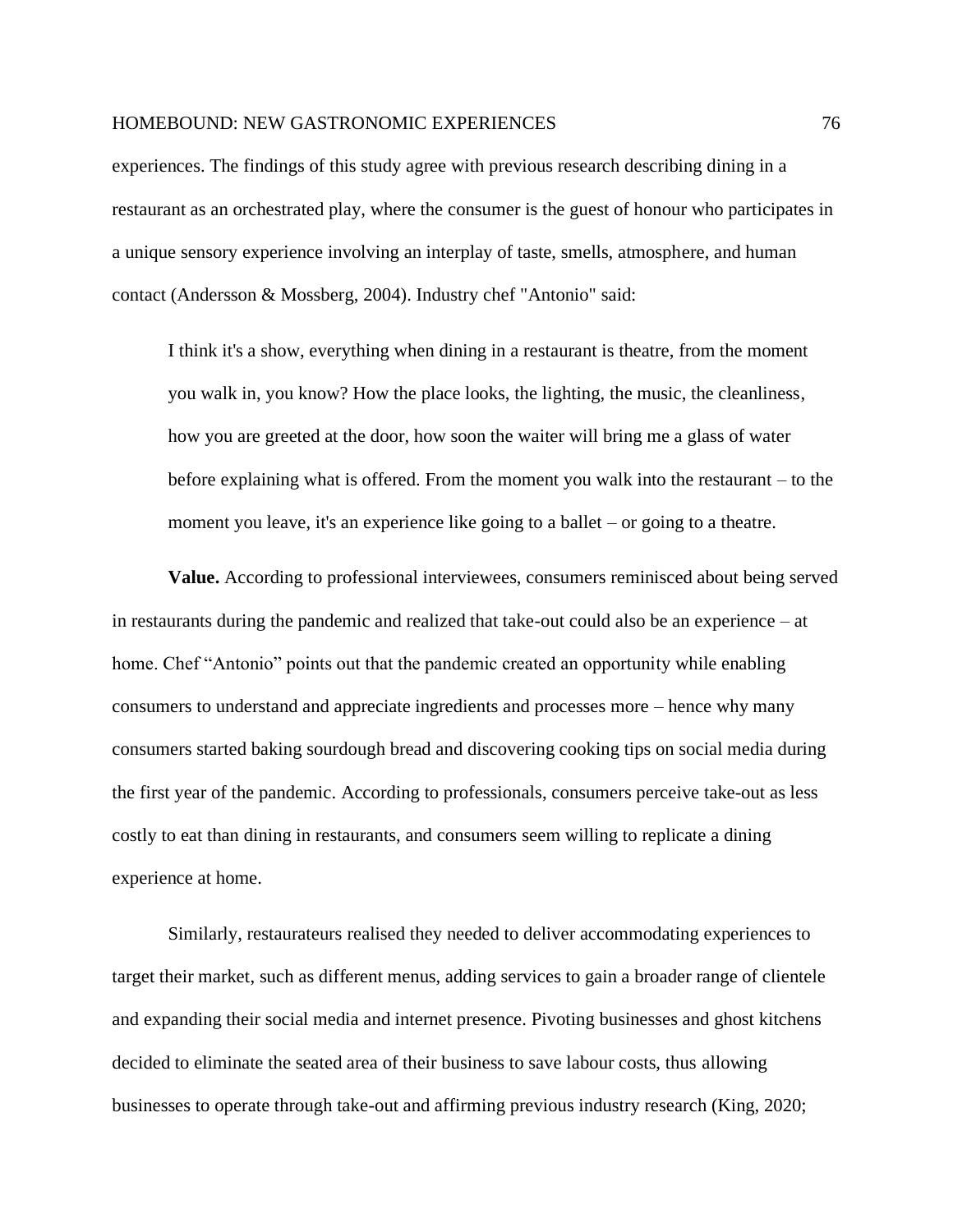experiences. The findings of this study agree with previous research describing dining in a restaurant as an orchestrated play, where the consumer is the guest of honour who participates in a unique sensory experience involving an interplay of taste, smells, atmosphere, and human contact (Andersson & Mossberg, 2004). Industry chef "Antonio" said:

I think it's a show, everything when dining in a restaurant is theatre, from the moment you walk in, you know? How the place looks, the lighting, the music, the cleanliness, how you are greeted at the door, how soon the waiter will bring me a glass of water before explaining what is offered. From the moment you walk into the restaurant – to the moment you leave, it's an experience like going to a ballet – or going to a theatre.

**Value.** According to professional interviewees, consumers reminisced about being served in restaurants during the pandemic and realized that take-out could also be an experience – at home. Chef "Antonio" points out that the pandemic created an opportunity while enabling consumers to understand and appreciate ingredients and processes more – hence why many consumers started baking sourdough bread and discovering cooking tips on social media during the first year of the pandemic. According to professionals, consumers perceive take-out as less costly to eat than dining in restaurants, and consumers seem willing to replicate a dining experience at home.

Similarly, restaurateurs realised they needed to deliver accommodating experiences to target their market, such as different menus, adding services to gain a broader range of clientele and expanding their social media and internet presence. Pivoting businesses and ghost kitchens decided to eliminate the seated area of their business to save labour costs, thus allowing businesses to operate through take-out and affirming previous industry research (King, 2020;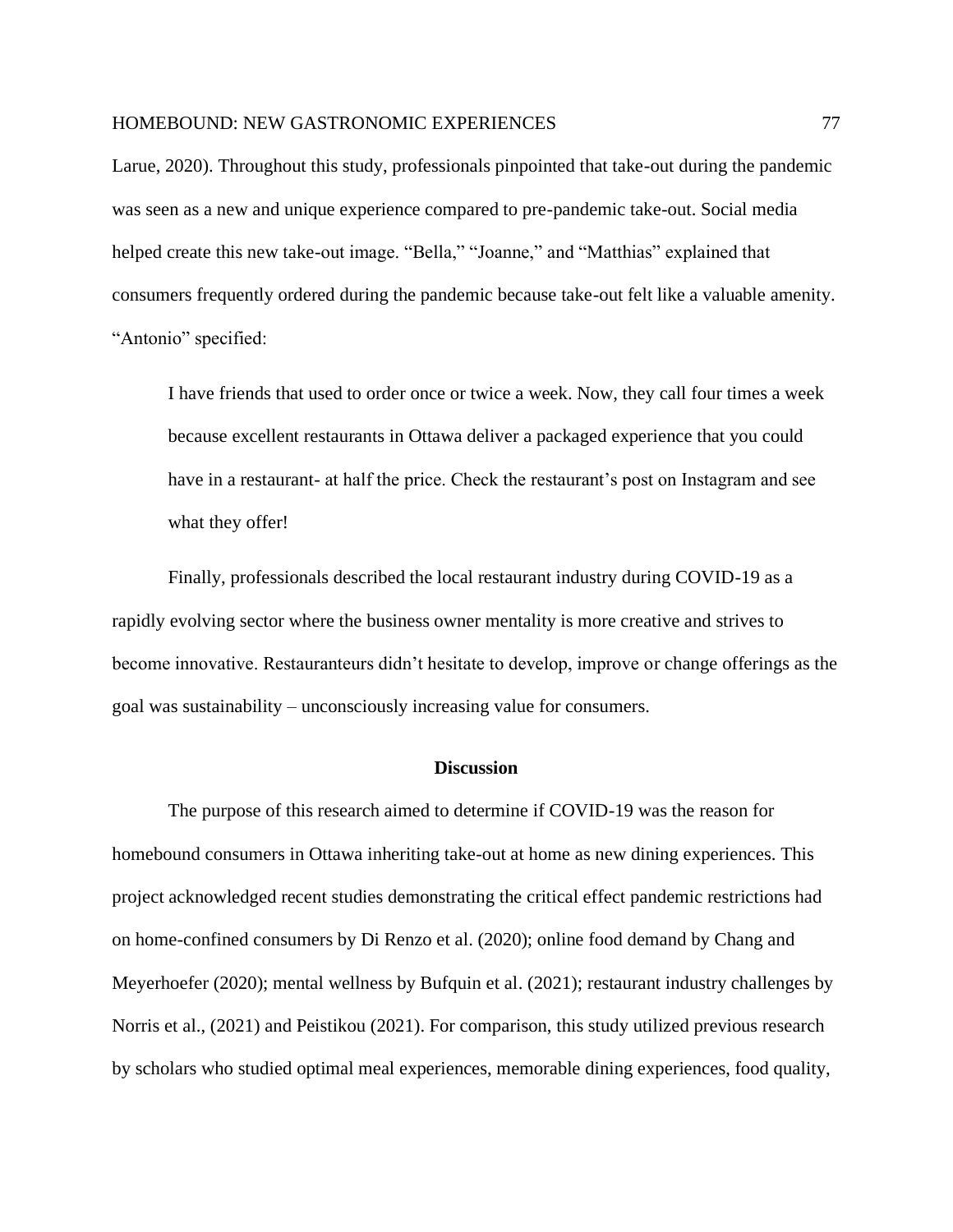Larue, 2020). Throughout this study, professionals pinpointed that take-out during the pandemic was seen as a new and unique experience compared to pre-pandemic take-out. Social media helped create this new take-out image. "Bella," "Joanne," and "Matthias" explained that consumers frequently ordered during the pandemic because take-out felt like a valuable amenity. "Antonio" specified:

I have friends that used to order once or twice a week. Now, they call four times a week because excellent restaurants in Ottawa deliver a packaged experience that you could have in a restaurant- at half the price. Check the restaurant's post on Instagram and see what they offer!

Finally, professionals described the local restaurant industry during COVID-19 as a rapidly evolving sector where the business owner mentality is more creative and strives to become innovative. Restauranteurs didn't hesitate to develop, improve or change offerings as the goal was sustainability – unconsciously increasing value for consumers.

## **Discussion**

The purpose of this research aimed to determine if COVID-19 was the reason for homebound consumers in Ottawa inheriting take-out at home as new dining experiences. This project acknowledged recent studies demonstrating the critical effect pandemic restrictions had on home-confined consumers by Di Renzo et al. (2020); online food demand by Chang and Meyerhoefer (2020); mental wellness by Bufquin et al. (2021); restaurant industry challenges by Norris et al., (2021) and Peistikou (2021). For comparison, this study utilized previous research by scholars who studied optimal meal experiences, memorable dining experiences, food quality,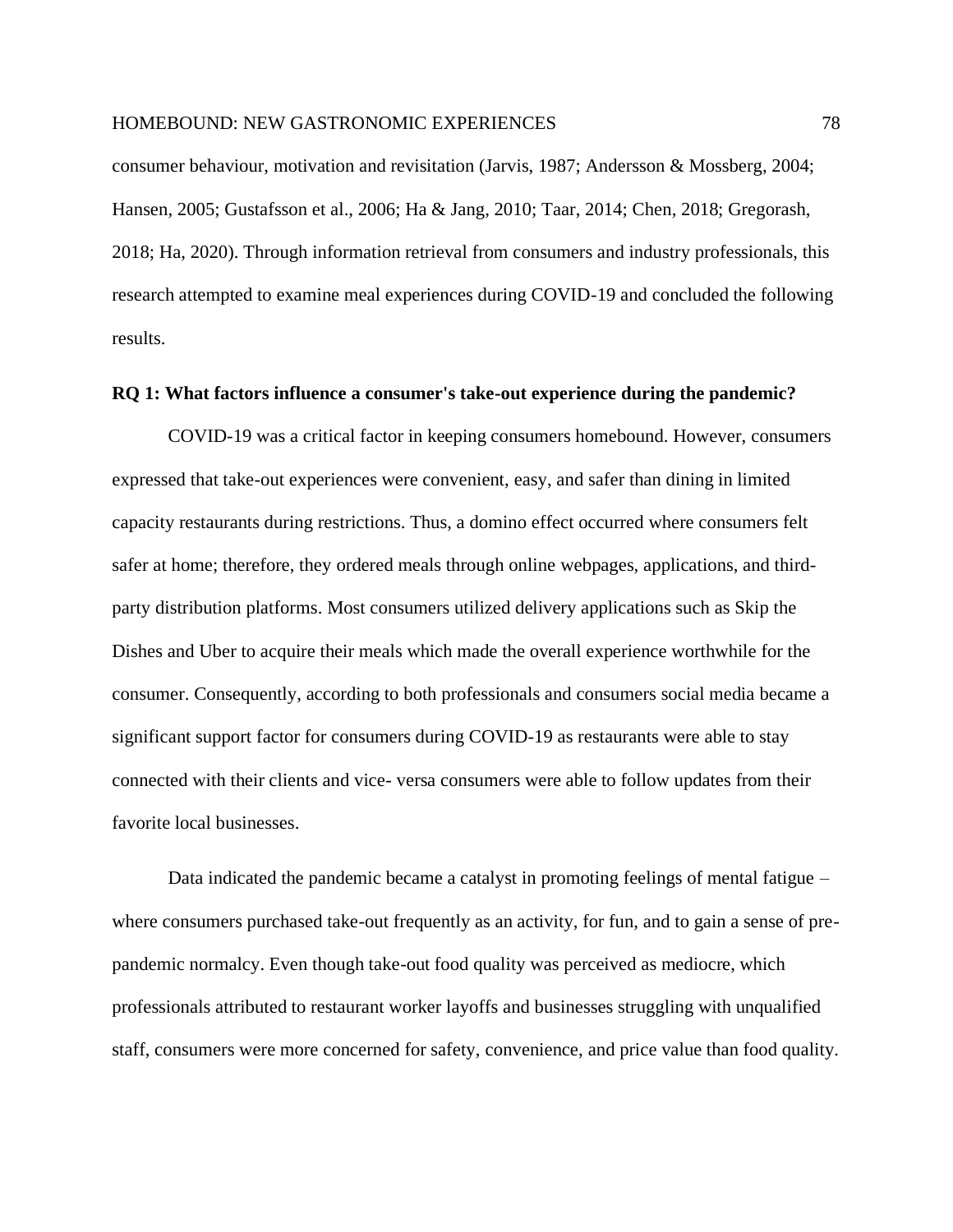consumer behaviour, motivation and revisitation (Jarvis, 1987; Andersson & Mossberg, 2004; Hansen, 2005; Gustafsson et al., 2006; Ha & Jang, 2010; Taar, 2014; Chen, 2018; Gregorash, 2018; Ha, 2020). Through information retrieval from consumers and industry professionals, this research attempted to examine meal experiences during COVID-19 and concluded the following results.

## **RQ 1: What factors influence a consumer's take-out experience during the pandemic?**

COVID-19 was a critical factor in keeping consumers homebound. However, consumers expressed that take-out experiences were convenient, easy, and safer than dining in limited capacity restaurants during restrictions. Thus, a domino effect occurred where consumers felt safer at home; therefore, they ordered meals through online webpages, applications, and thirdparty distribution platforms. Most consumers utilized delivery applications such as Skip the Dishes and Uber to acquire their meals which made the overall experience worthwhile for the consumer. Consequently, according to both professionals and consumers social media became a significant support factor for consumers during COVID-19 as restaurants were able to stay connected with their clients and vice- versa consumers were able to follow updates from their favorite local businesses.

Data indicated the pandemic became a catalyst in promoting feelings of mental fatigue – where consumers purchased take-out frequently as an activity, for fun, and to gain a sense of prepandemic normalcy. Even though take-out food quality was perceived as mediocre, which professionals attributed to restaurant worker layoffs and businesses struggling with unqualified staff, consumers were more concerned for safety, convenience, and price value than food quality.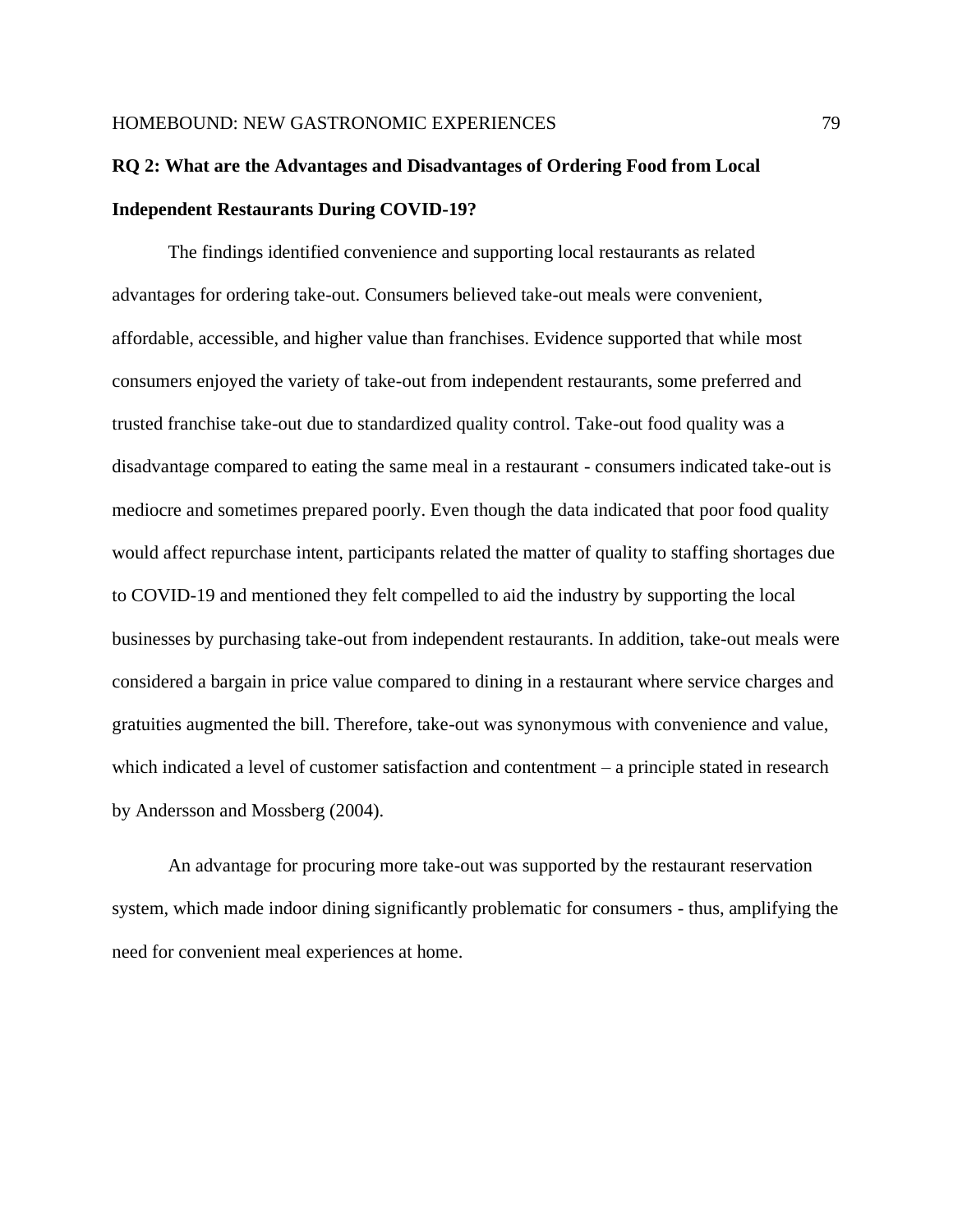# **RQ 2: What are the Advantages and Disadvantages of Ordering Food from Local Independent Restaurants During COVID-19?**

The findings identified convenience and supporting local restaurants as related advantages for ordering take-out. Consumers believed take-out meals were convenient, affordable, accessible, and higher value than franchises. Evidence supported that while most consumers enjoyed the variety of take-out from independent restaurants, some preferred and trusted franchise take-out due to standardized quality control. Take-out food quality was a disadvantage compared to eating the same meal in a restaurant - consumers indicated take-out is mediocre and sometimes prepared poorly. Even though the data indicated that poor food quality would affect repurchase intent, participants related the matter of quality to staffing shortages due to COVID-19 and mentioned they felt compelled to aid the industry by supporting the local businesses by purchasing take-out from independent restaurants. In addition, take-out meals were considered a bargain in price value compared to dining in a restaurant where service charges and gratuities augmented the bill. Therefore, take-out was synonymous with convenience and value, which indicated a level of customer satisfaction and contentment – a principle stated in research by Andersson and Mossberg (2004).

An advantage for procuring more take-out was supported by the restaurant reservation system, which made indoor dining significantly problematic for consumers - thus, amplifying the need for convenient meal experiences at home.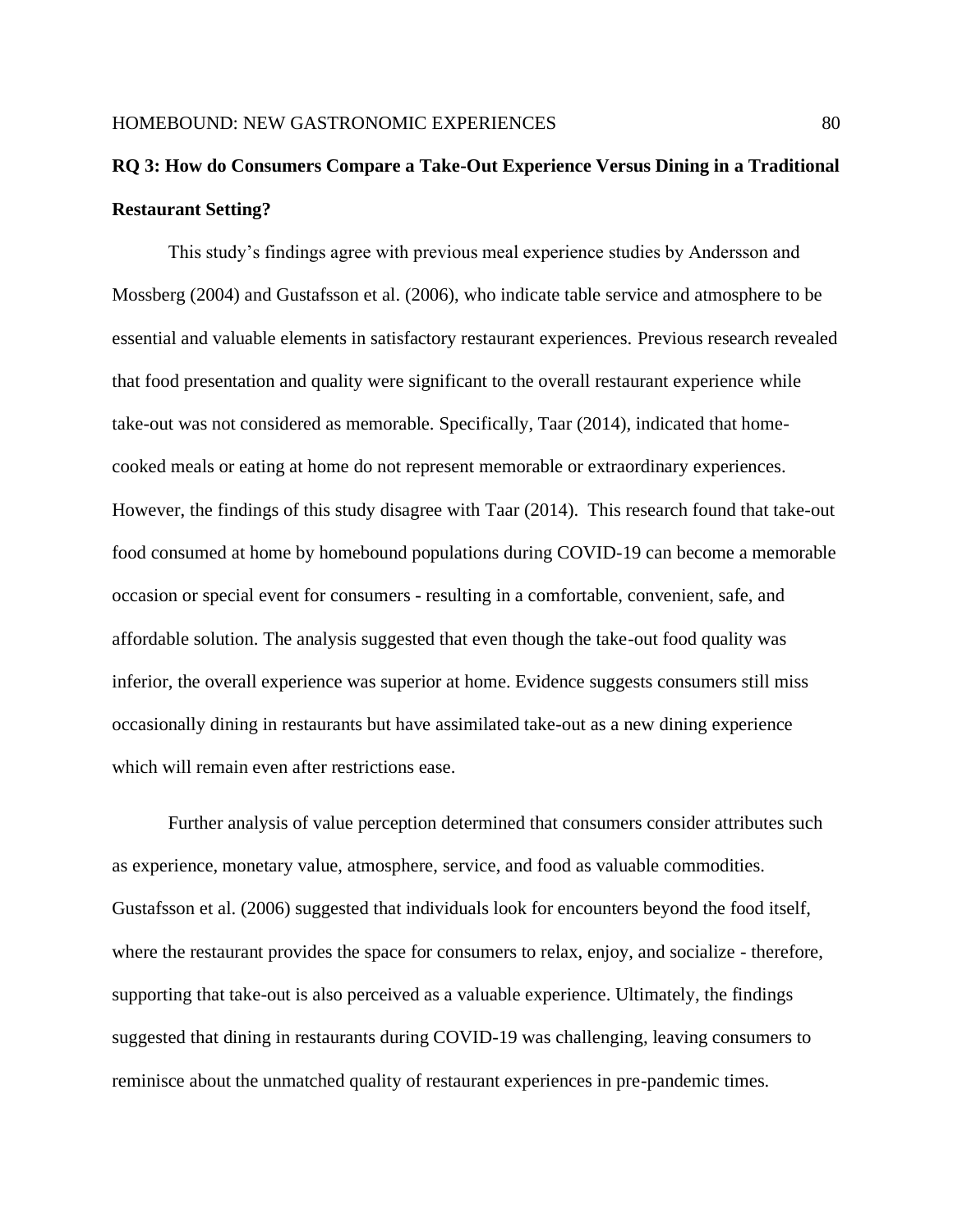# **RQ 3: How do Consumers Compare a Take-Out Experience Versus Dining in a Traditional Restaurant Setting?**

This study's findings agree with previous meal experience studies by Andersson and Mossberg (2004) and Gustafsson et al. (2006), who indicate table service and atmosphere to be essential and valuable elements in satisfactory restaurant experiences. Previous research revealed that food presentation and quality were significant to the overall restaurant experience while take-out was not considered as memorable. Specifically, Taar (2014), indicated that homecooked meals or eating at home do not represent memorable or extraordinary experiences. However, the findings of this study disagree with Taar (2014). This research found that take-out food consumed at home by homebound populations during COVID-19 can become a memorable occasion or special event for consumers - resulting in a comfortable, convenient, safe, and affordable solution. The analysis suggested that even though the take-out food quality was inferior, the overall experience was superior at home. Evidence suggests consumers still miss occasionally dining in restaurants but have assimilated take-out as a new dining experience which will remain even after restrictions ease.

Further analysis of value perception determined that consumers consider attributes such as experience, monetary value, atmosphere, service, and food as valuable commodities. Gustafsson et al. (2006) suggested that individuals look for encounters beyond the food itself, where the restaurant provides the space for consumers to relax, enjoy, and socialize - therefore, supporting that take-out is also perceived as a valuable experience. Ultimately, the findings suggested that dining in restaurants during COVID-19 was challenging, leaving consumers to reminisce about the unmatched quality of restaurant experiences in pre-pandemic times.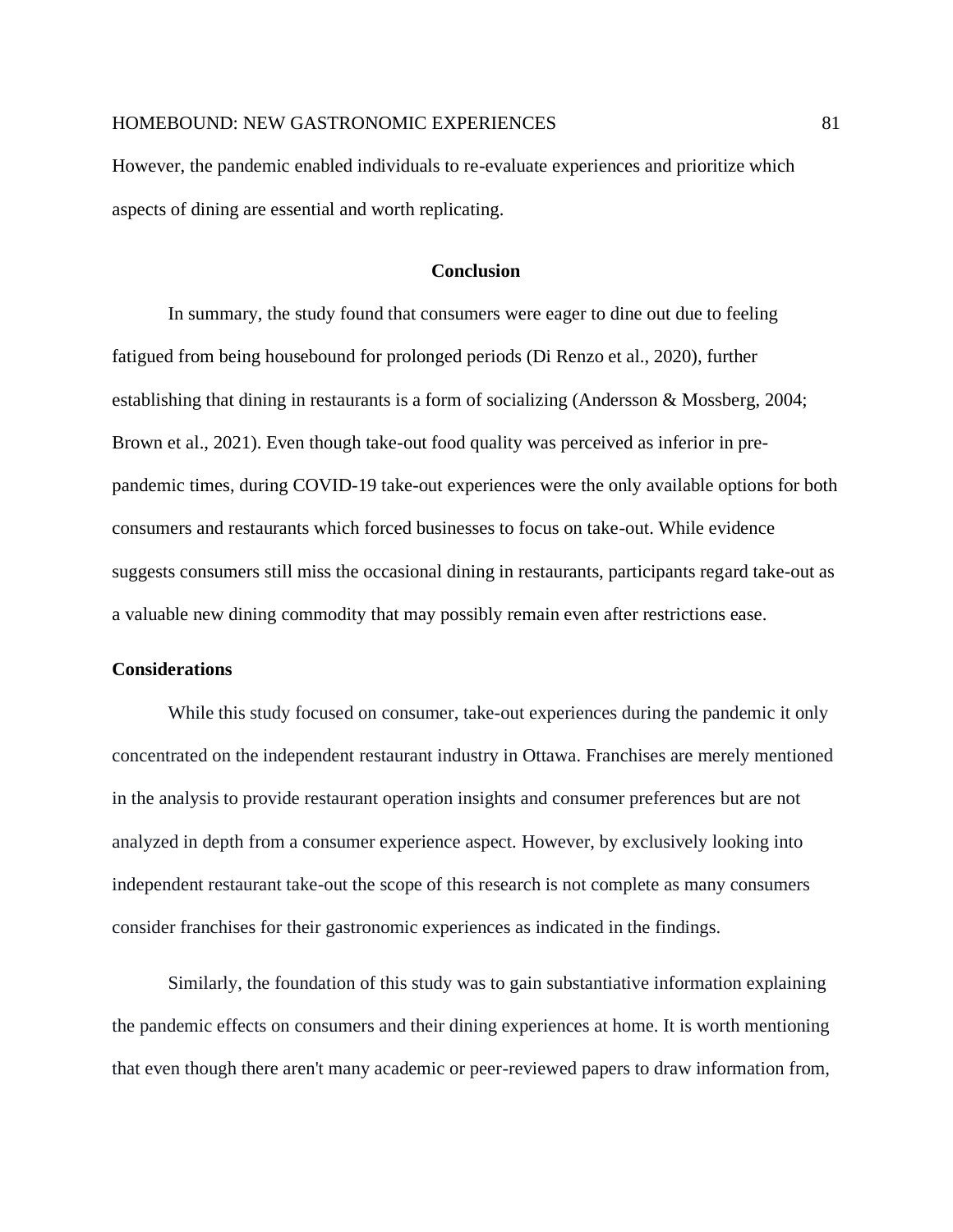However, the pandemic enabled individuals to re-evaluate experiences and prioritize which aspects of dining are essential and worth replicating.

# **Conclusion**

In summary, the study found that consumers were eager to dine out due to feeling fatigued from being housebound for prolonged periods (Di Renzo et al., 2020), further establishing that dining in restaurants is a form of socializing (Andersson & Mossberg, 2004; Brown et al., 2021). Even though take-out food quality was perceived as inferior in prepandemic times, during COVID-19 take-out experiences were the only available options for both consumers and restaurants which forced businesses to focus on take-out. While evidence suggests consumers still miss the occasional dining in restaurants, participants regard take-out as a valuable new dining commodity that may possibly remain even after restrictions ease.

## **Considerations**

While this study focused on consumer, take-out experiences during the pandemic it only concentrated on the independent restaurant industry in Ottawa. Franchises are merely mentioned in the analysis to provide restaurant operation insights and consumer preferences but are not analyzed in depth from a consumer experience aspect. However, by exclusively looking into independent restaurant take-out the scope of this research is not complete as many consumers consider franchises for their gastronomic experiences as indicated in the findings.

Similarly, the foundation of this study was to gain substantiative information explaining the pandemic effects on consumers and their dining experiences at home. It is worth mentioning that even though there aren't many academic or peer-reviewed papers to draw information from,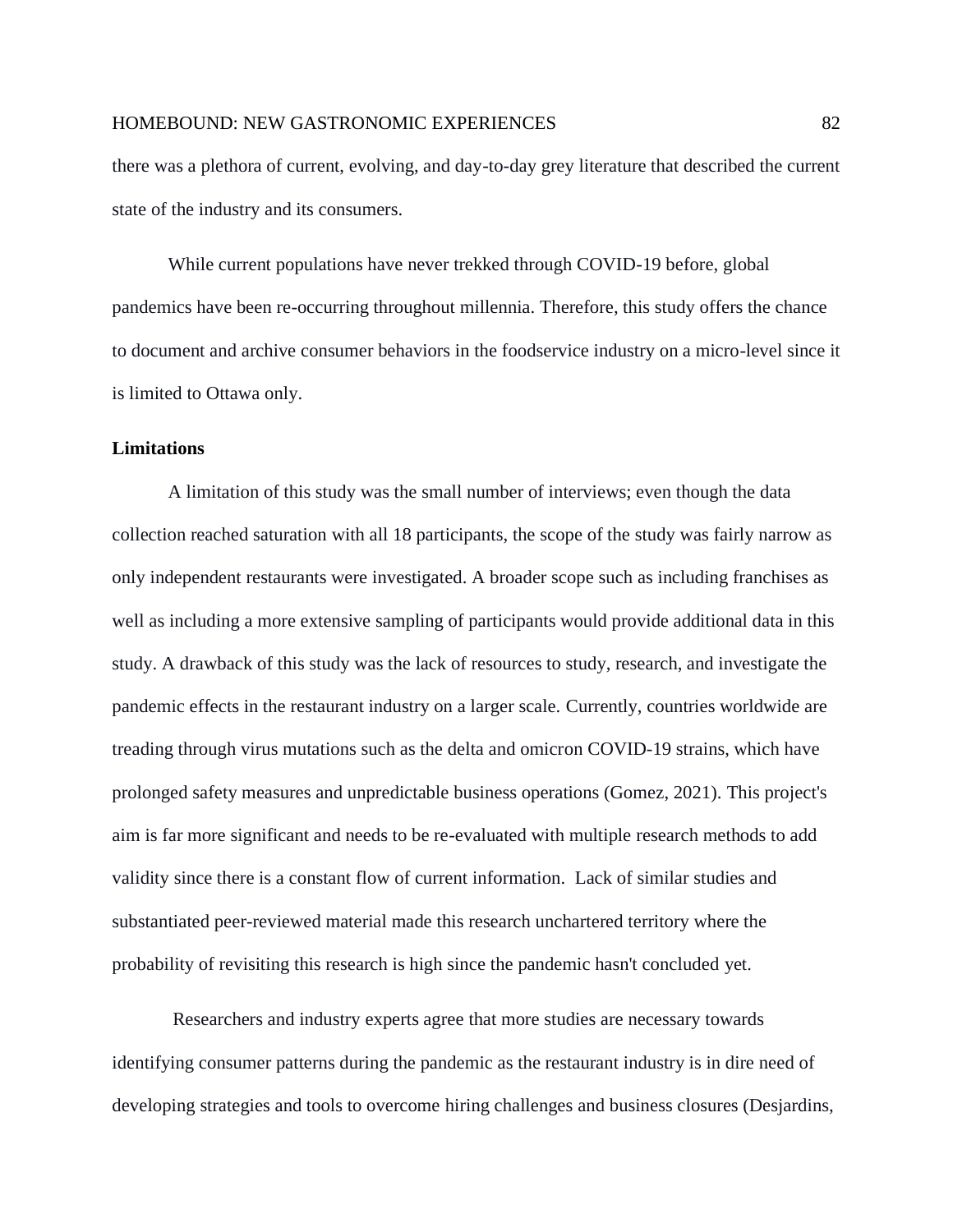there was a plethora of current, evolving, and day-to-day grey literature that described the current state of the industry and its consumers.

While current populations have never trekked through COVID-19 before, global pandemics have been re-occurring throughout millennia. Therefore, this study offers the chance to document and archive consumer behaviors in the foodservice industry on a micro-level since it is limited to Ottawa only.

## **Limitations**

A limitation of this study was the small number of interviews; even though the data collection reached saturation with all 18 participants, the scope of the study was fairly narrow as only independent restaurants were investigated. A broader scope such as including franchises as well as including a more extensive sampling of participants would provide additional data in this study. A drawback of this study was the lack of resources to study, research, and investigate the pandemic effects in the restaurant industry on a larger scale. Currently, countries worldwide are treading through virus mutations such as the delta and omicron COVID-19 strains, which have prolonged safety measures and unpredictable business operations (Gomez, 2021). This project's aim is far more significant and needs to be re-evaluated with multiple research methods to add validity since there is a constant flow of current information. Lack of similar studies and substantiated peer-reviewed material made this research unchartered territory where the probability of revisiting this research is high since the pandemic hasn't concluded yet.

Researchers and industry experts agree that more studies are necessary towards identifying consumer patterns during the pandemic as the restaurant industry is in dire need of developing strategies and tools to overcome hiring challenges and business closures (Desjardins,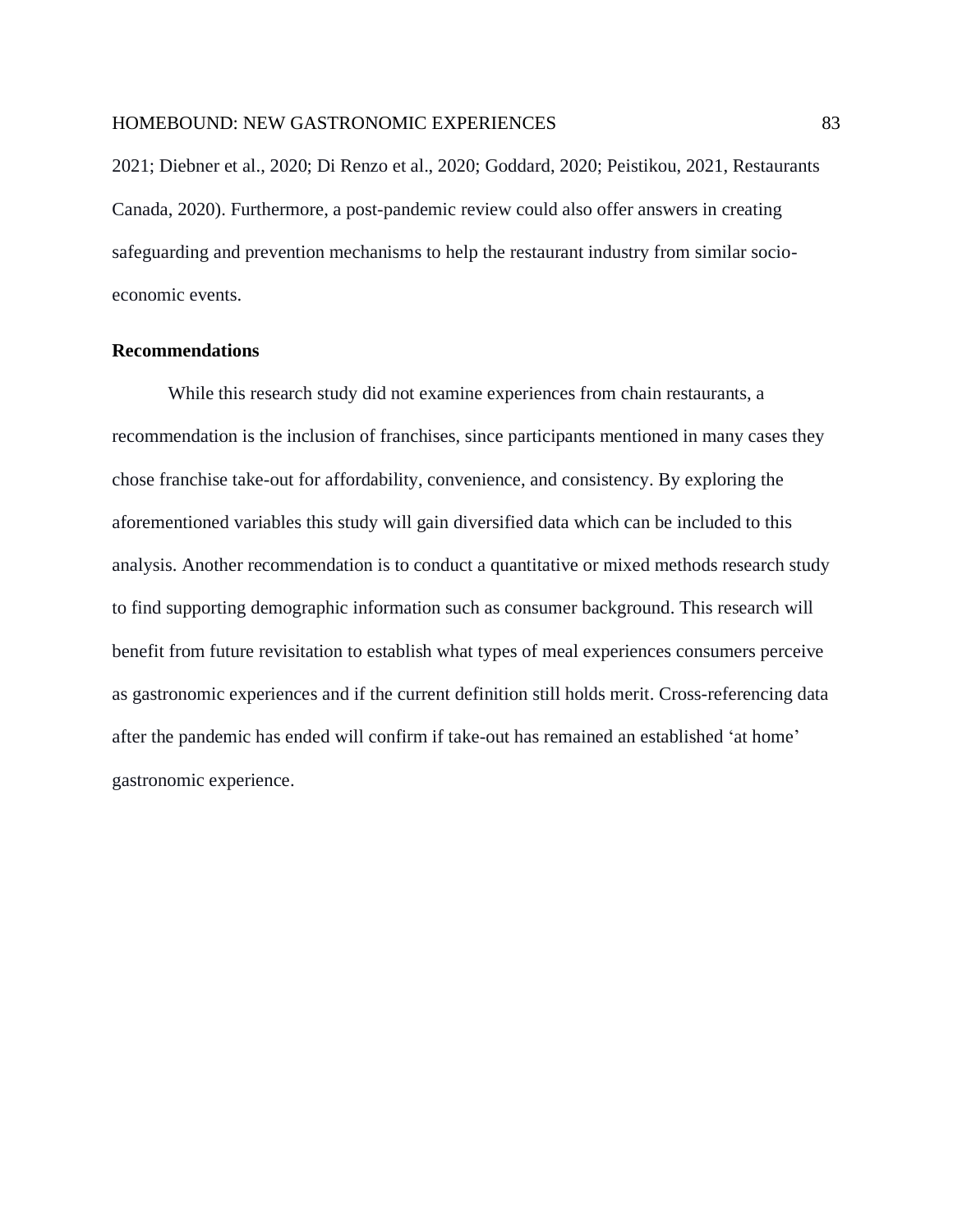2021; Diebner et al., 2020; Di Renzo et al., 2020; Goddard, 2020; Peistikou, 2021, Restaurants Canada, 2020). Furthermore, a post-pandemic review could also offer answers in creating safeguarding and prevention mechanisms to help the restaurant industry from similar socioeconomic events.

# **Recommendations**

While this research study did not examine experiences from chain restaurants, a recommendation is the inclusion of franchises, since participants mentioned in many cases they chose franchise take-out for affordability, convenience, and consistency. By exploring the aforementioned variables this study will gain diversified data which can be included to this analysis. Another recommendation is to conduct a quantitative or mixed methods research study to find supporting demographic information such as consumer background. This research will benefit from future revisitation to establish what types of meal experiences consumers perceive as gastronomic experiences and if the current definition still holds merit. Cross-referencing data after the pandemic has ended will confirm if take-out has remained an established 'at home' gastronomic experience.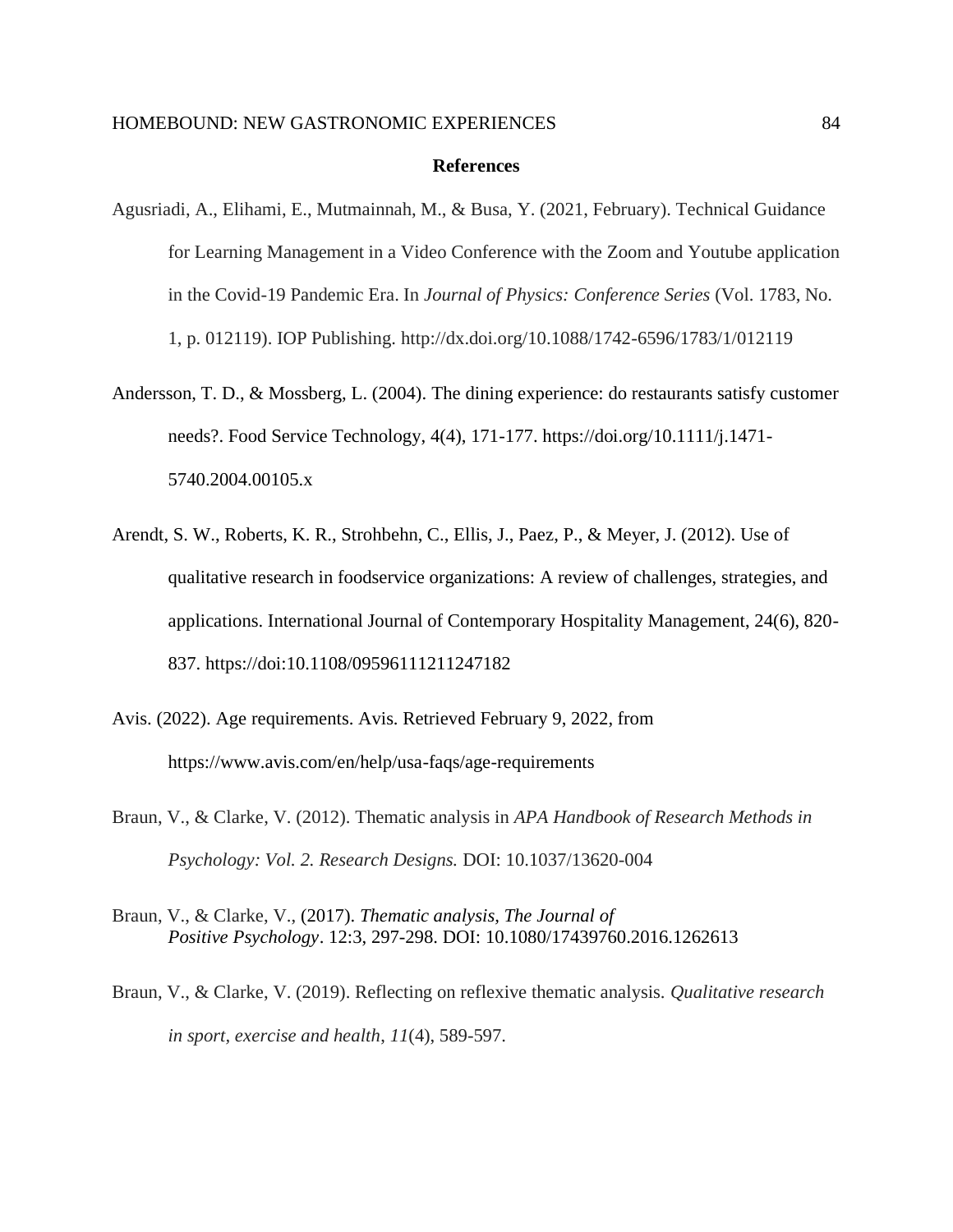### **References**

- Agusriadi, A., Elihami, E., Mutmainnah, M., & Busa, Y. (2021, February). Technical Guidance for Learning Management in a Video Conference with the Zoom and Youtube application in the Covid-19 Pandemic Era. In *Journal of Physics: Conference Series* (Vol. 1783, No. 1, p. 012119). IOP Publishing. http://dx.doi.org/10.1088/1742-6596/1783/1/012119
- Andersson, T. D., & Mossberg, L. (2004). The dining experience: do restaurants satisfy customer needs?. Food Service Technology, 4(4), 171-177. https://doi.org/10.1111/j.1471- 5740.2004.00105.x
- Arendt, S. W., Roberts, K. R., Strohbehn, C., Ellis, J., Paez, P., & Meyer, J. (2012). Use of qualitative research in foodservice organizations: A review of challenges, strategies, and applications. International Journal of Contemporary Hospitality Management, 24(6), 820- 837. https://doi:10.1108/09596111211247182
- Avis. (2022). Age requirements. Avis. Retrieved February 9, 2022, from https://www.avis.com/en/help/usa-faqs/age-requirements
- Braun, V., & Clarke, V. (2012). Thematic analysis in *APA Handbook of Research Methods in Psychology: Vol. 2. Research Designs.* DOI: 10.1037/13620-004
- Braun, V., & Clarke, V., (2017). *Thematic analysis, The Journal of Positive Psychology*. 12:3, 297-298. DOI: 10.1080/17439760.2016.1262613
- Braun, V., & Clarke, V. (2019). Reflecting on reflexive thematic analysis. *Qualitative research in sport, exercise and health*, *11*(4), 589-597.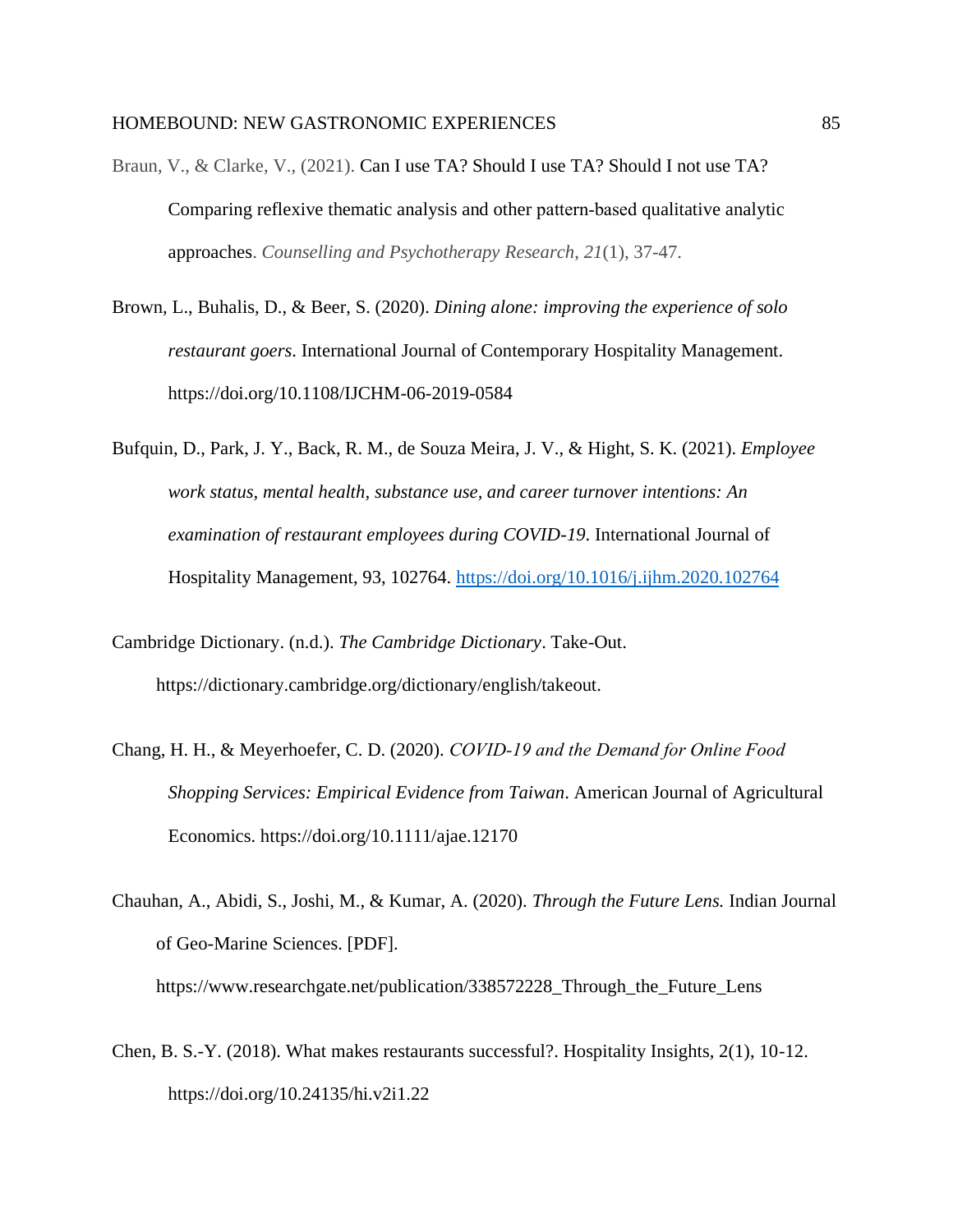- Braun, V., & Clarke, V., (2021). Can I use TA? Should I use TA? Should I not use TA? Comparing reflexive thematic analysis and other pattern‐based qualitative analytic approaches. *Counselling and Psychotherapy Research*, *21*(1), 37-47.
- Brown, L., Buhalis, D., & Beer, S. (2020). *Dining alone: improving the experience of solo restaurant goers*. International Journal of Contemporary Hospitality Management. https://doi.org/10.1108/IJCHM-06-2019-0584
- Bufquin, D., Park, J. Y., Back, R. M., de Souza Meira, J. V., & Hight, S. K. (2021). *Employee work status, mental health, substance use, and career turnover intentions: An examination of restaurant employees during COVID-19*. International Journal of Hospitality Management, 93, 102764.<https://doi.org/10.1016/j.ijhm.2020.102764>
- Cambridge Dictionary. (n.d.). *The Cambridge Dictionary*. Take-Out. https://dictionary.cambridge.org/dictionary/english/takeout.
- Chang, H. H., & Meyerhoefer, C. D. (2020). *COVID‐19 and the Demand for Online Food Shopping Services: Empirical Evidence from Taiwan*. American Journal of Agricultural Economics. https://doi.org/10.1111/ajae.12170
- Chauhan, A., Abidi, S., Joshi, M., & Kumar, A. (2020). *Through the Future Lens.* Indian Journal of Geo-Marine Sciences. [PDF]. https://www.researchgate.net/publication/338572228\_Through\_the\_Future\_Lens
- Chen, B. S.-Y. (2018). What makes restaurants successful?. Hospitality Insights, 2(1), 10-12. https://doi.org/10.24135/hi.v2i1.22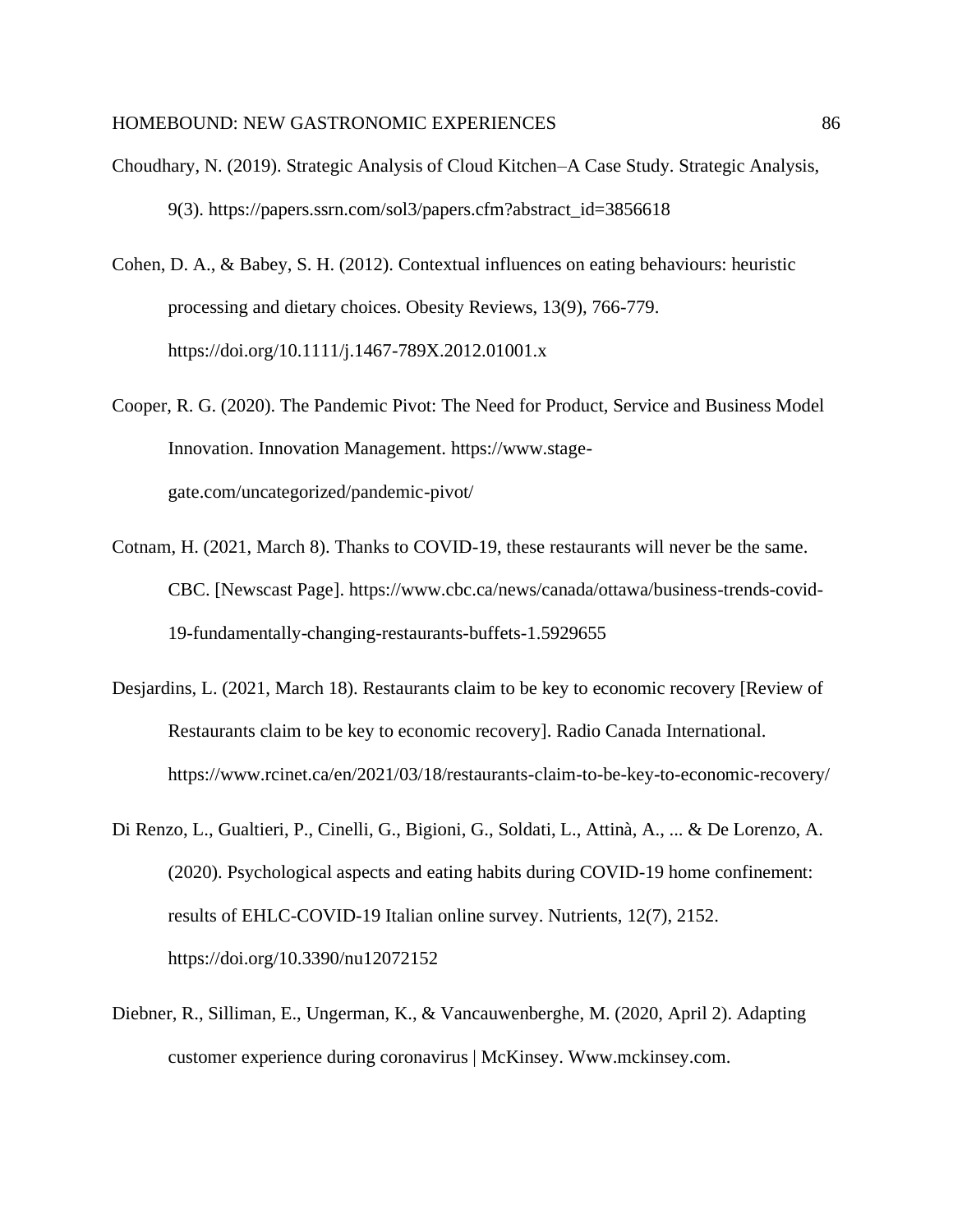- Choudhary, N. (2019). Strategic Analysis of Cloud Kitchen–A Case Study. Strategic Analysis, 9(3). https://papers.ssrn.com/sol3/papers.cfm?abstract\_id=3856618
- Cohen, D. A., & Babey, S. H. (2012). Contextual influences on eating behaviours: heuristic processing and dietary choices. Obesity Reviews, 13(9), 766-779. https://doi.org/10.1111/j.1467-789X.2012.01001.x
- Cooper, R. G. (2020). The Pandemic Pivot: The Need for Product, Service and Business Model Innovation. Innovation Management. https://www.stagegate.com/uncategorized/pandemic-pivot/
- Cotnam, H. (2021, March 8). Thanks to COVID-19, these restaurants will never be the same. CBC. [Newscast Page]. https://www.cbc.ca/news/canada/ottawa/business-trends-covid-19-fundamentally-changing-restaurants-buffets-1.5929655
- Desjardins, L. (2021, March 18). Restaurants claim to be key to economic recovery [Review of Restaurants claim to be key to economic recovery]. Radio Canada International. https://www.rcinet.ca/en/2021/03/18/restaurants-claim-to-be-key-to-economic-recovery/
- Di Renzo, L., Gualtieri, P., Cinelli, G., Bigioni, G., Soldati, L., Attinà, A., ... & De Lorenzo, A. (2020). Psychological aspects and eating habits during COVID-19 home confinement: results of EHLC-COVID-19 Italian online survey. Nutrients, 12(7), 2152. https://doi.org/10.3390/nu12072152
- Diebner, R., Silliman, E., Ungerman, K., & Vancauwenberghe, M. (2020, April 2). Adapting customer experience during coronavirus | McKinsey. Www.mckinsey.com.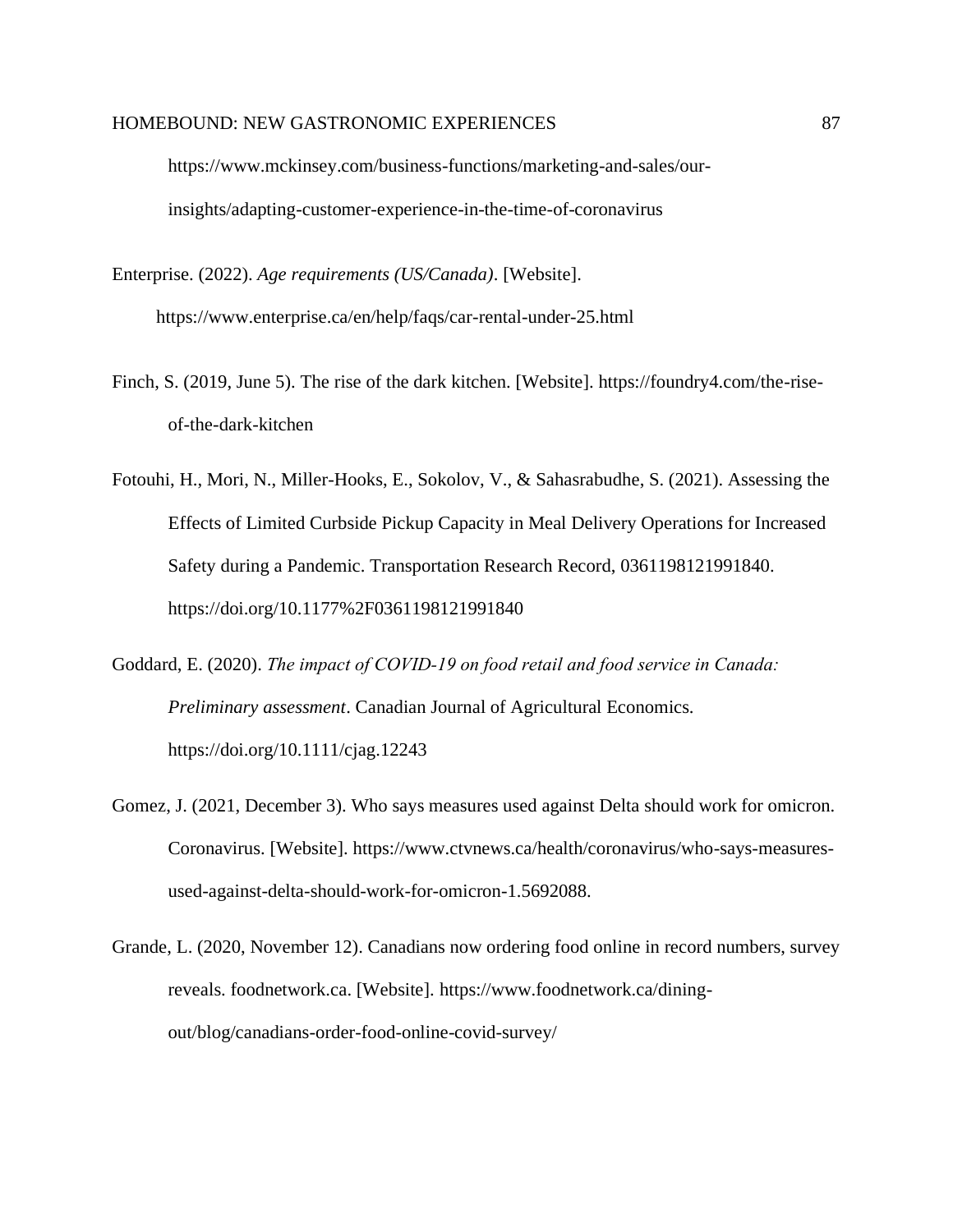https://www.mckinsey.com/business-functions/marketing-and-sales/ourinsights/adapting-customer-experience-in-the-time-of-coronavirus

Enterprise. (2022). *Age requirements (US/Canada)*. [Website]. https://www.enterprise.ca/en/help/faqs/car-rental-under-25.html

- Finch, S. (2019, June 5). The rise of the dark kitchen. [Website]. https://foundry4.com/the-riseof-the-dark-kitchen
- Fotouhi, H., Mori, N., Miller-Hooks, E., Sokolov, V., & Sahasrabudhe, S. (2021). Assessing the Effects of Limited Curbside Pickup Capacity in Meal Delivery Operations for Increased Safety during a Pandemic. Transportation Research Record, 0361198121991840. https://doi.org/10.1177%2F0361198121991840
- Goddard, E. (2020). *The impact of COVID‐19 on food retail and food service in Canada: Preliminary assessment*. Canadian Journal of Agricultural Economics. https://doi.org/10.1111/cjag.12243
- Gomez, J. (2021, December 3). Who says measures used against Delta should work for omicron. Coronavirus. [Website]. https://www.ctvnews.ca/health/coronavirus/who-says-measuresused-against-delta-should-work-for-omicron-1.5692088.
- Grande, L. (2020, November 12). Canadians now ordering food online in record numbers, survey reveals. foodnetwork.ca. [Website]. https://www.foodnetwork.ca/diningout/blog/canadians-order-food-online-covid-survey/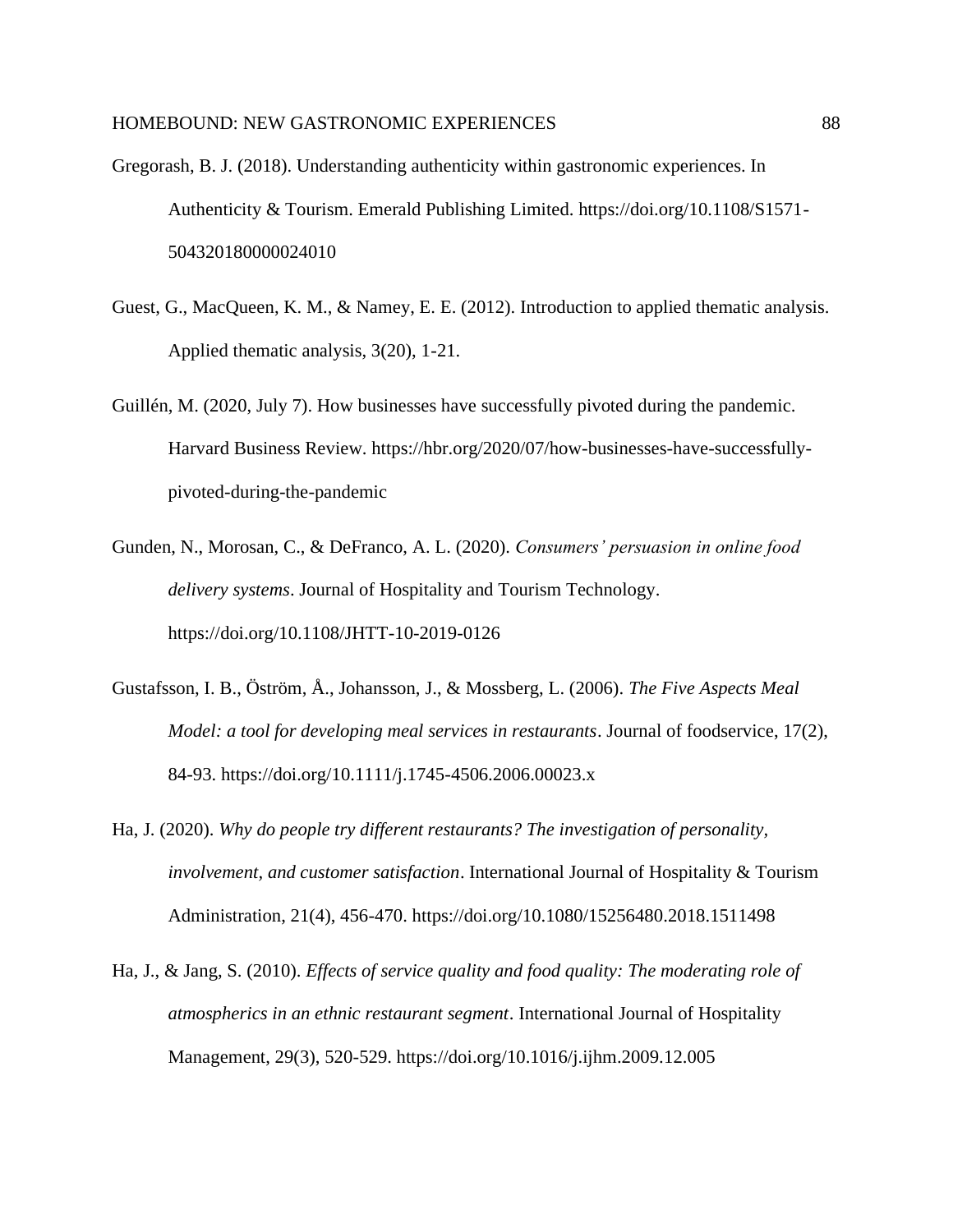- Gregorash, B. J. (2018). Understanding authenticity within gastronomic experiences. In Authenticity & Tourism. Emerald Publishing Limited. https://doi.org/10.1108/S1571- 504320180000024010
- Guest, G., MacQueen, K. M., & Namey, E. E. (2012). Introduction to applied thematic analysis. Applied thematic analysis, 3(20), 1-21.
- Guillén, M. (2020, July 7). How businesses have successfully pivoted during the pandemic. Harvard Business Review. https://hbr.org/2020/07/how-businesses-have-successfullypivoted-during-the-pandemic
- Gunden, N., Morosan, C., & DeFranco, A. L. (2020). *Consumers' persuasion in online food delivery systems*. Journal of Hospitality and Tourism Technology. https://doi.org/10.1108/JHTT-10-2019-0126
- Gustafsson, I. B., Öström, Å., Johansson, J., & Mossberg, L. (2006). *The Five Aspects Meal Model: a tool for developing meal services in restaurants*. Journal of foodservice, 17(2), 84-93. https://doi.org/10.1111/j.1745-4506.2006.00023.x
- Ha, J. (2020). *Why do people try different restaurants? The investigation of personality, involvement, and customer satisfaction*. International Journal of Hospitality & Tourism Administration, 21(4), 456-470. https://doi.org/10.1080/15256480.2018.1511498
- Ha, J., & Jang, S. (2010). *Effects of service quality and food quality: The moderating role of atmospherics in an ethnic restaurant segment*. International Journal of Hospitality Management, 29(3), 520-529. https://doi.org/10.1016/j.ijhm.2009.12.005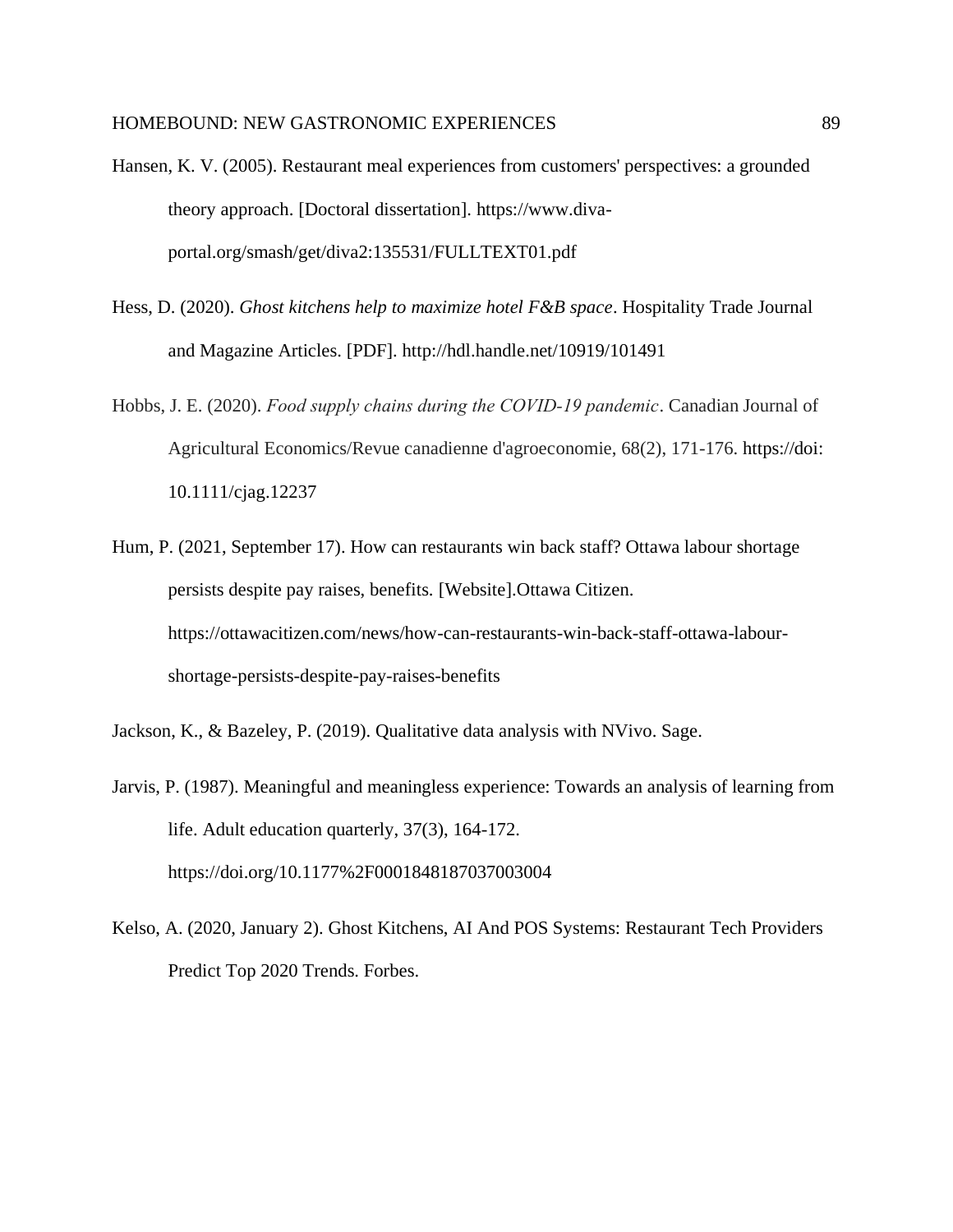- Hansen, K. V. (2005). Restaurant meal experiences from customers' perspectives: a grounded theory approach. [Doctoral dissertation]. https://www.divaportal.org/smash/get/diva2:135531/FULLTEXT01.pdf
- Hess, D. (2020). *Ghost kitchens help to maximize hotel F&B space*. Hospitality Trade Journal and Magazine Articles. [PDF]. http://hdl.handle.net/10919/101491
- Hobbs, J. E. (2020). *Food supply chains during the COVID‐19 pandemic*. Canadian Journal of Agricultural Economics/Revue canadienne d'agroeconomie, 68(2), 171-176. https://doi: 10.1111/cjag.12237
- Hum, P. (2021, September 17). How can restaurants win back staff? Ottawa labour shortage persists despite pay raises, benefits. [Website].Ottawa Citizen. https://ottawacitizen.com/news/how-can-restaurants-win-back-staff-ottawa-labourshortage-persists-despite-pay-raises-benefits
- Jackson, K., & Bazeley, P. (2019). Qualitative data analysis with NVivo. Sage.
- Jarvis, P. (1987). Meaningful and meaningless experience: Towards an analysis of learning from life. Adult education quarterly, 37(3), 164-172. https://doi.org/10.1177%2F0001848187037003004
- Kelso, A. (2020, January 2). Ghost Kitchens, AI And POS Systems: Restaurant Tech Providers Predict Top 2020 Trends. Forbes.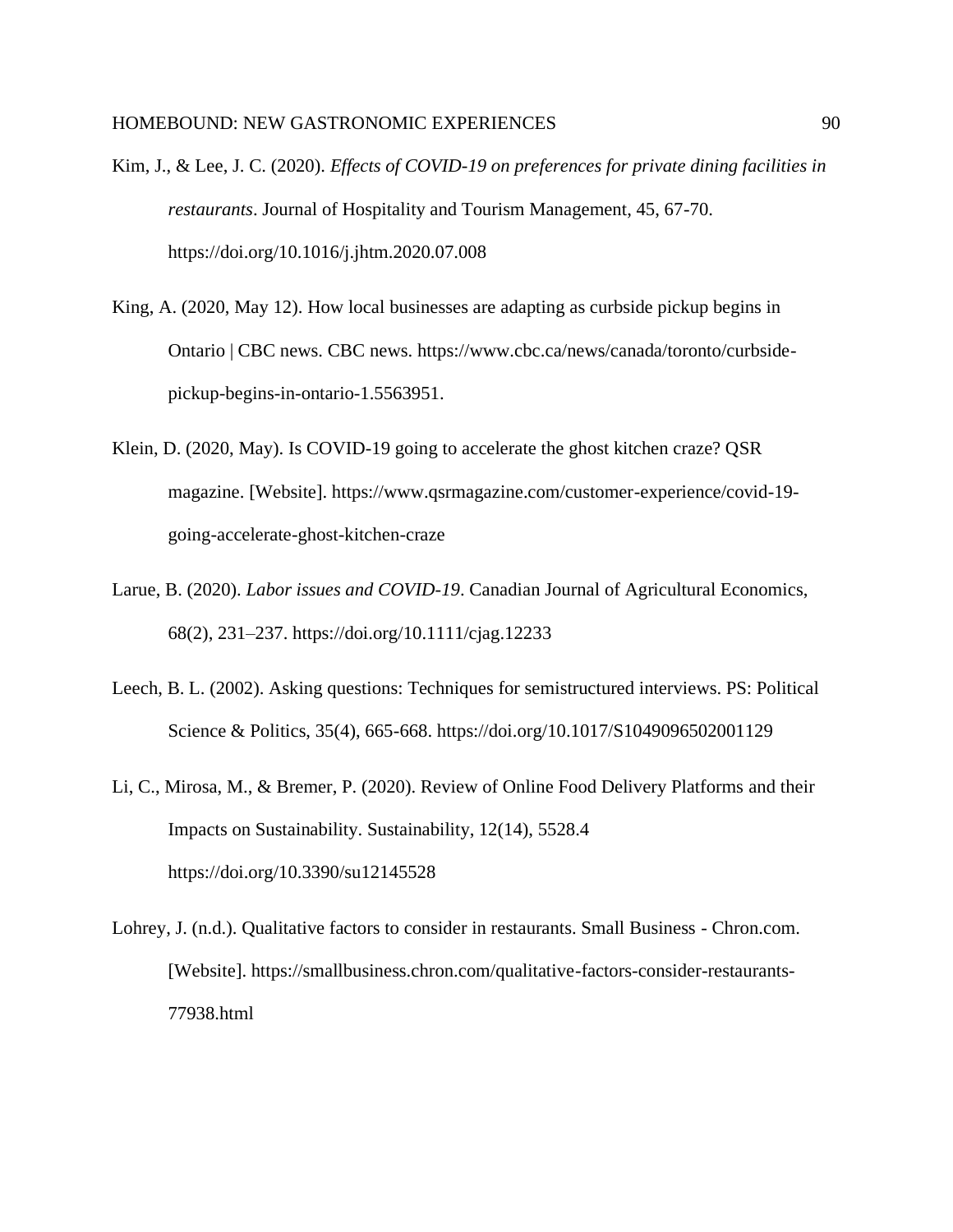- Kim, J., & Lee, J. C. (2020). *Effects of COVID-19 on preferences for private dining facilities in restaurants*. Journal of Hospitality and Tourism Management, 45, 67-70. https://doi.org/10.1016/j.jhtm.2020.07.008
- King, A. (2020, May 12). How local businesses are adapting as curbside pickup begins in Ontario | CBC news. CBC news. https://www.cbc.ca/news/canada/toronto/curbsidepickup-begins-in-ontario-1.5563951.
- Klein, D. (2020, May). Is COVID-19 going to accelerate the ghost kitchen craze? QSR magazine. [Website]. https://www.qsrmagazine.com/customer-experience/covid-19 going-accelerate-ghost-kitchen-craze
- Larue, B. (2020). *Labor issues and COVID-19*. Canadian Journal of Agricultural Economics, 68(2), 231–237. https://doi.org/10.1111/cjag.12233
- Leech, B. L. (2002). Asking questions: Techniques for semistructured interviews. PS: Political Science & Politics, 35(4), 665-668. https://doi.org/10.1017/S1049096502001129
- Li, C., Mirosa, M., & Bremer, P. (2020). Review of Online Food Delivery Platforms and their Impacts on Sustainability. Sustainability, 12(14), 5528.4 https://doi.org/10.3390/su12145528
- Lohrey, J. (n.d.). Qualitative factors to consider in restaurants. Small Business Chron.com. [Website]. https://smallbusiness.chron.com/qualitative-factors-consider-restaurants-77938.html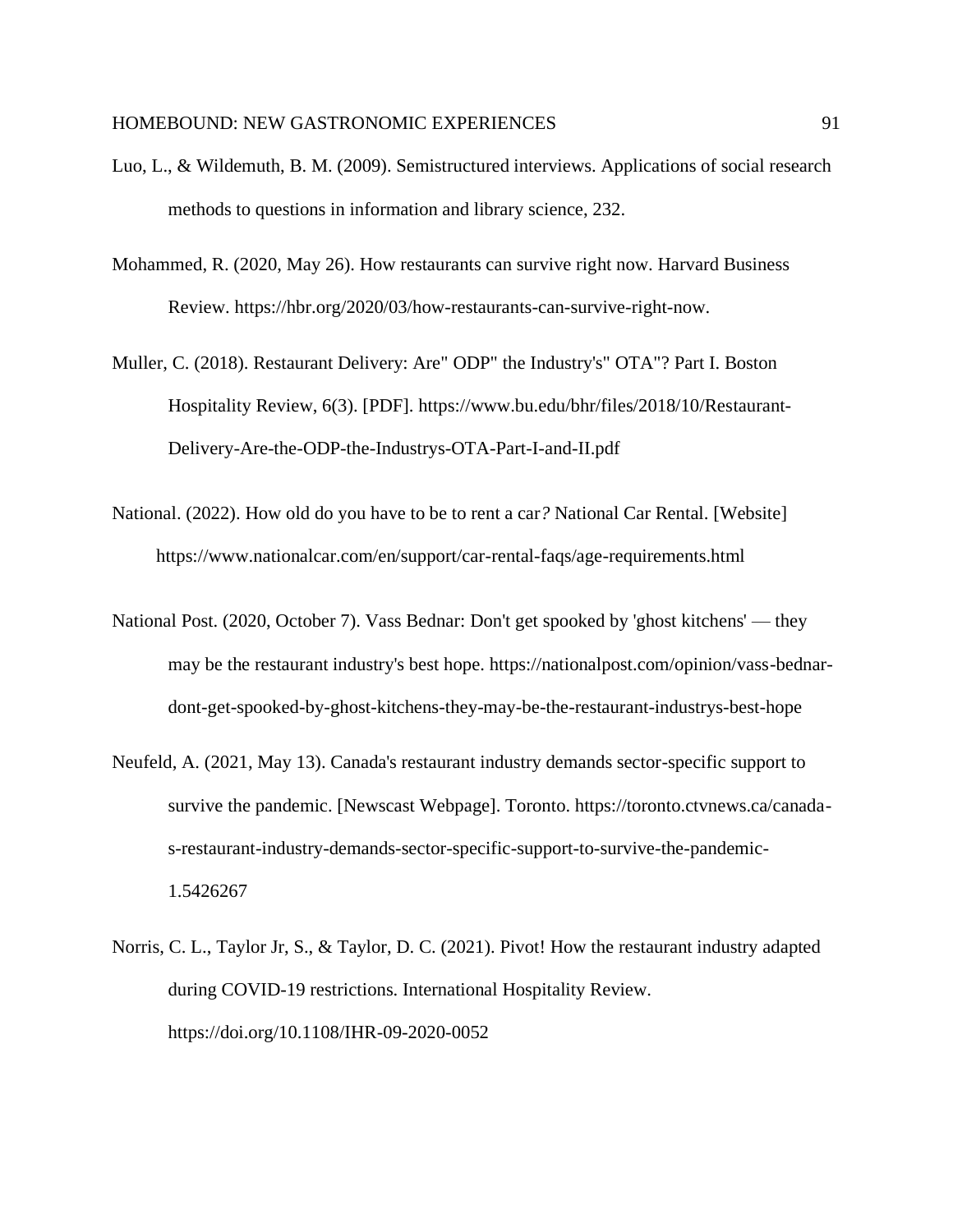- Luo, L., & Wildemuth, B. M. (2009). Semistructured interviews. Applications of social research methods to questions in information and library science, 232.
- Mohammed, R. (2020, May 26). How restaurants can survive right now. Harvard Business Review. https://hbr.org/2020/03/how-restaurants-can-survive-right-now.
- Muller, C. (2018). Restaurant Delivery: Are" ODP" the Industry's" OTA"? Part I. Boston Hospitality Review, 6(3). [PDF]. https://www.bu.edu/bhr/files/2018/10/Restaurant-Delivery-Are-the-ODP-the-Industrys-OTA-Part-I-and-II.pdf
- National. (2022). How old do you have to be to rent a car*?* National Car Rental. [Website] https://www.nationalcar.com/en/support/car-rental-faqs/age-requirements.html
- National Post. (2020, October 7). Vass Bednar: Don't get spooked by 'ghost kitchens' they may be the restaurant industry's best hope. https://nationalpost.com/opinion/vass-bednardont-get-spooked-by-ghost-kitchens-they-may-be-the-restaurant-industrys-best-hope
- Neufeld, A. (2021, May 13). Canada's restaurant industry demands sector-specific support to survive the pandemic. [Newscast Webpage]. Toronto. https://toronto.ctvnews.ca/canadas-restaurant-industry-demands-sector-specific-support-to-survive-the-pandemic-1.5426267
- Norris, C. L., Taylor Jr, S., & Taylor, D. C. (2021). Pivot! How the restaurant industry adapted during COVID-19 restrictions. International Hospitality Review. https://doi.org/10.1108/IHR-09-2020-0052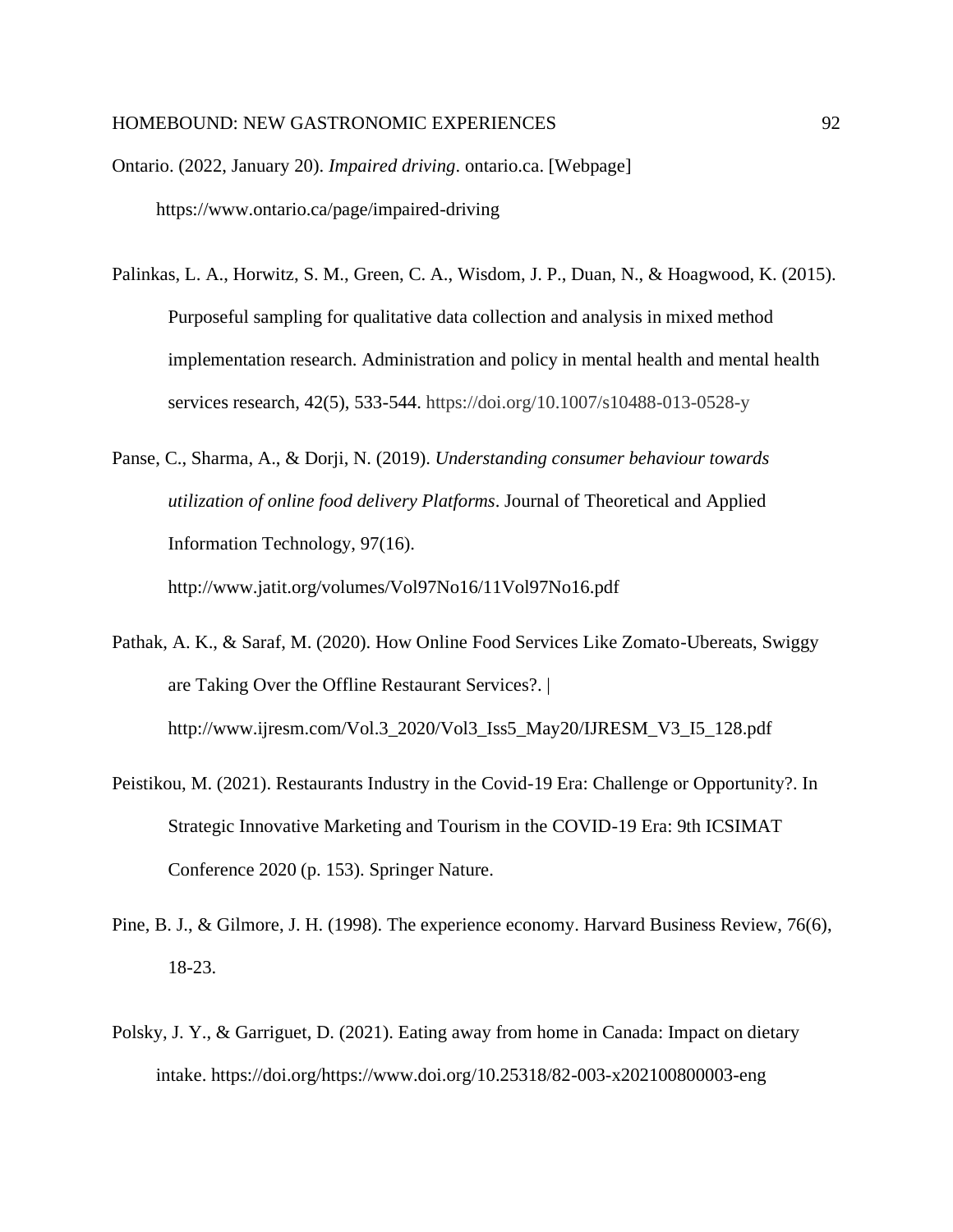Ontario. (2022, January 20). *Impaired driving*. ontario.ca. [Webpage] https://www.ontario.ca/page/impaired-driving

- Palinkas, L. A., Horwitz, S. M., Green, C. A., Wisdom, J. P., Duan, N., & Hoagwood, K. (2015). Purposeful sampling for qualitative data collection and analysis in mixed method implementation research. Administration and policy in mental health and mental health services research, 42(5), 533-544. https://doi.org/10.1007/s10488-013-0528-y
- Panse, C., Sharma, A., & Dorji, N. (2019). *Understanding consumer behaviour towards utilization of online food delivery Platforms*. Journal of Theoretical and Applied Information Technology, 97(16). http://www.jatit.org/volumes/Vol97No16/11Vol97No16.pdf
- Pathak, A. K., & Saraf, M. (2020). How Online Food Services Like Zomato-Ubereats, Swiggy are Taking Over the Offline Restaurant Services?. | http://www.ijresm.com/Vol.3\_2020/Vol3\_Iss5\_May20/IJRESM\_V3\_I5\_128.pdf
- Peistikou, M. (2021). Restaurants Industry in the Covid-19 Era: Challenge or Opportunity?. In Strategic Innovative Marketing and Tourism in the COVID-19 Era: 9th ICSIMAT Conference 2020 (p. 153). Springer Nature.
- Pine, B. J., & Gilmore, J. H. (1998). The experience economy. Harvard Business Review, 76(6), 18-23.
- Polsky, J. Y., & Garriguet, D. (2021). Eating away from home in Canada: Impact on dietary intake. https://doi.org/https://www.doi.org/10.25318/82-003-x202100800003-eng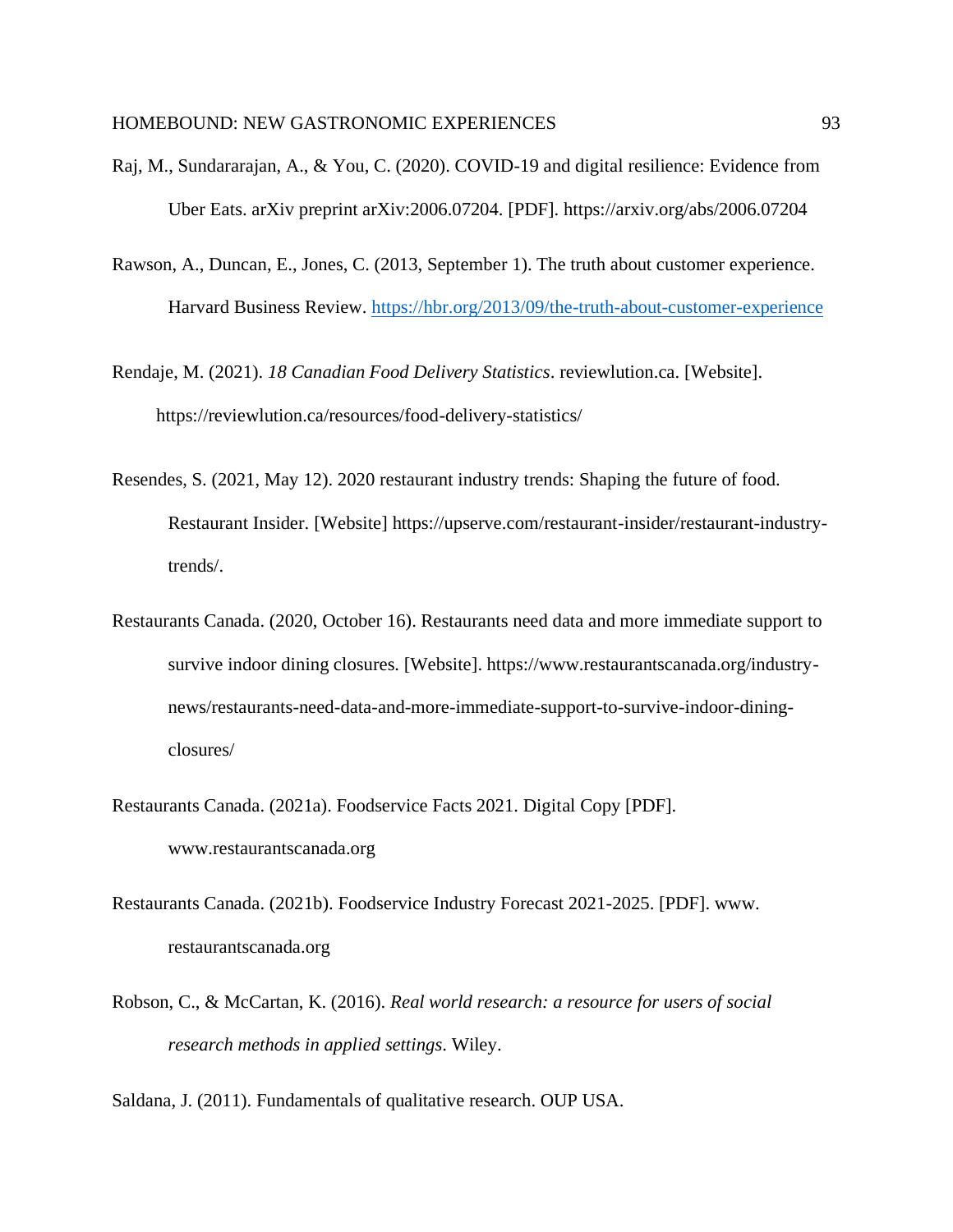- Raj, M., Sundararajan, A., & You, C. (2020). COVID-19 and digital resilience: Evidence from Uber Eats. arXiv preprint arXiv:2006.07204. [PDF]. https://arxiv.org/abs/2006.07204
- Rawson, A., Duncan, E., Jones, C. (2013, September 1). The truth about customer experience. Harvard Business Review.<https://hbr.org/2013/09/the-truth-about-customer-experience>

Rendaje, M. (2021). *18 Canadian Food Delivery Statistics*. reviewlution.ca. [Website]. https://reviewlution.ca/resources/food-delivery-statistics/

- Resendes, S. (2021, May 12). 2020 restaurant industry trends: Shaping the future of food. Restaurant Insider. [Website] https://upserve.com/restaurant-insider/restaurant-industrytrends/.
- Restaurants Canada. (2020, October 16). Restaurants need data and more immediate support to survive indoor dining closures. [Website]. https://www.restaurantscanada.org/industrynews/restaurants-need-data-and-more-immediate-support-to-survive-indoor-diningclosures/
- Restaurants Canada. (2021a). Foodservice Facts 2021. Digital Copy [PDF]. www.restaurantscanada.org
- Restaurants Canada. (2021b). Foodservice Industry Forecast 2021-2025. [PDF]. www. restaurantscanada.org
- Robson, C., & McCartan, K. (2016). *Real world research: a resource for users of social research methods in applied settings*. Wiley.

Saldana, J. (2011). Fundamentals of qualitative research. OUP USA.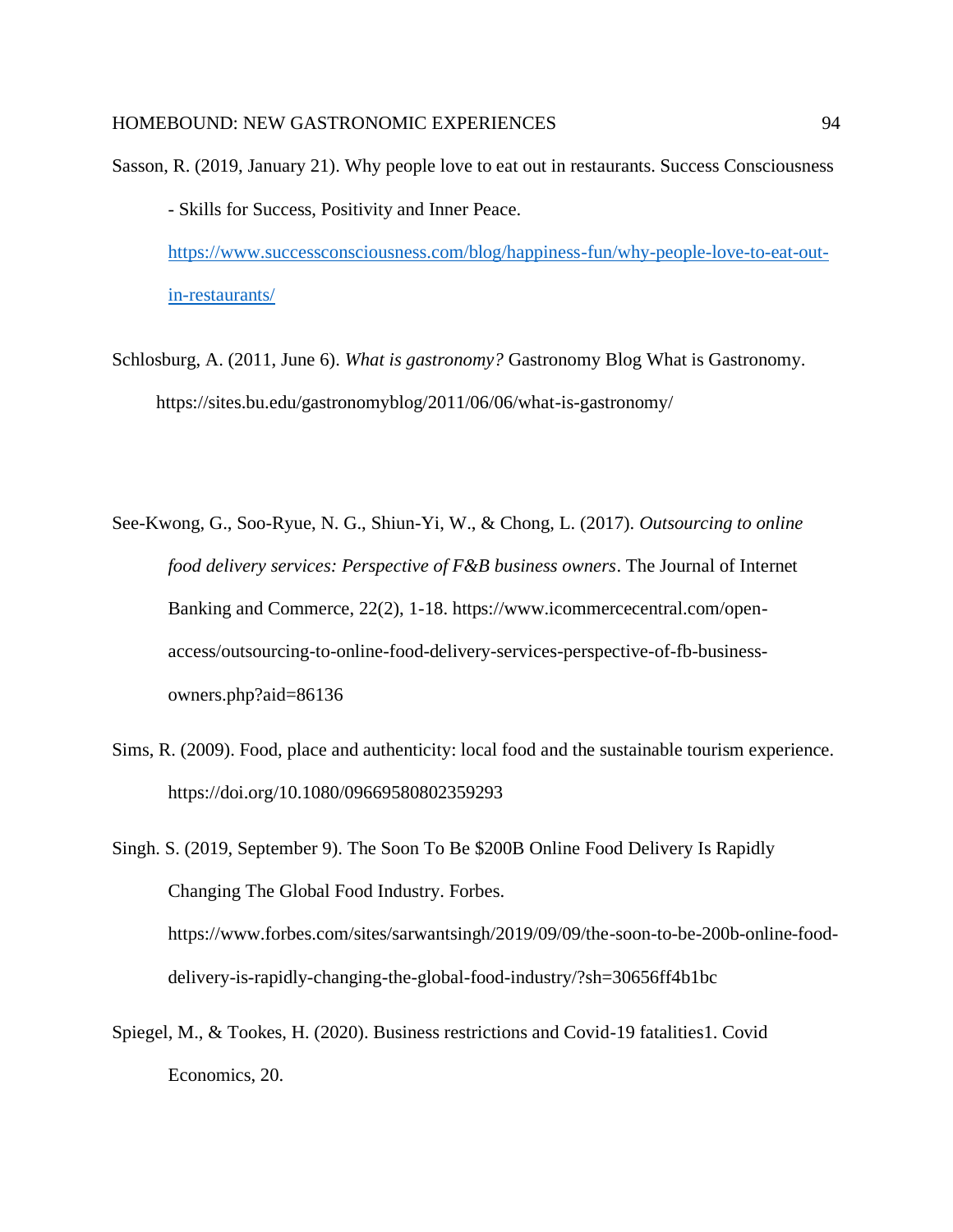- Sasson, R. (2019, January 21). Why people love to eat out in restaurants. Success Consciousness - Skills for Success, Positivity and Inner Peace. [https://www.successconsciousness.com/blog/happiness-fun/why-people-love-to-eat-out](https://www.successconsciousness.com/blog/happiness-fun/why-people-love-to-eat-out-in-restaurants/)[in-restaurants/](https://www.successconsciousness.com/blog/happiness-fun/why-people-love-to-eat-out-in-restaurants/)
- Schlosburg, A. (2011, June 6). *What is gastronomy?* Gastronomy Blog What is Gastronomy. https://sites.bu.edu/gastronomyblog/2011/06/06/what-is-gastronomy/
- See-Kwong, G., Soo-Ryue, N. G., Shiun-Yi, W., & Chong, L. (2017). *Outsourcing to online food delivery services: Perspective of F&B business owners*. The Journal of Internet Banking and Commerce, 22(2), 1-18. https://www.icommercecentral.com/openaccess/outsourcing-to-online-food-delivery-services-perspective-of-fb-businessowners.php?aid=86136
- Sims, R. (2009). Food, place and authenticity: local food and the sustainable tourism experience. https://doi.org/10.1080/09669580802359293

Singh. S. (2019, September 9). The Soon To Be \$200B Online Food Delivery Is Rapidly Changing The Global Food Industry. Forbes. https://www.forbes.com/sites/sarwantsingh/2019/09/09/the-soon-to-be-200b-online-fooddelivery-is-rapidly-changing-the-global-food-industry/?sh=30656ff4b1bc

Spiegel, M., & Tookes, H. (2020). Business restrictions and Covid-19 fatalities1. Covid Economics, 20.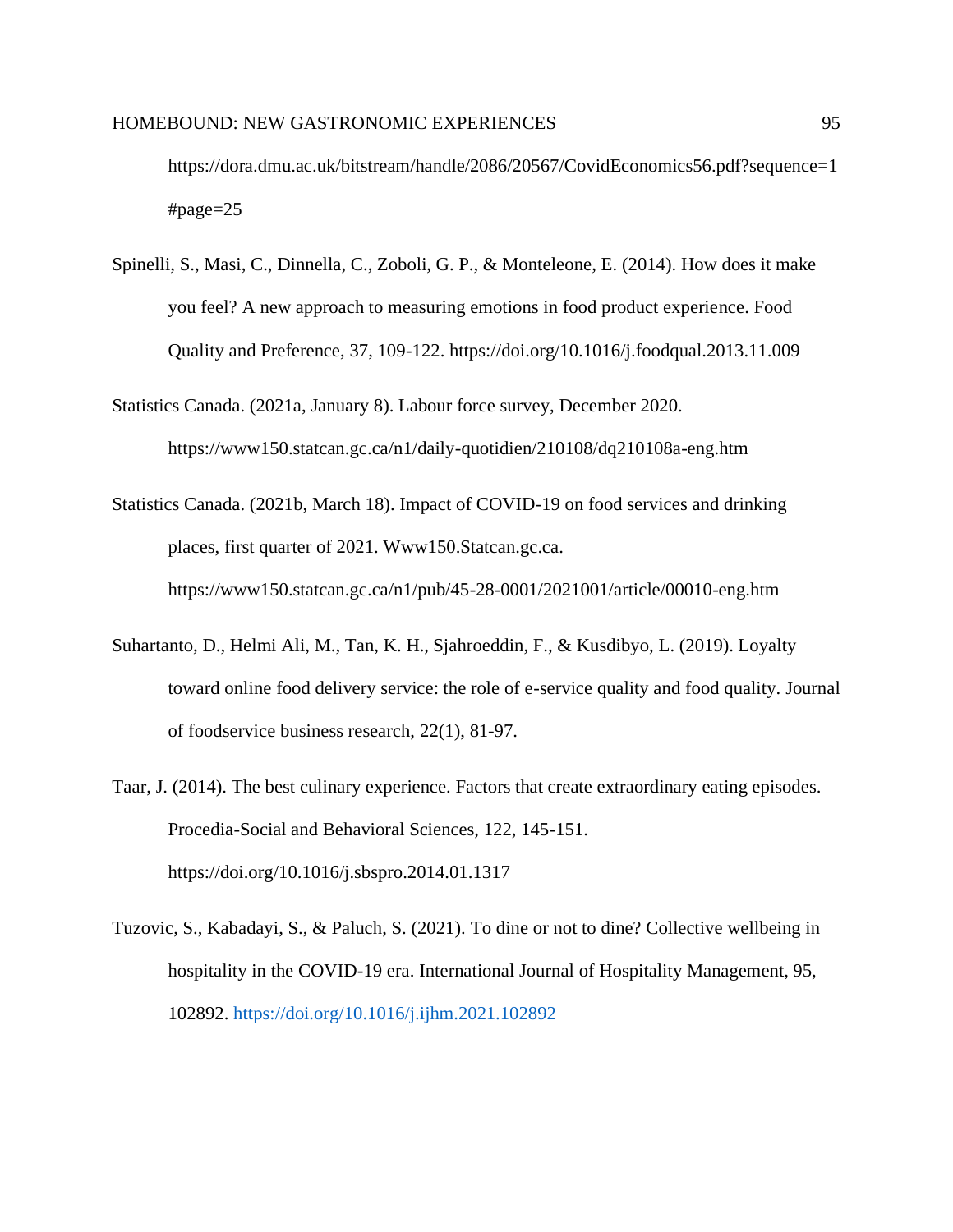https://dora.dmu.ac.uk/bitstream/handle/2086/20567/CovidEconomics56.pdf?sequence=1  $\#page=25$ 

- Spinelli, S., Masi, C., Dinnella, C., Zoboli, G. P., & Monteleone, E. (2014). How does it make you feel? A new approach to measuring emotions in food product experience. Food Quality and Preference, 37, 109-122. https://doi.org/10.1016/j.foodqual.2013.11.009
- Statistics Canada. (2021a, January 8). Labour force survey, December 2020. https://www150.statcan.gc.ca/n1/daily-quotidien/210108/dq210108a-eng.htm
- Statistics Canada. (2021b, March 18). Impact of COVID-19 on food services and drinking places, first quarter of 2021. Www150.Statcan.gc.ca. https://www150.statcan.gc.ca/n1/pub/45-28-0001/2021001/article/00010-eng.htm
- Suhartanto, D., Helmi Ali, M., Tan, K. H., Sjahroeddin, F., & Kusdibyo, L. (2019). Loyalty toward online food delivery service: the role of e-service quality and food quality. Journal of foodservice business research, 22(1), 81-97.
- Taar, J. (2014). The best culinary experience. Factors that create extraordinary eating episodes. Procedia-Social and Behavioral Sciences, 122, 145-151. https://doi.org/10.1016/j.sbspro.2014.01.1317
- Tuzovic, S., Kabadayi, S., & Paluch, S. (2021). To dine or not to dine? Collective wellbeing in hospitality in the COVID-19 era. International Journal of Hospitality Management, 95, 102892.<https://doi.org/10.1016/j.ijhm.2021.102892>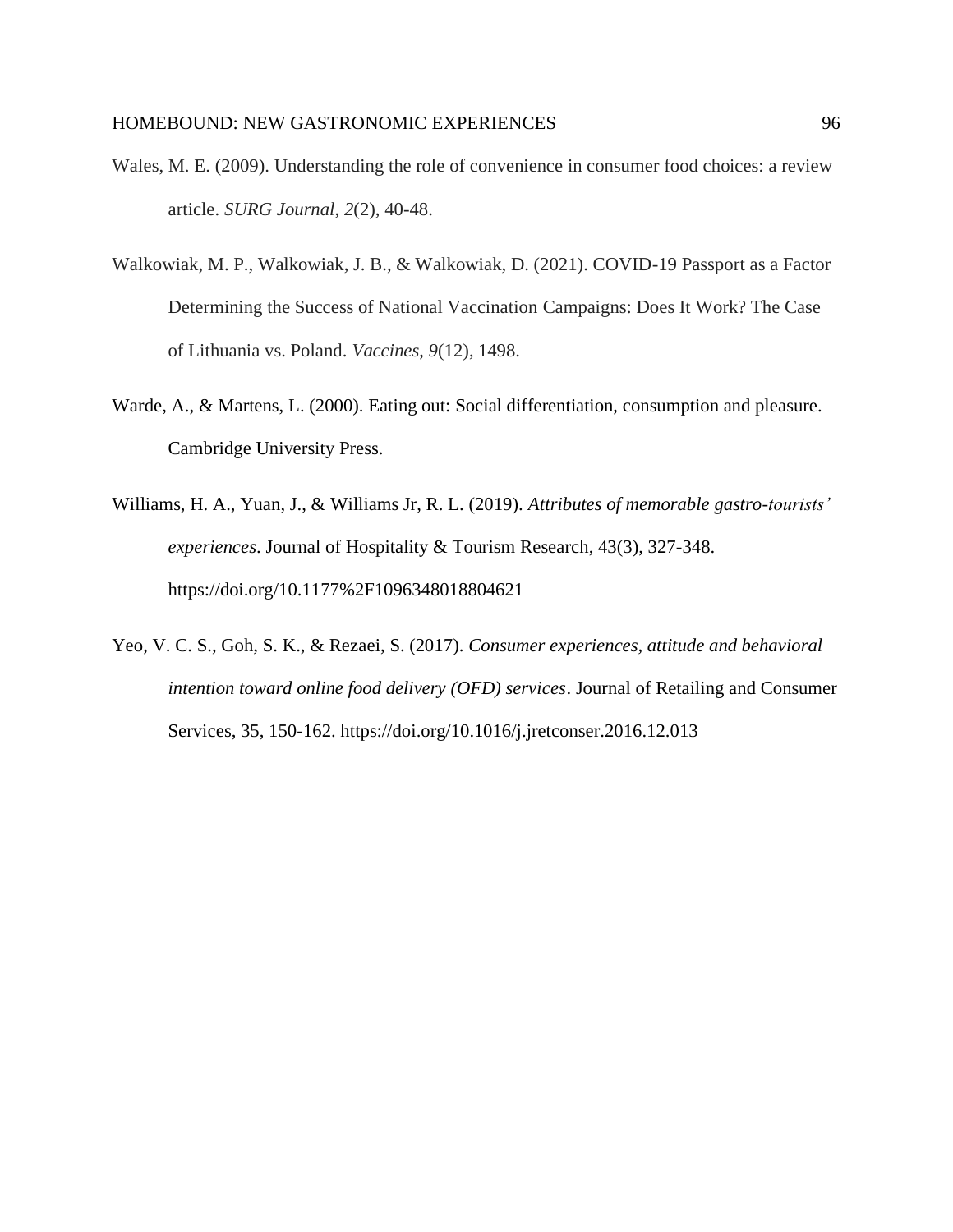- Wales, M. E. (2009). Understanding the role of convenience in consumer food choices: a review article. *SURG Journal*, *2*(2), 40-48.
- Walkowiak, M. P., Walkowiak, J. B., & Walkowiak, D. (2021). COVID-19 Passport as a Factor Determining the Success of National Vaccination Campaigns: Does It Work? The Case of Lithuania vs. Poland. *Vaccines*, *9*(12), 1498.
- Warde, A., & Martens, L. (2000). Eating out: Social differentiation, consumption and pleasure. Cambridge University Press.
- Williams, H. A., Yuan, J., & Williams Jr, R. L. (2019). *Attributes of memorable gastro-tourists' experiences*. Journal of Hospitality & Tourism Research, 43(3), 327-348. https://doi.org/10.1177%2F1096348018804621
- Yeo, V. C. S., Goh, S. K., & Rezaei, S. (2017). *Consumer experiences, attitude and behavioral intention toward online food delivery (OFD) services*. Journal of Retailing and Consumer Services, 35, 150-162. https://doi.org/10.1016/j.jretconser.2016.12.013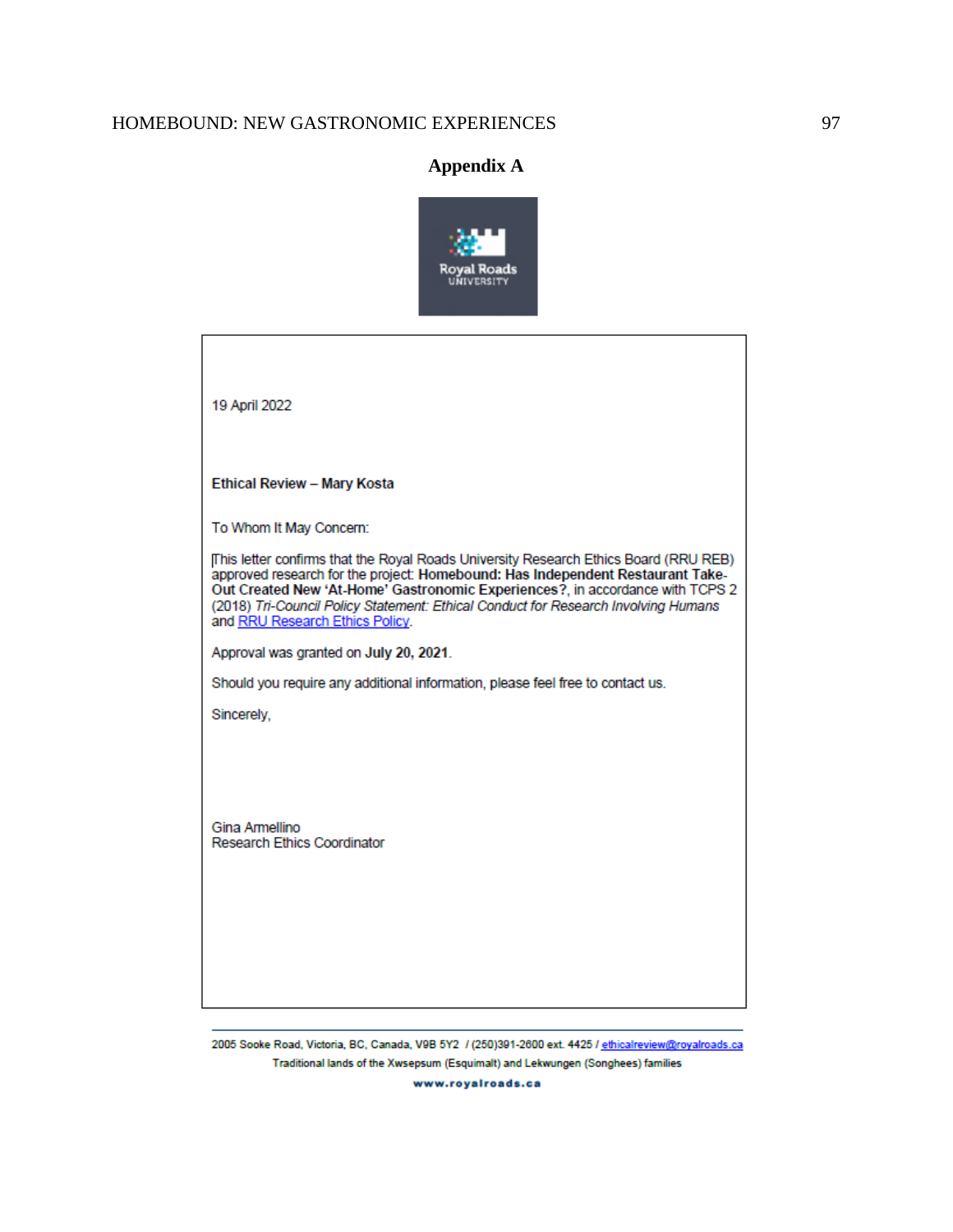# **Appendix A**



2005 Sooke Road, Victoria, BC, Canada, V9B 5Y2 / (250)391-2600 ext. 4425 / ethicalreview@royalroads.ca Traditional lands of the Xwsepsum (Esquimalt) and Lekwungen (Songhees) families

www.royalroads.ca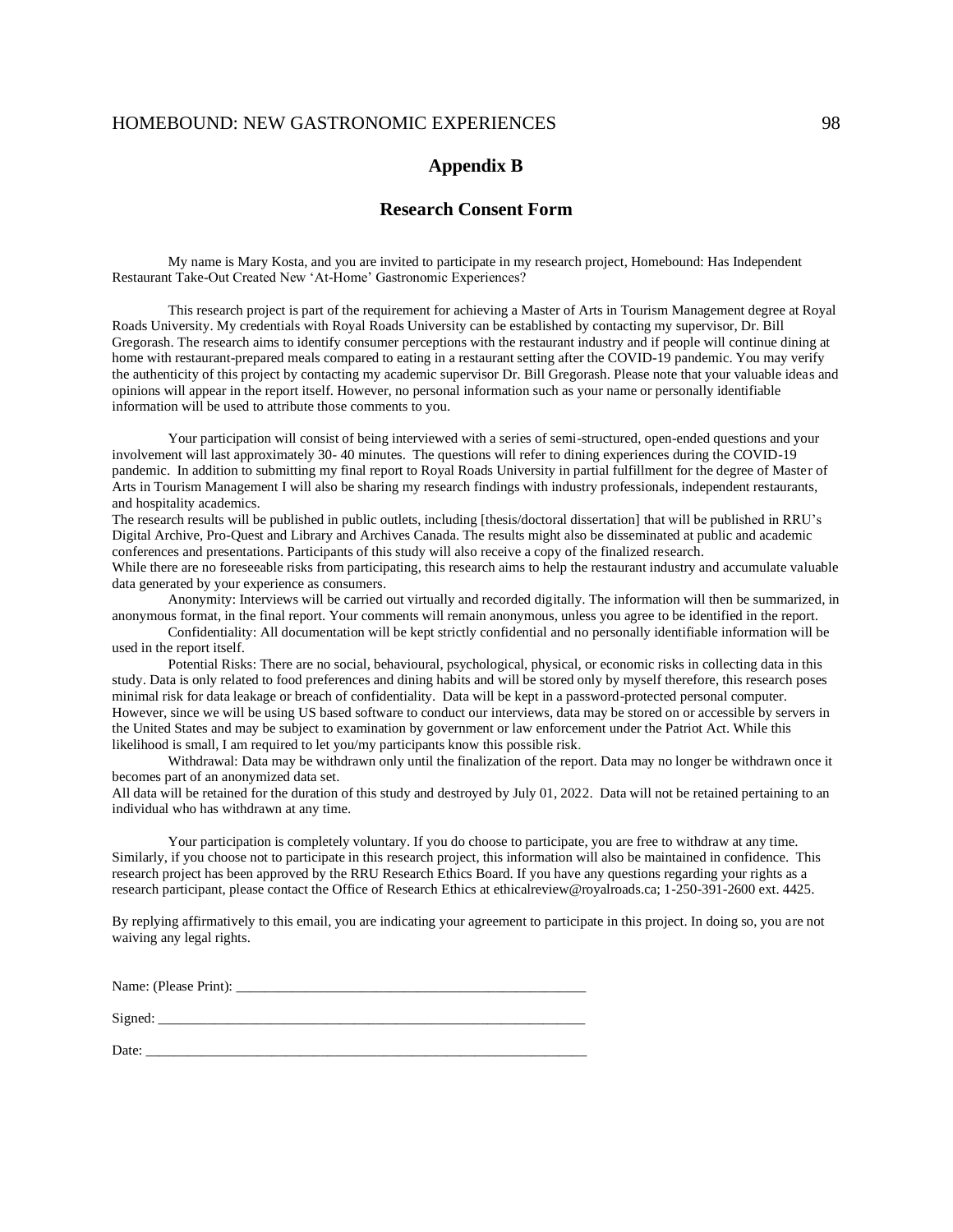## **Appendix B**

## **Research Consent Form**

My name is Mary Kosta, and you are invited to participate in my research project, Homebound: Has Independent Restaurant Take-Out Created New 'At-Home' Gastronomic Experiences?

This research project is part of the requirement for achieving a Master of Arts in Tourism Management degree at Royal Roads University. My credentials with Royal Roads University can be established by contacting my supervisor, Dr. Bill Gregorash. The research aims to identify consumer perceptions with the restaurant industry and if people will continue dining at home with restaurant-prepared meals compared to eating in a restaurant setting after the COVID-19 pandemic. You may verify the authenticity of this project by contacting my academic supervisor Dr. Bill Gregorash. Please note that your valuable ideas and opinions will appear in the report itself. However, no personal information such as your name or personally identifiable information will be used to attribute those comments to you.

Your participation will consist of being interviewed with a series of semi-structured, open-ended questions and your involvement will last approximately 30- 40 minutes. The questions will refer to dining experiences during the COVID-19 pandemic. In addition to submitting my final report to Royal Roads University in partial fulfillment for the degree of Master of Arts in Tourism Management I will also be sharing my research findings with industry professionals, independent restaurants, and hospitality academics.

The research results will be published in public outlets, including [thesis/doctoral dissertation] that will be published in RRU's Digital Archive, Pro-Quest and Library and Archives Canada. The results might also be disseminated at public and academic conferences and presentations. Participants of this study will also receive a copy of the finalized research.

While there are no foreseeable risks from participating, this research aims to help the restaurant industry and accumulate valuable data generated by your experience as consumers.

Anonymity: Interviews will be carried out virtually and recorded digitally. The information will then be summarized, in anonymous format, in the final report. Your comments will remain anonymous, unless you agree to be identified in the report.

Confidentiality: All documentation will be kept strictly confidential and no personally identifiable information will be used in the report itself.

Potential Risks: There are no social, behavioural, psychological, physical, or economic risks in collecting data in this study. Data is only related to food preferences and dining habits and will be stored only by myself therefore, this research poses minimal risk for data leakage or breach of confidentiality. Data will be kept in a password-protected personal computer. However, since we will be using US based software to conduct our interviews, data may be stored on or accessible by servers in the United States and may be subject to examination by government or law enforcement under the Patriot Act. While this likelihood is small, I am required to let you/my participants know this possible risk.

Withdrawal: Data may be withdrawn only until the finalization of the report. Data may no longer be withdrawn once it becomes part of an anonymized data set.

All data will be retained for the duration of this study and destroyed by July 01, 2022. Data will not be retained pertaining to an individual who has withdrawn at any time.

Your participation is completely voluntary. If you do choose to participate, you are free to withdraw at any time. Similarly, if you choose not to participate in this research project, this information will also be maintained in confidence. This research project has been approved by the RRU Research Ethics Board. If you have any questions regarding your rights as a research participant, please contact the Office of Research Ethics at ethicalreview@royalroads.ca; 1-250-391-2600 ext. 4425.

By replying affirmatively to this email, you are indicating your agreement to participate in this project. In doing so, you are not waiving any legal rights.

Name: (Please Print):

 $Signed:$ 

Date: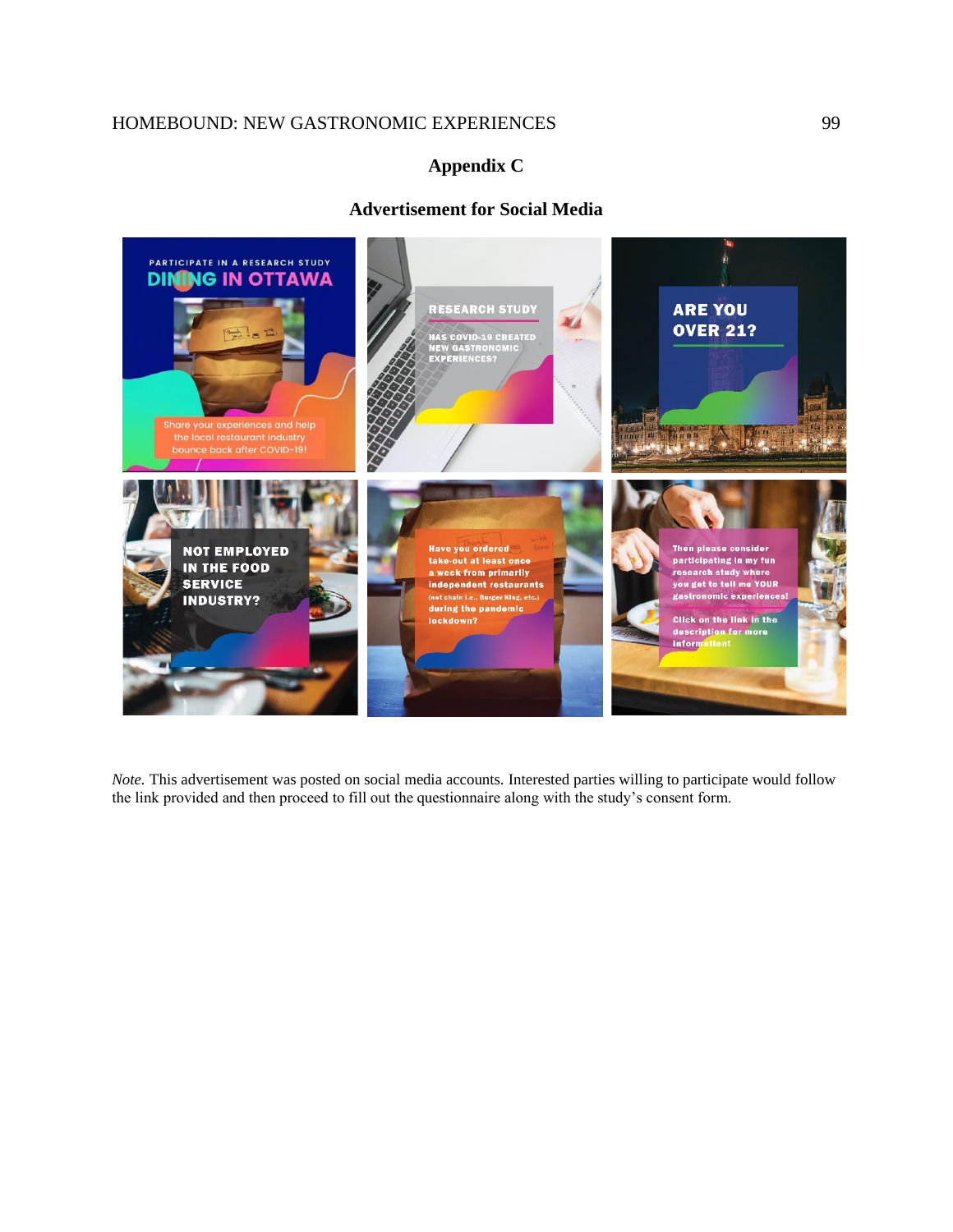# **Appendix C**

# **Advertisement for Social Media**



*Note*. This advertisement was posted on social media accounts. Interested parties willing to participate would follow the link provided and then proceed to fill out the questionnaire along with the study's consent form.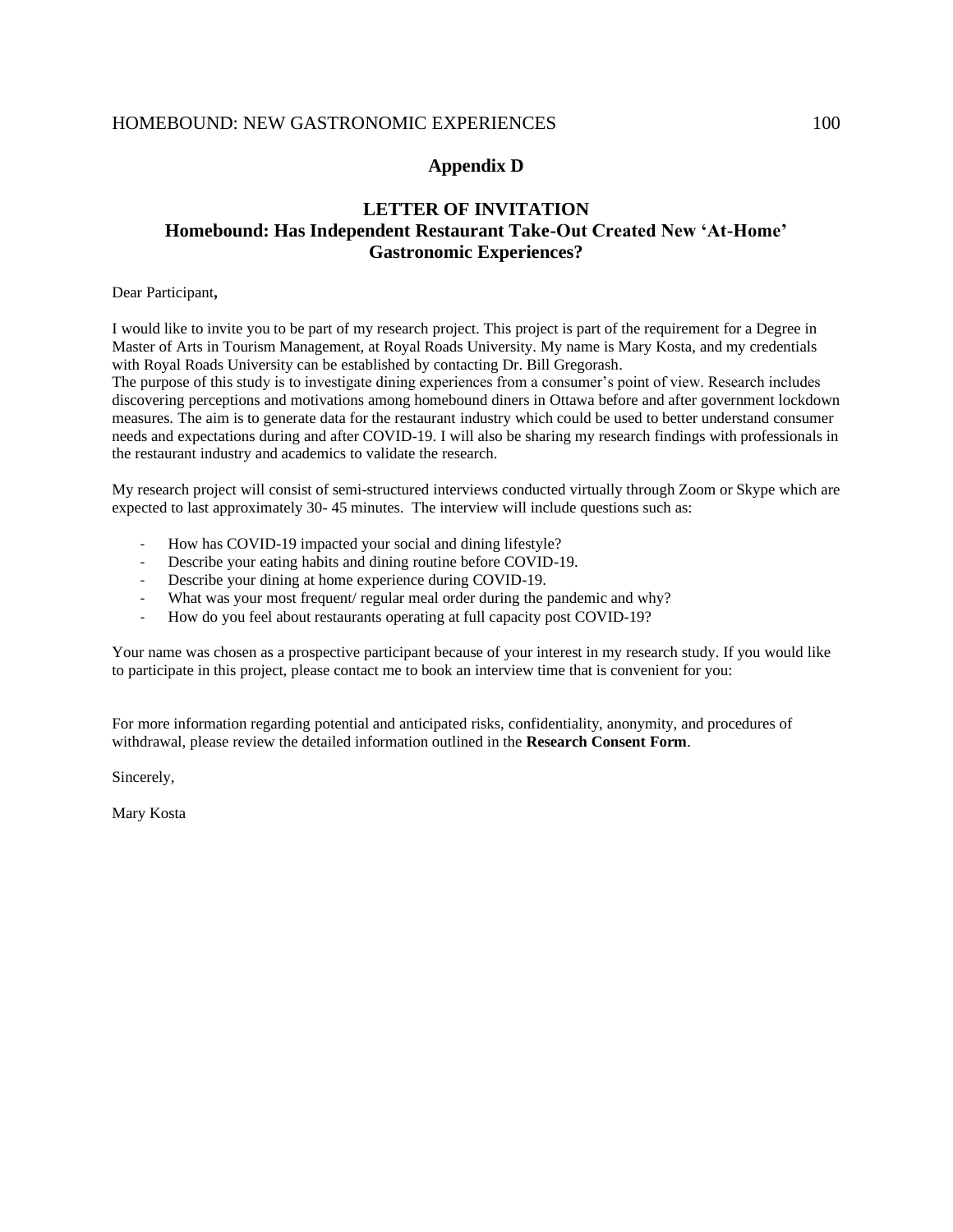# **Appendix D**

# **LETTER OF INVITATION Homebound: Has Independent Restaurant Take-Out Created New 'At-Home' Gastronomic Experiences?**

### Dear Participant**,**

I would like to invite you to be part of my research project. This project is part of the requirement for a Degree in Master of Arts in Tourism Management, at Royal Roads University. My name is Mary Kosta, and my credentials with Royal Roads University can be established by contacting Dr. Bill Gregorash.

The purpose of this study is to investigate dining experiences from a consumer's point of view. Research includes discovering perceptions and motivations among homebound diners in Ottawa before and after government lockdown measures. The aim is to generate data for the restaurant industry which could be used to better understand consumer needs and expectations during and after COVID-19. I will also be sharing my research findings with professionals in the restaurant industry and academics to validate the research.

My research project will consist of semi-structured interviews conducted virtually through Zoom or Skype which are expected to last approximately 30- 45 minutes. The interview will include questions such as:

- How has COVID-19 impacted your social and dining lifestyle?
- Describe your eating habits and dining routine before COVID-19.
- Describe your dining at home experience during COVID-19.
- What was your most frequent/ regular meal order during the pandemic and why?
- How do you feel about restaurants operating at full capacity post COVID-19?

Your name was chosen as a prospective participant because of your interest in my research study. If you would like to participate in this project, please contact me to book an interview time that is convenient for you:

For more information regarding potential and anticipated risks, confidentiality, anonymity, and procedures of withdrawal, please review the detailed information outlined in the **Research Consent Form**.

Sincerely,

Mary Kosta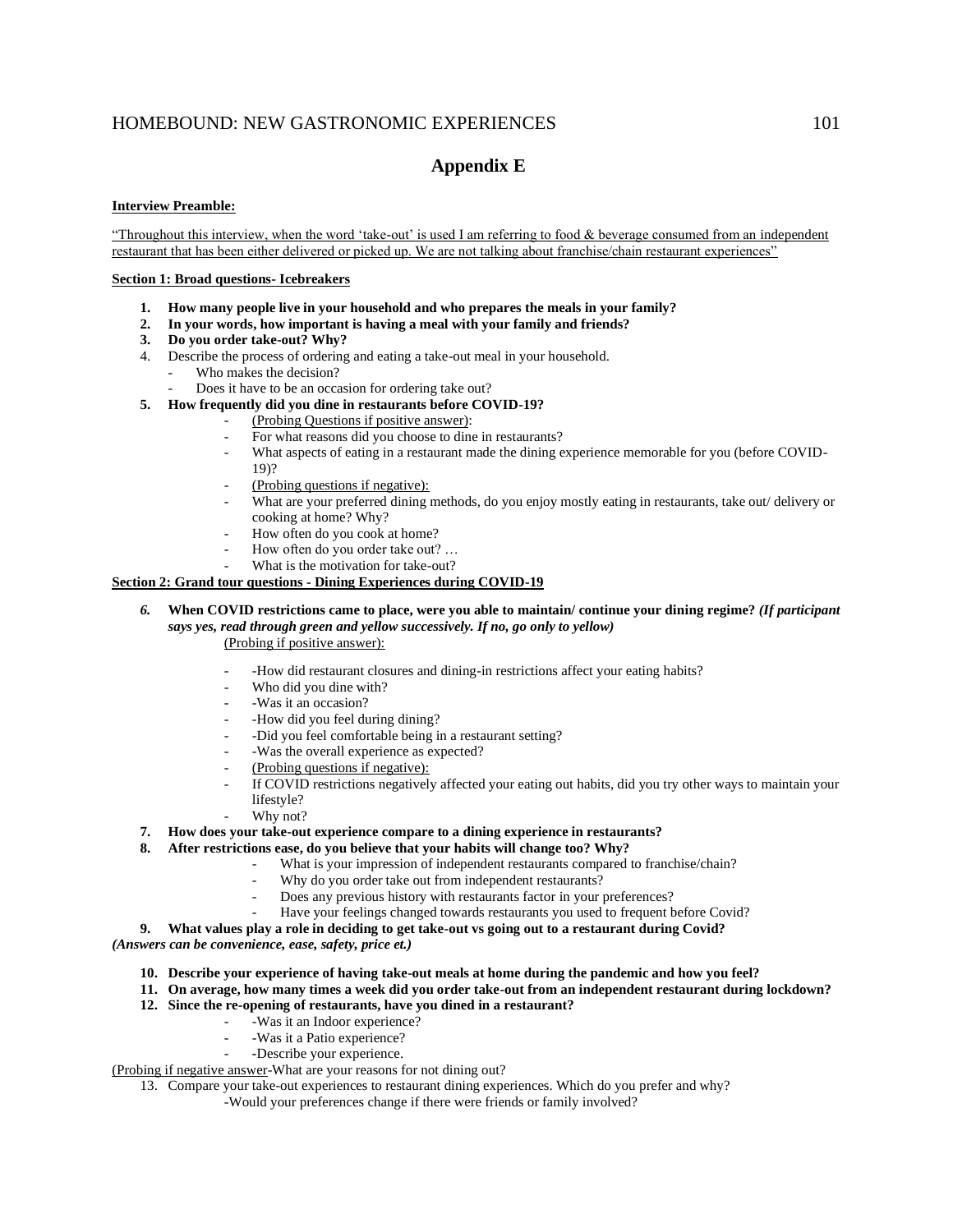# **Appendix E**

#### **Interview Preamble:**

"Throughout this interview, when the word 'take-out' is used I am referring to food & beverage consumed from an independent restaurant that has been either delivered or picked up. We are not talking about franchise/chain restaurant experiences"

#### **Section 1: Broad questions- Icebreakers**

- **1. How many people live in your household and who prepares the meals in your family?**
- **2. In your words, how important is having a meal with your family and friends?**
- **3. Do you order take-out? Why?**
- 4. Describe the process of ordering and eating a take-out meal in your household.
	- Who makes the decision?
	- Does it have to be an occasion for ordering take out?
- **5. How frequently did you dine in restaurants before COVID-19?** 
	- (Probing Questions if positive answer):
	- For what reasons did you choose to dine in restaurants?
	- What aspects of eating in a restaurant made the dining experience memorable for you (before COVID-
	- 19)?
	- (Probing questions if negative):
	- What are your preferred dining methods, do you enjoy mostly eating in restaurants, take out/ delivery or cooking at home? Why?
	- How often do you cook at home?
	- How often do you order take out? ...
	- What is the motivation for take-out?

## **Section 2: Grand tour questions - Dining Experiences during COVID-19**

- *6.* **When COVID restrictions came to place, were you able to maintain/ continue your dining regime?** *(If participant says yes, read through green and yellow successively. If no, go only to yellow)* (Probing if positive answer):
	- -How did restaurant closures and dining-in restrictions affect your eating habits?
	- Who did you dine with?
	- -Was it an occasion?
	- -How did you feel during dining?
	- -Did you feel comfortable being in a restaurant setting?
	- -Was the overall experience as expected?
	- (Probing questions if negative):
	- If COVID restrictions negatively affected your eating out habits, did you try other ways to maintain your lifestyle?
	- Why not?
- **7. How does your take-out experience compare to a dining experience in restaurants?**
- **8. After restrictions ease, do you believe that your habits will change too? Why?** 
	- What is your impression of independent restaurants compared to franchise/chain?
		- Why do you order take out from independent restaurants?
		- Does any previous history with restaurants factor in your preferences?
		- Have your feelings changed towards restaurants you used to frequent before Covid?
- **9. What values play a role in deciding to get take-out vs going out to a restaurant during Covid?**

*(Answers can be convenience, ease, safety, price et.)*

- **10. Describe your experience of having take-out meals at home during the pandemic and how you feel?**
- **11. On average, how many times a week did you order take-out from an independent restaurant during lockdown?**
- **12. Since the re-opening of restaurants, have you dined in a restaurant?**
	- -Was it an Indoor experience?
		- Was it a Patio experience?
		- *-*Describe your experience.

(Probing if negative answer-What are your reasons for not dining out?

- 13. Compare your take-out experiences to restaurant dining experiences. Which do you prefer and why?
	- -Would your preferences change if there were friends or family involved?